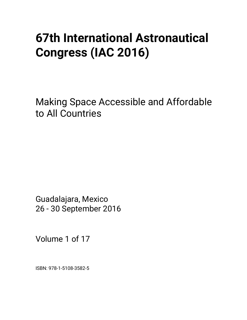# **67th International Astronautical Congress (IAC 2016)**

Making Space Accessible and Affordable to All Countries

Guadalajara, Mexico 26 - 30 September 2016

Volume 1 of 17

ISBN: 978-1-5108-3582-5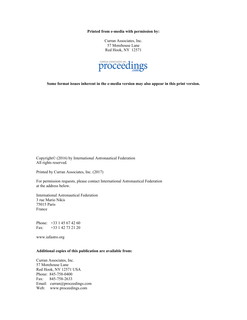**Printed from e-media with permission by:** 

Curran Associates, Inc. 57 Morehouse Lane Red Hook, NY 12571



**Some format issues inherent in the e-media version may also appear in this print version.** 

Copyright© (2016) by International Astronautical Federation All rights reserved.

Printed by Curran Associates, Inc. (2017)

For permission requests, please contact International Astronautical Federation at the address below.

International Astronautical Federation 3 rue Mario Nikis 75015 Paris France

Phone: +33 1 45 67 42 60 Fax: +33 1 42 73 21 20

www.iafastro.org

## **Additional copies of this publication are available from:**

Curran Associates, Inc. 57 Morehouse Lane Red Hook, NY 12571 USA Phone: 845-758-0400 Fax: 845-758-2633 Email: curran@proceedings.com Web: www.proceedings.com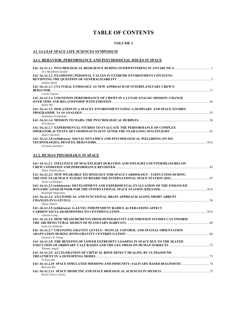# **TABLE OF CONTENTS**

## **VOLUME 1**

## **A1. IAA/IAF SPACE LIFE SCIENCES SYMPOSIUM**

## **A1.1. BEHAVIOR, PERFORMANCE AND PSYCHOSOCIAL ISSUES IN SPACE**

| Gro Mjeldheim Sandal                                                                                          |     |
|---------------------------------------------------------------------------------------------------------------|-----|
| IAC-16.A1.1.2 EXAMINING PERSONAL VALUES IN EXTREME ENVIRONMENT CONTEXTS:<br>Nathan Smith                      |     |
| IAC-16.A1.1.3 CULTURAL ETHOLOGY AS NEW APPROACH OF INTERPLANETARY CREW'S<br><b>BEHAVIOR</b>                   |     |
| Carole Tajorin<br>IAC-16.A1.1.4 COGNITION PERFORMANCE OF CREWS IN A LUNAR ANALOG MISSION: CHANGE<br>Ruilin Wu | 26  |
| IAC-16.A1.1.5 ISOLATION IN A SPACEY ENVIRONMENT:USING A SEMINARY AND SPACE STUDIES<br>Funmilayo Erinfolami    | 35  |
| Nick Kanas                                                                                                    |     |
| IAC-16.A1.1.7 EXPERIMENTAL STUDIES TO EVALUATE THE PERFORMANCE OF COMPLEX<br>Andrey Kuritsin                  |     |
| IAC-16.A1.1.8 (withdrawn) SOCIAL DYNAMICS AND PSYCHOLOGICAL WELLBEING ON ISS.<br>Germana Galoforo             | N/A |

#### **A1.2. HUMAN PHYSIOLOGY IN SPACE**

| IAC-16.A1.2.1 INFLUENCE OF SPACEFLIGHT DURATION AND INFLIGHT COUNTERMEASURES ON<br>Elena Tomilovskava                                         |    |
|-----------------------------------------------------------------------------------------------------------------------------------------------|----|
| <b>IAC-16.A1.2.2 NEW WEARABLE TECHNOLOGY FOR SPACE CARDIOLOGY - USEFULNESS DURING</b><br>Elena Luchitskava                                    |    |
| IAC-16.A1.2.3 (withdrawn) DEVELOPMENT AND EXPERIMENTAL EVALUATION OF THE ENHANCED<br>Roedolph Opperman                                        |    |
| IAC-16.A1.2.4 ANATOMICAL AND FUNCTIONAL BRAIN APPROACH ALONG SHORT ABRUPT<br>Diana Dubert                                                     |    |
| IAC-16.A1.2.5 (withdrawn) G-LEVEL INDEPENDENT RADIUS ALTERATIONS AFFECT<br>CARDIOVASCULAR RESPONSES TO CENTRIFUGATION<br><b>Charles Laing</b> |    |
| <b>IAC-16.A1.2.6 HOW MEASUREMENTS FROM HYPOGRAVITY LOCOMOTION STUDIES CAN INFORM</b><br>Irene Lia Schlacht                                    |    |
| IAC-16.A1.2.7 CHANGING GRAVITY LEVELS - MANUAL CONTROL AND SPATIAL ORIENTATION<br>Laurence R. Young                                           |    |
| <b>IAC-16.A1.2.8 THE BENEFITS OF LOWER EXTREMITY LOADING IN SPACE DUE TO THE SEATED</b><br>Thomas Angeli                                      |    |
| IAC-16.A1.2.9 ACCELERATION OF CRITICAL BONE DEFECT HEALING BY ULTRASOUND<br>Yi-Xian Oin                                                       | 73 |
| IAC-16.A1.2.10 SPACE SIMULATED MISSIONS AND IMMUNITY: SALIVARY BASED DIAGNOSTIC<br><b>Balwant Rai</b>                                         |    |
| <b>Benito Orozco Serna</b>                                                                                                                    |    |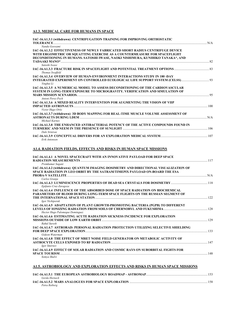# **A1.3. MEDICAL CARE FOR HUMANS IN SPACE**

| IAC-16.A1.3.1 (withdrawn) CENTRIFUGATION TRAINING FOR IMPROVING ORTHOSTATIC<br>Nandu Goswami                                                                                                                                                                    |  |
|-----------------------------------------------------------------------------------------------------------------------------------------------------------------------------------------------------------------------------------------------------------------|--|
| IAC-16.A1.3.2 EFFECTIVENESS OF NEWLY FABRICATED SHORT RADIUS CENTRIFUGE DEVICE<br>WITH ERGOMETRIC OR SQUATTING EXERCISE AS A COUNTERMEASURE FOR SPACEFLIGHT<br>DECONDITIONING IN HUMANS. SATOSHI IWASE, NAOKI NISHIMURA, KUNIHIKO TANAKA*, AND<br>Satoshi Iwase |  |
| Thomas Swaffeld                                                                                                                                                                                                                                                 |  |
| IAC-16.A1.3.4 OVERVIEW OF HUMAN-ENVIRONMENT INTERACTIONS STUDY IN 180 -DAY<br>Yinghui Li                                                                                                                                                                        |  |
| IAC-16.A1.3.5 A NUMERICAL MODEL TO ASSESS DECONDITIONING OF THE CARDIOVASCULAR<br>SYSTEM IN LONG-TERM EXPOSURE TO MICROGRAVITY, VERIFICATION AND SIMULATION OF<br>Antoni Perez-Poch                                                                             |  |
| IAC-16.A1.3.6 A MIXED REALITY INTERVENTION FOR AUGMENTING THE VISION OF VIIP                                                                                                                                                                                    |  |
| Victor Hugo Ortiz<br>IAC-16.A1.3.7 (withdrawn) 3D BODY MAPPING FOR REAL-TIME MUSCLE VOLUME ASSESSMENT OF<br>Michael Karnes                                                                                                                                      |  |
| IAC-16.A1.3.8 THE ENHANCED ANTIBACTERIAL POTENCY OF THE ACTIVE COMPOUNDS FOUND IN<br>Dale Srinivas                                                                                                                                                              |  |
| Erik Antonsen                                                                                                                                                                                                                                                   |  |
| <b>A1.4. RADIATION FIELDS, EFFECTS AND RISKS IN HUMAN SPACE MISSIONS</b><br>IAC-16.A1.4.1 A NOVEL SPACECRAFT WITH AN INNOVATIVE PAYLOAD FOR DEEP SPACE                                                                                                          |  |
| Premkumar Sagant<br>IAC-16.A1.4.2 (withdrawn) QUANTUM IMAGING DOSIMETRY AND DIRECTIONAL VISUALIZATION OF<br>SPACE RADIATION IN LEO ORBIT BY THE SATRAM/TIMEPIX PAYLOAD ON-BOARD THE ESA                                                                         |  |
| Carlos Granja                                                                                                                                                                                                                                                   |  |
| Epifanio Cruz-Zaragoza<br>IAC-16.A1.4.4 INFLUENCE OF THE ABSORBED DOSE OF SPACE RADIATION ON BIOCHEMICAL<br>PARAMETERS OF BLOOD DURING LONG-TERM SPACE FLIGHTS ON THE RUSSIAN SEGMENT OF<br>Igor Nichiporuk                                                     |  |
| IAC-16.A1.4.5 ADAPTATION OF PLANT GROWTH-PROMOTING BACTERIA (PGPB) TO DIFFERENT<br>Hector Hugo Palomeque Dominguez                                                                                                                                              |  |
| IAC-16.A1.4.6 ESTIMATING ACUTE RADIATION SICKNESS INCIDENCE FOR EXPLORATION<br>Rahul Suresh                                                                                                                                                                     |  |
| IAC-16.A1.4.7 ASTRORAD: PERSONAL RADIATION PROTECTION UTILIZING SELECTIVE SHIELDING<br>Gideon Waterman                                                                                                                                                          |  |
| IAC-16.A1.4.8 THE EFFECT OF MRET NOISE FIELD GENERATOR ON METABOLIC ACTIVITY OF<br><b>Igor Smirnov</b>                                                                                                                                                          |  |
| <b>IAC-16.A1.4.9 EFFECT OF SOLAR RADIATION AND COSMIC RAYS ON SUBORBITAL FIGHTS FOR</b><br>Somva Shalvi                                                                                                                                                         |  |

# **A1.5. ASTROBIOLOGY AND EXPLORATION EFFECTS AND RISKS IN HUMAN SPACE MISSIONS**

| Gerda Horneck |     |
|---------------|-----|
|               | 158 |
| Petra Retberg |     |
|               |     |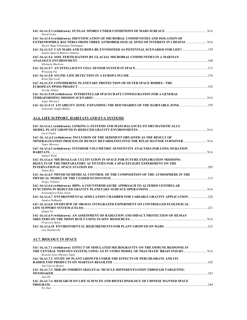| David Green                                                                                                                                                                                                 |  |
|-------------------------------------------------------------------------------------------------------------------------------------------------------------------------------------------------------------|--|
| IAC-16.A1.5.4 (withdrawn) IDENTIFICATION OF MICROBIAL COMMUNITIES AND ISOLATION OF<br>EXTREMOPHILE BACTERIA FROM THREE ASTROBIOLOGICAL SITES OF INTEREST IN CHIAPAS  N/A<br>Hector Hugo Palomeque Dominguez |  |
| 159 IAC-16.A1.5.5 CAN MARS AND EUROPA BE ENVISIONED AS POTENTIAL SCENARIOS FOR LIFE?<br>Sandra Ignacia Ramirez Jimenez                                                                                      |  |
| IAC-16.A1.5.6 SOIL FERTILISATION BY GLACIAL MICROBIAL COMMUNITIES IN A MARTIAN<br>Michaela Musilova                                                                                                         |  |
| Weigiang Xia                                                                                                                                                                                                |  |
| <b>Brent Sherwood</b>                                                                                                                                                                                       |  |
| <b>IAC-16.A1.5.9 CONSIDERING PLANETARY PROTECTION OF OUTER SPACE BODIES - THE</b><br>Nicolas Walter                                                                                                         |  |
| IAC-16.A1.5.10 (withdrawn) INTERSTELLAR SPACECRAFT CONFIGURATION FOR A GENERAL<br><b>TERRAFORMING MISSION SCENARIO <i>MARIO AND A CONSERVERS OF A CONSERVERSION</i> N</b> <sup>2</sup><br>Yegor Morozov     |  |
| Yadvender Singh Dhillon                                                                                                                                                                                     |  |

# **A1.6. LIFE SUPPORT, HABITATS AND EVA SYSTEMS**

| IAC-16.A1.6.1 (withdrawn) LINKING L-SYSTEMS AND MASS BALANCES TO MECHANISTICALLY<br>Lucie Poulet                                                                                  |     |
|-----------------------------------------------------------------------------------------------------------------------------------------------------------------------------------|-----|
| IAC-16. A1.6.2 (withdrawn) INCLUSION OF THE SEDIMENT OBTAINED AS THE RESULT OF<br>MINERALIZATION PROCESS OF HUMAN METABOLITES INTO THE BTLSS MATTER TURNOVER<br>Yegor Morozov     |     |
| IAC-16.A1.6.3 (withdrawn) INTERIOR VOLUMETRIC SENSITIVITY ANALYSES FOR LONG DURATION<br>Samuel Wald                                                                               |     |
| <b>IAC-16.A1.6.4 MICROALGAE CULTIVATION IN SPACE FOR FUTURE EXPLORATION MISSIONS:</b><br>RESULTS OF THE PREPARATORY ACTIVITIES FOR A SPACEFLIGHT EXPERIMENT ON THE<br>Stefan Belz |     |
| IAC-16.A1.6.5 PHYSICOCHEMICAL CONTROL OF THE COMPOSITION OF THE ATMOSPHERE IN THE<br>Sergey Trifonov                                                                              |     |
| IAC-16.A1.6.6 (withdrawn) HIPS: A COUNTERMEASURE APPROACH TO ALTERED VESTIBULAR<br>Poonampreet Kaur Josan                                                                         |     |
| 1AC-16.A1.6.7 ENVIRONMENTAL SIMULATION CHAMBER FOR VARIABLE GRAVITY APPLICATION 20<br>Sandra Podhajsky                                                                            |     |
| IAC-16.A1.6.8 OVERVIEW OF 180-DAY INTEGRATED EXPERIMENT ON CONTROLLED ECOLOGICAL<br>Oingni Yu                                                                                     | 221 |
| IAC-16.A1.6.9 (withdrawn) AN ASSESSMENT OF RADIATION AND IMPACT PROTECTION OF HUMAN<br>Francesco Spina                                                                            |     |
| Lisa Stojanovski                                                                                                                                                                  |     |
|                                                                                                                                                                                   |     |

## **A1.7. BIOLOGY IN SPACE**

| IAC-16.A1.7.1 (withdrawn) EFFECT OF SIMULATED MICROGRAVITY ON THE IMMUNE RESPONSE IN    |     |
|-----------------------------------------------------------------------------------------|-----|
|                                                                                         |     |
| Ricardo Jesus Martnez-Tapia                                                             |     |
| <b>IAC-16.A1.7.2 STUDY OF PLANT GROWTH UNDER THE EFFECTS OF PERCHLORATE AND ITS</b>     |     |
|                                                                                         | 242 |
| Axel Garcia Burgos                                                                      |     |
| <b>IAC-16.A1.7.3 MIR-491 INHIBITS SKELETAL MUSCLE DIFFERENTIATION THROUGH TARGETING</b> |     |
| <b>MYOMAKER</b>                                                                         | 243 |
| Jian He                                                                                 |     |
| IAC-16.A1.7.4 RESEARCH ON LIFE SCIENCES AND BIOTECHNOLOGY OF CHINESE MANNED SPACE       |     |
| <b>PROGRAM</b>                                                                          | 244 |
| Pei Han                                                                                 |     |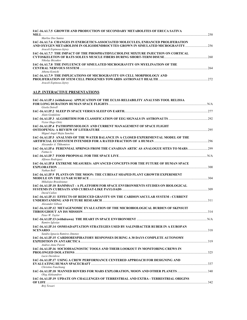| IAC-16.A1.7.5  GROWTH AND PRODUCTION OF SECONDARY METABOLITES OF ERUCA SATIVA                                                     |  |
|-----------------------------------------------------------------------------------------------------------------------------------|--|
| Marlise Dos Santos<br>IAC-16.A1.7.6 CHANGES IN ENERGETICS-ASSOCIATED MOLECULES. ENHANCED PROLIFERATION<br>Araceli Espinosa-Jejrev |  |
| IAC-16.A1.7.7 THE IMPACT OF THE PHOSPHATIDYLCHOLINE MIXTURE INJECTION ON CORTICAL<br>Nikolay Biryukov                             |  |
| IAC-16.A1.7.8 THE INFLUENCE OF SIMULATED MICROGRAVITY ON MYELINATION OF THE<br>Athena Konicki                                     |  |
| IAC-16.A1.7.9 THE IMPLICATIONS OF MICROGRAVITY ON CELL MORPHOLOGY AND<br>Araceli Espinosa-Jejrey                                  |  |
| <b>A1.P. INTERACTIVE PRESENTATIONS</b>                                                                                            |  |
| IAC-16.A1.IP.1 (withdrawn) APPLICATION OF THE ECLSS RELIABILITY ANALYSIS TOOL RELISSA<br>Gisela Detrell                           |  |
|                                                                                                                                   |  |
| Alain Gonfalone<br>Victor Hugo Ortiz                                                                                              |  |
| IAC-16.A1.IP.4 PATHOPHYSIOLOGY AND CURRENT MANAGEMENT OF SPACE FLIGHT<br>Miguel Angel Mejia Sanchez                               |  |
| IAC-16.A1.IP.5 ANALYSIS OF THE WATER BALANCE IN A CLOSED EXPERIMENTAL MODEL OF THE<br>Alexander A. Tikhomirov                     |  |
| 1999. IAC-16.A1.IP.6  PERENNIAL SPRINGS FROM THE CANADIAN ARTIC AS ANALOGUE SITES TO MARS                                         |  |
| Fatma Li<br>Alfonso Rodriguez                                                                                                     |  |
| IAC-16.A1.IP.8 EXTREME MEASURES: ADVANCED CONCEPTS FOR THE FUTURE OF HUMAN SPACE                                                  |  |
| Nathan Boll<br>IAC-16.A1.IP.9 PLANTS ON THE MOON: THE CUBESAT SHAPED PLANT GROWTH EXPERIMENT                                      |  |
| Mikalojus Brazdziunas<br>IAC-16.A1.IP.10 BAMMSAT - A PLATFORM FOR SPACE ENVIRONMENTS STUDIES ON BIOLOGICAL<br>David Cullen        |  |
| IAC-16.A1.IP.11 EFFECTS OF REDUCED GRAVITY ON THE CARDIOVASCULAR SYSTEM - CURRENT                                                 |  |
| Alexander Gibson<br>IAC-16.A1.IP.12 METAGENOMIC EVALUATION OF THE MICROBIOLOGICAL BURDEN OF SKINSUIT                              |  |
| Peter W. Taylor<br>Ramiro Iglesias                                                                                                |  |
| IAC-16.A1.IP.14 OSMOADAPTATION STRATEGIES USED BY SALINIBACTER RUBER IN A EUROPAN                                                 |  |
| Sandra Ignacia Ramirez Jimenez<br>IAC-16.A1.IP.15 CARDIORESPIRATORY RESPONSES DURING A 30 DAYS COMPLETE AUTONOMY                  |  |
| Andree-Anne Parent<br>IAC-16.A1.IP.16 SOCIODIAGNOSTIC TOOLS AND THEIR LOOKOUT IN MONITORING CREWS IN                              |  |
| Lucie Davidova<br>IAC-16.A1.IP.17 USING A CREW PERFORMANCE CENTERED APPROACH FOR DESIGNING AND                                    |  |
| Christine Fanchiang<br>Oleg Aleksandrov                                                                                           |  |
| IAC-16.A1.IP.19 UPDATE ON CHALLENGES OF TERRESTRIAL AND EXTRA - TERRESTRIAL ORIGINS                                               |  |

*Brij Tewari*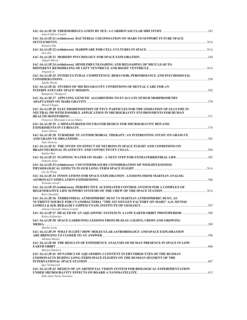| Anna Colleen Crouch                                                                                                                                                                           |  |
|-----------------------------------------------------------------------------------------------------------------------------------------------------------------------------------------------|--|
| IAC-16.A1.IP.21 (withdrawn) BACTERIAL COLONISATION ON MARS TO SUPPORT FUTURE SPACE                                                                                                            |  |
| Karunya Raj<br>Luis Zea                                                                                                                                                                       |  |
| Abigail Sherrij                                                                                                                                                                               |  |
| IAC-16.A1.IP.24 (withdrawn) HINDLIMB UNLOADING AND RELOADING OF MICE LEAD TO<br>Yingxian Li                                                                                                   |  |
| IAC-16.A1.IP.25 INTERCULTURAL COMPETENCE: BEHAVIOR, PERFORMANCE AND PSYCHOSOCIAL<br><b>Edythe Weeks</b>                                                                                       |  |
| IAC-16.A1.IP.26 STUDIES OF MICRO-GRAVITY CONDITIONS OF DENTAL CARE FOR AN                                                                                                                     |  |
| Banupriya Thangavel<br>IAC-16.A1.IP.27 APPLYING GENETIC ALGORITHMS TO EVALUATE FEMUR MORPHOMETRY                                                                                              |  |
| Misael Chagas<br>IAC-16.A1.IP.28 ELECTRODEPOSITION OF PTCU PARTICLES FOR THE OXIDATION OF GLUCOSE IN<br>NEUTRAL PH WITH POSSIBLE APPLICATION IN MICROGRAVITY ENVIRONMENTS FOR HUMAN           |  |
| Francisco Mherande Cuevas-Muniz<br>IAC-16.A1.IP.29 A MINIATURIZED INCUBATOR DESIGN FOR MICROGRAVITY BOTANIC                                                                                   |  |
| Josue Zabeau<br>IAC-16.A1.IP.30 TURMERIC IN ANTIMICROBIAL THERAPY: AN INTERESTING STUDY ON GRAM-VE<br>Dale Srinivas                                                                           |  |
| IAC-16.A1.IP.31 THE STUDY ON EFFECT OF NEURONS IN SPACE FLIGHT AND CONDITIONS ON<br>Sandya Rao                                                                                                |  |
| Nadeem Alam                                                                                                                                                                                   |  |
| IAC-16.A1.IP.33 (withdrawn) COUNTERMEASURE CONSIDERATION OF WEIGHTLESSNESS<br>Lin-Jie Wang                                                                                                    |  |
| IAC-16.A1.IP.34 INNOVATIONS FOR SPACE EXPLORATION - LESSONS FROM MARTIAN ANALOG<br>Nicholas Jewell                                                                                            |  |
| IAC-16.A1.IP.35 (withdrawn) PERSPECTIVE AUTOMATED CONTROL SYSTEM FOR A COMPLEX OF<br><b>Boris Zaretskiy</b>                                                                                   |  |
| IAC-16.A1.IP.36 TERRESTRIAL ATMOSPHERIC DUST VS MARTIAN ATMOSPHERIC DUST; AS<br>NUTRIENT SOURCE FOR CYANOBACTERIA "THE 1ST OXYGEN FACTORY ON MARS" A.O. MUNOZ<br>Antonio Oswaldo Munoz Lomeli |  |
| IAC-16.A1.IP.37 HEALTH OF AN AQUAPONIC SYSTEM IN A LOW EARTH ORBIT PHOTOPERIOD 388<br>Kelsey Kalbacher                                                                                        |  |
| IAC-16.A1.IP.38 SPACE GARDENING LESSONS FROM HI-SEAS: LIGHTS, CROPS AND GROWING<br>Martha Lenio                                                                                               |  |
| IAC-16.A1.IP.39 WHAT IS LIFE? HOW MOLECULAR ASTROBIOLOGY AND SPACE EXPLORATION<br>Adriana Marais                                                                                              |  |
| IAC-16.A1.IP.40 THE RESULTS OF EXPEDIENCE ANALYSIS OF HUMAN PRESENCE IN SPACE IN LOW-<br>Mariya Danilova                                                                                      |  |
| IAC-16.A1.IP.41 DYNAMICS OF AQUAPORIN-3 CONTENT IN ERYTHROCYTES OF THE RUSSIAN<br><b>COSMONAUTS DURING LONG-TERM SPACE FLIGHTS ON THE RUSSIAN SEGMENT OF THE</b><br>Igor Nichiporuk           |  |
| IAC-16.A1.IP.43 DESIGN OF AN ARTIFICIAL VISION SYSTEM FOR BIOLOGICAL EXPERIMENTATION<br>Rubi Janet Nunez Dorantes                                                                             |  |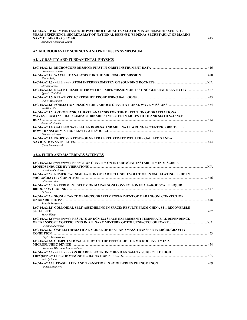| IAC-16.A1.IP.44_IMPORTANCE OF PSYCOHOLOGICAL EVALUATION IN AEROSPACE SAFETY. (30_ |
|-----------------------------------------------------------------------------------|
| YEARS EXPERIENCE, SECRETARIAT OF NATIONAL DEFENSE (SEDENA) -SECRETARIAT OF MARINE |
| NAVV OF MEVICO (CEMAD).                                                           |

**NAVY OF MEXICO (SEMAR).**...................................................................................................................................................................415 *Armando Rodriguez-Lopez* 

## **A2. MICROGRAVITY SCIENCES AND PROCESSES SYMPOSIUM**

## **A2.1. GRAVITY AND FUNDAMENTAL PHYSICS**

| Franmoise Liorzou                                                                                                                                                              |     |
|--------------------------------------------------------------------------------------------------------------------------------------------------------------------------------|-----|
| Hanns Selig                                                                                                                                                                    |     |
| Stephan Seidel                                                                                                                                                                 |     |
| 14C-16.A2.1.4 RECENT RESULTS FROM THE LARES MISSION ON TESTING GENERAL RELATIVITY<br>Ignazio Ciufolini                                                                         |     |
| Didier Massonnet                                                                                                                                                               |     |
| $An-Ming$ Wu                                                                                                                                                                   |     |
| IAC-16.A2.1.7 ASTROPHYSICAL DATA ANALYSIS FOR THE DETECTION OF GRAVITATIONAL<br>WAVES FROM INSPIRAL COMPACT BINARIES INJECTED IN LIGO'S FIFTH AND SIXTH SCIENCE<br><b>RUNS</b> | 442 |
| Javier M. Antelis                                                                                                                                                              |     |
| IAC-16.A2.1.8 GALILEO SATELLITES DORESA AND MILENA IN WRONG ECCENTRIC ORBITS: I.E.<br>Francesco Vespe                                                                          | 443 |
| IAC-16.A2.1.9 PROPOSED TESTS OF GENERAL RELATIVITY WITH THE GALILEO 5 AND 6<br>NAVIGATION SATELLITES                                                                           | 444 |
| Claus Laemmerzahl                                                                                                                                                              |     |

#### **A2.2. FLUID AND MATERIALS SCIENCES**

| IAC-16.A2.2.1 (withdrawn) EFFECT OF GRAVITY ON INTERFACIAL INSTABILITY IN MISCIBLE                        |     |
|-----------------------------------------------------------------------------------------------------------|-----|
| Valentna Sheytsova                                                                                        | N/A |
| IAC-16.A2.2.2 NUMERICAL SIMULATION OF PARTICLE SET EVOLUTION IN OSCILLATING FLUID IN                      | 446 |
| Iulija Brazaluk                                                                                           |     |
| IAC-16.A2.2.3 EXPERIMENT STUDY ON MARANGONI CONVECTION IN A LARGE SCALE LIQUID<br><b>BRIDGE ON GROUND</b> | 447 |
| Li Duan                                                                                                   |     |
| IAC-16.A2.2.4 SIGNIFICANCE OF MICROGRAVITY EXPERIMENT OF MARANGONI CONVECTION                             |     |
| Satoshi Matsumoto                                                                                         |     |
| IAC-16.A2.2.5 COLLOIDAL SELF-ASSEMBLING IN SPACE: RESULTS FROM CHINA SJ-1 RECOVERBLE                      |     |
| Yuren Wang                                                                                                |     |
| IAC-16.A2.2.6 (withdrawn) RESULTS OF DCMIX2 SPACE EXPERIMENT: TEMPERATURE DEPENDENCE                      |     |
| Valentna Sheytsova                                                                                        |     |
| IAC-16.A2.2.7 ONE MATHEMATICAL MODEL OF HEAT AND MASS TRANSFER IN MICROGRAVITY                            |     |
| Dmytro Yevdokymov                                                                                         |     |
| IAC-16.A2.2.8 COMPUTATIONAL STUDY OF THE EFFECT OF THE MICROGRAVITY IN A                                  | 454 |
| Francisco Mherande Cuevas-Muniz                                                                           |     |
| IAC-16.A2.2.9 (withdrawn) ON BOARD ELECTRONIC DEVICES SAFETY SUBJECT TO HIGH<br>Valeriy Nikitn            | N/A |
| Vinavak Malhotra                                                                                          |     |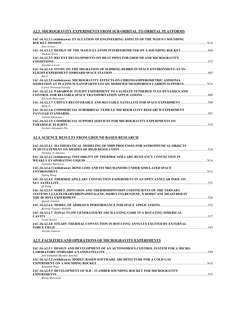## **A2.3. MICROGRAVITY EXPERIMENTS FROM SUB-ORBITAL TO ORBITAL PLATFORMS**

| IAC-16.A2.3.1 (withdrawn) EVALUATION OF ENGINEERING ASPECTS OF THE MAIUS-1 SOUNDING             |     |
|-------------------------------------------------------------------------------------------------|-----|
| Jens Grosse                                                                                     |     |
| 14C-16.A2.3.2 DESIGN OF THE MAIUS-2/3 ATOM INTERFEROMETER ON A SOUNDING ROCKET<br>Michael Elsen |     |
| IAC-16.A2.3.3 RECENT DEVELOPMENTS ON HEAT PIPES FOR GROUND AND MICROGRAVITY                     |     |
| Anselmo Cecere                                                                                  |     |
| IAC-16.A2.3.4 STUDY ON THE MIGRATION OF SLIPRING DEBRIS IN SPACE ENVIRONMENT-AN IN-             |     |
| Rui Li                                                                                          |     |
| IAC-16.A2.3.5 (withdrawn) MICROGRAVITY EFFECTS ON CHRONOAMPEROMETRIC AMMONIA                    |     |
| Carlos Poventud-Estrada                                                                         |     |
| IAC-16.A2.3.6 PARABOLIC FLIGHT EXPERIMENT TO VALIDATE TETHERED-TUGS DYNAMICS AND                |     |
| Riccardo Benvenuto                                                                              |     |
| 1AC-16.A2.3.7 CHINA'S RECOVERABLE AND REUSABLE SATELLITE FOR SPACE EXPERIMENT 500<br>Ming Li    |     |
| IAC-16.A2.3.8 COMMERCIAL SUBORBITAL VEHICLE MICROGRAVITY RESEARCH EXPERIMENT                    |     |
|                                                                                                 | 507 |
| Vatsala Khetawat                                                                                |     |
| <b>IAC-16.A2.3.9 COMMERCIAL SUPPORT SERVICES FOR MICROGRAVITY EXPERIMENTS ON</b>                |     |
| <b>PARABOLIC FLIGHTS</b>                                                                        | 518 |
| Norbert Alexander Pilz                                                                          |     |

#### **A2.4. SCIENCE RESULTS FROM GROUND BASED RESEARCH**

| <b>IAC-16.A2.4.1 MATHEMATICAL MODELING OF MHD PROCESSES FOR ASTROPHYSICAL OBJECTS</b>                                                                                                                                                                                                                                        |  |
|------------------------------------------------------------------------------------------------------------------------------------------------------------------------------------------------------------------------------------------------------------------------------------------------------------------------------|--|
| Nickolay N. Smirnov                                                                                                                                                                                                                                                                                                          |  |
| IAC-16.A2.4.2 (withdrawn) INSTABILITY OF THERMOCAPILLARY-BUOYANCY CONVECTION IN                                                                                                                                                                                                                                              |  |
| Valentna Sheytsova                                                                                                                                                                                                                                                                                                           |  |
| IAC-16.A2.4.3 (withdrawn) BONE LOSS AND ITS MECHANISMS UNDER SIMULATED SPACE                                                                                                                                                                                                                                                 |  |
| Jufang Wang                                                                                                                                                                                                                                                                                                                  |  |
| IAC-16.A2.4.4 THERMOCAPILLARY CONVECTION EXPERIMENT IN AN OPEN ANNULAR POOL ON                                                                                                                                                                                                                                               |  |
| Oi Kang                                                                                                                                                                                                                                                                                                                      |  |
| IAC-16.A2.4.5 SORET, DIFFUSION AND THERMODIFFUSION COEFFICIENTS OF THE TERNARY                                                                                                                                                                                                                                               |  |
| SYSTEMS 1,2,3,4-TETRAHYDRONAPHTALENE, ISOBULTYLBENZENE, N-DODECANE MEASURED IN<br>THE DCMIX1 EXPERIMENT <b><i>EXPERIMENT MELTER</i> EXPERIMENT <i>MELTER</i> EXPERIMENT <i>MELTER</i> EXPERIMENT <i>MELTER</i> EXPERIMENT <i>MELTER</i> EXPERIMENT <i>MELTER</i> EXPERIMENT <i>MELTER</i> EXPERIMENT <i>MELTER</i> EXPER</b> |  |
| Ouentn Galand                                                                                                                                                                                                                                                                                                                |  |
| Ricardo Vazquez-Robledo                                                                                                                                                                                                                                                                                                      |  |
| <b>IAC-16.A2.4.7 ZONAL FLOW GENERATED BY OSCILLATING CORE IN A ROTATING SPHERICAL</b>                                                                                                                                                                                                                                        |  |
| <b>CAVITY</b><br>Victor Kozlov                                                                                                                                                                                                                                                                                               |  |
| IAC-16.A2.4.8 STEADY THERMAL CONVECTION IN ROTATING ANNULUS EXCITED BY EXTERNAL                                                                                                                                                                                                                                              |  |
|                                                                                                                                                                                                                                                                                                                              |  |

*Alevtna Ivanova* 

## **A2.5. FACILITIES AND OPERATIONS OF MICROGRAVITY EXPERIMENTS**

| <b>IAC-16.A2.5.1 DESIGN AND DEVELOPMENT OF AN AUTONOMOUS CONTROL SYSTEM FOR A MICRO</b> | 549 |
|-----------------------------------------------------------------------------------------|-----|
| Joel Edmundo Morales Sanchez                                                            |     |
| IAC-16.A2.5.2 (withdrawn) MODEL-BASED SOFTWARE ARCHITECTURE FOR A COLD GAS              |     |
|                                                                                         | N/A |
| Benjamin Weps                                                                           |     |
| <b>IAC-16.A2.5.3 DEVELOPMENT OF ILR - 33 AMBER SOUNDING ROCKET FOR MICROGRAVITY</b>     |     |
|                                                                                         | 553 |
| Blazej Marciniak                                                                        |     |
|                                                                                         |     |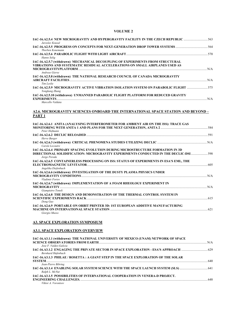#### **VOLUME 2**

| 1AC-16.A2.5.4 NEW MICROGRAVITY AND HYPERGRAVITY FACILITY IN THE CZECH REPUBLIC 563<br>Jaroslav Kousal |  |
|-------------------------------------------------------------------------------------------------------|--|
| Thorben Konemann                                                                                      |  |
|                                                                                                       |  |
| Hanns Selig<br>IAC-16.A2.5.7 (withdrawn) MECHANICAL DECOUPLING OF EXPERIMENTS FROM STRUCTURAL         |  |
| VIBRATIONS AND SYSTEMATIC RESIDUAL ACCELERATIONS ON SMALL AIRPLANES USED AS                           |  |
| Andreas Gierse<br>IAC-16.A2.5.8 (withdrawn) THE NATIONAL RESEARCH COUNCIL OF CANADA MICROGRAVITY      |  |
| Tim Leslie                                                                                            |  |
| Yongkang Zhang                                                                                        |  |
| IAC-16.A2.5.10 (withdrawn) UNMANNED PARABOLIC FLIGHT PLATFORM FOR REDUCED GRAVITY                     |  |
| Marcello Valdata                                                                                      |  |
| A2.6. MICROGRAVITY SCIENCES ONBOARD THE INTERNATIONAL SPACE STATION AND BEYOND –                      |  |
| PART <sub>1</sub>                                                                                     |  |
| IAC-16.A2.6.1 ANITA (ANALYSING INTERFEROMETER FOR AMBIENT AIR ON THE ISS): TRACE GAS<br>Peter Hofmann |  |
|                                                                                                       |  |
| Herve Burger                                                                                          |  |
| Carole Lecoutre<br>IAC-16.A2.6.4 PRIMARY SPACING EVOLUTION DURING MICROSTRUCTURE FORMATION IN 3D      |  |
| DIRECTIONAL SOLIDIFICATION: MICROGRAVITY EXPERIMENTS CONDUCTED IN THE DECLIC-DSI  598<br>Jorge Pereda |  |
| IAC-16.A2.6.5 CONTAINERLESS PROCESSING ON ISS: STATUS OF EXPERIMENTS IN ESA'S EML, THE                |  |
| Angelika Diefenbach                                                                                   |  |
| IAC-16.A2.6.6 (withdrawn) INVESTIGATION OF THE DUSTY PLASMA PHYSICS UNDER<br>Vladimir Fortov          |  |
| IAC-16.A2.6.7 (withdrawn) IMPLEMENTATION OF A FOAM RHEOLOGY EXPERIMENT IN                             |  |
| Giampietro Tonoli                                                                                     |  |
| IAC-16.A2.6.8 THE DESIGN AND DEMONSTRATION OF THE THERMAL CONTROL SYSTEM IN<br>Dong Guo               |  |
| IAC-16.A2.6.9 PORTABLE ON ORBIT PRINTER 3D: 1ST EUROPEAN ADDITIVE MANUFACTURING                       |  |
| Giorgio Musso                                                                                         |  |
| <b>A3. SPACE EXPLORATION SYMPOSIUM</b>                                                                |  |

# **A3.1. SPACE EXPLORATION OVERVIEW**

| IAC-16.A3.1.1 (withdrawn) THE NATIONAL UNIVERSITY OF MEXICO (UNAM) NETWORK OF SPACE  |  |
|--------------------------------------------------------------------------------------|--|
|                                                                                      |  |
| Jose F. Valdes-Galicia                                                               |  |
| 14C-16.A3.1.2 ENGAGING THE PRIVATE SECTOR IN SPACE EXPLORATION - ESA'S APPROACH  629 |  |
| Bernhard Hufenbach                                                                   |  |
| IAC-16.A3.1.3 PHILAE / ROSETTA : A GIANT STEP IN THE SPACE EXPLORATION OF THE SOLAR  |  |
|                                                                                      |  |
| Jean-Pierre Bibring                                                                  |  |
|                                                                                      |  |
| Ralph L. McNut                                                                       |  |
| IAC-16.A3.1.5 POSSIBILITIES OF INTERNATIONAL COOPERATION IN VENERA-D PROJECT.        |  |
|                                                                                      |  |
| Viktor 4 Vorontson                                                                   |  |

*Viktor A. Vorontsov*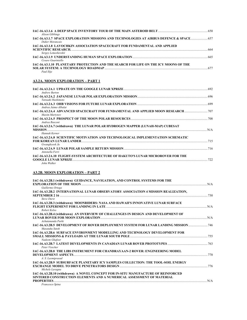| <b>Alison Gibbings</b>                                                                                      |     |
|-------------------------------------------------------------------------------------------------------------|-----|
| IAC-16.A3.1.7 SPACE EXPLORATION MISSIONS AND TECHNOLOGIES AT AIRBUS DEFENCE & SPACE 657<br>Didier Morancais |     |
| IAC-16.A3.1.8 LAVOCHKIN ASSOCIATION SPACECRAFT FOR FUNDAMENTAL AND APPLIED                                  |     |
| SCIENTIFIC RESEARCH.                                                                                        | 664 |
| Sergey Lemeshevskii                                                                                         |     |
| Cesare Guariniello                                                                                          | 665 |
| IAC-16.A3.1.10 PLANETARY PROTECTION AND THE SEARCH FOR LIFE ON THE ICY MOONS OF THE<br>Paul Ilije           | 677 |

# **A3.2A. MOON EXPLORATION – PART 1**

| Andrew Barton                                                                                                                |     |
|------------------------------------------------------------------------------------------------------------------------------|-----|
| Tatsuaki Hashimoto                                                                                                           |     |
| Andrea Jaime-Albalat                                                                                                         |     |
| 107-16.A3.2A.4 ADVANCED SPACECRAFT FOR FUNDAMENTAL AND APPLIED MOON RESEARCH<br>Maxim Martynov                               |     |
| Andrea Rusconi                                                                                                               |     |
| IAC-16.A3.2A.7 (withdrawn) THE LUNAR POLAR HYDROGEN MAPPER (LUNAH-MAP) CUBESAT                                               |     |
| Hannah Kerner<br>IAC-16.A3.2A.8 SCIENTIFIC MOTIVATION AND TECHNOLOGICAL IMPLEMENTATION SCHEMATIC                             |     |
| Gwanghyeok Ju                                                                                                                | 715 |
| Antonella Ferri                                                                                                              |     |
| IAC-16.A3.2A.10 FLIGHT-SYSTEM ARCHITECTURE OF HAKUTO'S LUNAR MICROROVER FOR THE<br><b>GOOGLE LUNAR XPRIZE</b><br>John Walker | 722 |

# **A3.2B. MOON EXPLORATION – PART 2**

| IAC-16.A3.2B.1 (withdrawn) GUIDANCE, NAVIGATION, AND CONTROL SYSTEMS FOR THE                                                                               | N/A |
|------------------------------------------------------------------------------------------------------------------------------------------------------------|-----|
| Guillermo Ortega                                                                                                                                           |     |
| IAC-16.A3.2B.2 INTERNATIONAL LUNAR OBSERVATORY ASSOCIATION 4 MISSION REALIZATION,                                                                          | 730 |
| <b>Steve Durst</b>                                                                                                                                         |     |
| IAC-16.A3.2B.3 (withdrawn) MOONRIDERS: NASA AND HAWAII'S INNOVATIVE LUNAR SURFACE                                                                          |     |
| <b>FLIGHT EXPERIMENT FOR LANDING IN LATE EXPERIMENT FOR LANDING IN LATE</b><br>Robert Kelso                                                                |     |
| IAC-16.A3.2B.4 (withdrawn) AN OVERVIEW OF CHALLENGES IN DESIGN AND DEVELOPMENT OF                                                                          |     |
|                                                                                                                                                            | N/A |
| Achutananda Parhi                                                                                                                                          |     |
| Masataku Sutoh                                                                                                                                             |     |
| IAC-16.A3.2B.6 SURFACE ENVIRONMENT MODELLING AND TECHNOLOGY DEVELOPMENT FOR                                                                                |     |
| Nadeem Ghafoor                                                                                                                                             | 755 |
| Peter Visscher                                                                                                                                             |     |
| <b>IAC-16.A3.2B.8 THE LIBS INSTRUMENT FOR CHANDRAYAAN-2 ROVER: ENGINEERING MODEL</b>                                                                       |     |
|                                                                                                                                                            |     |
| A. S. Laxmiprasad                                                                                                                                          |     |
| IAC-16.A3.2B.9 SUBSURFACE PLANETARY ICY SAMPLES COLLECTION: THE TOOL-SOIL ENERGY                                                                           |     |
|                                                                                                                                                            |     |
| Michele Lavagna                                                                                                                                            |     |
| IAC-16.A3.2B.10 (withdrawn) A NOVEL CONCEPT FOR IN-SITU MANUFACTURE OF REINFORCED<br>SINTERED CONSTRUCTION ELEMENTS AND A NUMERICAL ASSESSMENT OF MATERIAL |     |
|                                                                                                                                                            |     |
| Francesco Spina                                                                                                                                            |     |
|                                                                                                                                                            |     |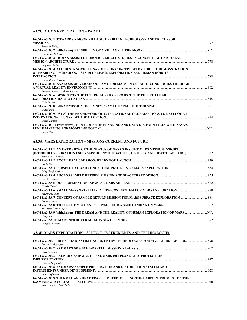## **A3.2C. MOON EXPLORATION – PART 3**

| IAC-16.A3.2C.1 TOWARDS A MOON VILLAGE: ENABLING TECHNOLOGY AND PRECURSOR<br><b>MISSIONS</b> |     |
|---------------------------------------------------------------------------------------------|-----|
| <b>Bernard Foing</b>                                                                        |     |
| Guillermo Ortega                                                                            |     |
| IAC-16.A3.2C.3 HUMAN ASSISTED ROBOTIC VEHICLE STUDIES - A CONCEPTUAL END-TO-END             |     |
| Benjamin Lehner                                                                             |     |
| IAC-16.A3.2C.4 ALCIDES: A NOVEL LUNAR MISSION CONCEPT STUDY FOR THE DEMONSTRATION           |     |
| OF ENABLING TECHNOLOGIES IN DEEP-SPACE EXPLORATION AND HUMAN-ROBOTS                         |     |
|                                                                                             |     |
| Ghassabian G. Hadv                                                                          |     |
| IAC-16.A3.2C.5 ANALYSIS OF A MOON OUTPOST FOR MARS ENABLING TECHNOLOGIES THROUGH            |     |
| Andrea Emanuele Maria Casini                                                                | 802 |
| IAC-16.A3.2C.6 DESIGN FOR THE FUTURE: FLEXHAB PROJECT, THE FUTURE LUNAR                     |     |
|                                                                                             |     |
| Orla Punch                                                                                  |     |
| David Iron                                                                                  |     |
| IAC-16.A3.2C.9 USING THE FRAMEWORK OF INTERNATIONAL ORGANIZATIONS TO DEVELOP AN             |     |
|                                                                                             | 824 |
| David Dunlop                                                                                |     |
| IAC-16.A3.2C.10 (withdrawn) LUNAR MISSION PLANNING AND DATA DISSEMINATION WITH NASA'S       |     |
|                                                                                             |     |
| <b>Brian Dav</b>                                                                            |     |

## **A3.3A. MARS EXPLORATION – MISSIONS CURRENT AND FUTURE**

| IAC-16.A3.3A.1 AN OVERVIEW OF THE STATUS OF NASA'S INSIGHT MARS MISSION INSIGHT:                   |  |
|----------------------------------------------------------------------------------------------------|--|
| [INTERIOR EXPLORATION USING SEISMIC INVESTIGATIONS, GEODESY AND HEAT TRANSPORT)                    |  |
| Ramon P. De Paula                                                                                  |  |
|                                                                                                    |  |
| Carlo Cassi                                                                                        |  |
| Oleg Grafodatskiv                                                                                  |  |
| Lisa Peacocke                                                                                      |  |
| Hiroki Nagai                                                                                       |  |
| Pietro Pasolini                                                                                    |  |
| Nadeem Alam                                                                                        |  |
| Yair Israel Pina Lopez                                                                             |  |
| IAC-16.A3.3A.9 (withdrawn) THE DREAM AND THE REALITY OF HUMAN EXPLORATION OF MARS N/A<br>Wenvi Cai |  |
|                                                                                                    |  |
| Douglas Bernard                                                                                    |  |

#### **A3.3B. MARS EXPLORATION – SCIENCE, INSTRUMENTS AND TECHNOLOGIES**

| 14C-16.A3.3B.1 IRENA, DEMONSTRATING RE-ENTRY TECHNOLOGIES FOR MARS AEROCAPTURE<br>Pierre W. Bousquet |  |
|------------------------------------------------------------------------------------------------------|--|
| Davide Bonet                                                                                         |  |
| IAC-16.A3.3B.3 LAUNCH CAMPAIGN OF EXOMARS 2016 PLANETARY PROTECTION                                  |  |
| Diana Margherits<br>IAC-16.A3.3B.4 EXOMARS: SAMPLE PREPERATION AND DISTRIBUTION SYSTEM AND           |  |
| Peter Hofmann<br>IAC-16.A3.3B.5 THERMAL AND HEAT TRANSFER STUDIES USING THE HABIT INSTRUMENT ON THE  |  |
| Alvaro Tomas Soria Salinas                                                                           |  |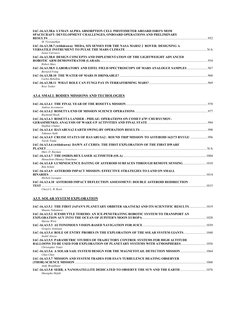| IAC-16.A3.3B.6 LYMAN ALPHA ABSORPTION CELL PHOTOMETER ABOARD ISRO'S MOM<br>SPACECRAFT: DEVELOPMENT CHALLENGES, ONBOARD OPERATIONS AND PRELIMINARY |     |
|---------------------------------------------------------------------------------------------------------------------------------------------------|-----|
|                                                                                                                                                   |     |
| M. Viswanathan<br>IAC-16.A3.3B.7 (withdrawn) MEDA, SIX SENSES FOR THE NASA MARS2 2 ROVER: DESIGNING A                                             |     |
| Isaias Carrasco                                                                                                                                   | N/A |
| IAC-16.A3.3B.8 DESIGN CONCEPTS AND IMPLEMENTATION OF THE LIGHTWEIGHT ADVANCED<br>Robert Marc                                                      |     |
| 167 - IAC-16.A3.3B.9 LABORATORY AND EIFEL FIELD SPECTROSCOPY OF MARS ANALOGUE SAMPLES<br><b>Bernard Foing</b>                                     |     |
| Carlos Rebellon                                                                                                                                   | 968 |
| Rose Tasker                                                                                                                                       |     |

# **A3.4. SMALL BODIES MISSIONS AND TECHOLOGIES**

|                                                                                                   | 970                     |
|---------------------------------------------------------------------------------------------------|-------------------------|
| Andrea Accomazzo                                                                                  |                         |
|                                                                                                   |                         |
| Raymond Hoofs                                                                                     |                         |
| <b>IAC-16.A3.4.3 ROSETTA LANDER - PHILAE: OPERATIONS ON COMET 67P/ CHURYUMOV-</b>                 |                         |
|                                                                                                   |                         |
| Stephan Ulamec                                                                                    |                         |
|                                                                                                   |                         |
| Takanao Saiki                                                                                     |                         |
| Yuichi Tsuda                                                                                      |                         |
| IAC-16.A3.4.6 (withdrawn) DAWN AT CERES: THE FIRST EXPLORATION OF THE FIRST DWARF                 |                         |
| <b>PLANET</b>                                                                                     | $\mathbb{N}/\mathsf{A}$ |
| Marc D. Rayman                                                                                    |                         |
| Menachem (Manny) Nimelman                                                                         |                         |
| 1010 IAC-16.A3.4.8 LUMINESCENCE DATING OF ASTEROID SURFACES THROUGH REMOTE SENSING<br>Rita Schulz |                         |
| IAC-16.A3.4.9 ASTEROID IMPACT MISSION: EFFECTIVE STRATEGIES TO LAND ON SMALL                      |                         |
| <b>BINARIES</b>                                                                                   |                         |
| Michele Lavagna                                                                                   |                         |
| IAC-16.A3.4.10 ASTEROID IMPACT DEFLECTION ASSESSMENT: DOUBLE ASTEROID REDIRECTION<br><b>TEST</b>  | 1015                    |
| Chervl L. B. Reed                                                                                 |                         |

# **A3.5. SOLAR SYSTEM EXPLORATION**

| 1019 IAC-16.A3.5.1 THE FIRST JAPAN'S PLANETARY ORBITER AKATSUKI AND ITS SCIENTIFIC RESULTS<br>Masato Nakamura |      |
|---------------------------------------------------------------------------------------------------------------|------|
| IAC-16.A3.5.2 ICESHUTTLE TEREDO: AN ICE-PENETRATING ROBOTIC SYSTEM TO TRANSPORT AN                            |      |
| Marius Wirtz                                                                                                  |      |
| Gregory Jonniaux                                                                                              |      |
| IAC-16.A3.5.4 ROLE OF ENTRY PROBES IN THE EXPLORATION OF THE SOLAR SYSTEM GIANTS  1048<br>Sushil Atreva       |      |
| IAC-16.A3.5.5 PARAMETRIC STUDIES OF TRAJECTORY CONTROL SYSTEMS FOR HIGH ALTITUDE                              |      |
| Christopher Yoder                                                                                             |      |
| IAC-16.A3.5.6 A SOLAR SAIL SYSTEM DESIGN FOR THE MAGNETOTAIL DETECTION MISSION  1064<br>Chao Chen             |      |
| IAC-16.A3.5.7 MISSION AND SYSTEM TRADES FOR ESA'S TURBULENCE HEATING OBSERVER                                 |      |
| Andy Braukhane                                                                                                | 1068 |
| Mustapha Mefah                                                                                                |      |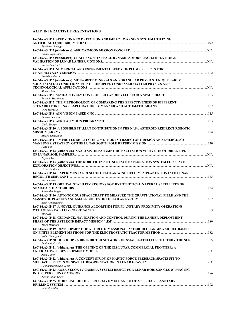## **A3.IP. INTERACTIVE PRESENTATIONS**

| IAC-16.A3.IP.1 STUDY ON NEO DETECTION AND IMPACT WARNING SYSTEM UTILIZING                                                                                  |  |
|------------------------------------------------------------------------------------------------------------------------------------------------------------|--|
| Toshinori Ikenaga                                                                                                                                          |  |
| Khutso Ngoasheng                                                                                                                                           |  |
| IAC-16.A3.IP.3 (withdrawn) CHALLENGES IN SPACE DYNAMICS MODELING, SIMULATION &                                                                             |  |
| Rekhachandra R<br>IAC-16.A3.IP.4 NUMERICAL AND EXPERIMENTAL STUDY OF PLUME EFFECTS FOR                                                                     |  |
| Abhishek Sharma                                                                                                                                            |  |
| IAC-16.A3.IP.5 (withdrawn) METEORITE MINERALS AND GRANULAR PHYSICS: UNIQUE EARLY<br>SOLAR SYSTEM CONDITIONS, FIRST PRINCIPLES CONDENSED MATTER PHYSICS AND |  |
| Martn Elvis                                                                                                                                                |  |
| Tatsuaki Hashimoto<br>IAC-16.A3.IP.7 THE METHODOLOGY OF COMPARING THE EFFECTIVENESS OF DIFFERENT                                                           |  |
| Oleg Saprykin                                                                                                                                              |  |
| Andrea Pellacani                                                                                                                                           |  |
| Carla Sharpe<br>IAC-16.A3.IP.10 A POSSIBLE ITALIAN CONTRIBUTION IN THE NASA ASTEROID REDIRECT ROBOTIC                                                      |  |
| Marco Tantardini<br>IAC-16.A3.IP.11 IMPROVED MULTI-CONIC METHOD IN TRAJECTORY DESIGN AND EMERGENCY                                                         |  |
| Feng Fei<br>IAC-16.A3.IP.12 (withdrawn) ANALYSIS ON PARAMETRIC EXCITATION VIBRATION OF DRILL PIPE                                                          |  |
| Tuyuan Yin<br>IAC-16.A3.IP.13 (withdrawn) THE ROBOTIC IN-SITU SURFACE EXPLORATION SYSTEM FOR SPACE                                                         |  |
| Drew Goodman                                                                                                                                               |  |
| IAC-16.A3.IP.14 EXPERIMENTAL RESULTS OF SOLAR WIND HELIUM IMPLANTATION INTO LUNAR<br>Aaron Olson                                                           |  |
| IAC-16.A3.IP.15_ORBITAL STABILITY REGIONS FOR HYPOTHETICAL NATURAL SATELLITES OF                                                                           |  |
| Samantha Rieger<br>IAC-16.A3.IP.16 AUTONOMOUS SPACECRAFT TO MEASURE THE GRAVITATIONAL FIELD AND THE                                                        |  |
| Sergiy Matviyenko<br>IAC-16.A3.IP.17 A NOVEL GUIDANCE ALGORITHM FOR PLANETARY PROXIMITY OPERATIONS                                                         |  |
| Ying Lei<br>IAC-16.A3.IP.18 GUIDANCE, NAVIGATION AND CONTROL DURING THE LANDER DEPLOYMENT                                                                  |  |
| Tiago Hormigo                                                                                                                                              |  |
| IAC-16.A3.IP.19 DEVELOPMENT OF A THREE DIMENSIONAL ASTEROID CHARGING MODEL BASED<br>Kohei Yamaguchi                                                        |  |
| IAC-16.A3.IP.20 HOBOCOP - A DISTRIBUTED NETWORK OF SMALL SATELLITES TO STUDY THE SUN 1185<br>Benjamin Corbin                                               |  |
| IAC-16.A3.IP.21 (withdrawn) THE OPENING OF THE CIS-LUNAR COMMERCIAL FRONTIER: A<br>John Culton                                                             |  |
| IAC-16.A3.IP.22 (withdrawn) A CONCEPT STUDY OF HAPTIC FORCE FEEDBACK SPACESUIT TO<br>Poonampreet Kaur Josan                                                |  |
| IAC-16.A3.IP.23 AOBA VELOX-IV CAMERA SYSTEM DESIGN FOR LUNAR HORIZON GLOW IMAGING                                                                          |  |
| Necmi Cihan Orger<br>IAC-16.A3.IP.25 MODELING OF THE PERCUSSIVE MECHANISM OF A SPECIAL PLANETARY                                                           |  |
| Ramesh Malla                                                                                                                                               |  |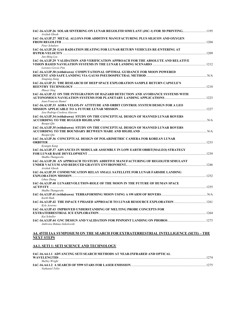| IAC-16.A3.IP.26 SOLAR SINTERING ON LUNAR REGOLITH SIMULANT (JSC-1) FOR 3D PRINTING1195<br>Avishek Ghosh                   |  |
|---------------------------------------------------------------------------------------------------------------------------|--|
| IAC-16.A3.IP.27 METAL ALLOYS FOR ADDITIVE MANUFACTURING PLUS SILICON AND OXYGEN                                           |  |
| Peter Schubert<br>IAC-16.A3.IP.28 GAS RADIATION HEATING FOR LUNAR RETURN VEHICLES RE-ENTERING AT                          |  |
| Jun-Ming Lyu<br>IAC-16.A3.IP.29 VALIDATION AND VERIFICATION APPROACH FOR THE ABSOLUTE AND RELATIVE<br>Lorenzo Cercos Pita |  |
| IAC-16.A3.IP.30 (withdrawn) COMPUTATIONAL OPTIMAL GUIDANCE FOR MOON POWERED<br>Xiugiang Jiang                             |  |
| IAC-16.A3.IP.31 THE RESEARCH OF DEEP SPACE EXPLORATION SAMPLE RETURN CAPSULE'S<br>Zhuovi Xing                             |  |
| IAC-16.A3.IP.32 ON THE INTEGRATION OF HAZARD DETECTION AND AVOIDANCE SYSTEMS WITH<br>Jean-Francois Hamel                  |  |
| IAC-16.A3.IP.33  AOBA VELOX-IV ATTITUDE AND ORBIT CONTROL SYSTEM DESIGN FOR A LEO<br>Jose Rodrigo Cordova Alarcon         |  |
| IAC-16.A3.IP.34 (withdrawn) STUDY ON THE CONCEPTUAL DESIGN OF MANNED LUNAR ROVERS<br>Baogui Qiu                           |  |
| IAC-16.A3.IP.35 (withdrawn) STUDY ON THE CONCEPTUAL DESIGN OF MANNED LUNAR ROVERS<br>Baogui Qiu                           |  |
| IAC-16.A3.IP.36 CONCEPTUAL DESIGN OF POLARIMETRIC CAMERA FOR KOREAN LUNAR<br>Kyungin Kang                                 |  |
| IAC-16.A3.IP.37_ADVANCES IN MODULAR ASSEMBLY IN LOW EARTH ORBIT(MALEO) STRATEGY<br>Madhu Thangavelu                       |  |
| IAC-16.A3.IP.38 AN APPROACH TO STUDY ADDITIVE MANUFACTURING OF REGOLITH SIMULANT<br>Avishek Ghosh                         |  |
| IAC-16.A3.IP.39 COMMUNICATION RELAY SMALL SATELLITE FOR LUNAR FARSIDE LANDING<br>Lihua Zhang                              |  |
| IAC-16.A3.IP.40 LUNAREVOLUTION-ROLE OF THE MOON IN THE FUTURE OF HUMAN SPACE                                              |  |
| Madhu Thangavelu<br>Kartk Shah                                                                                            |  |
| Kyle Acierno                                                                                                              |  |
| IAC-16.A3.IP.43 IMPROVED UNDERSTANDING OF MELTING PROBE CONCEPTS FOR<br>Kai Schuller                                      |  |
| Ambroise Bidaux-Sokolowski                                                                                                |  |

#### **A4. 45TH IAA SYMPOSIUM ON THE SEARCH FOR EXTRATERRESTRIAL INTELLIGENCE (SETI) – THE NEXT STEPS**

## **A4.1. SETI 1: SETI SCIENCE AND TECHNOLOGY**

| IAC-16.A4.1.1_ADVANCING SETI SEARCH METHODS AT NEAR-INFRARED AND OPTICAL |      |
|--------------------------------------------------------------------------|------|
| <b>WAVELENGTHS</b>                                                       | 1274 |
| Shelley Wright                                                           |      |
|                                                                          | 1275 |
| Nathaniel Tellis                                                         |      |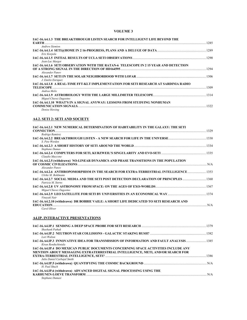#### **VOLUME 3**

| IAC-16.A4.1.3 THE BREAKTHROUGH LISTEN SEARCH FOR INTELLIGENT LIFE BEYOND THE<br><b>EARTH</b> | 1285 |
|----------------------------------------------------------------------------------------------|------|
| <b>Andrew Siemion</b>                                                                        |      |
| Eric Korpela                                                                                 |      |
| Jean-Luc Margot                                                                              | 1290 |
| IAC-16.A4.1.6 SETI OBSERVATION WITH THE RATAN-6 TELESCOPE IN 2 15 YEAR AND DETECTION         |      |
| Alexander Panov                                                                              | 1294 |
| J. Emilio Enriquez                                                                           |      |
| IAC-16.A4.1.8 A REAL-TIME FFT-KLT IMPLEMENTATION FOR SETI RESEARCH AT SARDINIA RADIO         |      |
| Andrea Melis                                                                                 | 1309 |
| Miguel Chavez Dagostno                                                                       |      |
| IAC-16.A4.1.10 WHAT'S IN A SIGNAL ANYWAY: LESSONS FROM STUDYING NONHUMAN                     | 1322 |
| Denise Herzing                                                                               |      |

## **A4.2. SETI 2: SETI AND SOCIETY**

| IAC-16.A4.2.1 NEW NUMERICAL DETERMINATION OF HABITABILITY IN THE GALAXY: THE SETI                              |     |
|----------------------------------------------------------------------------------------------------------------|-----|
|                                                                                                                |     |
| Rodrigo Ramirez                                                                                                |     |
| S. Pete Worden                                                                                                 |     |
| Stephane Dumas                                                                                                 |     |
| Claudio Maccone                                                                                                |     |
| IAC-16.A4.2.5 (withdrawn) NO-LINEAR DYNAMICS AND PHASE TRANSITIONS IN THE POPULATION                           |     |
| OF COSMIC CIVILIZATIONS NARRAY NO RELATIONS AND NARRAY NARRAY NARRAY NARRAY NARRAY NARRAY NARRAY NARRAY NARRAY |     |
| Alexander Panov<br>IAC-16.A4.2.6 ANTHROPOMORPHISM IN THE SEARCH FOR EXTRA-TERRESTRIAL INTELLIGENCE  1353       |     |
| Ulrike M. Bohlmann                                                                                             |     |
| Patricia M. Sterns                                                                                             |     |
| Miguel Chavez Dagostno                                                                                         |     |
| Vinavak Nair                                                                                                   |     |
| IAC-16.A4.2.10 (withdrawn) DR BOBBIE VAILE: A SHORT LIFE DEDICATED TO SETI RESEARCH AND                        | N/A |
| Carol Oliver                                                                                                   |     |

## **A4.IP. INTERACTIVE PRESENTATIONS**

| Shashank Pathak                                                                                                                                                      |      |
|----------------------------------------------------------------------------------------------------------------------------------------------------------------------|------|
| Lori Walton                                                                                                                                                          |      |
| Kiran Renduchintala                                                                                                                                                  |      |
| IAC-16.A4.IP.4 DO MEXICAN PUBLIC DOCUMENTS CONCERNING SPACE ACTIVITIES INCLUDE ANY<br>MENTION ABOUT MESSAGING EXTRATERRESTRIAL INTELLIGENCE, METI, AND/OR SEARCH FOR |      |
| Julio Daniel Carbajal Smith                                                                                                                                          | 1386 |
| H. Paul Shuch                                                                                                                                                        |      |
| IAC-16.A4.IP.6 (withdrawn) ADVANCED DIGITAL SIGNAL PROCESSING USING THE<br>Stephane Dumasi                                                                           |      |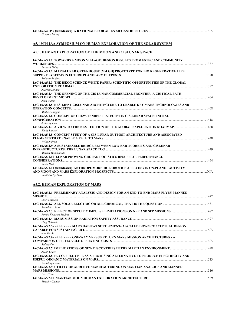| Gregory Matloi                                                                                                                                                                      |  |
|-------------------------------------------------------------------------------------------------------------------------------------------------------------------------------------|--|
| A5. 19TH IAA SYMPOSIUM ON HUMAN EXPLORATION OF THE SOLAR SYSTEM                                                                                                                     |  |
| A5.1. HUMAN EXPLORATION OF THE MOON AND CISLUNAR SPACE                                                                                                                              |  |
| IAC-16.A5.1.1 TOWARDS A MOON VILLAGE: DESIGN RESULTS FROM ESTEC AND COMMUNITY<br><b>Bernard Foing</b>                                                                               |  |
| IAC-16.A5.1.2 MARS-LUNAR GREENHOUSE (M-LGH) PROTOTYPE FOR BIO REGENERATIVE LIFE<br>Roberto Furfaro                                                                                  |  |
| IAC-16.A5.1.3 THE ISECG SCIENCE WHITE PAPER: SCIENTIFIC OPPORTUNITIES OF THE GLOBAL<br>Juergen Schlutz                                                                              |  |
| IAC-16.A5.1.4 THE OPENING OF THE CIS-LUNAR COMMERCIAL FRONTIER: A CRITICAL PATH<br>John Culton                                                                                      |  |
| IAC-16.A5.1.5 RESILIENT CISLUNAR ARCHITECTURE TO ENABLE KEY MARS TECHNOLOGIES AND<br>Mathew Duggan                                                                                  |  |
| IAC-16.A5.1.6 CONCEPT OF CREW-TENDED PLATFORM IN CIS-LUNAR SPACE: INITIAL<br>Josh Hopkins                                                                                           |  |
| IAC-16.A5.1.7 A VIEW TO THE NEXT EDITION OF THE GLOBAL EXPLORATION ROADMAP  1428<br>Kathy Laurini<br>IAC-16.A5.1.8 CONCEPT STUDY OF A CIS-LUNAR OUTPOST ARCHITECTURE AND ASSOCIATED |  |
| <b>William Pratt</b>                                                                                                                                                                |  |
| IAC-16.A5.1.9 A SUSTAINABLE BRIDGE BETWEEN LOW EARTH ORBITS AND CISLUNAR<br>Martna Mammarella                                                                                       |  |
| IAC-16.A5.1.10 LUNAR PROVING GROUND LOGISTICS RESUPPLY - PERFORMANCE<br>Kevin Post                                                                                                  |  |
| IAC-16.A5.1.11 (withdrawn) ANTHROPOMORPHIC ROBOTICS APPLYING IN ON-PLANET ACTIVITY<br>Vladislav Svchkov                                                                             |  |

# **A5.2. HUMAN EXPLORATION OF MARS**

| IAC-16.A5.2.1 PRELIMINARY ANALYSIS AND DESIGN FOR AN END-TO-END MARS FLYBY MANNED                                                  |  |
|------------------------------------------------------------------------------------------------------------------------------------|--|
| Luigi Mascolo                                                                                                                      |  |
| 1481 - IAC-16.A5.2.2 ALL SOLAR ELECTRIC OR ALL CHEMICAL, THAT IS THE OUESTION<br>Jean-Marc Salot                                   |  |
| 1487 IAC-16.A5.2.3  EFFECT OF SPECIFIC IMPULSE LIMITATIONS ON NEP AND SEP MISSIONS ………………………………………… 1487<br>Porzia Federica Mafone |  |
| Oleg Dotsenko                                                                                                                      |  |
| IAC-16.A5.2.5 (withdrawn) MARS HABITAT SETTLEMENT- A SCALED DOWN CONCEPTUAL DESIGN<br>Sam Dakka                                    |  |
| IAC-16.A5.2.6 (withdrawn) ONE-WAY VERSUS RETURN MARS MISSION ARCHITECTURES - A<br>Sydney Do                                        |  |
| Jacob Cohen                                                                                                                        |  |
| IAC-16.A5.2.8 H2-CO2 FUEL CELL AS A PROMISING ALTERNATIVE TO PRODUCE ELECTRICITY AND                                               |  |
| Yoshitsugu Sone<br>IAC-16.A5.2.9  UTILITY OF ADDITIVE MANUFACTURING ON MARTIAN ANALOGS AND MANNED<br>1516<br><b>MARS MISSIONS</b>  |  |
| Zak Wilson                                                                                                                         |  |
| Timothy Cichan                                                                                                                     |  |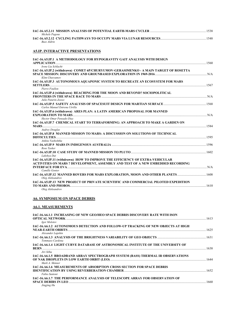|                | 1538 |
|----------------|------|
| Michele Pagone |      |
|                | 1548 |
| Buzz Aldrin    |      |

# **A5.IP. INTERACTIVE PRESENTATIONS**

| IAC-16.A5.IP.1 A METHODOLOGY FOR HYPOGRAVITY GAIT ANALYSIS WITH DESIGN                                                                                          | .1560 |
|-----------------------------------------------------------------------------------------------------------------------------------------------------------------|-------|
| Irene Lia Schlacht                                                                                                                                              |       |
| IAC-16.A5.IP.2 (withdrawn) COMET 6P/CHURYUMOV-GERASIMENKO - A MAIN TARGET OF ROSETTA<br>Klim Churvumov                                                          |       |
| IAC-16.A5.IP.3 AUTONOMOUS AOUAPONIC SYSTEM TO RECREATE AN ECOSYSTEM FOR MARS<br>Pierre Foullon                                                                  | .1567 |
| IAC-16.A5.IP.4 (withdrawn) REACHING FOR THE MOON AND BEYOND? SOCIOPOLITICAL                                                                                     |       |
| Julie Patarin-Jossec<br>Carlos Manuel Entrena Utrilla                                                                                                           |       |
| IAC-16.A5.IP.6 (withdrawn) ARES PLAN: A LATIN AMERICAN PROPOSAL FOR MANNED<br>Hector Omar Pensado-Diaz                                                          |       |
| IAC-16.A5.IP.7 CHEMICAL START TO TERRAFORMING: AN APPROACH TO MAKE A GARDEN ON                                                                                  |       |
| <b>Audrey Douglas</b><br>IAC-16.A5.IP.8 MANNED MISSION TO MARS: A DISCUSSION ON SOLUTIONS OF TECHNICAL<br>DIFFICULTIES                                          |       |
| Ankita Vashishtha<br>Rose Tasker                                                                                                                                |       |
| Lakshva Dut                                                                                                                                                     |       |
| IAC-16.A5.IP.11 (withdrawn) HOW TO IMPROVE THE EFFICIENCY OF EXTRA-VEHICULAR<br>ACTIVITIES ON MARS ? DEVELOPMENT, ASSEMBLY AND TEST OF A NEW EMBEDDED RECORDING |       |
| Camille Gonter<br>IAC-16.A5.IP.12 MANNED ROVERS FOR MARS EXPLORATION, MOON AND OTHER PLANETS 1608<br>Oleg Aleksandrov                                           |       |
| IAC-16.A5.IP.13 NEW PROJECT OF PRIVATE SCIENTIFIC AND COMMERCIAL PILOTED EXPEDITION<br>TO MARS AND PHOBOS<br>Oleg Aleksandrov                                   | 1610  |

## **A6. SYMPOSIUM ON SPACE DEBRIS**

#### **A6.1. MEASUREMENTS**

| IAC-16.A6.1.1 INCREASING OF NEW GEO/HEO SPACE DEBRIS DISCOVERY RATE WITH ISON                       |      |
|-----------------------------------------------------------------------------------------------------|------|
| Igor Molotov<br>IAC-16.46.1.2 AUTONOMOUS DETECTION AND FOLLOW-UP TRACKING OF NEW OBJECTS AT HIGH    |      |
| Alexander Lapshin                                                                                   | 1625 |
| Tommaso Cardona                                                                                     |      |
| IAC-16.A6.1.4 LIGHT CURVE DATABASE OF ASTRONOMICAL INSTITUTE OF THE UNIVERSITY OF<br>Jiri Silha     |      |
| IAC-16.A6.1.5 BROADBAND ARRAY SPECTROGRAPH SYSTEM (BASS) THERMAL IR OBSERVATIONS<br>Mark A. Skinner |      |
| <b>IAC-16.46.1.6 MEASUREMENTS OF ABSORPTION CROSS SECTION FOR SPACE DEBRIS</b><br>Fabio Santoni     |      |
| IAC-16.A6.1.7 THE PERFORMANCE ANALYSIS OF TELESCOPE ARRAY FOR OBSERVATION OF<br>Jingjing Hu         | 1660 |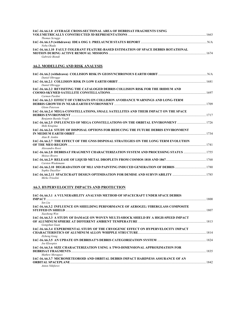| IAC-16.A6.1.8 AVERAGE CROSS-SECTIONAL AREA OF DEBRISAT FRAGMENTS USING<br><b>Thomas Scruggs</b>                        |  |
|------------------------------------------------------------------------------------------------------------------------|--|
| Nobu Okada                                                                                                             |  |
| IAC-16.A6.1.10 FAULT-TOLERANT FEATURE-BASED ESTIMATION OF SPACE DEBRIS ROTATIONAL<br>Gabriele Biondi                   |  |
| <b>A6.2. MODELLING AND RISK ANALYSIS</b>                                                                               |  |
| Daniel Oltrogge                                                                                                        |  |
| Daniel Oltrogge                                                                                                        |  |
| IAC-16.A6.2.2 REVISITING THE CATALOGED DEBRIS COLLISION RISK FOR THE IRIDIUM AND<br>Carmen Pardini                     |  |
| IAC-16.A6.2.3 EFFECT OF CUBESATS ON COLLISION AVOIDANCE WARNINGS AND LONG-TERM<br><b>Glenn Peterson</b>                |  |
| IAC-16.A6.2.4 MEGA-CONSTELLATIONS, SMALL SATELLITES AND THEIR IMPACT ON THE SPACE                                      |  |
| Benjamin Bastda Virgili<br>IAC-16.A6.2.5 INFLUENCES OF MEGA CONSTELLATIONS ON THE ORBITAL ENVIRONMENT                  |  |
| Shiki Kitajima<br>IAC-16.A6.2.6 STUDY OF DISPOSAL OPTIONS FOR REDUCING THE FUTURE DEBRIS ENVIRONMENT<br>Alan B. Jenkin |  |
| IAC-16.A6.2.7 THE EFFECT OF THE GNSS DISPOSAL STRATEGIES ON THE LONG TERM EVOLUTION<br>Alessandro Rossi                |  |
| IAC-16.A6.2.8 DEBRISAT FRAGMENT CHARACTERIZATION SYSTEM AND PROCESSING STATUS 1755<br>Moises Rivero                    |  |
| Carsten Wiedemann                                                                                                      |  |
| IAC-16.A6.2.10 DEGRADATION OF MLI AND PAINTING INDUCED GENERATION OF DEBRIS  1780<br>Sophie Duzellier                  |  |
| Mirko Trisolini                                                                                                        |  |

# **A6.3. HYPERVELOCITY IMPACTS AND PROTECTION**

| IAC-16.A6.3.1 A VULNERABILITY ANALYSIS METHOD OF SPACECRAFT UNDER SPACE DEBRIS     |      |
|------------------------------------------------------------------------------------|------|
|                                                                                    | 1800 |
| Sen Liu                                                                            |      |
| IAC-16.A6.3.2 INFLUENCE ON SHIELDING PERFORMANCE OF AEROGEL/FIBERGLASS COMPOSITE   |      |
|                                                                                    | 1807 |
| Xuezhong Wen                                                                       |      |
| IAC-16.A6.3.3 A STUDY OF DAMAGE ON WOVEN MULTI-SHOCK SHIELD BY A HIGH-SPEED IMPACT |      |
|                                                                                    |      |
| Gongshun Guan                                                                      |      |
| IAC-16.A6.3.4 EXPERIMENTAL STUDY OF THE CRYOGENIC EFFECT ON HYPERVELOCITY IMPACT   |      |
|                                                                                    |      |
| Zizheng Gong                                                                       |      |
|                                                                                    |      |
| Joe Kleespies                                                                      |      |
| IAC-16.A6.3.6 SIZE CHARACTERIZATION USING A TWO-DIMENSIONAL APPROXIMATION FOR      |      |
|                                                                                    | 1835 |
| Mathew Moraguez                                                                    |      |
| IAC-16.A6.3.7 MICROMETEOROID AND ORBITAL DEBRIS IMPACT HARDNESS ASSURANCE OF AN    |      |
|                                                                                    | 1842 |
| <b>Anton Nikiforov</b>                                                             |      |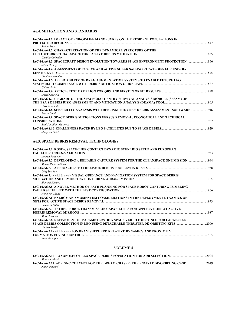## **A6.4. MITIGATION AND STANDARDS**

| IAC-16.A6.4.1 IMPACT OF END-OF-LIFE MANOEUVRES ON THE RESIDENT POPULATIONS IN                                |      |
|--------------------------------------------------------------------------------------------------------------|------|
| <b>Stefan Frey</b>                                                                                           |      |
| IAC-16.A6.4.2 CHARACTERISATION OF THE DYNAMICAL STRUCTURE OF THE                                             |      |
| Camilla Colombo                                                                                              |      |
| 1866) IAC-16.A6.4.3  SPACECRAFT DESIGN EVOLUTION TOWARDS SPACE ENVIRONMENT PROTECTION<br>Silvia Occhigrossi  |      |
| IAC-16.A6.4.4 ASSESSMENT OF PASSIVE AND ACTIVE SOLAR SAILING STRATEGIES FOR END-OF-                          |      |
|                                                                                                              |      |
| Camilla Colombo                                                                                              |      |
| IAC-16.A6.4.5 APPLICABILITY OF DRAG AUGMENTATION SYSTEMS TO ENABLE FUTURE LEO                                |      |
| Chiara Palla                                                                                                 |      |
| Davide Rastelli                                                                                              |      |
| IAC-16.A6.4.7 UPGRADE OF THE SPACECRAFT ENTRY SURVIVAL ANALYSIS MODULE (SESAM) OF                            |      |
| Davide Bonetti                                                                                               |      |
| 1916 IAC-16.A6.4.8 SENSIBILITY ANALYSIS WITH DEBRISK; THE CNES' DEBRIS ASSESSMENT SOFTWARE 1<br>Pierre Omaly |      |
| IAC-16.A6.4.9 SPACE DEBRIS MITIGATIONS VERSUS REMOVAL, ECONOMICAL AND TECHNICAL                              |      |
|                                                                                                              | 1922 |
| Saul Santlllan- Guterrez                                                                                     |      |
| Shrevash Patel                                                                                               |      |

## **A6.5. SPACE DEBRIS REMOVAL TECHNOLOGIES**

| IAC-16.A6.5.1 ROSPA, SPACE-LIKE CONTACT DYNAMIC SCENARIO SETUP AND EUROPEAN            |      |
|----------------------------------------------------------------------------------------|------|
|                                                                                        |      |
| Andrea Pellacani                                                                       |      |
| 1944 IAC-16.A6.5.2 DEVELOPING A RELIABLE CAPTURE SYSTEM FOR THE CLEANSPACE ONE MISSION |      |
| Muriel Richard-Noca                                                                    |      |
| Oleg Sokolov                                                                           |      |
| IAC-16.A6.5.4 (withdrawn) VISUAL GUIDANCE AND NAVIGATION SYSTEM FOR SPACE DEBRIS       |      |
|                                                                                        |      |
| Shinichi Kimura                                                                        |      |
| IAC-16.A6.5.5 A NOVEL METHOD OF PATH PLANNING FOR SPACE ROBOT CAPTURING TUMBLING       |      |
|                                                                                        |      |
| Hongwen Zhang                                                                          |      |
| IAC-16.A6.5.6 ENERGY AND MOMENTUM CONSIDERATIONS IN THE DEPLOYMENT DYNAMICS OF         |      |
|                                                                                        |      |
| Eleonora Botta                                                                         |      |
| IAC-16.A6.5.7 TETHER FORCE TRANSMISSION CAPABILITIES FOR APPLICATIONS AT ACTIVE        |      |
|                                                                                        | 1987 |
| Marcel Becker                                                                          |      |
| IAC-16.A6.5.8 REFINEMENT OF PARAMETERS OF A SPACE VEHICLE DESTINED FOR LARGE-SIZE      |      |
|                                                                                        |      |
| Dmitriy Grishko                                                                        |      |
| IAC-16.A6.5.9 (withdrawn) ION BEAM SHEPHERD RELATIVE DYNAMICS AND PROXIMITY            |      |
|                                                                                        |      |
|                                                                                        |      |

*Anatoliy Alpatov* 

## **VOLUME 4**

|                                                                                   | 2004 |
|-----------------------------------------------------------------------------------|------|
| Marko Jankovic                                                                    |      |
| IAC-16.A6.5.11 ADR GNC CONCEPT FOR THE DREAM CHASER: THE ENVISAT DE-ORBITING CASE | 2019 |
| Julien Pevrard                                                                    |      |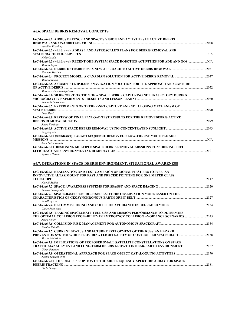#### **A6.6. SPACE DEBRIS REMOVAL CONCEPTS**

| IAC-16.A6.6.1 AIRBUS DEFENCE AND SPACE'S VISION AND ACTIVITIES IN ACTIVE DEBRIS<br>Aurelien Pisseloup                                                                              |      |
|------------------------------------------------------------------------------------------------------------------------------------------------------------------------------------|------|
| IAC-16.A6.6.2 (withdrawn) ADRAS 1 AND ASTROSCALE'S PLANS FOR DEBRIS REMOVAL AND<br>Nobu Okada                                                                                      |      |
| IAC-16.A6.6.3 (withdrawn) RECENT OHB SYSTEM SPACE ROBOTICS ACTIVITIES FOR ADR AND OOS N/A<br>Marc Scheper                                                                          |      |
| Houman Hakima                                                                                                                                                                      |      |
| IAC-16.A6.6.4 PROJECT MODEL: A CANADIAN SOLUTION FOR ACTIVE DEBRIS REMOVAL 2037<br>Mark Seymour                                                                                    |      |
| IAC-16.A6.6.5 A COMPLETE IP-BASED NAVIGATION SOLUTION FOR THE APPROACH AND CAPTURE                                                                                                 |      |
| Marcos Aviles Rodrigalvarez<br>IAC-16.A6.6.6 3D RECONSTRUCTION OF A SPACE DEBRIS CAPTURING NET TRAJECTORY DURING<br>Riccardo Benvenuto                                             |      |
| IAC-16.A6.6.7 EXPERIMENTS ON TETHER-NET CAPTURE AND NET CLOSING MECHANISM OF<br>Inna Sharf                                                                                         |      |
| IAC-16.A6.6.8 REVIEW OF FINAL PAYLOAD TEST RESULTS FOR THE REMOVEDEBRIS ACTIVE<br>Jason Forshaw                                                                                    |      |
| Yingying Liu                                                                                                                                                                       |      |
| IAC-16.A6.6.10 (withdrawn) TARGET SEQUENCE DESIGN FOR LOW-THRUST MULTIPLE ADR<br>Juan Luis Gonzalo                                                                                 |      |
| IAC-16.A6.6.11 DESIGNING MULTIPLE SPACE DEBRIS REMOVAL MISSIONS CONSIDERING FUEL<br>Rvusuke Harada                                                                                 |      |
| A6.7. OPERATIONS IN SPACE DEBRIS ENVIRONMENT, SITUATIONAL AWARENESS                                                                                                                |      |
| IAC-16.A6.7.1 REALIZATION AND TEST CAMPAIGN OF MORAL FIRST PROTOTYPE: AN<br><b>INNOVATIVE ALTAZ MOUNT FOR FAST AND PRECISE POINTING FOR ONE METER CLASS</b>                        |      |
| Niccoli Bellini                                                                                                                                                                    |      |
| Andrea Pietropaolo<br>IAC-16.A6.7.3 SPACE-BASED PSEUDO-FIXED LATITUDE OBSERVATION MODE BASED ON THE                                                                                |      |
| Yun-Peng Hu                                                                                                                                                                        |      |
| Claire Fremeaux                                                                                                                                                                    |      |
| IAC-16.A6.7.5 TRADING SPACECRAFT FUEL USE AND MISSION PERFORMANCE TO DETERMINE<br>THE OPTIMAL COLLISION PROBABILITY IN EMERGENCY COLLISION AVOIDANCE SCENARIOS2145<br>Jason Reiter |      |
| LAC-16 A6 7 6 COLLISION RISK MANAGEMENT FOR AUTONOMOUS SPACECRAET.                                                                                                                 | 2151 |

**IAC-16.A6.7.6 COLLISION RISK MANAGEMENT FOR AUTONOMOUS SPACECRAFT**........................................................2154 *Nicolas Bataille*  **IAC-16.A6.7.7 CURRENT STATUS AND FUTURE DEVELOPMENT OF THE RUSSIAN HAZARD PREVENTION SYSTEM WHILE PROVIDING FLIGHT SAFETY OF CONTROLLED SPACECRAFT**..................................2158 *Maxim Matushin*  **IAC-16.A6.7.8 IMPLICATIONS OF PROPOSED SMALL SATELLITE CONSTELLATIONS ON SPACE TRAFFIC MANAGEMENT AND LONG-TERM DEBRIS GROWTH IN NEAR-EARTH ENVIRONMENT**.............................2162 *Glenn Peterson*  **IAC-16.A6.7.9 OPERATIONAL APPROACH FOR SPACE OBJECT CATALOGUING ACTIVITIES**......................................2170 *Noelia Sanchez Ortz*  **IAC-16.A6.7.10 THE DUAL USE OPTION OF THE MID FREQUENCY APERTURE ARRAY FOR SPACE DEBRIS TRACKING** ..................................................................................................................................................................................2181 *Carla Sharpe*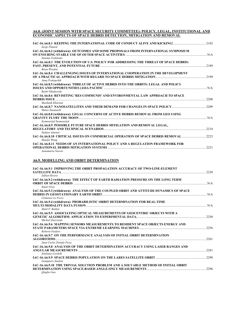| A6.8. (JOINT SESSION WITH SPACE SECURITY COMMITTEE): POLICY, LEGAL, INSTITUTIONAL AND |  |
|---------------------------------------------------------------------------------------|--|
| ECONOMIC ASPECTS OF SPACE DEBRIS DETECTION. MITIGATION AND REMOVAL                    |  |

| Serge Platard                                                                            |       |
|------------------------------------------------------------------------------------------|-------|
| IAC-16.A6.8.2 (withdrawn) OUTCOMES AND SOME PROPOSALS FROM INTERNATIONAL SYMPOSIUM       |       |
| Susumu Yoshitomi                                                                         | N/A   |
| IAC-16.A6.8.3 THE EVOLUTION OF U.S. POLICY FOR ADDRESSING THE THREAT OF SPACE DEBRIS:    |       |
|                                                                                          | 2189  |
| <b>Brian Weeden</b>                                                                      |       |
| IAC-16.A6.8.4 CHALLENGING ISSUES OF INTERNATIONAL COOPERATION IN THE DEVELOPMENT         | .2199 |
| Anna Prokopchik                                                                          |       |
| IAC-16.A6.8.5 (withdrawn) THREAT OF ACTIVE DEBRIS INTO THE ORBITS: LEGAL AND POLICY      |       |
|                                                                                          |       |
| Rushi Ghadawala                                                                          |       |
| IAC-16.A6.8.6 REVISITING 'RES COMMUNIS' AND ENVIRONMENTAL LAW APPROACH TO SPACE          |       |
| DEBRIS ISSUE <b>Executive Construction of the Construction Construction Construction</b> | 2208  |
| Shashank Khurana                                                                         |       |
| Mateo Emanuelli                                                                          |       |
| IAC-16.A6.8.8 (withdrawn) LEGAL CONCERNS OF ACTIVE DEBRIS REMOVAL FROM GEO USING         |       |
| <b>GRAVITY FLYBY THE MOON</b> NORMALIST RESEARCH THE MOON NO. 2007                       |       |
| Syamsurijal Syamsurijal                                                                  |       |
| IAC-16.A6.8.9 POSSIBLE FUTURE SPACE DEBRIS MITIGATION AND REMOVAL LEGAL,                 |       |
|                                                                                          | 2214  |
| Stefano Antonet                                                                          |       |
| IAC-16.A6.8.10 CRITICAL ISSUES ON COMMERCIAL OPERATION OF SPACE DEBRIS REMOVAL 2223      |       |
| Shaofei Wang                                                                             |       |
| IAC-16.A6.8.11 NEEDS OF AN INTERNATIONAL POLICY AND A REGULATION FRAMEWORK FOR           |       |
|                                                                                          | 2231  |
|                                                                                          |       |

*Annamaria Nassisi* 

## **A6.9. MODELLING AND ORBIT DETERMINATION**

| IAC-16.A6.9.1 IMPROVING THE ORBIT PROPAGATION ACCURACY OF TWO-LINE-ELEMENT                                                                                                                                                                                                                                                       | 2238  |
|----------------------------------------------------------------------------------------------------------------------------------------------------------------------------------------------------------------------------------------------------------------------------------------------------------------------------------|-------|
| Jullian Rivera                                                                                                                                                                                                                                                                                                                   |       |
| IAC-16.46.9.2 (withdrawn) THE EFFECT OF EARTH RADIATION PRESSURE ON THE LONG TERM<br><b>ORBIT OF SPACE DEBRIS</b><br><b>Stuart Grev</b>                                                                                                                                                                                          |       |
| IAC-16.A6.9.3 (withdrawn) ANALYSIS OF THE COUPLED ORBIT AND ATTITUDE DYNAMICS OF SPACE<br>Clemence Le Fevre                                                                                                                                                                                                                      |       |
| IAC-16.A6.9.4 (withdrawn) PROBABILISTIC ORBIT DETERMINATION FOR REAL-TIME<br>Mark P. Bolden                                                                                                                                                                                                                                      | N/A   |
| IAC-16.A6.9.5 ASSOCIATING OPTICAL MEASUREMENTS OF GEOCENTRIC OBJECTS WITH A<br>Michiel Zitersteijn                                                                                                                                                                                                                               | .2250 |
| IAC-16.A6.9.6 MAPPING SENSORS MEASUREMENTS TO RESIDENT SPACE OBJECTS ENERGY AND<br>Roberto Furfaro                                                                                                                                                                                                                               | 2256  |
| IAC-16.A6.9.7 ON THE PERFORMANCE ANALYSIS OF INITIAL ORBIT DETERMINATION<br>Juan Carlos Dolado Perez                                                                                                                                                                                                                             | 2261  |
| IAC-16.A6.9.8 ANALYSIS OF THE ORBIT DETERMINATION ACCURACY USING LASER RANGES AND<br>ANGULAR MEASUREMENTS <b>CONTRACTES CONTRACTES CONTRACTES CONTRACTES CONTRACTES CONTRACTES CONTRACTES <b>CONTRACTES CONTRACTES CONTRACTES CONTRACTES CONTRACTES <b>CONTRACTES CONTRACTES CONTRACTES CONTRAC</b></b></b><br>Emiliano Cordelli | 2281  |
| Giampiero Sindoni                                                                                                                                                                                                                                                                                                                | 2290  |
| IAC-16.A6.9.10 THE TRIVIAL SOLUTION PROBLEM AND A SOLVABLE METHOD OF INITIAL ORBIT<br>Oingbo Gan                                                                                                                                                                                                                                 | 2296  |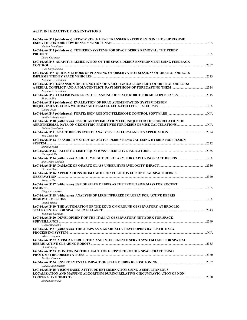## **A6.IP. INTERACTIVE PRESENTATIONS**

| IAC-16.A6.IP.1 (withdrawn) STEADY STATE HEAT TRANSFER EXPERIMENTS IN THE SLIP REGIME<br>Nathan Donaldson                                                |  |
|---------------------------------------------------------------------------------------------------------------------------------------------------------|--|
| IAC-16.A6.IP.2 (withdrawn) TETHERED SYSTEMS FOR SPACE DEBRIS REMOVAL: THE TEDDY                                                                         |  |
| Laura Costanza<br>IAC-16.A6.IP.3 ADAPTIVE REMEDIATION OF THE SPACE DEBRIS ENVIRONMENT USING FEEDBACK                                                    |  |
| Gian Luigi Somma<br>IAC-16.A6.IP.5 QUICK METHODS OF PLANNING OF OBSERVATION SESSIONS OF ORBITAL OBJECTS<br>Tatyana V. Labutkina                         |  |
| IAC-16.A6.IP.6 EXPANSION OF THE NOTION OF A MECHANICAL CONFLICT OF ORBITAL OBJECTS:<br>Tatyana V. Labutkina                                             |  |
| 14C-16.A6.IP.7 COLLISION-FREE PATH PLANNING OF SPACE ROBOT FOR MULTIPLE TASKS<br>Zhanxia Zhu                                                            |  |
| IAC-16.A6.IP.8 (withdrawn) EVALUATION OF DRAG AUGMENTATION SYSTEM DESIGN<br>Chiara Palla                                                                |  |
| Vladimir Kouprianov                                                                                                                                     |  |
| IAC-16.A6.IP.10 (withdrawn) USE OF AN OPTIMISATION TECHNIQUE FOR THE CORRELATION OF<br>Nathan Donaldson                                                 |  |
| You Cheng Yu                                                                                                                                            |  |
| IAC-16.A6.IP.12 FEASIBILITY STUDY OF ACTIVE DEBRIS REMOVAL USING HYBRID PROPULSION<br>Stefania Tonet                                                    |  |
| Guanghui Jia                                                                                                                                            |  |
| Shin-Ichiro Nishida                                                                                                                                     |  |
| Zhixuan Zhou                                                                                                                                            |  |
| IAC-16.A6.IP.16 APPLICATIONS OF IMAGE DECONVOLUTION FOR OPTICAL SPACE DEBRIS                                                                            |  |
| Rong-Yu Sun<br>IAC-16.A6.IP.17 (withdrawn) USE OF SPACE DEBRIS AS THE PROPULSIVE MASS FOR ROCKET                                                        |  |
| Oleg Aleksandrov<br>IAC-16.A6.IP.18 (withdrawn) ANALYSIS OF LIRIS INFRARED IMAGERY FOR ACTIVE DEBRIS                                                    |  |
| Ozgun Yilmaz<br>IAC-16.A6.IP.19 THE AUTOMATION OF THE EQUO ON-GROUND OBSERVATORY AT BROGLIO                                                             |  |
| Tommaso Cardona<br>IAC-16.A6.IP.20 DEVELOPMENT OF THE ITALIAN OBSERVATORY NETWORK FOR SPACE                                                             |  |
| Gioacchino Scire<br>IAC-16.A6.IP.21 (withdrawn) THE ADAPS AS A GRADUALLY DEVELOPING BALLISTIC DATA                                                      |  |
| Viktor Voropaev<br>IAC-16.A6.IP.22 A VISUAL PERCEPTION AND INTELLIGENCE SERVO SYSTEM USED FOR SPATIAL<br>Zhihui Zheng                                   |  |
| IAC-16.A6.IP.23 MONITORING THE HEALTH OF GEOSYNCHRONOUS SPACECRAFT USING                                                                                |  |
| Toshiva Enomoto<br>Claudio Bombardelli                                                                                                                  |  |
| IAC-16.A6.IP.25 VISION BASED ATTITUDE DETERMINATION USING A SIMULTANEOUS<br>LOCALIZATION AND MAPPING ALGORITHM DURING RELATIVE CIRCUMNAVIGATION OF NON- |  |
| Andrea Antonello                                                                                                                                        |  |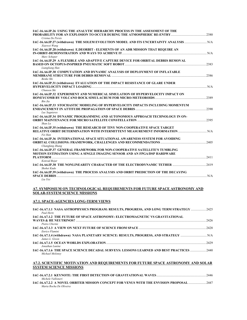| IAC-16.A6.IP.26 USING THE ANALYTIC HIERARCHY PROCESS IN THE ASSESSMENT OF THE                                                                                                     |       |
|-----------------------------------------------------------------------------------------------------------------------------------------------------------------------------------|-------|
|                                                                                                                                                                                   |       |
| Cristna De Persis                                                                                                                                                                 |       |
| Xiaowei Wang                                                                                                                                                                      |       |
| IAC-16.A6.IP.28 (withdrawn) E.DEORBIT - ELEMENTS OF AN ADR MISSION THAT REOUIRE AN<br><b>IN-ORBIT-DEMONSTRATION AND WAYS TO ACHIEVE IT CONSUMING THE CONSUMING TO A CHIEVE IT</b> |       |
| Marc Scheper                                                                                                                                                                      |       |
| IAC-16.A6.IP.29 A FLEXIBLE AND ADAPTIVE CAPTURE DEVICE FOR ORBITAL DEBRIS REMOVAL                                                                                                 |       |
| Liangliang Han                                                                                                                                                                    |       |
| IAC-16.A6.IP.30 COMPUTATION AND DYNAMIC ANALYSIS OF DEPLOYMENT OF INFLATABLE<br><b>Benke Shi</b>                                                                                  | .2386 |
| IAC-16.A6.IP.31 (withdrawn) EVALUATION OF THE IMPACT RESISTANCE OF GLARE UNDER                                                                                                    |       |
| Chunsen Shi                                                                                                                                                                       |       |
| IAC-16.A6.IP.32 EXPERIMENT AND NUMERICAL SIMULATION OF HYPERVELOCITY IMPACT ON                                                                                                    |       |
| Bin Jia                                                                                                                                                                           |       |
| IAC-16.A6.IP.33 STOCHASTIC MODELING OF HYPERVELOCITY IMPACTS INCLUDING MOMENTUM                                                                                                   |       |
|                                                                                                                                                                                   |       |
| Luc Sagnieres                                                                                                                                                                     |       |
| IAC-16.A6.IP.34 DYNAMIC PROGRAMMING AND AUTONOMOUS APPROACH TECHNOLOGY IN ON-                                                                                                     |       |
|                                                                                                                                                                                   |       |
| Shan Lu                                                                                                                                                                           |       |
| IAC-16.A6.IP.35 (withdrawn) THE RESEARCH OF TINY NON-COOPERATIVE SPACE TARGET                                                                                                     |       |
| Fei Han                                                                                                                                                                           |       |
| IAC-16.A6.IP.36 INTERNATIONAL SPACE SITUATIONAL AWARENESS SYSTEM FOR AVOIDING                                                                                                     |       |
| Changfang Zhang                                                                                                                                                                   |       |
| IAC-16.A6.IP.37 GENERAL FRAMEWORK FOR NON-COOPERATIVE SATELLITE'S TUMBLING                                                                                                        |       |
| <b>MOTION ESTIMATION USING A SINGLE IMAGING SENSOR AND AN FPGA/DSP HARDWARE</b>                                                                                                   |       |
|                                                                                                                                                                                   |       |
| Konrad Bojar                                                                                                                                                                      |       |
| Shohei Kudo                                                                                                                                                                       |       |
| IAC-16.A6.IP.39 (withdrawn) THE PROCESS ANALYSIS AND ORBIT PREDICTION OF THE DECAYING                                                                                             |       |
| Liu Yisi                                                                                                                                                                          |       |

## **A7. SYMPOSIUM ON TECHNOLOGICAL REQUIREMENTS FOR FUTURE SPACE ASTRONOMY AND SOLAR-SYSTEM SCIENCE MISSIONS**

#### **A7.1. SPACE-AGENCIES LONG-TERM VIEWS**

*Michele Vallisneri* 

*Marta Rocha De Oliveira* 

| IAC-16.A7.1.1 NASA ASTROPHYSICS PROGRAM: RESULTS, PROGRESS, AND LONG TERM STRATEGY  2425<br>Paul Hertz              |  |
|---------------------------------------------------------------------------------------------------------------------|--|
| <b>IAC-16.A7.1.2 THE FUTURE OF SPACE ASTRONOMY: ELECTROMAGNETIC VS GRAVITATIONAL</b><br>WAVES & HE NEUTRINOS?       |  |
| Pietro Uhertni<br>Enrico Flamini                                                                                    |  |
| James L. Green                                                                                                      |  |
| Jonathan Lunine                                                                                                     |  |
| IAC-16.A7.1.6 THE SPACE SCIENCE DECADAL SURVEYS: LESSONS LEARNED AND BEST PRACTICES 2440<br>Michael Moloney         |  |
| A7.2. SCIENTIFIC MOTIVATION AND REQUIREMENTS FOR FUTURE SPACE ASTRONOMY AND SOLAR<br><b>SYSTEM SCIENCE MISSIONS</b> |  |
|                                                                                                                     |  |

**IAC-16.A7.2.2 A NOVEL ORBITER MISSION CONCEPT FOR VENUS WITH THE ENVISION PROPOSAL** ......................2447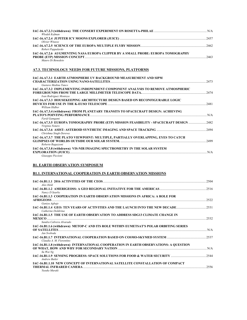| Wlodek Kofman                                                                    |      |
|----------------------------------------------------------------------------------|------|
|                                                                                  | 2457 |
| Olivier Witasse                                                                  |      |
|                                                                                  |      |
| Robert Pappalardo                                                                |      |
| IAC-16.A7.2.6 AUGMENTING NASA EUROPA CLIPPER BY A SMALL PROBE: EUROPA TOMOGRAPHY |      |
|                                                                                  | 2463 |
| Mauro Di Renedeto                                                                |      |

## **A7.3. TECHNOLOGY NEEDS FOR FUTURE MISSIONS, PLATFORMS**

| IAC-16.A7.3.1 EARTH ATMOSPHERE UV BACKGROUND MEASUREMENT AND SIPM                                                                        |       |
|------------------------------------------------------------------------------------------------------------------------------------------|-------|
|                                                                                                                                          | 2473  |
| Gustavo Medina Tanco                                                                                                                     |       |
| IAC-16.A7.3.2 IMPLEMENTING INDEPENDENT COMPONENT ANALYSIS TO REMOVE ATMOSPHERIC                                                          |       |
| Ivan Rodriguez Montova                                                                                                                   | .2474 |
| IAC-16.A7.3.3 HOUSEKEEPING ARCHITECTURE DESIGN BASED ON RECONFIGURABLE LOGIC                                                             |       |
| William Hidber                                                                                                                           | 2481  |
| IAC-16.A7.3.4 (withdrawn) FROM PLANETARY TRANSITS TO SPACECRAFT DESIGN: ACHIEVING                                                        |       |
| <b>PLATO'S POINTING PERFORMANCE AND RELATIONS AND RELATIONS POINTING PERFORMANCE AND RELATIONS POINTING PERFORMANCE</b><br>Farid Gamgami |       |
| IAC-16.A7.3.5 EUROPA TOMOGRAPHY PROBE (ETP) MISSION FEASIBILITY - SPACECRAFT DESIGN<br>Virginia Notaro                                   | .2482 |
| Chrishma Singh-Derewa                                                                                                                    | .2494 |
| IAC-16.A7.3.7 THE PLATO VIEWPOINT: MULTIPLE, PARTIALLY OVERLAPPING, EYES TO CATCH                                                        |       |
| Roberto Ragazzoni                                                                                                                        | 2499  |
| IAC-16.A7.3.8 (withdrawn) VIS-NIR IMAGING SPECTROMETRY IN THE SOLAR SYSTEM                                                               |       |
|                                                                                                                                          |       |
| Giuseppe Piccioni                                                                                                                        |       |

# **B1. EARTH OBSERVATION SYMPOSIUM**

## **B1.1. INTERNATIONAL COOPERATION IN EARTH OBSERVATION MISSIONS**

| Alex Held                                                                                                                                                                                        | 2504 |
|--------------------------------------------------------------------------------------------------------------------------------------------------------------------------------------------------|------|
| Nancy D Searby                                                                                                                                                                                   |      |
| IAC-16.B1.1.3 COOPERATION IN EARTH OBSERVATION MISSIONS IN AFRICA: A ROLE FOR                                                                                                                    |      |
|                                                                                                                                                                                                  | 2522 |
| Ganivu Agbaje<br>IAC-16.B1.1.4 GEO: TEN YEARS OF ACTIVITIES AND THE LAUNCH INTO THE NEW DECADE2531<br>Catherine Doldirina                                                                        |      |
| IAC-16.B1.1.5 THE USE OF EARTH OBSERVATION TO ADDRESS SDG13 CLIMATE CHANGE IN                                                                                                                    |      |
| Sandra Cabrera Alvarado                                                                                                                                                                          |      |
| IAC-16.B1.1.6 (withdrawn) METOP-C AND ITS ROLE WITHIN EUMETSAT'S POLAR ORBITING SERIES                                                                                                           |      |
| Jan Syoboda                                                                                                                                                                                      |      |
| Claudia A. M. Fiorentino                                                                                                                                                                         |      |
| IAC-16.B1.1.8 (withdrawn) INTERNATIONAL COOPERATION IN EARTH OBSERVATIONS: A QUESTION                                                                                                            |      |
| Su Wai Ng                                                                                                                                                                                        |      |
| <b>Andrew Butler</b>                                                                                                                                                                             |      |
| IAC-16.B1.1.10 NEW CONCEPT OF INTERNATIONAL SATELLITE CONSTALLATION OF COMPACT<br>THERMAL INFRARED CAMERA NEWSLESS OF THE CONTROL OF THE CONTROL OF THE CONTROL OF THE CONTROL OF THE CONTROL OF | 2556 |
| Yusuke Muraki                                                                                                                                                                                    |      |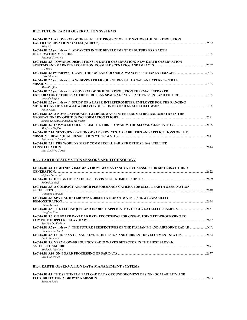## **B1.2. FUTURE EARTH OBSERVATION SYSTEMS**

| IAC-16.B1.2.1 AN OVERVIEW OF SATELLITE PROJECT OF THE NATIONAL HIGH RESOLUTION                 |      |
|------------------------------------------------------------------------------------------------|------|
|                                                                                                | 2562 |
| Ming Li<br>IAC-16.B1.2.2 (withdrawn) ADVANCES IN THE DEVELOPMENT OF FUTURE ESA EARTH           |      |
|                                                                                                | N/A  |
| Pierluigi Silvestrin                                                                           |      |
| IAC-16.B1.2.3 TOWARDS DISRUPTIONS IN EARTH OBSERVATION? NEW EARTH OBSERVATION                  |      |
| <b>Gil Denis</b>                                                                               |      |
| IAC-16.B1.2.4 (withdrawn) OCAPI: THE "OCEAN COLOUR ADVANCED PERMANENT IMAGER"<br>David Antoine |      |
| IAC-16.B1.2.5 (withdrawn) A WIDE-SWATH FREQUENT REVISIT CANADIAN HYPERSPECTRAL                 |      |
|                                                                                                |      |
| Shen-En Oian                                                                                   |      |
| IAC-16.B1.2.6 (withdrawn) AN OVERVIEW OF HIGH RESOLUTION THERMAL INFRARED                      |      |
| EXPLORATORY STUDIES AT THE EUROPEAN SPACE AGENCY: PAST, PRESENT AND FUTURE<br>Amanda Regan     |      |
| IAC-16.B1.2.7 (withdrawn) STUDY OF A LASER INTERFEROMETER EMPLOYED FOR THE RANGING             |      |
| <i>Filippo Ales</i>                                                                            |      |
| IAC-16.B1.2.8 A NOVEL APPROACH TO MICROWAVE INTERFEROMETRIC RADIOMETRY IN THE                  |      |
| Ahmed Kiyoshi Sugihara El Maghraby                                                             |      |
| Manfredi Porflio                                                                               |      |
| IAC-16.B1.2.10 NEXT GENERATION OF SAR SERVICES: CAPABILITIES AND APPLICATIONS OF THE           |      |
| Pierre-Alexis Joumel                                                                           |      |
| IAC-16.B1.2.11 THE WORLD'S FIRST COMMERCIAL SAR AND OPTICAL 16-SATELLITE                       |      |
|                                                                                                |      |

*Alex Da Silva Curiel* 

## **B1.3. EARTH OBSERVATION SENSORS AND TECHNOLOGY**

| IAC-16.B1.3.1 LIGHTNING IMAGING FROM GEO: AN INNOVATIVE SENSOR FOR METEOSAT THIRD                           |      |
|-------------------------------------------------------------------------------------------------------------|------|
| <b>GENERATION</b>                                                                                           | 2622 |
| Stefano Lorenzini                                                                                           |      |
| Roland Le Goff                                                                                              | 2629 |
| IAC-16.B1.3.3 A COMPACT AND HIGH PERFORMANCE CAMERA FOR SMALL EARTH OBSERVATION                             | 2638 |
| Giuseppe Capuano                                                                                            |      |
| IAC-16.B1.3.4 SPATIAL HETERODYNE OBSERVATION OF WATER (SHOW) CAPABILITY                                     |      |
| <b>DEMONSTRATION</b><br>Daniel Graton                                                                       | 2644 |
| IAC-16.B1.3.5 THE TECHNIQUES AND IN-ORBIT APPLICATION OF GF-2 SATELLITE CAMERA<br>Dongjing Cao              | 2651 |
| IAC-16.B1.3.6 ON BOARD PAYLOAD DATA PROCESSING FOR GNSS-R; USING FFT-PROCESSING TO                          |      |
| Bas Van De Kerkhof                                                                                          | 2657 |
| IAC-16.B1.3.7 (withdrawn) THE FUTURE PERSPECTIVES OF THE ITALIAN P-BAND AIRBORNE RADAR<br>Claudia Facchinet | N/A  |
| IAC-16.B1.3.8 EUROPEAN C-BAND KLYSTRON DESIGN AND CURRENT DEVELOPMENT STATUS<br>Paolo Galantni              | 2664 |
| IAC-16.B1.3.9 VERY-LOW-FREQUENCY RADIO WAVES DETECTOR IN THE FIRST SLOVAK                                   |      |
| <b>SATELLITE SKCUBE.</b>                                                                                    | 2671 |
| Michaela Musilova                                                                                           |      |
| <b>Brian Lawrence</b>                                                                                       | 2677 |

## **B1.4. EARTH OBSERVATION DATA MANAGEMENT SYSTEMS**

|                      | IAC-16.B1.4.1   THE SENTINEL-1 PAYLOAD DATA GROUND SEGMENT DESIGN - SCALABILITY AND |      |
|----------------------|-------------------------------------------------------------------------------------|------|
|                      | FLEXIBILITY FOR A GROWING MISSION.                                                  | 2683 |
| <b>Bernard Pruin</b> |                                                                                     |      |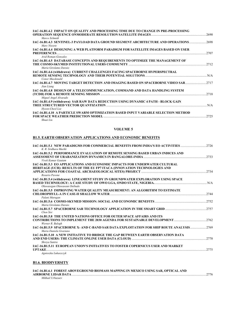| IAC-16.B1.4.2 IMPACT ON QUALITY AND PROCESSING TIME DUE TO CHANGE IN PRE-PROCESSING                                             |       |
|---------------------------------------------------------------------------------------------------------------------------------|-------|
| Marco Schmidt                                                                                                                   | 2690  |
| IAC-16.B1.4.3 SENTINEL-3 PAYLOAD DATA GROUND SEGMENT ARCHITECTURE AND OPERATIONS 2698<br>Marc Niezete                           |       |
| IAC-16.B1.4.4 DESIGNING A WEB PLATFORM PARADIGM FOR SATELLITE IMAGES BASED ON USER<br><b>PREFERENCES</b><br>Avid Roman-Gonzalez | 2.707 |
| IAC-16.B1.4.5 DATABASE CONCEPTS AND REQUIREMENTS TO OPTIMIZE THE MANAGEMENT OF<br>Maria Girolamo Daraio                         | 2712  |
| IAC-16.B1.4.6 (withdrawn) CURRENT CHALLENGES FACING SPACEBORNE HYPERSPECTRAL<br>Conor Macdonald                                 |       |
| IAC-16.B1.4.7 MOVING TARGET DETECTION AND IMAGING BASED ON SPACEBORNE VIDEO SAR2717<br>Jian Liang                               |       |
| IAC-16.B1.4.8 DESIGN OF A TELECOMMUNICATION, COMMAND AND DATA HANDLING SYSTEM<br>Miguel Angel Alvarado                          |       |
| IAC-16.B1.4.9 (withdrawn) SAR RAW DATA REDUCTION USING DYNAMIC 4 PATH - BLOCK GAIN<br>Hyeon-Cheol Lee                           |       |
| IAC-16.B1.4.10 A PARTICLE SWARM OPTIMIZATION BASED INPUT VARIABLE SELECTION METHOD                                              |       |

*Shuai Liu* 

#### **VOLUME 5**

# **B1.5. EARTH OBSERVATION APPLICATIONS AND ECONOMIC BENEFITS**

| IAC-16.B1.5.1 NEW PARADIGMS FOR COMMERCIAL BENEFITS FROM INDIA'S EO ACTIVITIES 2726<br>K. R. Sridhara Murthi |      |
|--------------------------------------------------------------------------------------------------------------|------|
| IAC-16.B1.5.2 PERFORMANCE EVALUATION OF REMOTE SENSING BASED URBAN INDICES AND                               |      |
|                                                                                                              |      |
| Vivek Kumar Gautam                                                                                           |      |
| <b>IAC-16.B1.5.3 EO APPLICATIONS AND ECONOMIC IMPACTS FOR UNDERWATER CULTURAL</b>                            |      |
| HERITAGE (UCH): RESULTS OF THE EU FP7 ITACA (INNOVATION TECHNOLOGIES AND                                     |      |
|                                                                                                              |      |
| Rosario Pavone                                                                                               |      |
| IAC-16.B1.5.4 (withdrawn) LINEAMENT STUDY IN GROUNDWATER EXPLORATION USING SPACE                             |      |
|                                                                                                              |      |
| Oluwasegun Oluwaseun Onibudo                                                                                 |      |
| IAC-16.B1.5.5 IMPROVING WATER QUALITY MEASUREMENT: AN ALGORITHM TO ESTIMATE                                  |      |
|                                                                                                              |      |
| Palani Murugan                                                                                               |      |
|                                                                                                              |      |
| Maria Girolamo Daraio                                                                                        |      |
|                                                                                                              |      |
| Chen Sisi                                                                                                    |      |
| <b>IAC-16.B1.5.8 THE UNITED NATIONS OFFICE FOR OUTER SPACE AFFAIRS AND ITS</b>                               |      |
|                                                                                                              |      |
| Werner R. Balogh                                                                                             |      |
| IAC-16.B1.5.9 SPACEBORNE X- AND C-BAND SAR DATA EXPLOITATION FOR SHIP ROUTE ANALYSIS2769                     |      |
| Maria Daniela Graziano                                                                                       |      |
| <b>IAC-16.B1.5.10 A NEW INITIATIVE TO BRIDGE THE GAP BETWEEN EARTH OBSERVATION DATA</b>                      |      |
|                                                                                                              |      |
| Shreva Santra                                                                                                |      |
| IAC-16.B1.5.11 EUROPEAN UNION'S INITIATIVES TO FOSTER COPERNICUS USER AND MARKET                             |      |
|                                                                                                              | 2775 |
| Agnieszka Lukaszczyk                                                                                         |      |
|                                                                                                              |      |

## **B1.6. BIODIVERSITY**

| IAC-16.B1.6.1 FOREST ABOVEGROUND BIOMASS MAPPING IN MEXICO USING SAR, OPTICAL AND |      |
|-----------------------------------------------------------------------------------|------|
| AIRBORNE LIDAR DATA .                                                             | 2776 |
| Mikhail Urbazaev                                                                  |      |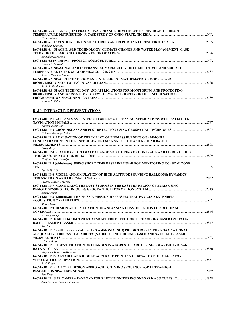| IAC-16.B1.6.2 (withdrawn) INTER-SEASONAL CHANGE OF VEGETATION COVER AND SURFACE<br>Henry Ibitolu                                                                                              |      |
|-----------------------------------------------------------------------------------------------------------------------------------------------------------------------------------------------|------|
| Shashank Khurana                                                                                                                                                                              |      |
| IAC-16.B1.6.4 SPACE BASED TECHNOLOGY, CLIMATE CHANGE AND WATER MANAGEMENT: CASE<br>Abubakar Babagana                                                                                          | 2786 |
| Daniele Trimarchi                                                                                                                                                                             |      |
| IAC-16.B1.6.6 SEASONAL AND INTERANNUAL VARIABILITY OF CHLOROPHYLL AND SURFACE<br>Jushiro Cepeda-Morales                                                                                       | 2787 |
| IAC-16.B1.6.7 SPACE TECHNOLOGY AND INTELLIGENT MATHEMATICAL MODELS FOR<br>Sevda R. Ibrahimova                                                                                                 | 2788 |
| <b>IAC-16.B1.6.8 SPACE TECHNOLOGY AND APPLICATIONS FOR MONITORING AND PROTECTING</b><br><b>BIODIVERSITY AND ECOSYSTEMS: A NEW THEMATIC PRIORITY OF THE UNITED NATIONS</b><br>Werner R. Balogh | 2789 |

## **B1.IP. INTERACTIVE PRESENTATIONS**

| IAC-16.B1.IP.1 CUBESATS AS PLATFORM FOR REMOTE SENSING APPLICATIONS WITH SATELLITE                           |  |
|--------------------------------------------------------------------------------------------------------------|--|
|                                                                                                              |  |
| Karishma Inamdar                                                                                             |  |
| Oniosun Temidayo Isaiah                                                                                      |  |
| IAC-16.B1.IP.3 EVALUATION OF THE IMPACT OF BIOMASS BURNING ON AMMONIA                                        |  |
| <b>CONCENTRATIONS IN THE UNITED STATES USING SATELLITE AND GROUND BASED</b>                                  |  |
|                                                                                                              |  |
| Casey Bray                                                                                                   |  |
| IAC-16.B1.IP.4 SPACE BASED CLIMATE CHANGE MONITORING OF CONTRAILS AND CIRRUS CLOUD<br>Harijono Djojodihardjo |  |
| IAC-16.B1.IP.5 (withdrawn) USING SHORT TIME BASELINE INSAR FOR MONITORING COASTAL ZONE                       |  |
|                                                                                                              |  |
| Parviz Tarikhi                                                                                               |  |
| IAC-16.B1.IP.6 MODEL AND SIMULATION OF HIGH ALTITUDE SOUNDING BALLOONS: DYNAMICS,                            |  |
|                                                                                                              |  |
| Ricardo Singer Genovese                                                                                      |  |
| IAC-16.B1.IP.7 MONITORING THE DUST STORMS IN THE EASTERN REGION OF SYRIA USING                               |  |
|                                                                                                              |  |
| Ahmad Yaghi                                                                                                  |  |
| IAC-16.B1.IP.8 (withdrawn) THE PRISMA MISSION HYPERSPECTRAL PAYLOAD EXTENDED                                 |  |
|                                                                                                              |  |
| Marco Meini                                                                                                  |  |
| IAC-16.B1.IP.9 DESIGN AND SIMULATION OF A SCANNING CONSTELLATION FOR REGIONAL                                |  |
|                                                                                                              |  |
| Yasheng Zhang                                                                                                |  |
| IAC-16.B1.IP.10 MULTI-COMPONENT ATMOSPHERE DETECTION TECHNOLOGY BASED ON SPACE-                              |  |
|                                                                                                              |  |
| Xun Liu                                                                                                      |  |
| IAC-16.B1.IP.11 (withdrawn) EVALUATING AMMONIA (NH3) PREDICTIONS IN THE NOAA NATIONAL                        |  |
| AIR OUALITY FORECAST CAPABILITY (NAOFC) USING GROUND-BASED AND SATELLITE-BASED                               |  |
|                                                                                                              |  |
| William Batye                                                                                                |  |
| IAC-16.B1.IP.12 IDENTIFICATION OF CHANGES IN A FORESTED AREA USING POLARIMETRIC SAR                          |  |
| Alejandro Monsivais-Huertero                                                                                 |  |
| IAC-16.B1.IP.13 A STABLE AND HIGHLY ACCURATE POINTING CUBESAT EARTH IMAGER FOR                               |  |
| VLEO EARTH OBSERVATION                                                                                       |  |
| J. M. Kuiper                                                                                                 |  |
| IAC-16.B1.IP.14 A NOVEL DESIGN APPROACH TO TIMING SEQUENCE FOR ULTRA-HIGH                                    |  |
|                                                                                                              |  |
| Fan Feng                                                                                                     |  |
| IAC-16.B1.IP.15 IR CAMERA PAYLOAD FOR EARTH MONITORING ONBOARD A 3U CUBESAT 2858                             |  |
| Juan Salvador Palacios Fonseca                                                                               |  |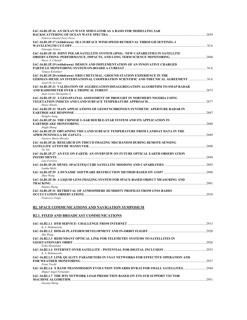| IAC-16.B1.IP.16 AN OCEAN WAVE SIMULATOR AS A BASIS FOR MODELLING SAR<br>Fabricio Otoniel Perez Perez                                                                                |       |
|-------------------------------------------------------------------------------------------------------------------------------------------------------------------------------------|-------|
| IAC-16.B1.IP.17 (withdrawn) SEA SURFACE WIND SPEED RETRIEVAL THROUGH SENTINEL-1<br>Giuseppe Grieco                                                                                  |       |
| IAC-16.B1.IP.18 JOINT POLAR SATELLITE SYSTEM (JPSS) - NEW CAPABILITIES IN SATELLITE<br>Harry A. Cikanek                                                                             |       |
| IAC-16.B1.IP.19 (withdrawn) DESIGN AND IMPLEMENTATION OF AN INNOVATIVE CHARGED<br>Tanava Kolankari                                                                                  |       |
| IAC-16.B1.IP.20 (withdrawn) ERIS CHETUMAL: GROUND STATION EXPERIENCE IN THE<br>GERMAN-MEXICAN INTERNATIONAL COOPERATION SCIENTIFIC AND THECNICAL AGREEMENT  N/A<br>Azael De La Cruz |       |
| IAC-16.B1.IP.21 VALIDATION OF AGGREGATION/DISAGGREGATION ALGORITHM TO SMAP RADAR<br>Juan Carlos Hernandez S                                                                         |       |
| IAC-16.B1.IP.22 A GEO-SPATIAL ASSESSMENT OF DROUGHT IN NORTHERN NIGERIA USING<br>Henry Ibitolu                                                                                      |       |
| IAC-16.B1.IP.23 MAIN APPLICATIONS OF GEOSYNCHRONOUS SYNTHETIC APERTURE RADAR IN<br>Hongbo Jiang                                                                                     |       |
| IAC-16.B1.IP.24 THE CHINESE L-SAR DOUBLE-STAR SYSTEM AND ITS APPLICATION IN<br>Jingfa Zhang                                                                                         |       |
| IAC-16.B1.IP.25 OBTAINING THE LAND SURFACE TEMPERATURE FROM LANDSAT DATA IN THE<br>Gustavo Martn Morales                                                                            |       |
| IAC-16.B1.IP.26 RESEARCH ON TDICCD IMAGING MECHANISM DURING REMOTE-SENSING<br>Na Yao                                                                                                | .2890 |
| IAC-16.B1.IP.27 AN EYE ON EARTH: AN OVERVIEW ON FUTURE OPTICAL EARTH OBSERVATION<br>Luis Ferreira                                                                                   |       |
| Lumka Msibi                                                                                                                                                                         |       |
| Zhao Wang                                                                                                                                                                           |       |
| IAC-16.B1.IP.30 A LIQUID LENS IMAGING SYSTEM FOR SPACE-BASED OBJECT MEASURING AND<br>Hanmo Zhang                                                                                    |       |
| IAC-16.B1.IP.31 RETRIEVAL OF ATMOSPHERE HUMIDITY PROFILES FROM GNSS RADIO<br>Francesco Vespe                                                                                        | .2910 |
|                                                                                                                                                                                     |       |

# **B2. SPACE COMMUNICATIONS AND NAVIGATION SYMPOSIUM**

# **B2.1. FIXED AND BROADCAST COMMUNICATIONS**

| K. S. Mohanavelu                                                                                                   | 2913 |
|--------------------------------------------------------------------------------------------------------------------|------|
| Min Wang                                                                                                           | 2920 |
| IAC-16.B2.1.3 REDUNDANT OPTICAL LINK FOR TELEMETRY SYSTEMS TO SATELLITES IN                                        | 2926 |
| Erika Hernandez                                                                                                    | 2933 |
| K. S. Mohanavelu<br>IAC-16.B2.1.5 LINK QUALITY PARAMETERS IN VSAT NETWORKS FOR EFFECTIVE OPERATION AND             |      |
| Franz Teschl                                                                                                       | 2937 |
| <b>IAC-16.B2.1.6 X BAND TRANSMISSION EVOLUTION TOWARDS DVB-S2 FOR SMALL SATELLITES. </b><br>Miguel Angel Fernandez | 2944 |
| <b>IAC-16.B2.1.7 THE HTS NETWORK LOAD PREDICTION BASED ON ZTS-SVR SUPPORT VECTOR</b><br>Xiaotan Zheng              | 2951 |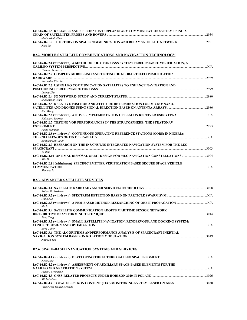| IAC-16.B2.1.8 RELIABLE AND EFFICIENT INTERPLANETARY COMMUNICATION SYSTEM USING A          | 2954  |
|-------------------------------------------------------------------------------------------|-------|
| Shahanshah Alam<br>Juan Lu                                                                |       |
| <b>B2.2. MOBILE SATELLITE COMMUNICATIONS AND NAVIGATION TECHNOLOGY</b>                    |       |
| IAC-16.B2.2.1 (withdrawn) A METHODOLOGY FOR GNSS SYSTEM PERFORMANCE VERIFICATION, A       |       |
| Gaetano Galluzzo                                                                          |       |
| IAC-16.B2.2.2 COMPLEX MODELLING AND TESTING OF GLOBAL TELECOMMUNICATION                   |       |
| Alexander Kharlan                                                                         | 2969  |
| IAC-16.B2.2.3 USING LEO COMMUNICATION SATELLITES TO ENHANCE NAVIGATION AND                |       |
|                                                                                           | .2979 |
| Lidong Zhu                                                                                |       |
| Shahanshah Alam                                                                           |       |
| IAC-16.B2.2.5 RELATIVE POSITION AND ATTITUDE DETERMINATION FOR MICRO/NANO-                |       |
| Jiao Wang                                                                                 |       |
| Kalpataru Sharma                                                                          |       |
| IAC-16.B2.2.7 TESTING VOR PERFORMANCES IN THE STRATOSPHERE: THE STRATONAV                 |       |
| 2993<br>EXPERIMENT                                                                        |       |
| Paolo Marzioli                                                                            |       |
| IAC-16.B2.2.8 (withdrawn) CONTINUOUS OPERATING REFERENCE STATIONS (CORS) IN NIGERIA:      |       |
| Abdulkareem Umar                                                                          |       |
| IAC-16.B2.2.9 RESEARCH ON THE INS/CNS/LNS INTEGRATED NAVIGATION SYSTEM FOR THE LEO        |       |
|                                                                                           |       |
| Ye Biao<br>140.16.B2.2.10 OPTIMAL DISPOSAL ORBIT DESIGN FOR MEO NAVIGATION CONSTELLATIONS |       |
| Min Hu                                                                                    |       |
| IAC-16.B2.2.11 (withdrawn) SPECIFIC EMITTER VERIFICATION BASED SECURE SPACE VEHICLE       |       |
| <b>COMMUNICATION</b><br>N/A<br>Shaowei Li                                                 |       |
|                                                                                           |       |

## **B2.3. ADVANCED SATELLITE SERVICES**

| Robert D. Briskman                                                                                   |     |
|------------------------------------------------------------------------------------------------------|-----|
| Haivue Li                                                                                            |     |
| Shi Li                                                                                               |     |
| IAC-16.B2.3.4 SATELLITE COMMUNICATION ADOPTS MARITIME SENSOR NETWORK<br>Tong Yang                    |     |
| IAC-16.B2.3.5 (withdrawn) SMALL SATELLITE NAVIGATION, RENDEZVOUS, AND DOCKING SYSTEM:<br>Ervn Culton | N/A |
| IAC-16.B2.3.6 THE ALGORITHMS ANDPERFORMANCE ANALYSIS OF SPACECRAFT INERTIAL<br>Jingwen Tan           |     |

# **B2.4. SPACE-BASED NAVIGATION SYSTEMS AND SERVICES**

| Noah Saks                                                                      |     |
|--------------------------------------------------------------------------------|-----|
| IAC-16.B2.4.2 (withdrawn) ASSESSMENT OF AUXILIARY SPACE-BASED ELEMENTS FOR THE |     |
|                                                                                | N/A |
| Frank Te Hennepe                                                               |     |
|                                                                                |     |
| Michal Moroz                                                                   |     |
|                                                                                |     |
| Victor Jose Gatica-Acevedo                                                     |     |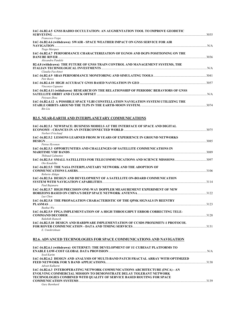| IAC-16.B2.4.5  GNSS RADIO OCCULTATION: AN AUGMENTATION TOOL TO IMPROVE GEODETIC                                                                                                                                                          |  |
|------------------------------------------------------------------------------------------------------------------------------------------------------------------------------------------------------------------------------------------|--|
| Francesco Vespe<br>IAC-16.B2.4.6 (withdrawn) SWAIR - SPACE WEATHER IMPACT ON GNSS SERVICE FOR AIR                                                                                                                                        |  |
| Tiago Marques                                                                                                                                                                                                                            |  |
| IAC-16.B2.4.7 PERFORMANCE CHARACTERIZATION OF EGNOS AND DGPS POSITIONING ON THE<br>Alexandru Pandele                                                                                                                                     |  |
| B2.4.8 (withdrawn) THE FUTURE OF GNSS TRAIN CONTROL AND MANAGEMENT SYSTEMS, THE                                                                                                                                                          |  |
| Claudia Facchinet<br>Petr Bares                                                                                                                                                                                                          |  |
| Vincenzo Capuano                                                                                                                                                                                                                         |  |
| IAC-16.B2.4.11 (withdrawn) RESEARCH ON THE RELATIONSHIP OF PERIODIC BEHAVIORS OF GNSS<br>Peiyuan Zhou                                                                                                                                    |  |
| IAC-16.B2.4.12 A POSSIBLE SPACE VLBI CONSTELLATION NAVIGATION SYSTEM UTILIZING THE<br><b>Bin Liu</b>                                                                                                                                     |  |
| <b>B2.5. NEAR-EARTH AND INTERPLANETARY COMMUNICATIONS</b>                                                                                                                                                                                |  |
| IAC-16.B2.5.1 NEWSPACE: BUSINESS MODELS AT THE INTERFACE OF SPACE AND DIGITAL<br>Norbert Frischauf                                                                                                                                       |  |
| IAC-16.B2.5.2 LESSONS LEARNED FROM 30 YEARS OF EXPERIENCE IN GROUND NETWORKS                                                                                                                                                             |  |
| Petrus Hyvonen<br>IAC-16.B2.5.3 OPPORTUNITIES AND CHALLENGES OF SATELLITE COMMUNICATIONS IN                                                                                                                                              |  |
| <b>Thibaud Calmettes</b><br>Oto Koudelka                                                                                                                                                                                                 |  |
| IAC-16.B2.5.5 THE NASA INTERPLANETARY NETWORK AND THE ADOPTION OF<br>Roberto Aldape                                                                                                                                                      |  |
| IAC-16.B2.5.6 DESIGN AND DEVELOPMENT OF A SATELLITE ON-BOARD COMMUNICATION<br>Paul Bajanaru                                                                                                                                              |  |
| IAC-16.B2.5.7 HIGH PRECISION ONE-WAY DOPPLER MEASUREMENT EXPERIMENT OF NEW<br>Lue Chen                                                                                                                                                   |  |
| IAC-16.B2.5.8 THE PROPAGATION CHARACTERISTIC OF THE QPSK SIGNALS IN REENTRY<br>PLASMAS<br>Runhui Wu                                                                                                                                      |  |
| IAC-16.B2.5.9  FPGA IMPLEMENTATION OF A HIGH THROUGHPUT ERROR CORRECTING TELE-<br><b>Rakshith Ramesh</b>                                                                                                                                 |  |
| IAC-16,B2.5.10 DESIGN AND HARDWARE IMPLEMENTATION OF CCSDS PROXIMITY-1 PROTOCOL<br>E. Unnikrishnan                                                                                                                                       |  |
| <b>B2.6. ADVANCED TECHNOLOGIES FOR SPACE COMMUNICATIONS AND NAVIGATION</b>                                                                                                                                                               |  |
| IAC-16.B2.6.1 (withdrawn) OUTERNET: THE DEVELOPMENT OF 1U CUBESAT PLATFORMS TO<br>Syed Karim                                                                                                                                             |  |
| IAC-16.B2.6.2 DESIGN AND ANALYSIS OF MULTI-BAND PATCH FRACTAL ARRAY WITH OPTIMIZED<br>Advait Kulkarni                                                                                                                                    |  |
| IAC-16.B2.6.3 INTEROPERATING NETWORK COMMUNICATIONS ARCHITECTURE (INCA) - AN<br><b>EVOLVING COMMERCIAL MISSION TO DEMONSTRATE DELAY TOLERANT NETWORK</b><br><b>TECHNOLOGIES COMBINED WITH QUALITY OF SERVICE BASED ROUTING FOR SPACE</b> |  |
| Gary Barnhard                                                                                                                                                                                                                            |  |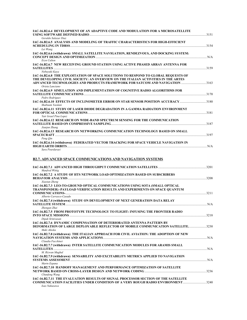| IAC-16.B2.6.4 DEVELOPMENT OF AN ADAPTIVE CODE AND MODULATION FOR A MICROSATELLITE<br>USING SOFTWARE DEFINED RADIO<br>Geraldo Salazar Diaz                                                    | 3151 |
|----------------------------------------------------------------------------------------------------------------------------------------------------------------------------------------------|------|
| IAC-16.B2.6.5 ANALYSIS AND MODELING OF TRAFFIC CHARACTERISTICS FOR HIGH-EFFICIENT<br>SCHEDULING IN TDRSS                                                                                     | 3154 |
| Lei Wang<br>IAC-16.B2.6.6 (withdrawn) SMALL SATELLITE NAVIGATION, RENDEZVOUS, AND DOCKING SYSTEM:                                                                                            | N/A  |
| Ervn Culton<br><b>IAC-16.B2.6.7 NEW RECEIVING GROUND STATION USING ACTIVE PHASED ARRAY ANTENNA FOR</b><br>SATELLITES <b>SATELLITES</b>                                                       | 3159 |
| Nobuvuki Kava<br>IAC-16.B2.6.8 THE EXPLOITATION OF SPACE SOLUTIONS TO RESPOND TO GLOBAL REQUESTS OF<br>THE DEVELOPING CIVIL SOCIETY: AN OVERVIEW ON THE ITALIAN ACTIVITIES IN THE ARTES      |      |
| ADVANCED TECHNOLOGIES AND PRODUCTS FRAMEWORK FOR SATCOM AND NAVIGATION 3163<br>Orieta Lanciano<br>IAC-16.B2.6.9 SIMULATION AND IMPLEMENTATION OF COGNITIVE RADIO ALGORITHMS FOR              |      |
| Pedro Rodrigues                                                                                                                                                                              | 3170 |
| 180 IAC-16.B2.6.10 EFFECTS OF INCLINOMETER ERROR ON STAR SENSOR POSITION ACCURACY3180<br>Shahnam Yazdani<br>IAC-16.B2.6.11 STUDY OF LASER DIODE DEGRADATION IN A GAMMA RADIATION ENVIRONMENT |      |
| FOR OPTICAL COMMUNICATIONS 3181<br>Yair Israel Pina Lopez                                                                                                                                    |      |
| <b>IAC-16.B2.6.12 RESEARCH ON WIDE-BAND SPECTRUM SENSING FOR THE COMMUNICATION</b><br>Jianjun Zhang                                                                                          | 3187 |
| <b>IAC-16.B2.6.13 RESEARCH ON NETWORKING COMMUNICATION TECHNOLOGY BASED ON SMALL</b>                                                                                                         | 3197 |
| Peng Oin<br>IAC-16.B2.6.14 (withdrawn) FEDERATED VECTOR TRACKING FOR SPACE VEHICLE NAVIGATION IN<br><b>HIGH EARTH ORBITS</b>                                                                 | N/A  |
| Sara Pourdaraei                                                                                                                                                                              |      |

# **B2.7. ADVANCED SPACE COMMUNICATIONS AND NAVIGATION SYSTEMS**

| Manfred Wittig                                                                                                                                              |              |
|-------------------------------------------------------------------------------------------------------------------------------------------------------------|--------------|
| IAC-16.B2.7.2 A STUDY OF HTS NETWORK LOAD OPTIMIZATION BASED ON SUBSCRIBERS<br><b>BEHAVIOR ANALYSIS</b>                                                     | 3208         |
| Xiaotan Zheng                                                                                                                                               |              |
| IAC-16.B2.7.3 LEO-TO-GROUND OPTICAL COMMUNICATIONS USING SOTA (SMALL OPTICAL<br>TRANSPONDER) -PAYLOAD VERIFICATION RESULTS AND EXPERIMENTS ON SPACE QUANTUM | 3211         |
| Alberto Carrasco-Casado                                                                                                                                     |              |
| IAC-16.B2.7.4 (withdrawn) STUDY ON DEVELOPMENT OF NEXT GENERATION DATA RELAY                                                                                | $\ldots$ N/A |
| Zhengan Zhai                                                                                                                                                |              |
| IAC-16.B2.7.5 FROM PROTOTYPE TECHNOLOGY TO FLIGHT: INFUSING THE FRONTIER RADIO<br>Dipak Srinivasan                                                          |              |
| <b>IAC-16.B2.7.6 DYNAMIC COMPENSATION OF DETERIORATED ANTENNA PATTERN BY</b>                                                                                |              |
| <b>DEFORMATION OF LARGE DEPLOYABLE REFLECTOR OF MOBILE COMMUNICATION SATELLITE3230</b><br>Maki Akioka                                                       |              |
| IAC-16.B2.7.8 (withdrawn) THE ITALIAN APPROACH FOR CIVIL AVIATION: THE ADOPTION OF NEW                                                                      | N/A          |
| Claudia Facchinet<br>IAC-16.B2.7.7 (withdrawn) INTER SATELLITE COMMUNICATION MODULES FOR ARAMIS SMALL                                                       | N/A          |
| M. Rizwan Mughal                                                                                                                                            |              |
| IAC-16.B2.7.9 (withdrawn) SENSABILITY AND EXCITABILITY METRICS APPLIED TO NAVIGATION                                                                        |              |
| Martn Espana                                                                                                                                                |              |
| <b>IAC-16.B2.7.10 HANDOFF MANAGEMENT AND PERFORMANCE OPTIMIZATION OF SATELLITE</b>                                                                          |              |
|                                                                                                                                                             |              |
| Chunfeng Wang<br>IAC-16.B2.7.11 THE EVALUATION RESULTS OF SIGNAL PROCESSOR SECTION OF THE SATELLITE                                                         |              |
| <b>COMMUNICATION FACILITIES UNDER CONDITION OF A VERY ROUGH RADIO ENVIRONMENT</b><br>Isao Nakazawa                                                          | 3240         |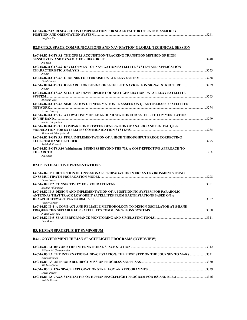| IAC-16.B2.7.12  RESEARCH ON COMPENSATION FOR SCALE FACTOR OF RATE BIASED RLG |      |
|------------------------------------------------------------------------------|------|
| POSITION AND ORIENTATION SYSTEM                                              | 3241 |
| Binghua Xu                                                                   |      |

## **B2.8-GTS.3. SPACE COMMUNICATIONS AND NAVIGATION GLOBAL TECHNICAL SESSION**

| IAC-16.B2.8-GTS.3.1 THE GPS L1 ACQUISITION-TRACKING TRANSITION METHOD OF HIGH<br>Jia Tian                                                                                                                                                                                                                                                 | 3248  |
|-------------------------------------------------------------------------------------------------------------------------------------------------------------------------------------------------------------------------------------------------------------------------------------------------------------------------------------------|-------|
| IAC-16.B2.8-GTS.3.2 DEVELOPMENT OF NAVIGATION SATELLITE SYSTEM AND APPLICATION<br>Jie Xin                                                                                                                                                                                                                                                 | 3253  |
| Celal Dudak                                                                                                                                                                                                                                                                                                                               | 3258  |
| IAC-16.B2.8-GTS.3.4 RESEARCH ON DESIGN OF SATELLITE NAVIGATION SIGNAL STRUCTURE<br>$Jie$ Xin                                                                                                                                                                                                                                              | 3259  |
| IAC-16.B2.8-GTS.3.5 STUDY ON DEVELOPMENT OF NEXT GENERATION DATA RELAY SATELLITE<br><b>SYSTEM.</b><br>Zhengan Zhai                                                                                                                                                                                                                        | 3263  |
| IAC-16.B2.8-GTS.3.6 SIMULATION OF INFORMATION TRANSFER ON OUANTUM-BASED SATELLITE<br>Istvan Vercseg                                                                                                                                                                                                                                       | 3274  |
| IAC-16.B2.8-GTS.3.7 A LOW-COST MOBILE GROUND STATION FOR SATELLITE COMMUNICATION<br>Sneha Velavudhan                                                                                                                                                                                                                                      | 32.79 |
| IAC-16.B2.8-GTS.3.8 COMPARISON BETWEEN GENERATION OF ANALOG AND DIGITAL OPSK<br>Mohamed Elhady Keshk                                                                                                                                                                                                                                      | 3285  |
| IAC-16.B2.8-GTS.3.9 FPGA IMPLEMENTATION OF A HIGH THROUGHPUT ERROR CORRECTING<br>TELE-COMMAND DECODER<br>Rakshith Ramesh                                                                                                                                                                                                                  | 3295  |
| IAC-16.B2.8-GTS.3.10 (withdrawn) BUSINESS BEYOND THE 70S, A COST-EFFECTIVE APPROACH TO<br>THE ARCTIC <b>Example 20</b> in the set of the set of the set of the set of the set of the set of the set of the set of the set of the set of the set of the set of the set of the set of the set of the set of the set of the set<br>Nil Angli | N/A   |

## **B2.IP. INTERACTIVE PRESENTATIONS**

| IAC-16.B2.IP.1 DETECTION OF GNSS SIGNALS PROPAGATION IN URBAN ENVIRONMENTS USING        |      |
|-----------------------------------------------------------------------------------------|------|
|                                                                                         | 3298 |
| Petra Pisova                                                                            |      |
|                                                                                         | 3301 |
| Susana Villanueva                                                                       |      |
| <b>IAC-16.B2.IP.3 DESIGN AND IMPLEMENTATION OF A POSITIONING SYSTEM FOR PARABOLIC</b>   |      |
| ANTENNAS THAT TRACK LOW ORBIT SATELLITES FROM EARTH STATIONS BASED ON A                 |      |
|                                                                                         | 3302 |
| Victor Orozco                                                                           |      |
| <b>IAC-16.B2.IP.4 A COMPACT AND RELIABLE METHODOLOGY TO DESIGN OSCILLATOR AT S-BAND</b> |      |
|                                                                                         | 3308 |
| J. Raul Loo-Yau                                                                         |      |
|                                                                                         |      |
| Petr Bares                                                                              |      |

#### **B3. HUMAN SPACEFLIGHT SYMPOSIUM**

#### **B3.1. GOVERNMENT HUMAN SPACEFLIGHT PROGRAMS (OVERVIEW)**

| William H. Gerstenmaier                                                                          |  |
|--------------------------------------------------------------------------------------------------|--|
| <b>IAC-16.B3.1.2 THE INTERNATIONAL SPACE STATION: THE FIRST STEP ON THE JOURNEY TO MARS 3321</b> |  |
| Kirk Shireman                                                                                    |  |
|                                                                                                  |  |
| Michele Gates                                                                                    |  |
|                                                                                                  |  |
| David Parker                                                                                     |  |
|                                                                                                  |  |
| Koichi Wakata                                                                                    |  |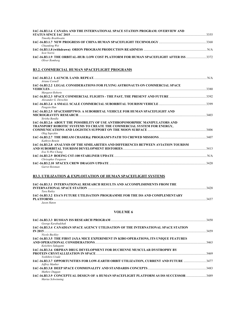| IAC-16.B3.1.6 CANADA AND THE INTERNATIONAL SPACE STATION PROGRAM: OVERVIEW AND |      |
|--------------------------------------------------------------------------------|------|
|                                                                                | 3355 |
| Timothy Braithwaite                                                            |      |
|                                                                                | 3368 |
| Chuanfeng Wei                                                                  |      |
|                                                                                | N/A  |
| <b>Scot Norris</b>                                                             |      |
|                                                                                |      |
| Oliver Romberg                                                                 |      |
|                                                                                |      |

## **B3.2. COMMERCIAL HUMAN SPACEFLIGHT PROGRAMS**

| Ariane Cornell                                                                                                                                              |      |
|-------------------------------------------------------------------------------------------------------------------------------------------------------------|------|
| IAC-16.B3.2.2 LEGAL CONSIDERATIONS FOR FLYING ASTRONAUTS ON COMMERCIAL SPACE                                                                                |      |
| <b>VEHICLES</b><br>Margaret Roberts                                                                                                                         |      |
| Alexander G. Derechin                                                                                                                                       |      |
| Pengxin Han                                                                                                                                                 |      |
| IAC-16.B3.2.5 SPACESHIPTWO: A SUBORBITAL VEHICLE FOR HUMAN SPACEFLIGHT AND<br>MICROGRAVITY RESEARCH 2003 2003<br>Sirisha Bandla                             |      |
| IAC-16.B3.2.6 ABOUT THE POSSIBILITY OF USE ANTHROPOMORPHIC MANIPULATORS AND<br><b>TRANSPORT ROBOTIC SYSTEMS TO CREATE THE COMMERCIAL SYSTEM FOR ENERGY.</b> |      |
| Oleg Saprykin<br>Kathryn Benzin                                                                                                                             |      |
| IAC-16.B3.2.8 ANALYSIS OF THE SIMILARITIES AND DIFFERENCES BETWEEN AVIATION TOURISM<br>Eva Yi-Wei Chang                                                     |      |
| Chrisopher Ferguson                                                                                                                                         | N/A  |
| <b>Garret Reisman</b>                                                                                                                                       | 3420 |

# **B3.3. UTILIZATION & EXPLOITATION OF HUMAN SPACEFLIGHT SYSTEMS**

| <b>IAC-16.B3.3.1 INTERNATIONAL RESEARCH RESULTS AND ACCOMPLISHMENTS FROM THE</b> |      |
|----------------------------------------------------------------------------------|------|
|                                                                                  | 3428 |
| Tara Rutlev                                                                      |      |
| IAC-16.B3.3.2 ESA'S FUTURE UTILISATION PROGRAMME FOR THE ISS AND COMPLEMENTARY   |      |
| <b>PLATFORMS</b>                                                                 | 3437 |
| Jason Haton                                                                      |      |

#### **VOLUME 6**

| George Karabadzhak                                                                                     | 3450 |
|--------------------------------------------------------------------------------------------------------|------|
| IAC-16.B3.3.4 CANADIAN SPACE AGENCY UTILISATION OF THE INTERNATIONAL SPACE STATION                     | 3459 |
| Nicole Buckley<br>IAC-16.B3.3.5 THE FIRST JAXA MICE EXPERIMENT IN KIBO OPERATIONS, ITS UNIQUE FEATURES | 3463 |
| Keiichiro Sakagami<br><b>IAC-16.B3.3.6 ORPHAN DRUG DEVELOPMENT FOR DUCHENNE MUSCULAR DYSTROPHY BY</b>  | 3469 |
| Yoshihiro Urade<br>Jeffrey Manber                                                                      |      |
| Mathew Duggan                                                                                          |      |
| Marius Schwinning                                                                                      |      |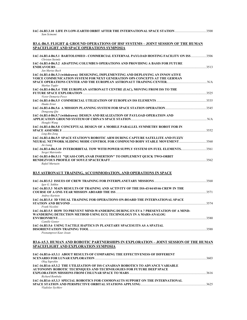| 1900-16.B3.3.10_LIFE IN LOW-EARTH ORBIT AFTER THE INTERNATIONAL SPACE STATION ………………………………………………………<br>Sam Scimemi                                                               |  |
|----------------------------------------------------------------------------------------------------------------------------------------------------------------------------------|--|
| <u>B3.4.-B6.5. FLIGHT &amp; GROUND OPERATIONS OF HSF SYSTEMS – JOINT SESSION OF THE HUMAN</u><br>SPACEFLIGHT AND SPACE OPERATIONS SYMPOSIA                                       |  |
| Christan Steimle                                                                                                                                                                 |  |
| IAC-16.B3.4-B6.5.2 ADAPTING COLUMBUS OPERATIONS AND PROVIDING A BASIS FOR FUTURE<br>Jan Marius Bach                                                                              |  |
| IAC-16.B3.4-B6.5.3 (withdrawn) DESIGNING, IMPLEMENTING AND DEPLOYING AN INNOVATIVE<br>VOICE COMMUNICATION SYSTEM FOR NEXT GENERATION OPS CONCEPTS AT THE GERMAN<br>Markus Topfer |  |
| IAC-16.B3.4-B6.5.4 THE EUROPEAN ASTRONAUT CENTRE (EAC), MOVING FROM ISS TO THE<br>Victor Demaria-Pesce                                                                           |  |
| Hauke Ernst                                                                                                                                                                      |  |
| Dongyang Qiu                                                                                                                                                                     |  |
| IAC-16.B3.4-B6.5.7 (withdrawn) DESIGN AND REALIZATION OF PAYLOAD OPERATION AND<br>Hongfei Wang                                                                                   |  |
| IAC-16.B3.4-B6.5.8 CONCEPTUAL DESIGN OF A MOBILE PARALLEL SYMMETRY ROBOT FOR IN<br>Ling-Bin Zeng                                                                                 |  |
| IAC-16.B3.4-B6.5.9 SPACE STATION'S ROBOTIC ARM DURING CAPTURE SATELLITE AND FUZZY<br>Jie Liang                                                                                   |  |
| IAC-16.B3.4-B6.5.10 INTERORBITAL TOW WITH POWER SUPPLY SYSTEM ON FUEL ELEMENTS3561<br>Sergei Matvienko                                                                           |  |
| IAC-16.B3.4-B6.5.11    "QUASI-COPLANAR INSERTION" TO IMPLEMENT QUICK TWO-ORBIT<br>Rafail Murtazin                                                                                |  |
| <b>B3.5 ASTRONAUT TRAINING, ACCOMMODATION, AND OPERATIONS IN SPACE</b>                                                                                                           |  |
| Igor G. Sokhin                                                                                                                                                                   |  |
| IAC-16.B3.5.3 MAIN RESULTS OF TRAINING AND ACTIVITY OF THE ISS-43/44/45/46 CREW IN THE<br><b>Andrey Kuritsin</b>                                                                 |  |
| IAC-16.B3.5.4 3D VISUAL TRAINING FOR OPERATIONS ON-BOARD THE INTERNATIONAL SPACE<br>Frank Nicolini                                                                               |  |
| IAC-16.B3.5.5 HOW TO PREVENT MIND-WANDERING DURING EN EVA ? PRESENTATION OF A MIND-<br>WANDERING DETECTION METHOD USING ECG TECHNOLOGY IN A MARS-ANALOG                          |  |
| Camille Gonter<br>IAC-16.B3.5.6 USING TACTILE HAPTICS IN PLANETARY SPACESUITS AS A SPATIAL<br>Poonampreet Kaur Josan                                                             |  |
| <b>B3.6-A5.3. HUMAN AND ROBOTIC PARTNERSHIPS IN EXPLORATION - JOINT SESSION OF THE HUMAN</b><br>SPACEFLIGHT AND EXPLORATION SYMPOSIA                                             |  |
| IAC-16.B3.6-A5.3.1  ABOUT RESULTS OF COMPARING THE EFFECTIVENESS OF DIFFERENT<br>Oleg Saprykin                                                                                   |  |
| IAC-16.B3.6-A5.3.2 THE UTILIZATION OF ISS CANADIAN ROBOTICS TO ADVANCE VARIABLE<br>AUTONOMY ROBOTIC TECHNIQUES AND TECHNOLOGIES FOR FUTURE DEEP SPACE                            |  |
| Richard Rembala<br>IAC-16.B3.6-A5.3.3 SPECIAL ROBOTICS FOR COSMONAUTS SUPPORT ON THE INTERNATIONAL<br>Vladislav Sychkov                                                          |  |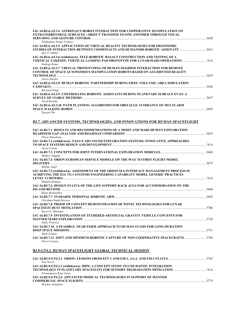| IAC-16.B3.6-A5.3.4 ASTRONAUT-ROBOT INTERACTION FOR COOPERATIVE MANIPULATION ON<br><b>EXTRATERRESTRIAL SURFACES: OBJECT TRANSFER TO ONE ANOTHER THROUGH VISUAL</b>                                          |  |
|------------------------------------------------------------------------------------------------------------------------------------------------------------------------------------------------------------|--|
| Pradyumna Nanda Vyshnav<br>IAC-16.B3.6-A5.3.5 APPLICATION OF VIRTUAL REALITY TECHNOLOGIES FOR ERGONOMIC<br>STUDIES OF INTERACTION BETWEEN COSMONAUTS AND HUMANOID ROBOTIC ASSISTANT 3631<br>Igor G. Sokhin |  |
| IAC-16.B3.6-A5.3.6 (withdrawn) TELE-ROBOTIC BASALT CONSTRUCTION AND TESTING OF A<br>VERTICAL TAKEOFF, VERTICAL LANDING PAD PROTOTYPE FOR LUNAR/MARS OPERATIONS  N/A<br>Rodrigo Romo                        |  |
| IAC-16.B3.6-A5.3.7 VIRTUAL PROTOTYPING OF HUMAN-MASHINE INTERACTION FOR REMOTE<br><b>CONTROL OF SPACE AUTONOMOUS MANIPULATION ROBOTS BASED ON AUGMENTED REALITY</b><br>Alexey Karpov                       |  |
| IAC-16.B3.6-A5.3.8 HUMAN ROBOTIC PARTNERSHIP DURING EIFEL VOLCANIC AREA SIMULATION<br><b>Bernard Foing</b>                                                                                                 |  |
| IAC-16.B3.6-A5.3.9 CONTROLLING ROBOTIC ASSISTANTS DURING PLANETARY SURFACE EVAS: A<br>Yuval Brodsky                                                                                                        |  |
| IAC-16.B3.6-A5.3.10 PATH PLANNING ALGORITHM FOR OBSTACLE AVOIDANCE OF MULTI-ARM<br>Xiaoyu Chu                                                                                                              |  |
| B3.7. ADVANCED SYSTEMS, TECHNOLOGIES, AND INNOVATIONS FOR HUMAN SPACEFLIGHT                                                                                                                                |  |
| IAC-16.B3.7.1 RESULTS AND RECOMMENDATIONS OF A MOON AND MARS HUMAN EXPLORATION<br>Petrus Batenburg                                                                                                         |  |
| IAC-16.B3.7.2 (withdrawn) NASA'S ADVANCED EXPLORATION SYSTEMS: INNOVATIVE APPROACHES<br>Jason Crusan                                                                                                       |  |
| Mathew Duggan                                                                                                                                                                                              |  |
| IAC-16.B3.7.4 ORION EUROPEAN SERVICE MODULE ON THE WAY TO FIRST FLIGHT MODEL<br>Markus Jager                                                                                                               |  |
| IAC-16.B3.7.5 (withdrawn) ASSESSMENT OF THE ORION-SLS INTERFACE MANAGEMENT PROCESS IN<br>ACHIEVING THE EIA 731.1 SYSTEMS ENGINEERING CAPABILITY MODEL GENERIC PRACTICES                                    |  |
| Shamim Rahman<br>IAC-16.B3.7.6 DESIGN STATUS OF THE LIFE SUPPORT RACK ACLS FOR ACCOMMODATION ON THE                                                                                                        |  |
| Klaus Bockstahler<br>Chrishma Singh-Derewa                                                                                                                                                                 |  |
| IAC-16.B3.7.8 PROOF OF CONCEPT DEMONSTRATION OF NOVEL TECHNOLOGIES FOR LUNAR<br>Kavya K. Manyapu                                                                                                           |  |
| IAC-16.B3.7.9 INVESTIGATION OF TETHERED ARTIFICIAL GRAVITY VEHICLE CONCEPTS FOR                                                                                                                            |  |
| <b>Emily Petersen</b><br>IAC-16.B3.7.10 A FEASIBLE, NEAR-TERM APPROACH TO HUMAN STASIS FOR LONG-DURATION                                                                                                   |  |
| Mark Schajer<br>IAC-16.B3.7.11 SOFT AND MINIMUM ROBOTIC CAPTURE OF NON-COOPERATIVE SPACECRAFTS 3748<br>Silvio Cocuzza                                                                                      |  |
| <b>B3.9-GTS.2. HUMAN SPACEFLIGHT GLOBAL TECHNICAL SESSION</b>                                                                                                                                              |  |
|                                                                                                                                                                                                            |  |

| <b>Scot Norris</b>                                                              |      |
|---------------------------------------------------------------------------------|------|
| IAC-16.B3.9-GTS.2.3 (withdrawn) HIPS: A CONCEPT STUDY TO USE HAPTIC INTEGRATION |      |
| TECHNOLOGY IN PLANETARY SPACESUITS FOR SENSORY DEGRADATION MITIGATION           | N/A  |
| Poonampreet Kaur Josan                                                          |      |
| <b>IAC-16.B3.9-GTS.2.4 ADVANCED MEDICAL TECHNOLOGIES IN SUPPORT OF MANNED</b>   |      |
|                                                                                 | 3775 |
| Melchor Antunano                                                                |      |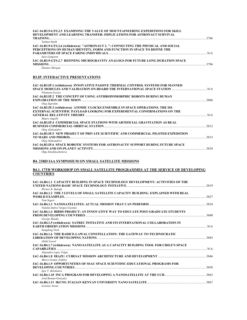| IAC-16.B3.9-GTS.2.5 EXAMINING THE VALUE OF MOUNTAINEERING EXPEDITIONS FOR SKILL                                                                                                                                                                                                                               |  |
|---------------------------------------------------------------------------------------------------------------------------------------------------------------------------------------------------------------------------------------------------------------------------------------------------------------|--|
| DEVELOPMENT AND LEARNING TRANSFER: IMPLICATIONS FOR ASTRONAUT SURVIVAL<br><b>TRAINING</b> [1995] 3786 [1996] 2014 2022 2023 2024 2025 2022 2022 2023 2024 2022 2023 2024 2025 2022 2023 2024 2022 2023 2024 2025 2022 2023 2024 2022 2023 2024 2022 2023 2022 2023 2024 2022 2023 2024 2022 2023 2022 2023 20 |  |
| Nathan Smith                                                                                                                                                                                                                                                                                                  |  |
| IAC-16.B3.9-GTS.2.6 (withdrawn) "ASTRONAUT 2.": CONNECTING THE PHYSICAL AND SOCIAL                                                                                                                                                                                                                            |  |
| PERCEPTIONS ON HUMAN IDENTITY, FORM AND FUNCTION IN SPACE TO DEFINE THE                                                                                                                                                                                                                                       |  |
|                                                                                                                                                                                                                                                                                                               |  |
| Sara Langston                                                                                                                                                                                                                                                                                                 |  |
| IAC-16.B3.9-GTS.2.7 REFINING MICROGRAVITY ANALOGS FOR FUTURE LONG DURATION SPACE                                                                                                                                                                                                                              |  |
|                                                                                                                                                                                                                                                                                                               |  |
| Eleanor Morgan                                                                                                                                                                                                                                                                                                |  |
| <b>B3.IP. INTERACTIVE PRESENTATIONS</b>                                                                                                                                                                                                                                                                       |  |
| IAC-16.B3.IP.1 (withdrawn) INNOVATIVE PASSIVE THERMAL CONTROL SYSTEMS FOR MANNED                                                                                                                                                                                                                              |  |
|                                                                                                                                                                                                                                                                                                               |  |
| Filomena Iorizzo                                                                                                                                                                                                                                                                                              |  |
| IAC-16.B3.IP.2 THE CONCEPT OF USING ANTHROPOMORPHIC ROBOTS DURING HUMAN                                                                                                                                                                                                                                       |  |
| Oleg Saprykin                                                                                                                                                                                                                                                                                                 |  |
| IAC-16.B3.IP.3 (withdrawn) ATOMIC CLOCKS ENSEMBLE IN SPACE OPERATIONS. THE ISS                                                                                                                                                                                                                                |  |
| <b>EXTERNAL SCIENTIFIC PAYLOAD LOOKING FOR EXPERIMENTAL CONFIRMATIONS ON THE</b>                                                                                                                                                                                                                              |  |
|                                                                                                                                                                                                                                                                                                               |  |
| Mauro Augelli                                                                                                                                                                                                                                                                                                 |  |
| IAC-16.B3.IP.4 COMMERCIAL SPACE STATIONS WITH ARTIFICIAL GRAVITATION AS REAL                                                                                                                                                                                                                                  |  |
|                                                                                                                                                                                                                                                                                                               |  |
| Oleg Aleksandrov                                                                                                                                                                                                                                                                                              |  |
| IAC-16.B3.IP.5 NEW PROJECT OF PRIVATE SCIENTIFIC AND COMMERCIAL PILOTED EXPEDITION                                                                                                                                                                                                                            |  |
|                                                                                                                                                                                                                                                                                                               |  |
| Oleg Aleksandrov                                                                                                                                                                                                                                                                                              |  |
| IAC-16.B3.IP.6 SPACE ROBOTIC SYSTEMS FOR ASTRONAUTS' SUPPORT DURING FUTURE SPACE                                                                                                                                                                                                                              |  |
| MISSIONS AND ON-PLANET ACTIVITY. 2318                                                                                                                                                                                                                                                                         |  |
| Olga Emeldvashcheva                                                                                                                                                                                                                                                                                           |  |

# **B4. 23RD IAA SYMPOSIUM ON SMALL SATELLITE MISSIONS**

#### **B4.1. 17TH WORKSHOP ON SMALL SATELLITE PROGRAMMES AT THE SERVICE OF DEVELOPING COUNTRIES**

| IAC-16.B4.1.1 CAPACITY BUILDING IN SPACE TECHNOLOGY DEVELOPMENT: ACTIVITIES OF THE                                                                                                                                             |      |
|--------------------------------------------------------------------------------------------------------------------------------------------------------------------------------------------------------------------------------|------|
| Werner R. Balogh                                                                                                                                                                                                               | 3819 |
| IAC-16.B4.1.2 THE 3 LEVELS OF SMALL SATELLITE CAPACITY BUILDING. EXPLAINED WITH REAL                                                                                                                                           |      |
| WORLD EXAMPLES. The contraction of the contract of the contract of the contract of the contract of the contract of the contract of the contract of the contract of the contract of the contract of the contract of the contrac | 3827 |
| Tom Segert                                                                                                                                                                                                                     |      |
| Natalia Indira Vargas-Cuentas                                                                                                                                                                                                  |      |
| IAC-16.B4.1.4 BIRDS PROJECT: AN INNOVATIVE WAY TO EDUCATE POST-GRADUATE STUDENTS                                                                                                                                               | 3840 |
| George Maeda                                                                                                                                                                                                                   |      |
| IAC-16.B4.1.5 (withdrawn) SATREC INITIATIVE AND ITS INTERNATIONAL COLLABORATION IN<br><b>EARTH OBSERVATION MISSIONS</b>                                                                                                        | N/A  |
| Sungdong Park                                                                                                                                                                                                                  |      |
| IAC-16.B4.1.6 THE RADICE-LAWAL CONSTELLATION: THE GATEWAY TO TECHNOCRATIC                                                                                                                                                      |      |
| Abdul Lawal                                                                                                                                                                                                                    | 3845 |
| IAC-16.B4.1.7 (withdrawn) NANO-SATELLITE AS A CAPACITY BUILDING TOOL FOR CHILE'S SPACE                                                                                                                                         |      |
| Alejandro Lopez Telgie                                                                                                                                                                                                         | N/A  |
| Marco Gomez Jenkins                                                                                                                                                                                                            |      |
| IAC-16.B4.1.9 OPPORTUNITIES OF SSAU SPACE SCIENTIFIC-EDUCATIONAL PROGRAMS FOR                                                                                                                                                  |      |
| DEVELOPING COUNTRIES www.aren.com/article/article/article/article/article/article/article/article/article/article/                                                                                                             | 3858 |
| Igor V. Belokonov                                                                                                                                                                                                              |      |
| Avid Roman-Gonzalez                                                                                                                                                                                                            |      |
|                                                                                                                                                                                                                                |      |
| Lorenzo Arena                                                                                                                                                                                                                  |      |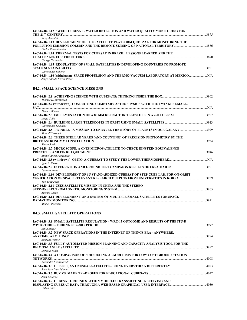| 3875                                                                                    |
|-----------------------------------------------------------------------------------------|
|                                                                                         |
|                                                                                         |
|                                                                                         |
|                                                                                         |
|                                                                                         |
| 3890                                                                                    |
|                                                                                         |
|                                                                                         |
| 3901                                                                                    |
|                                                                                         |
| IAC-16.B4.1.16 (withdrawn) SPACE PROPULSION AND THERMO-VACUUM LABORATORY AT MEXICO  N/A |
|                                                                                         |
|                                                                                         |

# **B4.2. SMALL SPACE SCIENCE MISSIONS**

| Thomas H. Zurbuchen                                                                                                                                                                                                            |      |
|--------------------------------------------------------------------------------------------------------------------------------------------------------------------------------------------------------------------------------|------|
| IAC-16.B4.2.2 (withdrawn) CONDUCTING COMETARY ASTROPHYSICS WITH THE TWINKLE SMALL-                                                                                                                                             |      |
| SAT                                                                                                                                                                                                                            | N/A  |
| Thomas Wilson                                                                                                                                                                                                                  |      |
| 1907-16.B4.2.3 IMPLEMENTATION OF A 80 MM REFRACTOR TELESCOPE IN A 2-U CUBESAT<br>Angel Colin                                                                                                                                   |      |
| <b>Christopher Saunders</b>                                                                                                                                                                                                    |      |
| Marcell Tessenvi                                                                                                                                                                                                               |      |
| IAC-16.B4.2.6 THREE STELLAR YEARS (AND COUNTING) OF PRECISION PHOTOMETRY BY THE<br>Karan Sarda                                                                                                                                 |      |
| IAC-16.B4.2.7 MICROSCOPE, A CNES MICROSATELLITE TO CHECK EINSTEIN EQUIVALENCE                                                                                                                                                  |      |
| Miguel Angel Fernandez                                                                                                                                                                                                         |      |
| Ignacio Barrios                                                                                                                                                                                                                |      |
| Lorenzo Arena                                                                                                                                                                                                                  |      |
| IAC-16.B4.2.10 DEVELOPMENT OF 1U STANDARDIZED CUBESAT OF STEP CUBE LAB. FOR ON-ORBIT                                                                                                                                           |      |
| Tae-Yong Park                                                                                                                                                                                                                  |      |
| IAC-16.B4.2.11 CSES SATELLITE MISSION IN CHINA AND THE STEREO                                                                                                                                                                  |      |
| Xuemin Zhang                                                                                                                                                                                                                   |      |
| IAC-16.B4.2.12 DEVELOPMENT OF A SYSTEM OF MULTIPLE SMALL SATELLITES FOR SPACE                                                                                                                                                  |      |
| RADIATION MONITORING POWER AND THE RESERVE TO A REPORT OF THE RESERVE TO A REPORT OF THE RESERVE TO A REPORT OF THE RESERVE TO A REPORT OF THE RESERVE TO A REPORT OF THE REPORT OF THE RESERVE TO A REPORT OF THE REPORT OF T | 3971 |
| Mikhail Podzolko                                                                                                                                                                                                               |      |

# **B4.3. SMALL SATELLITE OPERATIONS**

| IAC-16.B4.3.1 SMALL SATELLITE REGULATION - WRC-15 OUTCOME AND RESULTS OF THE ITU-R<br>Attila Matas            | 3977 |
|---------------------------------------------------------------------------------------------------------------|------|
| <b>IAC-16.B4.3.2 NEW SPACE OPERATIONS IN THE INTERNET OF THINGS ERA - ANYWHERE,</b><br>Andreas Hornig         | 3984 |
| IAC-16.B4.3.3 FULLY AUTOMATED MISSION PLANNING AND CAPACITY ANALYSIS TOOL FOR THE                             | 3997 |
| Stefania Tonet<br>IAC-16.B4.3.4 A COMPARISON OF SCHEDULING ALGORITHMS FOR LOW COST GROUND STATION<br>NETWORKS | 4008 |
| Alexander Kleinschrodt<br>Juan Jose Diaz Infante                                                              |      |
| John Bellardo                                                                                                 |      |
| IAC-16.B4.3.7 CUBESAT GROUND STATION MODULE: TRANSMITTING, RECEIVING AND<br>Hakon Anes                        |      |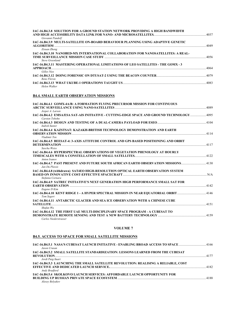| IAC-16.B4.3.8 SOLUTION FOR A GROUND STATION NETWORK PROVIDING A HIGH BANDWIDTH<br>Giovanni Pandolf   | 4037 |
|------------------------------------------------------------------------------------------------------|------|
| IAC-16.B4.3.9 MULTI-SATELLITE ON-BOARD BEHAVIOUR PLANNING USING ADAPTIVE GENETIC                     |      |
| ALGORITHM                                                                                            | 4049 |
| Zixuan Zheng                                                                                         |      |
| IAC-16.B4.3.10 NANOBED-MX INTERNATIONAL COLLABORATION FOR NANOSATELLITES: A REAL-<br>Steve Greenland | 4056 |
| IAC-16.B4.3.11 MASTERING OPERATIONAL LIMITATIONS OF LEO SATELLITES - THE GOMX - 3                    |      |
| APPROACH                                                                                             | 4064 |
| Gilles Nies                                                                                          |      |
| 1079 HAC-16.B4.3.12 DOING FORENSIC ON DTUSAT-2 USING THE BEACON COUNTER<br>Rene Fleron               |      |
|                                                                                                      |      |
| Helen Walker                                                                                         |      |

### **B4.4. SMALL EARTH OBSERVATION MISSIONS**

| IAC-16.B4.4.1 GOMX-4A/B: A FORMATION FLYING PRECURSOR MISSION FOR CONTINUOUS                             |       |
|----------------------------------------------------------------------------------------------------------|-------|
| Jesper A. Larsen                                                                                         | .4089 |
| Carsten Tobehn                                                                                           |       |
| <b>Indrek Sunter</b>                                                                                     |       |
| IAC-16.B4.4.4 KAZSTSAT: KAZAKH-BRITISH TECHNOLOGY DEMONSTRATION AND EARTH                                |       |
| Vladimir Ten<br>IAC-16.B4.4.5 BEESAT-4: 3-AXIS ATTITUDE CONTROL AND GPS BASED POSITIONING AND ORBIT      |       |
| Sascha Weiss                                                                                             |       |
| IAC-16.B4.4.6 HYPERSPECTRAL OBSERVATIONS OF VEGETATION PHENOLOGY AT HOURLY<br>Anton Ivanov               |       |
| Jan Du Plessis                                                                                           |       |
| IAC-16.B4.4.8 (withdrawn) SAT4EO HIGH-RESOLUTION OPTICAL EARTH OBSERVATION SYSTEM<br>Stefania Cornara    | N/A   |
| IAC-16.B4.4.9 SATREC INITIATIVE'S NEXT GENERATION HIGH PERFORMANCE SMALL SAT FOR                         |       |
| Eugene D Kim<br>146 14.10 KENT RIDGE 1 - A HYPER SPECTRAL MISSION IN NEAR EQUATORIAL ORBIT<br>Tom Segert |       |
| IAC-16.B4.4.11 ANTARCTIC GLACIER AND SEA ICE OBSERVATION WITH A CHINESE CUBE<br>Shufan Wu                | 4151  |
| IAC-16.B4.4.12 THE FIRST UAE MULTI-DISCIPLINARY SPACE PROGRAM - A CUBESAT TO<br>Carlos Niederstrasser    |       |

#### **VOLUME 7**

# **B4.5. ACCESS TO SPACE FOR SMALL SATELLITE MISSIONS**

| IAC-16.B4.5.2 SMALL SATELLITE STANDARDIZATION: LESSONS LEARNED FROM THE CUBESAT<br>Jordi Puig-Suari<br>IAC-16.B4.5.3 LAUNCHING THE SMALL SATELLITE REVOLUTION: REALISING A RELIABLE. COST<br>Andy Bradford<br>IAC-16.B4.5.4 SKOLKOVO LAUNCH SERVICES: AFFORDABLE LAUNCH OPPORTUNITY FOR | Jason Crusan    |      |
|-----------------------------------------------------------------------------------------------------------------------------------------------------------------------------------------------------------------------------------------------------------------------------------------|-----------------|------|
|                                                                                                                                                                                                                                                                                         |                 |      |
|                                                                                                                                                                                                                                                                                         |                 |      |
|                                                                                                                                                                                                                                                                                         |                 | 4182 |
|                                                                                                                                                                                                                                                                                         | Alexey Belyakov | 4188 |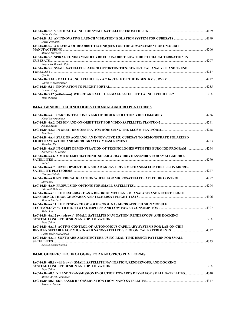| <b>Philip Davies</b>                                                                                                            |      |
|---------------------------------------------------------------------------------------------------------------------------------|------|
| David Pignatelli                                                                                                                |      |
| IAC-16.B4.5.7 A REVIEW OF DE-ORBIT TECHNIQUES FOR THE ADVANCEMENT OF ON-ORBIT<br>Marcus Murbach                                 | 4206 |
| IAC-16.B4.5.8 SPIRAL CONING MANOEUVRE FOR IN-ORBIT LOW THRUST CHARACTERISATION IN<br><b>CUBESATS</b><br>Alejandro Macario Rojas | 4207 |
| IAC-16.B4.5.9 SMALL SATELLITE LAUNCH OPPORTUNITIES: STATISTICAL ANALYSIS AND TREND<br>$\sim$ 42.17<br><b>FORECAST</b><br>Oin Xu |      |
| Carlos Niederstrasser                                                                                                           |      |
| Lauren Wong                                                                                                                     | 4235 |
| Timo Wekerle                                                                                                                    |      |

# **B4.6A. GENERIC TECHNOLOGIES FOR SMALL/MICRO PLATFORMS**

| Nimal Navarathinam                                                                                               |      |
|------------------------------------------------------------------------------------------------------------------|------|
| Junhua Xiang                                                                                                     |      |
| Tom Segert                                                                                                       |      |
| IAC-16.B4.6A.4 STAR OF AOXIANG: AN INNOVATIVE 12U CUBESAT TO DEMONSTRATE POLARIZED<br>Xiaozhou Yu                | 4253 |
| IAC-16.B4.6A.5 IN-ORBIT DEMONSTRATION OF TECHNOLOGIES WITH THE EURO IOD PROGRAM 4264<br>Norbert M. K. Lemke      |      |
| IAC-16.B4.6A.6 A MICRO-MECHATRONIC SOLAR ARRAY DRIVE ASSEMBLY FOR SMALL/MICRO-<br>Rui Li                         | 4270 |
| IAC-16.B4.6A.7 DEVELOPMENT OF A SOLAR ARRAY DRIVE MECHANISM FOR THE USE ON MICRO-                                |      |
| Giorgos Galatis<br>IAC-16.B4.6A.8 SPHERICAL REACTION WHEEL FOR MICROSATELLITE ATTITUDE CONTROL 4287<br>Linvu Zhu |      |
| Elizabeth Driscoll                                                                                               |      |
| IAC-16.B4.6A.10 THE EXO-BRAKE AS A DE-ORIBT MECHANISM: ANALYSIS AND RECENT FLIGHT<br>Marcus Murbach              |      |
| IAC-16.B4.6A.11 THE RESEARCH OF SOLID COOL GAS MICRO-PROPULSION MODULE<br>Xuhui Liu                              |      |
| IAC-16.B4.6A.12 (withdrawn) SMALL SATELLITE NAVIGATION, RENDEZVOUS, AND DOCKING<br>Ervn Culton                   | N/A  |
| IAC-16.B4.6A.13 ACTIVE CONTROL OF AUTONOMOUS CAPILLARY SYSTEMS FOR LAB-ON-CHIP<br>Pablo Rodriguez Llorca         |      |
| IAC-16.B4.6A.14 SOFTWARE ARCHITECTURE USING REAL-TIME DESIGN PATTERN FOR SMALL<br>SATELLITES                     | 4333 |
| Aayush Kumar Singha                                                                                              |      |

# **B4.6B. GENERIC TECHNOLOGIES FOR NANO/PICO PLATFORMS**

| IAC-16.B4.6B.1 (withdrawn) SMALL SATELLITE NAVIGATION, RENDEZVOUS, AND DOCKING   |      |
|----------------------------------------------------------------------------------|------|
|                                                                                  | N/A  |
| Ervn Culton                                                                      |      |
| 142-16.B4.6B.2 X BAND TRANSMISSION EVOLUTION TOWARDS DBV-S2 FOR SMALL SATELLITES |      |
| Miguel Angel Fernandez                                                           |      |
|                                                                                  | 4347 |
| Jesper A. Larsen                                                                 |      |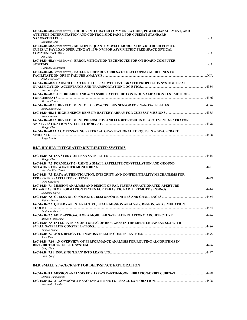| IAC-16.B4.6B.4 (withdrawn) HIGHLY INTEGRATED COMMUNICATIONS, POWER MANAGEMENT, AND<br><b>ATTITUDE DETERMINATION AND CONTROL SIDE PANEL FOR CUBESAT STANDARD</b>                                                                                                                                                                            |      |
|--------------------------------------------------------------------------------------------------------------------------------------------------------------------------------------------------------------------------------------------------------------------------------------------------------------------------------------------|------|
| Sebastan Grau                                                                                                                                                                                                                                                                                                                              | N/A  |
| IAC-16.B4.6B.5 (withdrawn) MULTIPLE-QUANTUM-WELL MODULATING-RETRO-REFLECTOR                                                                                                                                                                                                                                                                |      |
| <b>CUBESAT PAYLOAD OPERATING AT 1070 NM FOR ASYMMETRIC FREE-SPACE OPTICAL</b><br><b>COMMUNICATIONS</b><br>Jan Stupl                                                                                                                                                                                                                        | N/A  |
| IAC-16.B4.6B.6 (withdrawn) ERROR MITIGATION TECHNIQUES FOR ON-BOARD COMPUTER<br>Fernando Rodriguez                                                                                                                                                                                                                                         | N/A  |
| IAC-16.B4.6B.7 (withdrawn) FAILURE FRIENDLY CUBESATS: DEVELOPING GUIDELINES TO<br><b>FACILITATE ON-ORBIT FAILURE ANALYSIS EXAMPLE AND RESIDENCE AND RESIDENCE AND RESIDENCE AND RESIDENCE AND RESIDENCE AND RESIDENCE AND RESIDENCE AND RESIDENCE AND RESIDENCE AND RESIDENCE AND RESIDENCE AND RESIDENCE AND RESI</b><br>Jordi Puig-Suari | N/A  |
| IAC-16.B4.6B.8 LAUNCH OF A 3 UNIT CUBESAT WITH INTEGRATED PROPULSION SYSTEM: D-SAT<br>Alessio Fanfani                                                                                                                                                                                                                                      | 4354 |
| IAC-16.B4.6B.9 AFFORDABLE AND ACCESSIBLE ATTITUDE CONTROL VALIDATION TEST METHODS<br>Maxim Clarke                                                                                                                                                                                                                                          | 4366 |
| Andrea Antonello                                                                                                                                                                                                                                                                                                                           |      |
| Ronnie Nader                                                                                                                                                                                                                                                                                                                               | 4385 |
| IAC-16.B4.6B.12 DEVELOPMENT PHILOSOPHY AND FLIGHT RESULTS OF ARC EVENT GENERATOR<br>Mengu Cho                                                                                                                                                                                                                                              | 4398 |
| IAC-16.B4.6B.13 COMPENSATING EXTERNAL GRAVITATIONAL TORQUES IN A SPACECRAFT<br>SIMULATOR.<br>Jorge Prado                                                                                                                                                                                                                                   | 4408 |

# **B4.7. HIGHLY INTEGRATED DISTRIBUTED SYSTEMS**

| Mengu Cho                                                                                                          |      |
|--------------------------------------------------------------------------------------------------------------------|------|
| IAC-16.B4.7.2 FORMOSAT-7 - USING A SMALL SATELLITE CONSTELLATION AND GROUND<br>Alex Da Silva Curiel                |      |
| IAC-16.B4.7.3 DATA AUTHENTICATION, INTEGRITY AND CONFIDENTIALITY MECHANISMS FOR                                    |      |
| Olga Korobova<br>IAC-16.B4.7.4 MISSION ANALYSIS AND DESIGN OF FAR FLYERS (FRACTIONATED-APERTURE<br>Salvatore Sarno |      |
| Stefano Spereta                                                                                                    |      |
| IAC-16.B4.7.6 OUSAD - AN INTERACTIVE, SPACE MISSION ANALYSIS, DESIGN, AND SIMULATION<br>Benjamin Grzesik           | 4464 |
| Merlin F. Barschke                                                                                                 |      |
| IAC-16.B4.7.8 INTEGRATED MONITORING OF REFUGEES IN THE MEDITERRANEAN SEA WITH<br>Andrea Zuanet                     |      |
| Jaan Viru                                                                                                          |      |
| IAC-16.B4.7.10 AN OVERVIEW OF PERFORMANCE ANALYSIS FOR ROUTING ALGORITHMS IN<br>Oing Chen                          | 4496 |
| 1497 - 16.B4.7.11 INFUSING 'LEAN' INTO LEANSATS<br>Etim Ofong                                                      |      |

# **B4.8. SMALL SPACECRAFT FOR DEEP-SPACE EXPLORATION**

| IAC-16.B4.8.1 MISSION ANALYSIS FOR JAXA'S EARTH-MOON LIBRATION-ORBIT CUBESAT | 4498 |
|------------------------------------------------------------------------------|------|
| Stefano Campagnola                                                           |      |
|                                                                              | 4508 |
| Alessandro Lambert                                                           |      |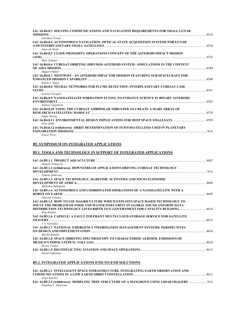| IAC-16.B4.8.3 SOLVING COMMUNICATIONS AND NAVIGATION REQUIREMENTS FOR SMALL LUNAR<br><b>MISSIONS</b> | 4516 |
|-----------------------------------------------------------------------------------------------------|------|
| Jonathan Friend                                                                                     |      |
| IAC-16,B4.8.4 AUTONOMOUS NAVIGATION: OPTICAL STATE ACQUISITION SYSTEMS FOR LUNAR                    | 4524 |
| Amin Ali Mody                                                                                       |      |
| IAC-16.B4.8.5 CLOSE-PROXIMITY OPERATIONS CONCEPT OF THE ASTEROID IMPACT MISSION                     |      |
| Marc Scheper                                                                                        | 4536 |
| IAC-16.B4.8.6 CUBESAT ORBITING DIDYMOS ASTEROID SYSTEM - SIMULATIONS IN THE CONTEXT                 |      |
|                                                                                                     | 4544 |
| Mugurel Balan                                                                                       |      |
| IAC-16.B4.8.7 NEOTWIST - AN ASTEROID IMPACTOR MISSION FEATURING SUB-SPACECRAFT FOR                  |      |
| Kilian A. Engel                                                                                     | 4548 |
| IAC-16.B4.8.8 NEURAL NETWORKS FOR PLUME DETECTION: INTERPLANETARY CUBESAT CASE                      |      |
|                                                                                                     | 4561 |
| Lorenzo Feruglio                                                                                    |      |
| IAC-16.B4.8.9 NANOSATELLITE FORMATION FLYING TO ENHANCE SCIENCE IN BINARY ASTEROID                  |      |
| ENVIRONMENT <b>EXAMPLE 2018</b> THE RESERVE ENVIRONMENT <b>EXAMPLE 2019</b>                         | 4565 |
| Andrea Capannolo                                                                                    |      |
| IAC-16.B4.8.10 USING THE CUBESAT AMBIPOLAR THRUSTER TO CREATE A MARS ARRAY OF                       |      |
| <b>Edgar Bering</b>                                                                                 | 4578 |
|                                                                                                     |      |
| Peter Kahn                                                                                          |      |
| IAC-16.B4.8.12 (withdrawn) ORBIT DETERMINATION OF FEMTOSATELLITES USED IN PLANETARY                 |      |
|                                                                                                     | N/A  |
| <b>Tracie Perez</b>                                                                                 |      |

# **B5. SYMPOSIUM ON INTEGRATED APPLICATIONS**

# **B5.1. TOOLS AND TECHNOLOGY IN SUPPORT OF INTEGRATED APPLICATIONS**

| Daniele Trimarchi                                                                                                                                                                    |      |
|--------------------------------------------------------------------------------------------------------------------------------------------------------------------------------------|------|
| IAC-16.B5.1.2 (withdrawn) DOWNSTREAM APPLICATIONS DRIVING CUBESAT TECHNOLOGY                                                                                                         |      |
| Pamela Anderson                                                                                                                                                                      |      |
| IAC-16.B5.1.3 SPACE TECHNOLOGY, MARITIME ACTIVITIES AND SOCIO ECONOMIC                                                                                                               | 4608 |
| Abubakar Babagana                                                                                                                                                                    |      |
| IAC-16.B5.1.4 AUTONOMOUS AND COORDINATED OPERATIONS OF A NANOSATELLITE WITH A                                                                                                        | 4609 |
| Eduardo Valadez                                                                                                                                                                      |      |
| <b>IAC-16.B5.1.5 HOW TO USE MAGRICULTURE WHICH EXPLOITS SPACE BASED TECHNOLOGY TO</b>                                                                                                |      |
| SOLVE THE PROBLEM OF FOOD AND WATER INSECURITY IN GLOBAL SOUTH AND HOW DATA<br>DISTRIBUTION TECHNOLOGY GIVES BIRTH TO E-GOVERNMENT FOR CAPACITY BUILDING. 4614<br><b>King Kumire</b> |      |
| IAC-16.B5.1.6 CAPSULE: A FAULT-TOLERANT MULTI-CLOUD STORAGE SERVICE FOR SATELLITE                                                                                                    | 4615 |
| J. L. Gonzalez                                                                                                                                                                       |      |
| IAC-16.B5.1.7 NATIONAL EMERGENCY INFORMATION MANAGEMENT SYSTEMS: PERSPECTIVES<br>Murthy Remilla                                                                                      | 4616 |
| <b>IAC-16.B5.1.8 SPACE ORBITING SPECTROSCOPY TO CHARACTERIZE AEROSOL EMISSIONS OF</b>                                                                                                |      |
| <b>Hector Vargas</b>                                                                                                                                                                 | 4618 |
| David Finkleman                                                                                                                                                                      |      |

## **B5.2. INTEGRATED APPLICATIONS END-TO-END SOLUTIONS**

| IAC-16.B5.2.1 INTELLIGENT SPACE INFRASTRUCTURE. INTEGRATING EARTH OBSERVATION AND       |      |
|-----------------------------------------------------------------------------------------|------|
|                                                                                         | 4631 |
| Jorge Sanchez                                                                           |      |
| IAC-16.B5.2.2 (withdrawn) MODELING TREE STRUCTURE OF A MANGROVE USING LIDAR IMAGERY N/A |      |
| Jonathan V. Solorzano                                                                   |      |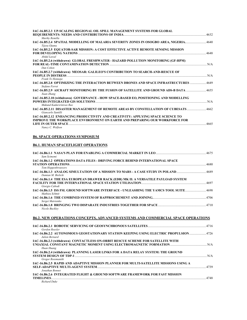| IAC-16.B5.2.3 UP-SCALING REGIONAL OIL SPILL MANAGEMENT SYSTEMS FOR GLOBAL                                  |      |
|------------------------------------------------------------------------------------------------------------|------|
|                                                                                                            | 4632 |
| Murthy Remilla                                                                                             |      |
| 1440 IAC-16.B5.2.4 SPATIAL MODELLING OF MALARIA SEVERITY ZONES IN OSOGBO AREA, NIGERIA4640<br>Tijesu Ojumu |      |
| IAC-16.B5.2.5 EQUATOR-SAR MISSION: A COST EFFECTIVE ACTIVE REMOTE SENSING MISSION                          | 4648 |
| Abdul Lawal                                                                                                |      |
| IAC-16.B5.2.6 (withdrawn) GLOBAL FRESHWATER - HAZARD POLLUTION MONITORING (GF-HPM)                         |      |
| Dan Cohen                                                                                                  | N/A  |
| IAC-16.B5.2.7 (withdrawn) MEOSAR: GALILEO'S CONTRIBUTION TO SEARCH-AND-RESCUE OF                           | N/A  |
| Frank Te Hennepe                                                                                           |      |
| 1449 IAC-16.B5.2.8 OPTIMIZING THE INTERACTION BETWEEN DRONES AND SPACE INFRASTRUCTURES<br>Stefano Ferret   |      |
| 1455 IAC-16.B5.2.9 AICRAFT MONITORING BY THE FUSION OF SATELLITE AND GROUND ADS-B DATA<br>Xuan Zhang       |      |
| IAC-16.B5.2.10 (withdrawn) GOVERNANCE - HOW SPACE-BASED EO, POSITIONING AND MODELLING                      | N/A  |
| Mukund Kadursriniyas Rao                                                                                   |      |
| IAC-16.B5.2.11 DISASTER MANAGEMENT OF REMOTE AREAS BY CONSTELLATION OF CUBESATS<br>Giancarlo Santilli      | 4662 |
| IAC-16.B5.2.12 ENHANCING PRODUCTIVITY AND CREATIVITY: APPLYING SPACE SCIENCE TO                            |      |
| IMPROVE THE WORKPLACE ENVIRONMENT ON EARTH AND PREPARING OUR WORKFORCE FOR                                 |      |
| LIFE IN OUTER SPACE.<br>Nancy C. Wolfson                                                                   | 4665 |

**B6. SPACE OPERATIONS SYMPOSIUM**

### **B6.1. HUMAN SPACEFLIGHT OPERATIONS**

| Sam Scimemi                                                                                                      |     |
|------------------------------------------------------------------------------------------------------------------|-----|
| IAC-16.B6.1.2 OPERATIONS DATA FILES - DRIVING FORCE BEHIND INTERNATIONAL SPACE                                   |     |
| Tom Hoppenbrouwers                                                                                               |     |
| Damian M. Bielicki                                                                                               |     |
| IAC-16.B6.1.4 THE ESA EUROPEAN DRAWER RACK (EDR) MK II: A VERSATILE PAYLOAD SYSTEM                               |     |
| Giorgio Cabodi                                                                                                   |     |
| Mathieu Schmit                                                                                                   |     |
| Sergei Matvienko                                                                                                 |     |
| Nicole Buckley                                                                                                   |     |
| <b>B6.2. NEW OPERATIONS CONCEPTS, ADVANCED SYSTEMS AND COMMERCIAL SPACE OPERATIONS</b>                           |     |
| Gordon Roesler                                                                                                   |     |
| IAC-16.B6.2.2 AUTONOMOUS GEOSTATIONARY STATION KEEPING USING ELECTRIC PROPULSION 4726<br>Julien Bernard          |     |
| IAC-16.B6.2.3 (withdrawn) CONTACTLESS ON-ORBIT RESCUE SCHEME FOR SATELLITE WITH                                  |     |
| Huan Huang                                                                                                       |     |
| IAC-16.B6.2.4 (withdrawn) PLANNING LASER LINKS FOR A DATA RELAY SYSTEM: THE GROUND                               |     |
|                                                                                                                  | N/A |
| Gregor Rossmanith<br>LLC 17 DZ 4 E. DA DID AND ADA DTIVE MISSION DI ANNED EOD MIII TI SATELLITE MISSIONS HSIMC A |     |
|                                                                                                                  |     |

**IAC-16.B6.2.5 RAPID AND ADAPTIVE MISSION PLANNER FOR MULTI-SATELLITE MISSIONS USING A SELF-ADAPTIVE MULTI-AGENT SYSTEM**........................................................................................................................................4739 *Jonathan Bonnet*  **IAC-16.B6.2.6 INTEGRATED FLIGHT & GROUND SOFTWARE FRAMEWORK FOR FAST MISSION TIMELINES**..................................................................................................................................................................................................4748 *Richard Duke*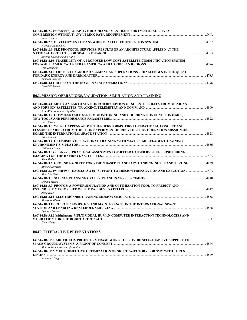| IAC-16.B6.2.7 (withdrawn) ADAPTIVE REARRANGEMENT BASED HKTM-STORAGE DATA<br>Rahul Mishra                       |  |
|----------------------------------------------------------------------------------------------------------------|--|
| Hirovuki Nagamatsu                                                                                             |  |
| IAC-16.B6.2.9 SLE PROTOCOL SERVICES: RESULTS OF AN ARCHITECTURE APPLIED AT THE<br>Antonio Cassiano Julio Filho |  |
| IAC-16.B6.2.10 FEASIBILITY OF A PROPOSED LOW COST SATELLITE COMMUNICATION SYSTEM<br>Ivan Lavlinski             |  |
| IAC-16.B6.2.11 THE EUCLID GROUND SEGMENT AND OPERATIONS - CHALLENGES IN THE OUEST<br>Andreas Rudolph           |  |
| David Finkleman                                                                                                |  |

# **B6.3. MISSION OPERATIONS, VALIDATION, SIMULATION AND TRAINING**

| IAC-16.B6.3.1 MEXICAN EARTH STATION FOR RECEPTION OF SCIENTIFIC DATA FROM MEXICAN         |      |
|-------------------------------------------------------------------------------------------|------|
| Jose Alberto Ramirez Aguilar                                                              | 4809 |
| IAC-16.B6.3.2 COSMO-SKYMED SYSTEM MONITORING AND COORDINATION FUNCTION (FMCS):            |      |
|                                                                                           | 4822 |
| Luca Fasano                                                                               |      |
| IAC-16.B6.3.3 WHAT HAPPENS ABOVE THUNDERSTORMS: FIRST OPERATIONAL CONCEPT AND             |      |
| LESSONS LEARNED FROM THE THOR EXPERIMENT DURING THE SHORT DURATION MISSION ON-            |      |
|                                                                                           | 4828 |
| Alice Michel                                                                              |      |
| IAC-16.B6.3.4 OPTIMISING OPERATIONAL TRAINING WITH 'MATES': MULTI-AGENT TRAINING          |      |
| Guillaume Tanier                                                                          | 4836 |
| IAC-16.B6.3.5 (withdrawn) PRACTICAL ASSESSMENT OF JITTER CAUSED BY FUEL SLOSH DURING      |      |
| IMAGING FOR THE RAPIDEYE SATELLITES                                                       | N/A  |
| Kam Shahid                                                                                |      |
| 14839 HAC-16.B6.3.6 GROUND FACILITY FOR VISION BASED PLANETARY LANDING: SETUP AND TESTING |      |
| Michele Lavagna                                                                           |      |
|                                                                                           |      |
| Maurizio Costa                                                                            |      |
| Donald Merrit                                                                             |      |
| IAC-16.B6.3.9 PROTOS: A POWER SIMULATION AND OPTIMIZATION TOOL TO PREDICT AND             |      |
|                                                                                           |      |
| Jesse Ever                                                                                |      |
|                                                                                           |      |
| Mateo Aquilano                                                                            |      |
| IAC-16.B6.3.11 ROBOTIC LOGISTICS AND MAINTENANCE ON THE INTERNATIONAL SPACE               |      |
| <b>Lyndsey Poynter</b>                                                                    |      |
| IAC-16.B6.3.12 (withdrawn) MULTIMODAL HUMAN-COMPUTER INTERACTION TECHNOLOGIES AND         |      |
|                                                                                           | N/A  |
| Chen Meng                                                                                 |      |
|                                                                                           |      |

# **B6.IP. INTERACTIVE PRESENTATIONS**

| <b>IAC-16.B6.IP.1 ARCTIC FOX PROJECT - A FRAMEWORK TO PROVIDE SELF-ADAPTIVE SUPPORT TO</b> |      |
|--------------------------------------------------------------------------------------------|------|
|                                                                                            | 4874 |
| Moacyr Gonmalves Cereja Junior                                                             |      |
| <b>IAC-16.B6.IP.2 MULTIOBJECTIVE OPTIMIZATION OF SKIP TRAJECTORY FOR SMV WITH THRUST</b>   |      |
| <b>ENGINE</b>                                                                              | 4879 |
| Yangang Liang                                                                              |      |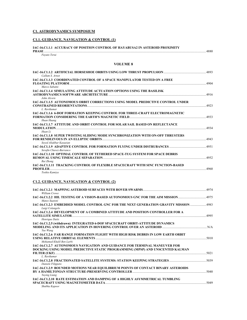### **C1. ASTRODYNAMICS SYMPOSIUM**

## **C1.1. GUIDANCE, NAVIGATION & CONTROL (1)**

### **IAC-16.C1.1.1 ACCURACY OF POSITION CONTROL OF HAYABUSA2 IN ASTEROID PROXIMITY**

| PHASE                     | 000<br>⊷പ |
|---------------------------|-----------|
| <sup>t-</sup> uvuto Terui |           |

#### **VOLUME 8**

| Callum S. Arnot                                                                                                                                      |      |
|------------------------------------------------------------------------------------------------------------------------------------------------------|------|
| IAC-16.C1.1.3 COORDINATED CONTROL OF A SPACE MANIPULATOR TESTED ON A FREE<br>Marco Sabatni                                                           | 4904 |
| <b>IAC-16.C1.1.4 SIMULATING ATTITUDE ACTUATION OPTIONS USING THE BASILISK</b><br>John Alcorn                                                         |      |
| IAC-16.C1.1.5 AUTONOMOUS ORBIT CORRECTIONS USING MODEL PREDICTIVE CONTROL UNDER<br>L. Ravikumar                                                      | 4923 |
| <b>IAC-16.C1.1.6 6-DOF FORMATION KEEPING CONTROL FOR THREE-CRAFT ELECTROMAGNETIC</b><br>Huan Huang                                                   |      |
| <b>IAC-16.C1.1.7 ATTITUDE AND ORBIT CONTROL FOR SOLAR SAIL BASED ON REFLECTANCE</b><br><b>MODULATION</b> 4934<br>Huan Li                             |      |
| <b>IAC-16.C1.1.8 SUPER TWISTING SLIDING MODE SYNCHRONIZATION WITH ON-OFF THRUSTERS</b><br>Seved Aliakbar Kasaeian                                    |      |
| Serafin Chavez-Barranco                                                                                                                              |      |
| IAC-16.C1.1.10 OPTIMAL CONTROL OF TETHERED SPACE-TUG SYSTEM FOR SPACE DEBRIS<br>REMOVAL USING TIMESCALE SEPARATION <b>EXECUTE:</b> 4952<br>Rui Zhong |      |
| IAC-16.C1.1.11 TRACKING CONTROL OF FLEXIBLE SPACECRAFT WITH SINC FUNCTION-BASED<br>Toshio Kamiva                                                     | 4960 |

### **C1.2. GUIDANCE, NAVIGATION & CONTROL (2)**

| William Crowe                                                                                                                                               |      |
|-------------------------------------------------------------------------------------------------------------------------------------------------------------|------|
| Mateo Suatoni                                                                                                                                               |      |
| IAC-16.C1.2.3 EMBEDDED MODEL CONTROL GNC FOR THE NEXT GENERATION GRAVITY MISSION  4983<br>Luigi Colangelo                                                   |      |
| IAC-16.C1.2.4 DEVELOPMENT OF A COMBINED ATTITUDE AND POSITION CONTROLLER FOR A<br>Henrique Daitx                                                            |      |
| IAC-16.C1.2.5 (withdrawn) INTEGRATED 6-DOF SPACECRAFT ORBIT-ATTITUDE DYNAMICS<br>Yue Wang                                                                   |      |
| IAC-16.C1.2.6 FAR RANGE FORMATION FLIGHT WITH HIGH RISK DEBRIS IN LOW EARTH ORBIT<br>Mohamed Khalil Ben Larbi                                               |      |
| IAC-16.C1.2.7 AUTONOMOUS NAVIGATION AND GUIDANCE FOR TERMINAL MANEUVER FOR<br>DOCKING USING MODEL PREDICTIVE STATIC PROGRAMMING (MPSP) AND UNSCENTED KALMAN | 5021 |
| L. Ravikumar<br>Daniele Filippeto                                                                                                                           |      |
| IAC-16.C1.2.9 BOUNDED MOTIONS NEAR EQUILIBRIUM POINTS OF CONTACT BINARY ASTEROIDS<br><b>Yuving Liang</b>                                                    |      |
| IAC-16.C1.2.10 RATE ESTIMATION AND DAMPING OF A HIGHLY ASYMMETRICAL TUMBLING<br>Shubha Kapoor                                                               |      |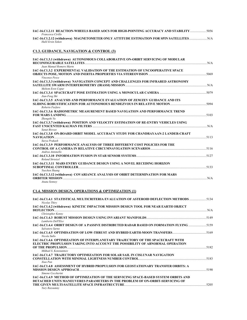| Francesca Cirillo |                                                                                          |  |
|-------------------|------------------------------------------------------------------------------------------|--|
|                   | IAC-16.C1.2.12 (withdrawn) MAGNETOMETER ONLY ATTITUDE ESTIMATION FOR SPIN SATELLITES N/A |  |
| Halil Ersin Soken |                                                                                          |  |

## **C1.3. GUIDANCE, NAVIGATION & CONTROL (3)**

| IAC-16.C1.3.1 (withdrawn) AUTONOMOUS COLLABORATIVE ON-ORBIT SERVICING OF MODULAR                                 |       |
|------------------------------------------------------------------------------------------------------------------|-------|
| Juan Manuel Romero Martn                                                                                         |       |
| IAC-16.C1.3.2 EXPERIMENTAL VALIDATION OF THE ESTIMATION OF UNCOOPERATIVE SPACE<br>Vincenzo Pesce                 | .5069 |
| IAC-16.C1.3.3 (withdrawn) NAVIGATION CONCEPT AND CHALLENGES FOR INFRARED ASTRONOMY<br>Meltem Eren Copur          |       |
| Jian-Feng Shi                                                                                                    |       |
| IAC-16.C1.3.5 ANALYSIS AND PERFORMANCE EVALUATION OF ZEM/ZEV GUIDANCE AND ITS<br>Roberto Furfaro                 |       |
| IAC-16.C1.3.6 RADIOMETRIC MEASUREMENT BASED NAVIGATION AND PERFORMANCE TREND<br>Zhengshi Yu                      | .5103 |
| IAC-16.C1.3.7 (withdrawn) POSITION AND VELOCITY ESTIMATION OF RE-ENTRY VEHICLES USING<br>Sanat Biswas            |       |
| IAC-16.C1.3.8 ON-BOARD ORBIT MODEL ACCURACY STUDY FOR CHANDRAYAAN-2 LANDER-CRAFT                                 |       |
| Surva Prakash<br>IAC-16.C1.3.9 PERFORMANCE ANALYSIS OF THREE DIFFERENT COST POLICIES FOR THE<br>Andrea Antonello |       |
| Roland Strietzel                                                                                                 |       |
| IAC-16.C1.3.11 MARS ENTRY GUIDANCE DESIGN USING A NOVEL RECEDING HORIZON<br>Yuechen Huang                        |       |
| IAC-16.C1.3.12 (withdrawn) COVARIANCE ANALYSIS OF ORBIT DETERMINATION FOR MARS<br><b>ORBITER MISSION</b>         |       |
| Anata Sonney                                                                                                     |       |

## **C1.4. MISSION DESIGN, OPERATIONS & OPTIMIZATION (1)**

| 134-16.C1.4.1 STATISTICAL MULTICRITERIA EVALUATION OF ASTEROID DEFLECTION METHODS<br>Nicolas Thiry                                                              |      |
|-----------------------------------------------------------------------------------------------------------------------------------------------------------------|------|
| IAC-16.C1.4.2 (withdrawn) KINETIC IMPACTOR MISSION DESIGN TOOL FOR NEAR EARTH OBJECT                                                                            |      |
| Christopher Kenny                                                                                                                                               |      |
| Lamberto Dell'Elce                                                                                                                                              |      |
| IAC-16.C1.4.4 ORBIT DESIGN OF A PASSIVE DISTRIBUTED RADAR BASED ON FORMATION FLYING 5159<br>Salvatore Sarno                                                     |      |
| Nicola Sullo                                                                                                                                                    |      |
| IAC-16.C1.4.6 OPTIMIZATION OF INTERPLANETARY TRAJECTORY OF THE SPACECRAFT WITH<br>ELECTRIC PROPULSION TAKING INTO ACCOUNT THE POSSIBILITY OF ABNORMAL OPERATION |      |
| Mikhail S. Konstantnov                                                                                                                                          |      |
| IAC-16.C1.4.7  TRAJECTORY OPTIMIZATION FOR SOLAR SAIL IN CISLUNAR NAVIGATION                                                                                    |      |
| Xiao Pan                                                                                                                                                        |      |
| IAC-16.C1.4.8 ASSESSMENT OF HYBRID PROPULSION FOR GEOSTATIONARY TRANSFER ORBITS: A<br>Simone Ceccherini                                                         | 5190 |
| IAC-16.C1.4.9 METHOD OF OPTIMIZATION OF THE SERVICING SPACE-BASED SYSTEM ORBITS AND                                                                             |      |
| DETACHED UNITS MANEUVERES PARAMETERS IN THE PROBLEM OF ON-ORBIT-SERVICING OF                                                                                    |      |
| Yury Razoumny                                                                                                                                                   |      |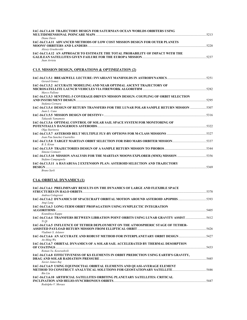| IAC-16.C1.4.10 TRAJECTORY DESIGN FOR SATURNIAN OCEAN WORLDS ORBITERS USING                                                  |  |
|-----------------------------------------------------------------------------------------------------------------------------|--|
| Diane Davis                                                                                                                 |  |
| IAC-16.C1.4.11 ADVANCED METHODS OF LOW COST MISSION DESIGN FOR OUTER PLANETS                                                |  |
| Alexev Grushevskii                                                                                                          |  |
| IAC-16.C1.4.12 AN APPROACH TO ESTIMATE THE TOTAL PROBABILITY OF IMPACT WITH THE<br>Juan Arrieta                             |  |
| C1.5. MISSION DESIGN, OPERATIONS & OPTIMIZATION (2)                                                                         |  |
| Gerard Gomez                                                                                                                |  |
| IAC-16.C1.5.2 ACCURATE MODELING AND NEAR OPTIMAL ASCENT TRAJECTORY OF                                                       |  |
| Marco Pallone                                                                                                               |  |
| IAC-16.C1.5.3 SENTINEL-3 COVERAGE-DRIVEN MISSION DESIGN: COUPLING OF ORBIT SELECTION                                        |  |
| 5295                                                                                                                        |  |
| Stefania Cornara<br>IAC-16.C1.5.4 DESIGN OF RETURN TRANSFERS FOR THE LUNAR POLAR SAMPLE RETURN MISSION 5307<br>Juan L. Cano |  |
| Takayuki Yamamoto                                                                                                           |  |
| IAC-16.C1.5.6 OPTIMAL CONTROL OF SOLAR SAIL SPACE SYSTEM FOR MONITORING OF                                                  |  |
| Olga Starinova                                                                                                              |  |
| Joan Pau Sanchez Cuartelles                                                                                                 |  |
| B. S. Kiran                                                                                                                 |  |
| Simone Centuori                                                                                                             |  |
| IAC-16.C1.5.10 MISSION ANALYSIS FOR THE MARTIAN MOONS EXPLORER (MMX) MISSION 5356<br>Stefano Campagnola                     |  |
| IAC-16.C1.5.11 A HAYABUSA 2 EXTENSION PLAN: ASTEROID SELECTION AND TRAJECTORY                                               |  |

*Bruno Sarli* 

## **C1.6. ORBITAL DYNAMICS (1)**

| IAC-16.C1.6.1 PRELIMINARY RESULTS ON THE DYNAMICS OF LARGE AND FLEXIBLE SPACE                                  | 5378 |
|----------------------------------------------------------------------------------------------------------------|------|
| Andrea Colagrossi                                                                                              |      |
| IAC-16.C1.6.2 DYNAMICS OF SPACECRAFT ORBITAL MOTION AROUND ASTEROID APOPHIS5393<br>Angi Lang                   |      |
| IAC-16.C1.6.3 LONG-TERM ORBIT PROPAGATION USING SYMPLECTIC INTEGRATION<br><b>ALGORITHMS</b>                    | 5405 |
| Koundinya Kuppa                                                                                                |      |
| IAC-16.C1.6.4 TRANSFERS BETWEEN LIBRATION POINT ORBITS USING LUNAR GRAVITY ASSIST<br>Yi Qi                     | 5412 |
| <b>IAC-16.C1.6.5 INFLUENCE OF TETHER DEPLOYMENT ON THE ATMOSPHERIC STAGE OF TETHER-</b><br>Vladimir S. Aslanov | 5426 |
| 14C-16.C1.6.6 AN ACCURATE AND ROBUST METHOD FOR INTERPLANETARY ORBIT DESIGN<br>$An$ -Ming Wu                   |      |
| IAC-16.C1.6.7 ORBITAL DYNAMICS OF A SOLAR SAIL ACCELERATED BY THERMAL DESORPTION<br>Roman Ya. Kezerashvili     | 5433 |
| IAC-16.C1.6.8 EFFECTIVENESS OF KS ELEMENTS IN ORBIT PREDICTION USING EARTH'S GRAVITY,                          | 5445 |
| Xavier James Rai<br>IAC-16.C1.6.9 USING EQUINOCTIAL ORBITAL ELEMENTS AND QUASI-AVERAGE ELEMENT                 |      |
| <b>Bin Liu</b>                                                                                                 | 5446 |
| IAC-16.C1.6.10 ARTIFICIAL SATELLITES ORBITING PLANETARY SATELLITES: CRITICAL                                   | 5447 |
| Rodolpho V. Moraes                                                                                             |      |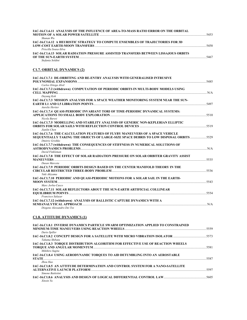| IAC-16.C1.6.11 ANALYSIS OF THE INFLUENCE OF AREA-TO-MASS RATIO ERROR ON THE ORBITAL        |      |
|--------------------------------------------------------------------------------------------|------|
|                                                                                            | 5453 |
| Shunan Wu                                                                                  |      |
| <b>IAC-16.C1.6.12 A HEURISTIC STRATEGY TO COMPUTE ENSEMBLES OF TRAJECTORIES FOR 3D</b>     |      |
|                                                                                            | 5458 |
| Priscilla Sousa-Silva                                                                      |      |
| <b>IAC-16.C1.6.13 SOLAR RADIATION PRESSURE ASSISTED TRANSFERS BETWEEN LISSAJOUS ORBITS</b> |      |
|                                                                                            | 5467 |
| Stefania Soldini                                                                           |      |

## **C1.7. ORBITAL DYNAMICS (2)**

| IAC-16.C1.7.1 DE-ORBITING AND RE-ENTRY ANALYSIS WITH GENERALISED INTRUSIVE             |       |
|----------------------------------------------------------------------------------------|-------|
| Carlos Ortega Absil                                                                    | .5485 |
| IAC-16.C1.7.2 (withdrawn) COMPUTATION OF PERIODIC ORBITS IN MULTI-BODY MODELS USING    |       |
|                                                                                        | N/A   |
| Dayung Koh                                                                             |       |
| IAC-16.C1.7.3 MISSION ANALYSIS FOR A SPACE WEATHER MONITORING SYSTEM NEAR THE SUN-     |       |
|                                                                                        |       |
| Aurelie Heriter                                                                        |       |
| IAC-16.C1.7.4 QUASI-PERIODIC INVARIANT TORI OF TIME-PERIODIC DYNAMICAL SYSTEMS:        |       |
|                                                                                        |       |
| Nicola Baresi                                                                          |       |
| IAC-16.C1.7.5 MODELLING AND STABILITY ANALYSIS OF GENERIC NON-KEPLERIAN ELLIPTIC       |       |
|                                                                                        |       |
| Jianlin Chen                                                                           |       |
| IAC-16.C1.7.6 THE CALCULATION FEATURES OF FLYBY MANEUVERS OF A SPACE VEHICLE           |       |
| SEQUENTIALLY TAKING THE OBJECTS OF LARGE-SIZE SPACE DEBRIS TO LOW DISPOSAL ORBITS 5529 |       |
| Dmitriy Grishko                                                                        |       |
| IAC-16.C1.7.7 (withdrawn) THE CONSEQUENCES OF STIFFNESS IN NUMERICAL SOLUTIONS OF      |       |
| David Finkleman                                                                        |       |
| IAC-16.C1.7.8 THE EFFECT OF SOLAR RADIATION PRESSURE ON SOLAR ORBITER GRAVITY ASSIST   |       |
| . 5535                                                                                 |       |
| Dusan Marceta                                                                          |       |
| IAC-16.C1.7.9 PERIODIC ORBITS DESIGN BASED ON THE CENTER MANIFOLD THEORY IN THE        |       |
|                                                                                        |       |
| Yuki Akiyama                                                                           |       |
| IAC-16.C1.7.10 PERIODIC AND QUASI-PERIODIC MOTIONS FOR A SOLAR SAIL IN THE EARTH-      |       |
| <b>MOON SYSTEM</b>                                                                     |       |
| Marc Jorba-Cusco                                                                       |       |
| IAC-16.C1.7.11 SOLAR REFLECTORS ABOUT THE SUN-EARTH ARTIFICIAL COLLINEAR               |       |
|                                                                                        |       |
| Francisco Salazar                                                                      |       |
| IAC-16.C1.7.12 (withdrawn) ANALYSIS OF BALLISTIC CAPTURE DYNAMICS WITH A               |       |
| SEMIANALYTICAL APPROACH                                                                | N/A   |
| Diogene Alessandro Dei Tos                                                             |       |

### **C1.8. ATTITUDE DYNAMICS (1)**

| IAC-16.C1.8.1 INVERSE DYNAMICS PARTICLE SWARM OPTIMIZATION APPLIED TO CONSTRAINED<br>Dario Spiller        |      |
|-----------------------------------------------------------------------------------------------------------|------|
|                                                                                                           |      |
| Takuma Shibata<br><b>IAC-16.C1.8.3 TOROUE DISTRIBUTION ALGORITHM FOR EFFECTIVE USE OF REACTION WHEELS</b> | 5581 |
| Mikihiro Sugita<br>IAC-16.C1.8.4 USING AERODYNAMIC TOROUES TO AID DETUMBLING INTO AN AEROSTABLE           |      |
| Zhou Hao                                                                                                  | 5587 |
| IAC-16.C1.8.5 AN ATTITUDE DETERMINATION AND CONTROL SYSTEM FOR A NANO-SATELLITE                           | 5597 |
| Simone Battistini<br>Xinxin Yu                                                                            |      |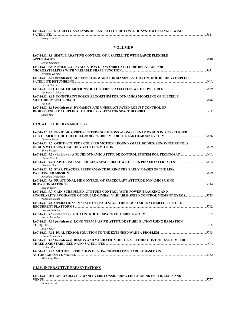#### **IAC-16.C1.8.7 STABILITY ANALYSIS OF 3-AXIS ATTITUDE CONTROL SYSTEM OF SINGLE WING SATELLITE**..................................................................................................................................................................................................5611

*Yeong-Wei Wu* 

### **VOLUME 9**

| IAC-16.C1.8.8 SIMPLE ADAPTIVE CONTROL OF A SATELLITE WITH LARGE FLEXIBLE                                                                                                                                |  |
|---------------------------------------------------------------------------------------------------------------------------------------------------------------------------------------------------------|--|
| Derek Gransden                                                                                                                                                                                          |  |
| IAC-16.C1.8.9 NUMERICAL EVALUATION OF ON-ORBIT ATTITUDE BEHAVIOR FOR<br>Kyosuke Tawara                                                                                                                  |  |
| IAC-16.C1.8.10 (withdrawn) ACS FEED-FORWARD FOR MANIPULATOR CONTROL DURING COUPLED<br><b>Barret Dillow</b>                                                                                              |  |
| Vladimir S. Aslanov                                                                                                                                                                                     |  |
| IAC-16.C1.8.12 CONSTRAINT FORCE ALGORITHM FOR DYNAMICS MODELING OF FLEXIBLE<br>Fei Liu                                                                                                                  |  |
| IAC-16.C1.8.13 (withdrawn) DYNAMICS AND UNDERACTUATED ROBUST CONTROL OF<br>Liang Sun                                                                                                                    |  |
| <b>C1.9. ATTITUDE DYNAMICS (2)</b>                                                                                                                                                                      |  |
| IAC-16.C1.9.1 PERIODIC ORBIT-ATTITUDE SOLUTIONS ALONG PLANAR ORBITS IN A PERTURBED<br>Lorenzo Bucci                                                                                                     |  |
| IAC-16.C1.9.2 ORBIT-ATTITUDE COUPLED MOTION AROUND SMALL BODIES: SUN-SYNCHRONOUS<br><b>ORBITS WITH SUN-TRACKING ATTITUDE MOTION AND DESCRIPTION AND DESCRIPTION OF A SECOND ASSESS</b><br>Shota Kikuchi |  |
| Daniel Noack                                                                                                                                                                                            |  |
| 14C-16.C1.9.4 CAPTURING AND DOCKING SPACECRAFT WITH FLUX PINNED INTERFACES  5684<br><b>Frances Zhu</b>                                                                                                  |  |
| IAC 16 C1 0.5. STAD TD ACKED DEDEODMANCE DIDING THE FADI V DHASES OF THE LISA.                                                                                                                          |  |

| Daniel Noack                                                                                                                                                   |      |
|----------------------------------------------------------------------------------------------------------------------------------------------------------------|------|
|                                                                                                                                                                |      |
| <b>Frances Zhu</b><br><b>IAC-16.C1.9.5 STAR TRACKER PERFORMANCE DURING THE EARLY PHASES OF THE LISA</b>                                                        |      |
| <b>PATHFINDER MISSION</b>                                                                                                                                      | 5699 |
| Jonathan Grzymisch                                                                                                                                             |      |
| IAC-16.C1.9.6 FRACTIONAL PID CONTROL OF SPACECRAFT ATTITUDE DYNAMICS USING                                                                                     |      |
|                                                                                                                                                                |      |
| <b>Eric Butcher</b>                                                                                                                                            |      |
| <b>IAC-16.C1.9.7 GAIN-SCHEDULED ATTITUDE CONTROL WITH POWER TRACKING AND</b><br>SINGULARITY AVOIDANCE OF DOUBLE-GIMBAL VARIABLE-SPEED CONTROL MOMENT GYROS5728 |      |
| Takahiro Sasaki                                                                                                                                                |      |
| <b>IAC-16.C1.9.8 OPERATIONS IN SPACE OF SPACESTAR: THE NEW STAR TRACKER FOR FUTURE</b>                                                                         |      |
|                                                                                                                                                                |      |
| Franco Boldrini                                                                                                                                                |      |
| Alexev Malashin                                                                                                                                                |      |
| IAC-16.C1.9.10 (withdrawn) LONG TERM PASSIVE ATTITUDE STABILISATION USING RADIATION                                                                            |      |
|                                                                                                                                                                |      |
| <b>Stuart Grev</b>                                                                                                                                             |      |
| Daniel Condurache                                                                                                                                              |      |
| IAC-16.C1.9.12 (withdrawn) DESIGN AND VALIDATION OF THE ATTITUDE CONTROL SYSTEM FOR                                                                            |      |
|                                                                                                                                                                |      |
| Dechao Ran                                                                                                                                                     |      |
| <b>IAC-16.C1.9.13 MOTION PREDICTION OF NON-COOPERATIVE TARGET BASED ON</b>                                                                                     |      |
|                                                                                                                                                                | 5752 |
| Mingming Wang                                                                                                                                                  |      |

### **C1.IP. INTERACTIVE PRESENTATIONS**

| IAC-16.C1.IP.1 AERO-GRAVITY MANEUVERS CONSIDERING LIFT AROUND EERTH, MARS AND |  |
|-------------------------------------------------------------------------------|--|
| <b>VENUS</b>                                                                  |  |
| Antonio Prado                                                                 |  |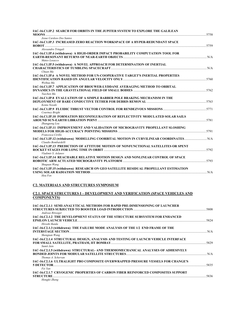| IAC-16.C1.IP.2 SEARCH FOR ORBITS IN THE JUPITER SYSTEM TO EXPLORE THE GALILEAN<br>5758                                                                                                   |  |
|------------------------------------------------------------------------------------------------------------------------------------------------------------------------------------------|--|
| Josue Cardoso Dos Santos                                                                                                                                                                 |  |
| IAC-16.C1.IP.3 INCREASED ZERO REACTION WORKSPACE OF A HYPER-REDUNDANT SPACE                                                                                                              |  |
| Alessandro Tringali                                                                                                                                                                      |  |
| IAC-16.C1.IP.4 (withdrawn) A HIGH-ORDER IMPACT PROBABILITY COMPUTATION TOOL FOR<br>Mateo Losacco                                                                                         |  |
| IAC-16.C1.IP.5 (withdrawn) A NOVEL APPROACH FOR DETERMINATION OF INERTIAL                                                                                                                |  |
| Chuan Ma                                                                                                                                                                                 |  |
| IAC-16.C1.IP.6 A NOVEL METHOD FOR UN-COOPERATIVE TARGET'S INERTIAL PROPERTIES                                                                                                            |  |
| Weihua Ma                                                                                                                                                                                |  |
| IAC-16.C1.IP.7 APPLICATION OF BROUWER-LYDDANE AVERAGING METHOD TO ORBITAL<br>Yuechen Ma                                                                                                  |  |
| IAC-16.C1.IP.8 EVALUATION OF A SIMPLE BARBER POLE BRAKING MECHANISM IN THE<br>Kenta Nozaki                                                                                               |  |
| Courtney Bright                                                                                                                                                                          |  |
| IAC-16.C1.IP.10 FORMATION RECONFIGURATION OF REFLECTIVITY MODULATED SOLAR SAILS<br>Zhangpeng Lou                                                                                         |  |
| IAC-16.C1.IP.11 IMPROVEMENT AND VALIDATION OF MICROGRAVITY PROPELLANT SLOSHING<br>Francesca Cirillo                                                                                      |  |
| Claudio Bombardelli                                                                                                                                                                      |  |
| IAC-16.C1.IP.13 PREDICTION OF ATTITUDE MOTION OF NONFUNCTIONAL SATELLITES OR SPENT<br>Vladimir S. Aslanov                                                                                |  |
| IAC-16.C1.IP.14 REACHABLE RELATIVE MOTION DESIGN AND NONLINEAR CONTROL OF SPACE<br>Shuquan Wang                                                                                          |  |
| IAC-16.C1.IP.15 (withdrawn) RESEARCH ON GEO SATELLITE RESIDUAL PROPELLANT ESTIMATION<br>USING SOLAR RADIATION METHOD <b>METHOD CONSUMING THE CONSUMING SOLAR RADIATION</b> ME<br>Hou Fen |  |

## **C2. MATERIALS AND STRUCTURES SYMPOSIUM**

### **C2.1. SPACE STRUCTURES I – DEVELOPMENT AND VERIFICATION (SPACE VEHICLES AND COMPONENTS)**

| IAC-16.C2.1.1 SEMI-ANALYTICAL METHODS FOR RAPID PRE-DIMENSIONING OF LAUNCHER                     |      |
|--------------------------------------------------------------------------------------------------|------|
|                                                                                                  | 5808 |
| Andreas Ritweger<br>IAC-16.C2.1.2 THE DEVELOPMENT STATUS OF THE STRUCTURE SUBSYSTEM FOR ENHANCED |      |
| <b>EPSILON LAUNCH VEHICLE</b>                                                                    | 5824 |
| Hiroshi Ikaida                                                                                   |      |
| IAC-16.C2.1.3 (withdrawn) THE FAILURE MODE ANALYSIS OF THE 1/2 END FRAME OF THE                  |      |
|                                                                                                  | N/A  |
| Shengnan Wang                                                                                    |      |
| IAC-16.C2.1.4 STRUCTURAL DESIGN, ANALYSIS AND TESTING OF LAUNCH VEHICLE INTERFACE                |      |
| Sumit Jain                                                                                       | 5829 |
| IAC-16.C2.1.5 (withdrawn) STRUCTURAL- AND THERMOMECHANICAL ANALYSES OF ADHESIVELY                |      |
|                                                                                                  | N/A  |
| Thomas A. Schervan                                                                               |      |
| IAC-16.C2.1.6 ULTRALIGHT PBO COMPOSITE OVERWRAPPED PRESSURE VESSELS FOR CHANGE'S                 |      |
| <b>5 DETECTOR</b><br>Fei Yan                                                                     | 5835 |
| <b>IAC-16.C2.1.7 CRYOGENIC PROPERTIES OF CARBON FIBER REINFORCED COMPOSITES SUPPORT</b>          |      |
| <b>STRUCTURE</b>                                                                                 | 5836 |
| Hongfei Zheng                                                                                    |      |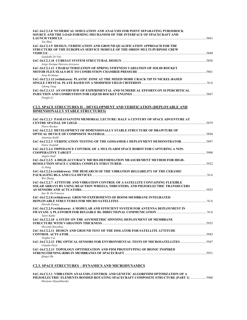| IAC-16.C2.1.8 NUMERICAL SIMULATION AND ANALYSIS FOR POINT SEPARATING PYROSHOCK<br>SOURCE AND THE LOAD FORMING MECHANISM OF THE INTERFACE OF SPACECRAFT AND                               |  |
|------------------------------------------------------------------------------------------------------------------------------------------------------------------------------------------|--|
| Xin Zhao<br>IAC-16.C2.1.9 DESIGN, VERIFICATION AND GROUND QUALIFICATION APPROACH FOR THE<br>STRUCTURE OF THE EUROPEAN SERVICE MODULE OF THE ORION MULTI-PURPOSE CREW                     |  |
| Gandolfo Di Vita<br>Jorge Enrique Herrera-Arroyave                                                                                                                                       |  |
| IAC-16.C2.1.11 CHARACTERIZATION OF SPRING STIFFNESS VARIATION OF SOLID ROCKET<br>Arun Krishnan                                                                                           |  |
| IAC-16.C2.1.12 (withdrawn) PLASTIC ZONE AT THE MIXED MODE CRACK TIP IN NICKEL-BASED<br>Lihong Yang                                                                                       |  |
| IAC-16.C2.1.13  AN OVERVIEW OF EXPERIMENTAL AND NUMERICAL EFFORTS ON SUPERCRITICAL<br>Pengfei Li                                                                                         |  |
| <b>C2.2. SPACE STRUCTURES II – DEVELOPMENT AND VERIFICATION (DEPLOYABLE AND</b><br><b>DIMENSIONALLY STABLE STRUCTURES)</b>                                                               |  |
| IAC-16.C2.2.1 PAOLO SANTINI MEMORIAL LECTURE: HALF A CENTURY OF SPACE ADVENTURE AT<br>Pierre Rochus                                                                                      |  |
| IAC-16.C2.2.2 DEVELOPMENT OF DIMENSIONALLY STABLE STRUCTURE OF DRAWTUBE OF<br>Antonina Kulik                                                                                             |  |
| 1987-16.C2.2.3 VERIFICATION TESTING OF THE GOSSAMER-1 DEPLOYMENT DEMONSTRATOR<br>Patric Seefeldt                                                                                         |  |
| IAC-16.C2.2.4 IMPEDANCE CONTROL OF A MULTI-ARM SPACE ROBOT FOR CAPTURING A NON-<br>Angelo Stolf                                                                                          |  |
| IAC-16.C2.2.5 A HIGH-ACCURACY MICRO-DEFORMATION MEASUREMENT METHOD FOR HIGH-<br>Li Jiang                                                                                                 |  |
| IAC-16.C2.2.6 (withdrawn) THE RESEARCH OF THE VIBRATION RELIABILITY OF THE CERAMIC<br>Wei Zhang                                                                                          |  |
| IAC-16.C2.2.7 ATTITUDE AND VIBRATION CONTROL OF A SATELLITE CONTAINING FLEXIBLE<br>SOLAR ARRAYS BY USING REACTION WHEELS, THRUSTERS, AND PIEZOELECTRIC TRANSDUCERS<br>Ijar M. Da Fonseca |  |
| IAC-16.C2.2.8 (withdrawn) GROUND EXPERIMENTS OF BOOM-MEMBRANE INTEGRATED<br>Hiroshi Furuva                                                                                               |  |
| IAC-16.C2.2.9 (withdrawn) A MODULAR AND EFFICIENT SYSTEM FOR ANTENNA DEPLOYMENT IN<br>Tanvi Katke                                                                                        |  |
| IAC-16.C2.2.10 A STUDY ON THE ASYMMETRIC SPINNING DEPLOYMENT OF MEMBRANE<br>Hiroyuki Kinoshita                                                                                           |  |
| IAC-16.C2.2.11 DESIGN AND GROUND TEST OF THE ISOLATOR FOR SATELLITE ATTITUDE<br>Yinghui Cui                                                                                              |  |
| IAC-16.C2.2.12 FBG OPTICAL SENSORS FOR ENVIRONMENTAL TESTS OF MICROSATELLITES 5947<br>Claudio Paris                                                                                      |  |
| IAC-16.C2.2.13 TOPOLOGY OPTIMIZATION AND FDM PROTOTYPING OF BIONIC INSPIRED<br>Oingxi Hu                                                                                                 |  |

### **C2.3. SPACE STRUCTURES – DYNAMICS AND MICRODYNAMICS**

**IAC-16.C2.3.1 VIBRATION ANALYSIS, CONTROL AND GENETIC ALGORITHM OPTIMIZATION OF A PIEZOELECTRIC ELEMENTS BONDED ROTATING SPACECRAFT COMPOSITE STRUCTURE (PART 1)** ....................5960 *Harijono Djojodihardjo*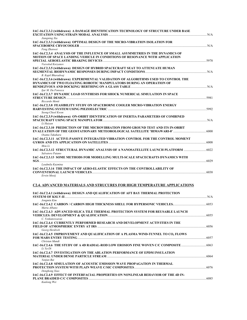| IAC-16.C2.3.2 (withdrawn) A DAMAGE IDENTIFICATION TECHNOLOGY OF STRUCTURE UNDER BASE                                                                                                |  |
|-------------------------------------------------------------------------------------------------------------------------------------------------------------------------------------|--|
| Jiangning Xia<br>IAC-16.C2.3.3 (withdrawn) OPTIMAL DESIGN OF THE MICRO-VIBRATION ISOLATION FOR                                                                                      |  |
| Feng Zhenwei                                                                                                                                                                        |  |
| IAC-16.C2.3.4 ANALYSIS OF THE INFLUENCE OF SMALL ASYMMETRIES IN THE DYNAMICS OF<br>MOTION OF SPACE LANDING VEHICLE IN CONDITIONS OF RESONANCE WITH APPLICATION<br>Vsevolod Koryanov |  |
| IAC-16.C2.3.5 (withdrawn) DESIGN OF HYBRID SPACECRAFT SEAT TO ATTENUATE HUMAN<br>B. Kapil Bharadwaj                                                                                 |  |
| IAC-16.C2.3.6 (withdrawn) EXPERIMENTAL VALIDATION OF ALGORITHMS USED TO CONTROL THE<br>DYNAMICS OF TWO FLOATING ROBOTIC MANIPULATORS DURING AN OPERATION OF<br>Ijar M. Da Fonseca   |  |
| IAC-16.C2.3.7 DYNAMIC LOAD SYNTHESIS FOR SHOCK NUMERICAL SIMULATION IN SPACE                                                                                                        |  |
| Riccardo Monti<br>IAC-16.C2.3.8 FEASIBILITY STUDY ON SPACEBORNE COOLER MICRO-VIBRATION ENERGY                                                                                       |  |
| Seong-Cheol Kwon<br>IAC-16.C2.3.9 (withdrawn) ON-ORBIT IDENTIFICATION OF INERTIA PARAMETERS OF COMBINED<br>Li Haiyan                                                                |  |
| IAC-16.C2.3.10 PREDICTION OF THE MICROVIBRATION FROM GROUND TEST AND ITS IN-ORBIT<br>Osamu Takahara                                                                                 |  |
| IAC-16.C2.3.11  ACTIVE-PASSIVE INTEGRATED VIBRATION CONTROL FOR THE CONTROL MOMENT<br>Mou Li                                                                                        |  |
| Salvatore Paiano                                                                                                                                                                    |  |
| IAC-16.C2.3.13 SOME METHODS FOR MODELLING MULTI-SCALE SPACECRAFTS DYNAMICS WITH                                                                                                     |  |
| Lyudmila Kuzmina<br>IAC-16.C2.3.14 THE IMPACT OF AERO-ELASTIC EFFECTS ON THE CONTROLLABILITY OF<br>Erwin Mooij                                                                      |  |
| <u>C2.4. ADVANCED MATERIALS AND STRUCURES FOR HIGH TEMPERATURE APPLICATIONS</u>                                                                                                     |  |
| IAC-16.C2.4.1 (withdrawn) DESIGN AND QUALIFICATION OF AFT BAY THERMAL PROTECTION<br>Jongmin Kim                                                                                     |  |
| Marta Albano                                                                                                                                                                        |  |
| IAC-16.C2.4.3 ADVANCED SILICA TILE THERMAL PROTECTION SYSTEM FOR REUSABLE LAUNCH<br>C. Venkateswaran                                                                                |  |
| IAC-16.C2.4.4  CURRENTLY PERFORMED RESEARCH AND DEVELOPMENT ACTIVITIES IN THE<br>Georg Herdrich                                                                                     |  |
| IAC-16.C2.4.5  IMPROVEMENT AND QUALIFICATION OF A PLASMA WIND-TUNNEL TO CO, FLOWS<br>Christan Mundt                                                                                 |  |
| IAC-16.C2.4.6 THE STUDY OF A 4D RADIAL-ROD LOW EROSION FINE WOVEN C/C COMPOSITE<br>Li Ya-Di                                                                                         |  |
| IAC-16.C2.4.7 INVESTIGATION ON THE ABLATION PERFORMANCE OF EPDM INSULATION<br>Yanjun Bai                                                                                            |  |
| IAC-16.C2.4.8 SIMULATION OF ACOUSTIC EMISSION WAVE PROPAGATION IN THERMAL<br>Denghong Xiao                                                                                          |  |
| IAC-16.C2.4.9 EFFECT OF INTERFACIAL PROPERTIES ON NONLINEAR BEHAVIOR OF THE 4D IN-<br>Kunlong Wei                                                                                   |  |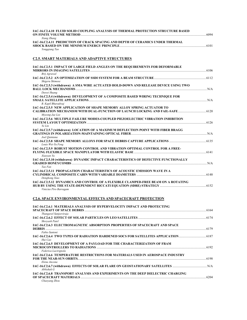| IAC-16.C2.4.10 FLUID SOLID COUPLING ANALYSIS OF THERMAL PROTECTION STRUCTURE BASED<br>Xiang Zhang           |  |
|-------------------------------------------------------------------------------------------------------------|--|
| IAC-16.C2.4.11 PREDICTION OF CRACK SPACING AND DEPTH OF CERAMICS UNDER THERMAL<br>Yonggiang Tao             |  |
| <b>C2.5. SMART MATERIALS AND ADAPTIVE STRUCTURES</b>                                                        |  |
| IAC-16.C2.5.1 IMPACT OF LARGE FIELD ANGLES ON THE REQUIREMENTS FOR DEFORMABLE<br>Brij Agrawal               |  |
| Shigeru Shimose                                                                                             |  |
| IAC-16.C2.5.3 (withdrawn) A SMA WIRE ACTUATED HOLD-DOWN AND RELEASE DEVICE USING TWO<br>Dawei Huang         |  |
| IAC-16.C2.5.4 (withdrawn) DEVELOPMENT OF A COMPOSITE BASED WIRING TECHNIQUE FOR<br>B. Kapil Bharadwai       |  |
| IAC-16.C2.5.5 NEW APPLICATION OF SHAPE MEMORY ALLOY SPRING ACTUATOR TO<br>Myeong-Jae Lee                    |  |
| IAC-16.C2.5.6 MULTIPLE FAILURE MODES-COUPLED PIEZOELECTRIC VIBRATION INHIBITION<br>Ye Lin                   |  |
| IAC-16.C2.5.7 (withdrawn) LOCATION OF A MAXIMUM DEFLECTION POINT WITH FIBER BRAGG<br>Joel Ouintana          |  |
| Louis Wei-Yu Feng                                                                                           |  |
| IAC-16.C2.5.9 ROBUST MOTION CONTROL AND VIBRATION OPTIMAL CONTROL FOR A FREE-<br>Xiaovan Yu                 |  |
| IAC-16.C2.5.10 (withdrawn) DYNAMIC IMPACT CHARACTERISTICS OF DEFECTIVE FUNCTIONALLY<br>Tao Fan              |  |
| IAC-16.C2.5.11 PROPAGATION CHARACTERISTICS OF ACOUSTIC EMISSION WAVE IN A<br>Denghong Xiao                  |  |
| IAC-16.C2.5.12 DYNAMICS AND CONTROL OF A FLEXIBLE CLAMPED-FREE BEAM ON A ROTATING<br>Vinicius Piro Barragam |  |
| <b>C2.6. SPACE ENVIRONMENTAL EFFECTS AND SPACECRAFT PROTECTION</b>                                          |  |
| IAC-16.C2.6.1 MATERIALS ANALYSIS OF HYPERVELOCITY IMPACT AND PROTECTING                                     |  |

| 140-196269.1-1941 BNAD9 ABAD 1919 OF 1111 BN FEOCH FIBITACT ABD TNOTECTIBU              |      |
|-----------------------------------------------------------------------------------------|------|
|                                                                                         |      |
| Thangavel Sanjeeviraja                                                                  |      |
| Shrevash Patel                                                                          |      |
| IAC-16.C2.6.3 ELECTROMAGNETIC ABSORPTION PROPERTIES OF SPACECRAFT AND SPACE             |      |
| <b>DEBRIS</b>                                                                           |      |
| Fabio Santoni                                                                           |      |
| 1876. [6] IAC-16.C2.6.4 TWO TYPES OF RADIATION HARDENED SOCS FOR SATELLITES APPLICATION |      |
| Hui Cao                                                                                 |      |
| IAC-16.C2.6.5 DEVELOPMENT OF A PAYLOAD FOR THE CHARACTERIZATION OF FRAM                 |      |
|                                                                                         |      |
| Federica Lacirignola                                                                    |      |
| IAC-16.C2.6.6 TEMPERATURE RESTRICTIONS FOR MATERIALS USED IN AEROSPACE INDUSTRY         |      |
|                                                                                         | 6198 |
| Elena Ancona                                                                            |      |
|                                                                                         |      |
| Abbishek G                                                                              |      |
| IAC-16.C2.6.8 TRANSPORT ANALYSIS AND EXPERIMENTS ON THE DEEP DIELECTRIC CHARGING        |      |
| OF SPACECRAFT MATERIALS.                                                                | 6204 |
| Chaoyang Zhou                                                                           |      |
|                                                                                         |      |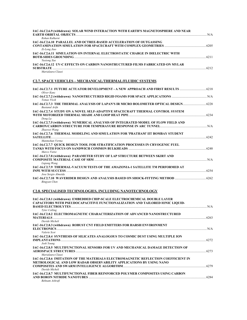| IAC-16.C2.6.9 (withdrawn) SOLAR WIND INTERACTION WITH EARTH'S MAGNETOSPHERE AND NEAR  |      |
|---------------------------------------------------------------------------------------|------|
|                                                                                       | N/A  |
| Rohan Kulkarni                                                                        |      |
| <b>IAC-16.C2.6.10 PARALLEL AND OCTREE-BASED ACCELERATION OF OUTGASSING</b>            |      |
|                                                                                       |      |
| Zi-Long Jiao                                                                          |      |
| <b>IAC-16.C2.6.11 SIMULATION ON INTERNAL ELECTROSTATIC CHARGE IN DIELECTRIC WITH</b>  |      |
|                                                                                       | 6211 |
| <i>Yuxiong Xue</i>                                                                    |      |
| <b>IAC-16.C2.6.12 UV-C EFFECTS ON CARBON NANOSTRUCTURED FILMS FABRICATED ON MYLAR</b> |      |
|                                                                                       |      |
|                                                                                       |      |

*Marialaura Clausi* 

# **C2.7. SPACE VEHICLES – MECHANICAL/THERMAL/FLUIDIC SYSTEMS**

| 14C-16.C2.7.1 FUTURE ACTUATOR DEVELOPMENT - A NEW APPROACH AND FIRST RESULTS  6218<br>Oliver Kunz             |      |
|---------------------------------------------------------------------------------------------------------------|------|
| Tomas Vlcek                                                                                                   |      |
| IAC-16.C2.7.3 THE THERMAL ANALYSIS OF LAPAN'S IR MICRO BOLOMETER OPTICAL DESIGN 6228<br><b>Bustanul Arifn</b> |      |
| IAC-16.C2.7.4 STUDY ON A NOVEL SELF-ADAPTIVE SPACECRAFT THERMAL CONTROL SYSTEM                                |      |
| Dong La                                                                                                       |      |
| IAC-16.C2.7.5 (withdrawn) NUMERICAL ANALYSIS OF INTEGRATED MODEL OF FLOW FIELD AND                            |      |
| Zhaowei Wang                                                                                                  |      |
| IAC-16.C2.7.6 THERMAL MODELING AND SIMULATION FOR 'PRATHAM' IIT BOMBAY STUDENT                                |      |
| Manmohan Verma                                                                                                |      |
| IAC-16.C2.7.7 QUICK DESIGN TOOL FOR STRATIFICATION PROCESSES IN CRYOGENIC FUEL                                |      |
| Marco Vietze                                                                                                  |      |
| IAC-16.C2.7.8 (withdrawn) PARAMETER STUDY OF LAP STRUCTURE BETWEEN SKIRT AND                                  |      |
| Ligiang Wang                                                                                                  |      |
| IAC-16.C2.7.9 THERMAL-VACUUM TESTS OF THE AMAZONIA-1 SATELLITE TM PERFORMED AT                                |      |
|                                                                                                               | 6254 |
| Jose Sergio Almeida                                                                                           |      |
|                                                                                                               |      |
| Bingyan Chen                                                                                                  |      |

# **C2.8. SPECIALISED TECHNOLOGIES, INCLUDING NANOTECHNOLOGY**

| IAC-16.C2.8.1 (withdrawn) EMBEDDED CHIP-SCALE ELECTROCHEMICAL DOUBLE LAYER           |      |
|--------------------------------------------------------------------------------------|------|
| <b>CAPACITORS WITH PSEUDOCAPACITIVE FUNCTIONALIZATION AND TAILORED IONIC LIQUID-</b> |      |
| <b>Tyler Colling</b>                                                                 |      |
| IAC-16.C2.8.2 ELECTROMAGNETIC CHARACTERIZATION OF ADVANCED NANOSTRUCTURED            |      |
|                                                                                      | 6263 |
| Davide Micheli                                                                       |      |
| IAC-16.C2.8.3 (withdrawn) ROBUST CNT FIELD EMITTERS FOR HARSH ENVIRONMENT            |      |
| <i>Valerie Scot</i>                                                                  |      |
| IAC-16.C2.8.4 SYNTHESIS OF SILICATES ANALOGOUS TO COSMIC DUST USING MULTIPLE ION     |      |
| Josh Young                                                                           |      |
| IAC-16.C2.8.5 MULTIFUNCTIONAL SENSORS FOR UV AND MECHANICAL DAMAGE DETECTION OF      |      |
|                                                                                      |      |
| Marialaura Clausi                                                                    |      |
| IAC-16.C2.8.6 IMITATION OF THE MATERIALS ELECTROMAGNETIC REFLECTION COEFFICIENT IN   |      |
| METROLOGICAL AND LOW RADAR OBSERVABILITY APPLICATIONS BY USING NANO                  |      |
| Davide Micheli                                                                       |      |
| IAC-16.C2.8.7 MULTIFUNCTIONAL FIBER REINFORCED POLYMER COMPOSITES USING CARBON       |      |
|                                                                                      | 6284 |
| Behnam Ashrafi                                                                       |      |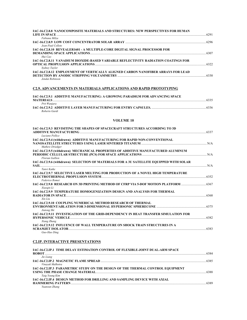| IAC-16.C2.8.8 NANOCOMPOSITE MATERIALS AND STRUCTURES: NEW PERSPECTIVES FOR HUMAN   |      |
|------------------------------------------------------------------------------------|------|
|                                                                                    | 6291 |
| Fabiana Milza                                                                      |      |
| Jean-Paul Collete                                                                  |      |
| IAC-16.C2.8.10 REVEALER1601 - A MULTIPLE-CORE DIGITAL SIGNAL PROCESSOR FOR         |      |
| Hui Cao                                                                            | 6307 |
| IAC-16.C2.8.11 VANADIUM DIOXIDE-BASED VARIABLE REFLECTIVITY RADIATION COATINGS FOR | 6322 |
| Sydney Taylor                                                                      |      |
| IAC-16.C2.8.12 EMPLOYMENT OF VERTICALLY ALIGNED CARBON NANOFIBER ARRAYS FOR LEAD   |      |
| Jendai Robinson                                                                    |      |
| C2.9. ADVANCEMENTS IN MATERIALS APPLICATIONS AND RAPID PROTOTYPING                 |      |
|                                                                                    |      |

| <b>IAC-16.C2.9.1 ADDITIVE MANUFACTURING: A GROWING PARADIGM FOR ADVANCING SPACE</b> |      |
|-------------------------------------------------------------------------------------|------|
| <b>MATERIALS</b>                                                                    | 6335 |
| Prit Wanjara                                                                        |      |
|                                                                                     | 6336 |
| Roberto Gardi                                                                       |      |

#### **VOLUME 10**

| <b>IAC-16.C2.9.3 REVISITING THE SHAPES OF SPACECRAFT STRUCTURES ACCORDING TO 3D</b>                                                    |       |
|----------------------------------------------------------------------------------------------------------------------------------------|-------|
| Luciano Pollice                                                                                                                        |       |
| IAC-16.C2.9.4 (withdrawn) ADDITIVE MANUFACTURING FOR RAPID NON-CONVENTIONAL                                                            |       |
| Mathew Driedger                                                                                                                        |       |
| IAC-16.C2.9.5 (withdrawn) MECHANICAL PROPERTIES OF ADDITIVE MANUFACTURED ALUMINUM<br>Florian Gallien                                   |       |
| IAC-16.C2.9.6 (withdrawn) SELECTION OF MATERIALS FOR A 3U SATELLITE EQUIPPED WITH SOLAR                                                | N/A   |
| Tanvi Katke                                                                                                                            |       |
| IAC-16.C2.9.7 SELECTIVE LASER MELTING FOR PRODUCTION OF A NOVEL HIGH TEMPERATURE<br>ELECTROTHERMAL PROPULSION SYSTEM<br>Federico Romei | 6352  |
| IAC-16.C2.9.8 RESEARCH ON 3D PRINTING METHOD OF CFRP VIA 5-DOF MOTION PLATFORM                                                         | .6367 |
| Xiaogin Li                                                                                                                             |       |
| <b>IAC-16.C2.9.9 TEMPERATURE HOMOGENIZATION DESIGN AND ANALYSIS FOR THERMAL</b><br>Xin Liu                                             | 6368  |
| <b>IAC-16.C2.9.10 COUPLING NUMERICAL METHOD RESEARCH OF THERMAL</b>                                                                    |       |
| Jiatong Shi                                                                                                                            |       |
| IAC-16.C2.9.11 INVESTIGATION OF THE GRID-DEPENDENCY IN HEAT TRANSFER SIMULATION FOR                                                    |       |
| <b>HYPERSONIC VEHICLE.</b><br>Xiang Zhang                                                                                              | 6382  |
| IAC-16.C2.9.12 INFLUENCE OF WALL TEMPERATURE ON SHOCK TRAIN STRUCTURES IN A<br><b>SCRAMJET ISOLATOR</b><br>Guo-Hao Ding                | 6383  |
|                                                                                                                                        |       |

# **C2.IP. INTERACTIVE PRESENTATIONS**

| IAC-16.C2.IP.1 TIME DELAY ESTIMATION CONTROL OF FLEXIBLE-JOINT DUAL-ARM SPACE  |      |
|--------------------------------------------------------------------------------|------|
|                                                                                | 6384 |
| Jie Liang                                                                      |      |
|                                                                                | 6385 |
| Vinayak Malhotra                                                               |      |
| IAC-16.C2.IP.3 PARAMETRIC STUDY ON THE DESIGN OF THE THERMAL CONTROL EQUIPMENT |      |
|                                                                                |      |
| Taig Young Kim                                                                 |      |
| IAC-16.C2.IP.4 DESIGN METHOD FOR DRILLING AND SAMPLING DEVICE WITH AXIAL       |      |
|                                                                                | 6389 |
| Yuanxun Zhang                                                                  |      |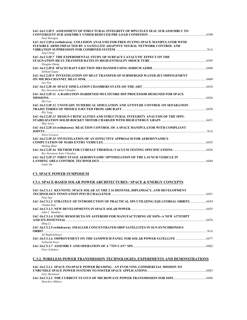| IAC-16.C2.IP.5 ASSESSMENT OF STRUCTURAL INTEGRITY OF HPS3 FLEX SEAL SUB ASSEMBLY TO                  |                         |
|------------------------------------------------------------------------------------------------------|-------------------------|
|                                                                                                      | .6390                   |
| Paul Murugan<br>IAC-16.C2.IP.6 (withdrawn) COLLISION ANALYSIS FOR FREE-FLYING SPACE MANIPULATOR WITH |                         |
| FLEXIBLE ARMS IMPACTED BY A SATELLITE ADAPTIVE NEURAL NETWORK CONTROL AND                            |                         |
|                                                                                                      | $\mathbb{N}/\mathsf{A}$ |
| Jing Cheng                                                                                           |                         |
| IAC-16.C2.IP.7 THE EXPERIMENTAL STUDY OF SURFACE CATALYTIC EFFECT ON THE                             |                         |
|                                                                                                      |                         |
| Hongjun Zhang                                                                                        |                         |
|                                                                                                      |                         |
| Subham Gupta                                                                                         |                         |
| IAC-16.C2.IP.9 INVESTIGATION ON HEAT TRANSFER OF SUBMERGED WATER JET IMPINGEMENT                     |                         |
|                                                                                                      | .6409                   |
| Yao Pan                                                                                              |                         |
| Roy Stevenson Soler Chisabas                                                                         |                         |
| IAC-16.C2.IP.11 A RADIATION HARDENED MULTICORE DSP PROCESSOR DESIGNED FOR SPACE                      |                         |
| MISSIONS                                                                                             | 6426                    |
| Hui Cao                                                                                              |                         |
| IAC-16.C2.IP.12 UNSTEADY NUMERICAL SIMULATION AND ATTITUDE CONTROL ON SEPARATION                     |                         |
|                                                                                                      | 6430                    |
| Wei Yang                                                                                             |                         |
| IAC-16.C2.IP.13 DESIGN CRITICALITIES AND STRUCTURAL INTEGRITY ANALYSIS OF THE SPIN-                  |                         |
|                                                                                                      | .6431                   |
| Shitj Arora                                                                                          |                         |
| IAC-16.C2.IP.14 (withdrawn) REACTION CONTROL OF A SPACE MANIPULATOR WITH COMPLIANT                   |                         |
| N/A<br>Silvio Cocuzza                                                                                |                         |
| IAC-16.C2.IP.15 INVESTIGATION OF AN EFFECTIVE APPROACH FOR AERODYNAMICS                              |                         |
|                                                                                                      | 6435                    |
| Huiling Zhan                                                                                         |                         |
|                                                                                                      |                         |
| Roy Stevenson Soler Chisabas                                                                         |                         |
| IAC-16.C2.IP.17 FIRST STAGE AERODYNAMIC OPTIMIZATION OF THE LAUNCH VEHICLE IN                        |                         |
|                                                                                                      | 6444                    |
| Linfei Du                                                                                            |                         |

## **C3. SPACE POWER SYMPOSIUM**

# **C3.1. SPACE-BASED SOLAR POWER ARCHITECTURES / SPACE & ENERGY CONCEPTS**

| IAC-16.C3.1.1 KEYNOTE: SPACE SOLAR AT THE 2 16 DEFENSE, DIPLOMACY, AND DEVELOPMENT                 |  |
|----------------------------------------------------------------------------------------------------|--|
| Paul Jaje                                                                                          |  |
| IAC-16.C3.1.2 STRATEGY OF INTRODUCTION OF PRACTICAL SPS UTILIZING EOUATORIAL ORBITS<br>Tanaka Koji |  |
| John C. Mankins                                                                                    |  |
| IAC-16.C3.1.4 USING RESOURCES ON ASTEROID FOR MANUFACTURING OF SSPS--A NEW ATTEMPT<br>Ming Li      |  |
| IAC-16.C3.1.5 (withdrawn) SMALLER CONCENTRATED SBSP SATELLITES IN SUN-SYNCHRONOUS                  |  |
| Ali Baghchehsara                                                                                   |  |
| Nobuvuki Kava                                                                                      |  |
| Peter Schubert                                                                                     |  |

# **C.3.2. WIRELESS POWER TRANSMISSION TECHNOLOGIES, EXPERIMENTS AND DEMONSTRATIONS**

| IAC-16.C3.2.1_SPACE-TO-SPACE POWER BEAMING - AN EVOLVING COMMERCIAL MISSION TO | 6483 |
|--------------------------------------------------------------------------------|------|
| Gary Barnhard                                                                  |      |
| Shoichiro Mihara                                                               | 6496 |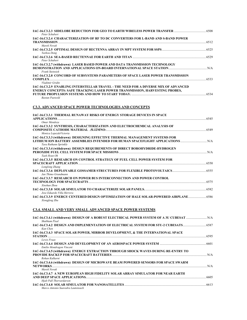| Peter Schubert                                                                                                                                                                                                   |  |
|------------------------------------------------------------------------------------------------------------------------------------------------------------------------------------------------------------------|--|
| IAC-16.C3.2.4 CHARACTERIZATION OF RF TO DC CONVERTERS FOR L-BAND AND S-BAND POWER                                                                                                                                |  |
| Marek Novak<br>Yazhou Dong                                                                                                                                                                                       |  |
| Peter Schubert                                                                                                                                                                                                   |  |
| IAC-16.C3.2.7 (withdrawn) LASER BASED POWER AND DATA TRANSMISSION TECHNOLOGY<br>DEMONSTRATION AND APPLICATIONS ON-BOARD INTERNATIONAL SPACE STATION <b>CONSTRATION AND APPLICATION</b><br><b>Frank Steinsiek</b> |  |
| IAC-16.C3.2.8 CONCORD OF SUBSYSTEMS PARAMETERS OF SPACE LASER POWER TRANSMISSION                                                                                                                                 |  |
| Vladimir Gridin<br>IAC-16.C3.2.9 ENABLING INTERSTELLAR TRAVEL - THE NEED FOR A DIVERSE MIX OF ADVANCED<br>ENERGY CONCEPTS: SAFE TRACKING LASER POWER TRANSMISSION, HARVESTING PROBES,<br><b>Bastan Paetzold</b>  |  |
| <b>C3.3. ADVANCED SPACE POWER TECHNOLOGIES AND CONCEPTS</b>                                                                                                                                                      |  |
| IAC-16.C3.3.1 THERMAL RUNAWAY RISKS OF ENERGY STORAGE DEVICES IN SPACE                                                                                                                                           |  |

| Omar Mendoza                                                                                             |  |
|----------------------------------------------------------------------------------------------------------|--|
| IAC-16.C3.3.2 SYNTHESIS, CHARACTERIZATION AND ELECTROCHEMICAL ANALYSIS OF                                |  |
|                                                                                                          |  |
| Monica LopezdeVictoria                                                                                   |  |
| IAC-16.C3.3.3 (withdrawn) DESIGNING EFFECTIVE THERMAL MANAGEMENT SYSTEMS FOR                             |  |
| LITHIUM ION BATTERY ASSEMBLIES INTENDED FOR HUMAN SPACEFLIGHT APPLICATIONS  N/A<br>Tara Ruthann Sprinkle |  |
| IAC-16.C3.3.4 (withdrawn) DESIGN REQUIREMENTS OF DIRECT BOROHYDRIDE-HYDROGEN                             |  |
|                                                                                                          |  |
| Taek Hyun Oh                                                                                             |  |
| <b>IAC-16.C3.3.5 RESEARCH ON CONTROL STRATEGY OF FUEL CELL POWER SYSTEM FOR</b>                          |  |
|                                                                                                          |  |
| Longlong Zhang                                                                                           |  |
|                                                                                                          |  |
| Jan Thimo Grundmann                                                                                      |  |
| IAC-16.C3.3.7 RESEARCH ON POWER BUS INTERCONNECTION AND POWER CONTROL                                    |  |
|                                                                                                          |  |
| Xinshun Zhou                                                                                             |  |
|                                                                                                          |  |
| Jose Eduardo Villa Herrera                                                                               |  |
| 1AC-16.C3.3.9 ENERGY CENTERED DESIGN OPTIMIZATION OF HALE SOLAR-POWERED AIRPLANE                         |  |
| Xiongfeng Zhu                                                                                            |  |

# **C3.4. SMALL AND VERY SMALL ADVANCED SPACE POWER SYSTEMS**

| Shubham Pisal                                                                                    |      |
|--------------------------------------------------------------------------------------------------|------|
| 14C-16.C3.4.2 DESIGN AND IMPLEMENTATION OF ELECTRICAL SYSTEM FOR STU-2 CUBESATS 6587<br>Kun Chen |      |
| IAC-16.C3.4.3 SPACE SOLAR POWER, MIRROR DEVELOPMENT, & THE INTERNATIONAL SPACE                   |      |
| <b>STATION</b>                                                                                   |      |
| Lewis Fraas                                                                                      |      |
| Emilio Mondragon Vincent                                                                         |      |
| IAC-16.C3.4.5 (withdrawn) ENERGY EXTRACTION THROUGH SHOCK WAVES DURING RE-ENTRY TO               |      |
| Rohan Kulkarni                                                                                   |      |
| IAC-16.C3.4.6 (withdrawn) DESIGN OF MICROWAVE BEAM POWERED SENSORS FOR SPACE SWARM               |      |
| NETWORKS NETWORKS<br>Marek Novak                                                                 | N/A  |
| IAC-16.C3.4.7 A NEW EUROPEAN HIGH FIDELITY SOLAR ARRAY SIMULATOR FOR NEAR EARTH                  |      |
| Hjalt Pall Thorvardarson                                                                         | 6605 |
| Marco Antonio Saavedra Lautensach                                                                | 6613 |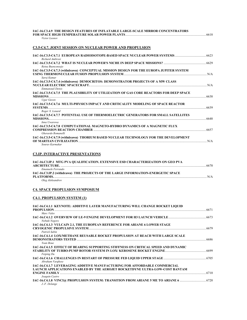| IAC-16.C3.4.9 THE DESIGN FEATURES OF INFLATABLE LARGE-SCALE MIRROR CONCENTRATORS<br>Victor Leonov                                                                                                                                                                                                                                           | 6618 |
|---------------------------------------------------------------------------------------------------------------------------------------------------------------------------------------------------------------------------------------------------------------------------------------------------------------------------------------------|------|
| <b>C3.5-C4.7. JOINT SESSION ON NUCLEAR POWER AND PROPULSION</b>                                                                                                                                                                                                                                                                             |      |
| Richard Ambrosi                                                                                                                                                                                                                                                                                                                             |      |
| Reina Buenconseio                                                                                                                                                                                                                                                                                                                           |      |
| IAC-16.C3.5-C4.7.3 (withdrawn) CONCEPTUAL MISSION DESIGN FOR THE EUROPA JUPITER SYSTEM<br>Saroj Kumar                                                                                                                                                                                                                                       | N/A  |
| IAC-16.C3.5-C4.7.4 (withdrawn) DEMOCRITOS: DEMONSTRATOR PROJECTS OF A MW CLASS<br>NUCLEAR ELECTRIC SPACECRAFT.<br><b>Emmanouil Detsis</b>                                                                                                                                                                                                   | N/A  |
| IAC-16.C3.5-C4.7.5 THE PLAUSIBILITY OF UTILIZATION OF GAS CORE REACTORS FOR DEEP SPACE<br>MISSIONS <b>Example 2</b> Second 2 Second 2 Second 2 Second 2 Second 2 Second 2 Second 2 Second 2 Second 2 Second 2 Second 2 Second 2 Second 2 Second 2 Second 2 Second 2 Second 2 Second 2 Second 2 Second 2 Second 2 Second 2 Sec<br>Ugur Guven | 6638 |
| IAC-16.C3.5-C4.7.6 MULTI-PHYSICS IMPACT AND CRITICALITY MODELING OF SPACE REACTOR<br>Roger X. Lenard                                                                                                                                                                                                                                        | 6639 |
| IAC-16.C3.5-C4.7.7 POTENTIAL USE OF THERMOELECTRIC GENERATORS FOR SMALL SATELLITES<br>Inna Uwarowa                                                                                                                                                                                                                                          | 6648 |
| IAC-16.C3.5-C4.7.8 COMPUTATIONAL MAGNETO-HYDRO DYNAMICS OF A MAGNETIC FLUX<br>COMPRESSION REACTION CHAMBER <b>COMPRESSION</b> BEACTION<br>Gherardo Romanelli                                                                                                                                                                                | 6657 |
| IAC-16.C3.5-C4.7.9 (withdrawn) THORIUM BASED NUCLEAR TECHNOLOGY FOR THE DEVELOPMENT<br>OF MARTIAN CIVILIZATION<br>Souray Karmakar                                                                                                                                                                                                           | N/A  |

## **C3.IP. INTERACTIVE PRESENTATIONS**

| IAC-16.C3.IP.1 MTG PVA QUALIFICATION. EXTENSIVE ESD CHARACTERIZATION ON GEO PVA                | 6670 |
|------------------------------------------------------------------------------------------------|------|
| Emanuele Ferrando                                                                              |      |
| IAC-16.C3.IP.2 (withdrawn) THE PROJECTS OF THE LARGE INFORMATION-ENERGETIC SPACE<br>PLATFORMS. | N/A  |
| Oleg Aleksandrov                                                                               |      |

# **C4. SPACE PROPULSION SYMPOSIUM**

# **C4.1. PROPULSION SYSTEM (1)**

| IAC-16.C4.1.1 KEYNOTE: ADDITIVE LAYER MANUFACTURING WILL CHANGE ROCKET LIQUID                                                                                                                                                                         |      |
|-------------------------------------------------------------------------------------------------------------------------------------------------------------------------------------------------------------------------------------------------------|------|
| Marc Vales                                                                                                                                                                                                                                            | 6671 |
| Nobuki Negoro                                                                                                                                                                                                                                         |      |
| IAC-16.C4.1.3 VULCAIN 2.1, THE EUROPEAN REFERENCE FOR ARIANE 6 LOWER STAGE                                                                                                                                                                            |      |
| <b>CRYOGENIC PROPULSIVE SYSTEM CONTRACTED AND RELATED FOR A STATE OF A STATE OF A STATE OF A STATE OF A STATE OF A STATE OF A STATE OF A STATE OF A STATE OF A STATE OF A STATE OF A STATE OF A STATE OF A STATE OF A STATE OF A</b><br>Patrick Sabin | 6679 |
| IAC-16.C4.1.4 LOX/METHANE REUSABLE ROCKET PROPULSION AT REACH WITH LARGE SCALE<br>Yoan Boue                                                                                                                                                           | 6686 |
| <b>IAC-16.C4.1.5 EFFECT OF BEARING SUPPORTING STIFFNESS ON CRITICAL SPEED AND DYNAMIC</b><br>Feiping Du                                                                                                                                               |      |
| Abraham Varghese                                                                                                                                                                                                                                      |      |
| <b>IAC-16.C4.1.7 LEVERAGING ADDITIVE MANUFACTURING FOR AFFORDABLE COMMERCIAL</b>                                                                                                                                                                      |      |
| LAUNCH APPLICATIONS ENABLED BY THE AEROJET ROCKETDYNE ULTRA-LOW-COST BANTAM                                                                                                                                                                           |      |
| Joaquin Castro                                                                                                                                                                                                                                        | 6710 |
| J.-F. Delange                                                                                                                                                                                                                                         |      |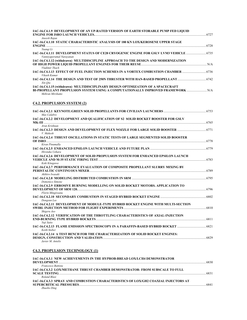| IAC-16.C4.1.9 DEVELOPMENT OF AN UP-RATED VERSION OF EARTH STORABLE PUMP FED LIQUID                           | 6727 |
|--------------------------------------------------------------------------------------------------------------|------|
| Aneesh Rajan                                                                                                 |      |
| IAC-16.C4.1.10 STATIC CHARACTERISTIC ANALYSIS OF 180 KN LOX/KEROSENE UPPER STAGE                             |      |
|                                                                                                              |      |
| Yuangi Li                                                                                                    |      |
| 14C-16.C4.1.11 DEVELOPMENT STATUS OF CE20 CRYOGENIC ENGINE FOR GSLV LVM3 VEHICLE<br>Vanniyaperumal Narayanan |      |
| IAC-16.C4.1.12 (withdrawn) MULTIDISCIPLINE APPROACH TO THE DESIGN AND MODERNIZATION                          |      |
| Vladimir Tkach                                                                                               |      |
| Vikash Kumar                                                                                                 |      |
| Xin Oiu                                                                                                      |      |
| IAC-16.C4.1.15 (withdrawn) MULTIDISCIPLINARY DESIGN OPTIMIZATION OF A SPACECRAFT                             |      |
| BI-PROPELLANT PROPULSION SYSTEM USING A COMPUTATIONALLY IMPROVED FRAMEWORK<br>Mehran Mirshams                |      |

# **C4.2. PROPULSION SYSTEM (2)**

| Max Calabro                                                                                                                                  |       |
|----------------------------------------------------------------------------------------------------------------------------------------------|-------|
| IAC-16.C4.2.2 DEVELOPMENT AND QUALIFICATION OF S2 SOLID ROCKET BOOSTER FOR GSLV                                                              |       |
| $MK-III$                                                                                                                                     |       |
| Arun Krishnan                                                                                                                                |       |
| 1AC-16.C4.2.3 DESIGN AND DEVELOPMENT OF FLEX NOZZLE FOR LARGE SOLID BOOSTER  6771<br>V. Mahesh                                               |       |
| IAC-16.C4.2.4 THRUST OSCILLATIONS IN STATIC TESTS OF LARGE SEGMENTED SOLID BOOSTER                                                           |       |
|                                                                                                                                              |       |
| Kiran Pinumalla                                                                                                                              |       |
| Hirotaka Uehara                                                                                                                              |       |
| IAC-16.C4.2.6 DEVELOPMENT OF SOLID PROPULSION SYSTEM FOR ENHANCED EPSILON LAUNCH<br>VEHICLE AND M-35 STATIC FIRING TEST <b>EXECUTE:</b> 6783 |       |
| Koki Kitagawa                                                                                                                                |       |
| IAC-16.C4.2.7 PERFORMANCE EVALUATION OF COMPOSITE PROPELLANT SLURRY MIXING BY                                                                |       |
|                                                                                                                                              |       |
| Akihiro Iwasaki                                                                                                                              |       |
|                                                                                                                                              |       |
| Domenico Simone                                                                                                                              |       |
| <b>IAC-16.C4.2.9 ERROSIVE BURNING MODELLING ON SOLID ROCKET MOTORS. APPLICATION TO</b>                                                       |       |
|                                                                                                                                              |       |
| Florin Mingireanu                                                                                                                            |       |
| Dongeun Lee                                                                                                                                  |       |
| IAC-16.C4.2.11 DEVELOPMENT OF MODULE-TYPE HYBRID ROCKET ENGINE WITH MULTI-SECTION                                                            |       |
| Shigeru Aso                                                                                                                                  |       |
| IAC-16.C4.2.12 VERIFICATION OF THE THROTTLING CHARACTERISTICS OF AXIAL-INJECTION                                                             |       |
| Yuji Saito                                                                                                                                   |       |
| 14C-16.C4.2.13 FLAME EMISSION SPECTROSCOPY IN A PARAFFIN-BASED HYBRID ROCKET  6821<br>Keith Stober                                           |       |
| IAC-16.C4.2.14 A TEST BENCH FOR THE CHARACTERIZATION OF SOLID ROCKET ENGINES:                                                                | .6829 |
| Javier M. Antelis                                                                                                                            |       |

## **C4.3. PROPULSION TECHNOLOGY (1)**

| IAC-16.C4.3.1 NEW ACHIEVEMENTS IN THE HYPROB-BREAD LOX/LCH4 DEMONSTRATOR            |      |
|-------------------------------------------------------------------------------------|------|
|                                                                                     | 6830 |
| Francesco Battista                                                                  |      |
| <b>IAC-16.C4.3.2 LOX/METHANE THRUST CHAMBER DEMONSTRATOR- FROM SUBSCALE TO FULL</b> |      |
|                                                                                     | 6831 |
| Roland Blasi                                                                        |      |
| IAC-16.C4.3.3 SPRAY AND COMBUSTION CHARACTERISTICS OF LOX/GH2 COAXIAL INJECTORS AT  |      |
|                                                                                     | 6841 |
| Zhaobo Ding                                                                         |      |
|                                                                                     |      |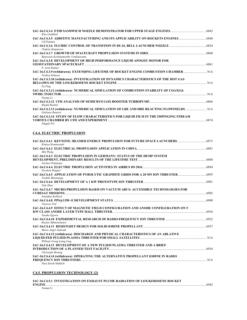| 1984) IAC-16.C4.3.4 ETID SANDWICH NOZZLE DEMONSTRATOR FOR UPPER STAGE ENGINES<br>Klas Lindblad                             |      |
|----------------------------------------------------------------------------------------------------------------------------|------|
| <b>Ulf Palmnis</b>                                                                                                         |      |
| IAC-16.C4.3.6 FLUIDIC CONTROL OF TRANSITION IN DUAL BELL LAUNCHER NOZZLE ………………………………………………………………………<br>Vladeta Zmijanovic |      |
| Banavara Krishnamurthy Venkataramu                                                                                         |      |
| IAC-16.C4.3.8 DEVELOPMENT OF HIGH PERFORMANCE LIQUID APOGEE MOTOR FOR<br>P. Arun Kumar                                     | 6861 |
| IAC-16.C4.3.9 (withdrawn) EXTENDING LIFETIME OF ROCKET ENGINE COMBUSTION CHAMBER<br>Toshiva Kimura                         |      |
| IAC-16.C4.3.10 (withdrawn) INVESTIGATION OF DYNAMICS CHARACTERISTICS OF THE HOT GAS<br>Fu Ping                             |      |
| IAC-16.C4.3.11 (withdrawn) NUMERICAL SIMULATION OF COMBUSTION STABILITY OF COAXIAL<br>Yuangi Li                            |      |
| Khalid Rashid                                                                                                              |      |
| IAC-16.C4.3.13 (withdrawn) NUMERICAL SIMULATION OF LRE AND HRE REACTING FLOWFIELDS<br>Giuliano Ranuzzi                     |      |
| IAC-16.C4.3.14 STUDY OF FLOW CHARACTERISTICS FOR LIQUID FILM IN THE IMPINGING STREAM<br>Jingqiu Pei                        | 6874 |

## **C4.4. ELECTRIC PROPULSION**

| Kimiya Komurasaki                                                                                            |       |
|--------------------------------------------------------------------------------------------------------------|-------|
| Min Wang                                                                                                     |       |
| IAC-16.C4.4.3 ELECTRIC PROPULSION IN GERMANY: STATUS OF THE HEMP SYSTEM<br>Norbert Puttmann                  |       |
| Nicoleta Wagner                                                                                              |       |
| Yoshiki Matsunaga                                                                                            |       |
| Yide Zhao                                                                                                    |       |
| IAC-16.C4.4.7 MICRO-PROPULSION BASED ON VACUUM ARCS: ACCESSIBLE TECHNOLOGIES FOR<br>Jonathan Kolbeck         | .6902 |
| Vanessa Vial                                                                                                 |       |
| IAC-16.C4.4.9 EFFECT OF MAGNETIC FIELD CONFIGURATION AND ANODE CONFIGURATION ON 5<br>Yusuke Egawa            |       |
| Ruslan Akhmetzhanov                                                                                          |       |
| Mario Angel Andrade                                                                                          |       |
| IAC-16.C4.4.12 (withdrawn) DISCHARGE AND PHYSICAL CHARACTERISTICS OF AN ABLATIVE<br>William Yeong Liang Ling |       |
| IAC-16.C4.4.13 DEVELOPMENT OF A NEW PULSED PLASMA THRUSTER AND A BRIEF<br>Christoph Montag                   | .6934 |
| IAC-16.C4.4.14 (withdrawn) OPERATING THE ALTERNATIVE PROPELLANT IODINE IN RADIO<br>Nina Sarah Muhlich        | N/A   |

## **C4.5. PROPULSION TECHNOLOGY (2)**

| IAC-16.C4.5.1_INVESTIGATION ON EXHAUST PLUME RADIATION OF LOX/KEROSENE ROCKET |      |
|-------------------------------------------------------------------------------|------|
| <b>ENGINE</b>                                                                 | 6942 |
| Yuanai Li                                                                     |      |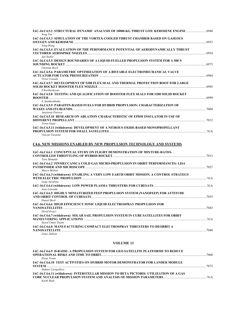| 1AC-16.C4.5.2 STRUCTURAL DYNAMIC ANALYSIS OF 18000-KG THRUST LOX/ KEROSENE ENGINE<br>Song Yan    |  |
|--------------------------------------------------------------------------------------------------|--|
| IAC-16.C4.5.3 SIMULATION OF THE VORTEX-COOLED THRUST CHAMBER BASED ON GASEOUS                    |  |
| Yong Wang                                                                                        |  |
| IAC-16.C4.5.4 EVALUATION OF THE PERFORMANCE POTENTIAL OF AERODYNAMICALLY THRUST                  |  |
| Jan Sieder                                                                                       |  |
| IAC-16.C4.5.5 DESIGN BOUNDARIES OF A LIOUID-FUELLED PROPULSION SYSTEM FOR A 500 N                |  |
| Christan Bach                                                                                    |  |
| IAC-16.C4.5.6 PARAMETRIC OPTIMIZATION OF A BISTABLE ELECTROMECHANICAL VALVE                      |  |
| Victor Casado                                                                                    |  |
| IAC-16.C4.5.7 DEVELOPMENT OF S200 FLEX SEAL AND THERMAL PROTECTION BOOT FOR LARGE                |  |
| S Kartheekeyan                                                                                   |  |
| IAC-16.C4.5.8 TESTING AND QUALIFICATION OF BOOSTER FLEX SEALS FOR S200 SOLID ROCKET              |  |
|                                                                                                  |  |
| S. Santhoshbabu<br>IAC-16.C4.5.9 PARAFFIN-BASED FUELS FOR HYBRID PROPULSION: CHARACTERIZATION OF |  |
|                                                                                                  |  |
| Anastasia Petrova                                                                                |  |
| IAC-16.C4.5.10  RESEARCH ON ABLATION CHARACTERISTIC OF EPDM INSULATOR IN USE OF                  |  |
| Yiwen Guan                                                                                       |  |
| IAC-16.C4.5.11 (withdrawn) DEVELOPMENT OF A NITROUS OXIDE-BASED MONOPROPELLANT                   |  |
| Vincent Tarantni                                                                                 |  |
|                                                                                                  |  |
| C4.6. NEW MISSIONS ENABLED BY NEW PROPULSION TECHNOLOGY AND SYSTEMS                              |  |
| IAC-16.C4.6.1 CONCEPTUAL STUDY ON FLIGHT DEMONSTRATION OF MIXTURE-RATIO-                         |  |
|                                                                                                  |  |
| Toru Shimada                                                                                     |  |
| IAC-16.C4.6.2 FINMECCANICA COLD GAS MICRO-PROPULSION IN ORBIT PERFORMANCES: LISA                 |  |
| Marco Molina                                                                                     |  |
| IAC-16.C4.6.3 (withdrawn) ENABLING A VERY LOW EARTH ORBIT MISSION, A CONTROL STRATEGY            |  |
|                                                                                                  |  |
| Luigi Ansalone                                                                                   |  |
| Joao Lousada                                                                                     |  |
| IAC-16.C4.6.5 HIGHLY MINIATURIZED FEEP PROPULSION SYSTEM (NANOFEEP) FOR ATTITUDE                 |  |
| Daniel Bock                                                                                      |  |
| IAC-16.C4.6.6  HIGH EFFICIENCY IONIC LIQUID ELECTROSPRAY PROPULSION FOR                          |  |
|                                                                                                  |  |
| David Krejci                                                                                     |  |
| IAC-16.C4.6.7 (withdrawn) SOLAR SAIL PROPULSION SYSTEM IN CUBE SATELLITES FOR ORBIT              |  |
| Sayed Umair Daimi                                                                                |  |
| IAC-16.C4.6.8 MANUFACTURING COMPACT ELECTROSPRAY THRUSTERS TO DEORBIT A                          |  |
| Josue Zabeau                                                                                     |  |

### **VOLUME 11**

| IAC-16.C4.6.9 D-RAISE: A PROPULSION SYSTEM FOR GEO SATELLITE PLATFORMS TO REDUCE       | 7060 |
|----------------------------------------------------------------------------------------|------|
| Elena Toson                                                                            |      |
| <b>IAC-16.C4.6.10 TEST ACTIVITIES ON HYBRID MOTOR DEMONSTRATOR FOR LANDER MODULE</b>   |      |
|                                                                                        | 7073 |
| Stefano Carapellese                                                                    |      |
| IAC-16.C4.6.11 (withdrawn) INTERSTELLAR MISSION TO BETA PICTORIS: UTILIZATION OF A GAS |      |
|                                                                                        |      |
| Kartk Shah                                                                             |      |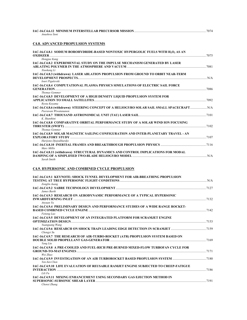|               | IAC-16.C4.6.12 MINIMUM INTERSTELLAR PRECURSOR MISSION | 7074 |
|---------------|-------------------------------------------------------|------|
| Anushree Soni |                                                       |      |

# **C4.8. ADVANCED PROPULSION SYSTEMS**

| IAC-16.C4.8.1 SODIUM BOROHYDRIDE-BASED NONTOXIC HYPERGOLIC FUELS WITH H <sub>2</sub> O <sub>2</sub> AS AN<br><b>OXIDIZER</b> | 7075  |
|------------------------------------------------------------------------------------------------------------------------------|-------|
| Hongjae Kang                                                                                                                 |       |
| IAC-16.C4.8.2 EXPERIMENTAL STUDY ON THE IMPULSE MECHANISM GENERATED BY LASER                                                 |       |
| Xiaokang Li                                                                                                                  |       |
| IAC-16.C4.8.3 (withdrawn) LASER ABLATION PROPULSION FROM GROUND TO ORBIT NEAR-TERM                                           |       |
| Iouri Pigulevski<br>IAC-16.C4.8.4 COMPUTATIONAL PLASMA PHYSICS SIMULATIONS OF ELECTRIC SAIL FORCE                            |       |
| TO S6 7086<br><b>Thomas Gemmer</b>                                                                                           |       |
| IAC-16.C4.8.5 DEVELOPMENT OF A HIGH DENSITY LIQUID PROPULSION SYSTEM FOR                                                     | .7092 |
| Rvota Kovama                                                                                                                 |       |
| IAC-16.C4.8.6 (withdrawn) STEERING CONCEPT OF A HELIOGYRO SOLAR SAIL SMALL SPACECRAFT N/A<br>Peerawan Wiwatananon            |       |
| K. Shanthini                                                                                                                 |       |
| IAC-16.C4.8.8 COMPARATIVE ORBITAL PERFORMANCE STUDY OF A SOLAR WIND ION FOCUSING                                             |       |
| <b>Thomas Gemmer</b>                                                                                                         |       |
| <b>IAC-16.C4.8.9 SOLAR MAGNETIC SAILING CONFIGURATION AND INTER-PLANETARY TRAVEL - AN</b>                                    | 7107  |
| Harijono Djojodihardjo                                                                                                       |       |
| Marc Millis                                                                                                                  |       |
| IAC-16.C4.8.11 (withdrawn) STRUCTURAL DYNAMICS AND CONTROL IMPLICATIONS FOR MODAL                                            |       |
| Sarah Smith                                                                                                                  |       |

### **C4.9. HYPERSONIC AND COMBINED CYCLE PROPULSION**

| IAC-16.C4.9.1 KEYNOTE: SHOCK TUNNEL DEVELOPMENT FOR AIR-BREATHING PROPULSION            |      |
|-----------------------------------------------------------------------------------------|------|
|                                                                                         |      |
| Zonglin Juang                                                                           |      |
|                                                                                         |      |
| James Barth                                                                             |      |
| IAC-16.C4.9.3 RESEARCH ON AERODYNAMIC PERFORMANCE OF A TYPICAL HYPERSONIC               |      |
|                                                                                         | 7132 |
| Anvuan Yu                                                                               |      |
| <b>IAC-16.C4.9.4 PRELIMINARY DESIGN AND PERFORMANCE STUDIES OF A WIDE RANGE ROCKET-</b> |      |
| <b>BASED COMBINED CYCLE ENGINE</b>                                                      |      |
| Feiteng Luo                                                                             |      |
| <b>IAC-16.C4.9.5 DEVELOPMENT OF AN INTEGRATED PLATFORM FOR SCRAMJET ENGINE</b>          |      |
|                                                                                         |      |
| Yuanguang Wang                                                                          |      |
| Chengvi Su                                                                              |      |
| IAC-16.C4.9.7 THE RESEARCH OF AIR-TURBO-ROCKET (ATR) PROPULSION SYSTEM BASED ON         |      |
|                                                                                         |      |
| Yang Liu                                                                                |      |
| IAC-16.C4.9.8 A PRE-COOLED AND FUEL-RICH PRE-BURNED MIXED-FLOW TURBOFAN CYCLE FOR       |      |
|                                                                                         |      |
| Wei Zhao                                                                                |      |
|                                                                                         |      |
| Yen-Sen Chen                                                                            |      |
| IAC-16.C4.9.10 LIFE EVALUATION OF REUSABLE RAMJET ENGINE SUBJECTED TO CREEP-FATIGUE     |      |
|                                                                                         | 7186 |
| Lili Fu                                                                                 |      |
| <b>IAC-16.C4.9.11 MIXING ENHANCEMENT USING SECONDARY GAS EJECTION METHOD IN</b>         |      |
|                                                                                         | 7191 |
| Chenxi Zhang                                                                            |      |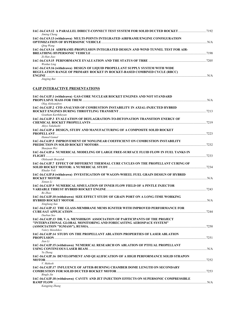| IAC-16.C4.9.12 A PARALLEL DIRECT-CONNECT TEST SYSTEM FOR SOLID DUCTED ROCKET  7192<br>Jiming Cheng                                                                        |      |
|---------------------------------------------------------------------------------------------------------------------------------------------------------------------------|------|
| IAC-16.C4.9.13 (withdrawn) MULTI-POINTS INTEGRATED AIRFRAME/ENGINE CONFIGURATION                                                                                          | N/A  |
| Oing Wang<br>IAC-16.C4.9.14 AIRFRAME-PROPULSION INTEGRATED DESIGN AND WIND TUNNEL TEST FOR AIR-                                                                           | 7198 |
| Zi-Han Jiao                                                                                                                                                               | 7205 |
| Wenhui Ling<br>IAC-16.C4.9.16 (withdrawn) DESIGN OF LIQUID PROPELLANT SUPPLY SYSTEM WITH WIDE<br>REGULATION RANGE OF PRIMARY ROCKET IN ROCKET-BASED COMBINED CYCLE (RBCC) |      |
|                                                                                                                                                                           | N/A  |

*Jingjing Bai* 

# **C4.IP INTERACTIVE PRESENTATIONS**

| IAC-16.C4.IP.1 (withdrawn) GAS-CORE NUCLEAR ROCKET ENGINES AND NOT STANDARD                                                                                             |  |
|-------------------------------------------------------------------------------------------------------------------------------------------------------------------------|--|
| Oleg Aleksandrov<br>IAC-16.C4.IP.2 CFD ANALYSIS OF COMBUSTION INSTABILITY IN AXIAL-INJECTED HYBRID                                                                      |  |
| Goutham Karthikeyan<br>IAC-16.C4.IP.3 EVALUATION OF DEFLAGRATION-TO-DETONATION TRANSITION ENERGY OF<br>Akiyo Takahashi                                                  |  |
| IAC-16.C4.IP.4 DESIGN, STUDY AND MANUFACTURING OF A COMPOSITE SOLID ROCKET<br>Hamed Gamal                                                                               |  |
| IAC-16.C4.IP.5 IMPROVEMENT OF NONLINEAR COEFFICIENT ON COMBUSTION INSTABILITY<br>Shaojuan Wei                                                                           |  |
| IAC-16.C4.IP.6 NUMERICAL MODELING OF LARGE FREE-SURFACE FLUID FLOW IN FUEL TANKS IN<br>Oleksandr Brazaluk                                                               |  |
| IAC-16.C4.IP.7 EFFECT OF DIFFERENT THERMAL CURE CYCLES ON THE PROPELLANT CURING OF<br>Khadar Voli                                                                       |  |
| IAC-16.C4.IP.8 (withdrawn) INVESTIGATION OF WAGON-WHEEL FUEL GRAIN DESIGN OF HYBRID<br>Xintan Li                                                                        |  |
| IAC-16.C4.IP.9 NUMERICAL SIMULATION OF INNER FLOW FIELD OF A PINTLE INJECTOR<br>Bo Zhao                                                                                 |  |
| IAC-16.C4.IP.10 (withdrawn) SIZE EFFECT STUDY OF GRAIN PORT ON A LONG-TIME WORKING<br>Xingliang Sun                                                                     |  |
| IAC-16.C4.IP.12 THE GLASS-MEMBRANE MEMS IGNITER WITH IMPROVED PERFORMANCE FOR<br>Daeban Seo                                                                             |  |
| IAC-16.C4.IP.13 DR. V.A. MENSHIKOV ASSOCIATION OF PARTICIPANTS OF THE PROJECT<br>"INTERNATIONAL GLOBAL MONITORING AND FORECASTING AEROSPACE SYSTEM"<br>Valery Menshikov |  |
| IAC-16.C4.IP.14 STUDY ON THE PROPELLANT ABLATION PROPERTIES OF LASER ABLATION<br>Jian Li                                                                                |  |
| IAC-16.C4.IP.15 (withdrawn) NUMERICAL RESEARCH ON ABLATION OF PTFE/AL PROPELLANT<br>Yu Zhang                                                                            |  |
| IAC-16.C4.IP.16 DEVELOPMENT AND QUALIFICATION OF A HIGH PERFORMANCE SOLID STRAPON<br>V. Mahesh                                                                          |  |
| IAC-16.C4.IP.17 INFLUENCE OF AFTER-BURNING CHAMBER DOME LENGTH ON SECONDARY<br><b>Bingle Jin</b>                                                                        |  |
| IAC-16.C4.IP.18 (withdrawn) CAVITY AND JET INJECTION EFFECTS ON SUPERSONIC COMPRESSIBLE<br><b>Kangping Zhang</b>                                                        |  |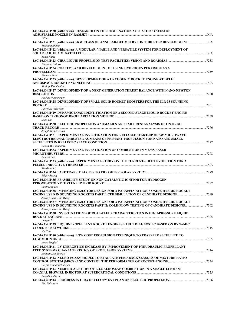| IAC-16.C4.IP.20 (withdrawn) RESEARCH ON THE COMBINATION ACTUATOR SYSTEM OF                                       |  |
|------------------------------------------------------------------------------------------------------------------|--|
| Lili Fu                                                                                                          |  |
| IAC-16.C4.IP.21 (withdrawn) 5KW CLASS OF ANNULAR-GEOMETRY ION THRUSTER DEVELOPMENT  N/A<br><b>Tianping Zhang</b> |  |
| IAC-16.C4.IP.22 (withdrawn) A MODULAR, VIABLE AND VERSATILE SYSTEM FOR DEPLOYMENT OF                             |  |
| Tanvi Katke                                                                                                      |  |
| Nunzia Favaloro<br>IAC-16.C4.IP.24 CONCEPT AND DEVELOPMENT OF USING HYDROGEN PER OXIDE AS A                      |  |
| Nadeem Alam                                                                                                      |  |
| IAC-16.C4.IP.25 (withdrawn) DEVELOPMENT OF A CRYOGENIC ROCKET ENGINE AT DELFT                                    |  |
| Mathijs Van De Poel<br>IAC-16.C4.IP.27 DEVELOPMENT OF A NEXT-GENERATION THRUST BALANCE WITH NANO-NEWTON          |  |
|                                                                                                                  |  |
| Florian Nurmberger<br>IAC-16.C4.IP.28 DEVELOPMENT OF SMALL SOLID ROCKET BOOSTERS FOR THE ILR-33 SOUNDING         |  |
| Pawel Nowakowski                                                                                                 |  |
| IAC-16.C4.IP.29 DYNAMIC LOAD IDENTIFICATION OF A SECOND STAGE LIQUID ROCKET ENGINE                               |  |
| Song Yan                                                                                                         |  |
| IAC-16.C4.IP.30 ELECTRIC PROPULSION ANOMALIES AND FAILURES: ANALYSIS OF ON ORBIT                                 |  |
| Joseph Homer Saleh                                                                                               |  |
| IAC-16.C4.IP.31 EXPERIMENTAL INVESTIGATION FOR RELIABLE START-UP OF 5W MICROWAVE                                 |  |
| ELECTROTHERMAL THRUSTER AS MEANS OF PRIMARY PROPULSION FOR NANO AND SMALL<br>Rohan M Ganapathy                   |  |
| IAC-16.C4.IP.32 EXPERIMENTAL INVESTIGATION OF COMBUSTION IN MEMS BASED                                           |  |
| Aakash Patl                                                                                                      |  |
| IAC-16.C4.IP.33 (withdrawn) EXPERIMENTAL STUDY ON THE CURRENT-SHEET EVOLUTION FOR A                              |  |
| Xiaokang Li                                                                                                      |  |
| <b>Edgar Bering</b>                                                                                              |  |
| IAC-16.C4.IP.35 FEASIBILITY STUDY ON NON-CATALYTIC IGNITOR FOR HYDROGEN<br>Eunkwang Lee                          |  |
| IAC-16.C4.IP.36 IMPINGING INJECTOR DESIGN FOR A PARAFFIN-NITROUS OXIDE HYBRID ROCKET                             |  |
| Jeremy Chan-Hao Wang                                                                                             |  |
| IAC-16.C4.IP.37 IMPINGING INJECTOR DESIGN FOR A PARAFFIN-NITROUS OXIDE HYBRID ROCKET                             |  |
| Jeremy Chan-Hao Wang                                                                                             |  |
| IAC-16.C4.IP.38 INVESTIGATIONS OF REAL-FLUID CHARACTERISTICS IN HIGH-PRESSURE LIQUID                             |  |
| Pengfei Li<br>IAC-16.C4.IP.39 LIQUID-PROPELLANT ROCKET ENGINES FAULT DIAGNOSTIC BASED ON DYNAMIC                 |  |
| Nie Yao                                                                                                          |  |
| IAC-16.C4.IP.40 (withdrawn) LOW COST PROPULSION TECHNIQUE TO TRANSFER SATELLITE TO                               |  |
| Aman Singhal                                                                                                     |  |
| IAC-16.C4.IP.41 LV ENERGETICS INCREASE BY IMPROVEMENT OF PNEUDRAULIC PROPELLANT                                  |  |
| Anatolii Lohvynenko                                                                                              |  |
| IAC-16.C4.IP.42 NEURO-FUZZY MODEL TO EVALUATE FEED-BACK SENSORS OF MIXTURE-RATIO                                 |  |
| Elayaperumal Ezhilrajan                                                                                          |  |
| IAC-16.C4.IP.43 NUMERICAL STUDY OF LOX/KEROSENE COMBUSTION IN A SINGLE ELEMENT<br>Abhishek Sharma                |  |
| Vito Salvatore                                                                                                   |  |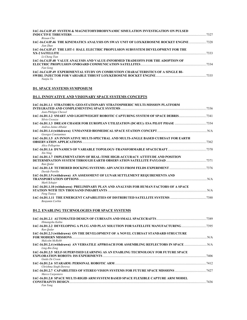| IAC-16.C4.IP.45 SYSTEM & MAGNETOHYDRODYNAMIC SIMULATION INVESTIGATION ON PULSED                                                                                                                                                                                                                  | 7327 |
|--------------------------------------------------------------------------------------------------------------------------------------------------------------------------------------------------------------------------------------------------------------------------------------------------|------|
| Bixuan Che<br>IAC-16.C4.IP.46 THE KINEMATICS ANALYSIS ON SWAY UNIT OF LOX/KEROSENE ROCKET ENGINE<br>Jian Zhao                                                                                                                                                                                    |      |
| IAC-16.C4.IP.47 THE LHT-1 HALL ELECTRIC PROPULSION SUBSYSTEM DEVELOPMENT FOR THE<br>XX-2 SATELLITE                                                                                                                                                                                               | 7333 |
| Li-Cheng Tian<br>IAC-16.C4.IP.48 VALUE ANALYSIS AND VALUE-INFORMED TRADEOFFS FOR THE ADOPTION OF                                                                                                                                                                                                 | 7334 |
| Fan Geng<br><b>IAC-16.C4.IP.49 EXPERIMENTAL STUDY ON COMBUSTION CHARACTERISTICS OF A SINGLE BI-</b>                                                                                                                                                                                              | 7335 |
| $\mathbf{M}$ and $\mathbf{M}$ and $\mathbf{M}$ and $\mathbf{M}$ and $\mathbf{M}$ and $\mathbf{M}$ and $\mathbf{M}$ and $\mathbf{M}$ and $\mathbf{M}$ and $\mathbf{M}$ and $\mathbf{M}$ and $\mathbf{M}$ and $\mathbf{M}$ and $\mathbf{M}$ and $\mathbf{M}$ and $\mathbf{M}$ and $\mathbf{M}$ and |      |

#### *Nanjia Yu*

# **D1. SPACE SYSTEMS SYMPOSIUM**

# **D1.1. INNOVATIVE AND VISIONARY SPACE SYSTEMS CONCEPTS**

| IAC-16.D1.1.1 STRATOBUS: GEO-STATIONARY STRATOSPHERIC MULTI-MISSION PLATFORM          |      |
|---------------------------------------------------------------------------------------|------|
|                                                                                       |      |
| Jean-Philippe Chessel                                                                 |      |
| IAC-16.D1.1.2 SMART AND LIGHTWEIGHT ROBOTIC CAPTURING SYSTEM OF SPACE DEBRIS7341      |      |
| Silvio Cocuzza                                                                        |      |
| Andrea Jaime-Albalat                                                                  |      |
|                                                                                       |      |
| Georges Constantnos                                                                   |      |
| IAC-16.D1.1.5 AN INNOVATIVE MULTI-SPECTRAL AND MULTI-ANGLE BASED CUBESAT FOR EARTH    |      |
|                                                                                       | 7362 |
| Alice Pellegrino                                                                      |      |
| Xin Ning                                                                              |      |
| IAC-16.D1.1.7 IMPLEMENTATION OF REAL-TIME HIGH-ACCURACY ATTITUDE AND POSITION         |      |
|                                                                                       |      |
| Ran Oedar                                                                             |      |
|                                                                                       |      |
| Davide Petrillo                                                                       |      |
| IAC-16.D1.1.9 (withdrawn) AN ASSESSMENT OF LUNAR SETTLEMENT REQUIREMENTS AND          |      |
|                                                                                       |      |
| Mark Schajer                                                                          |      |
| IAC-16.D1.1.10 (withdrawn) PRELIMINARY PLAN AND ANALYSIS FOR HUMAN FACTORS OF A SPACE |      |
|                                                                                       |      |
| Peng Tianya                                                                           |      |
|                                                                                       | 7388 |
| Benjamin Corbin                                                                       |      |

## **D1.2. ENABLING TECHNOLOGIES FOR SPACE SYSTEMS**

| Himangshu Kalita                                                                                     | .7389 |
|------------------------------------------------------------------------------------------------------|-------|
| IAC-16.D1.2.2 DEVELOPING A PLUG AND PLAY SOLUTION FOR SATELLITE MANUFACTURING7395<br>Ran Oedar       |       |
| IAC-16.D1.2.3 (withdrawn) ON THE DEVELOPMENT OF A NOVEL CUBESAT STANDARD STRUCTURE<br>Malcolm McRobb |       |
| Ling-Bin Zeng                                                                                        |       |
| IAC-16.D1.2.5 SELF-SUPERVISED LEARNING AS AN ENABLING TECHNOLOGY FOR FUTURE SPACE<br>Guido De Croon  | 7406  |
| Chrishma Singh-Derewa                                                                                | 7412  |
| Marco Carpentero                                                                                     |       |
| <b>IAC-16.D1.2.8 SPACE MULTI-RIGID ARM SYSTEM BASED SPACE FLEXIBLE CAPTURE ARM MODEL</b><br>Fan Yang | 7436  |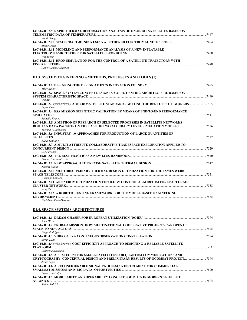| IAC-16.D1.2.9 RAPID THERMAL DEFORMATION ANALYSIS OF ON-ORBIT SATELLITES BASED ON                                                                                               |  |
|--------------------------------------------------------------------------------------------------------------------------------------------------------------------------------|--|
| Yechi Zhang<br>Mateo Duzzi                                                                                                                                                     |  |
| IAC-16.D1.2.11 MODELING AND PERFORMANCE ANALYSIS OF A NEW INFLATABLE<br>Wei Zheng                                                                                              |  |
| IAC-16.D1.2.12 DRON SIMULATION FOR THE CONTROL OF A SATELLITE TRAJECTORY WITH<br>Raziel Campos-Sanchez                                                                         |  |
| D1.3. SYSTEM ENGINEERING – METHODS, PROCESSES AND TOOLS (1)                                                                                                                    |  |
| <b>Tibor Balint</b>                                                                                                                                                            |  |
| IAC-16.D1.3.2 SPACE SYSTEM CONCEPT DESIGN: A VALUE-CENTRIC ARCHITECTURE BASED ON                                                                                               |  |
| Oin Xu<br>IAC-16.D1.3.3 (withdrawn) A MICROSATELLITE STANDARD - GETTING THE BEST OF BOTH WORLDS  N/A<br><b>Bryan</b> Dean                                                      |  |
| IAC-16.D1.3.4 ESA MISSION SCIENTIFIC VALIDATION BY MEANS OF END-TO-END PERFORMANCE<br>Rajaella Franco                                                                          |  |
| IAC-16.D1.3.5 A METHOD OF RESEARCH OF SELECTED PROCESSES IN SATELLITE NETWORKS<br>Tatyana V. Labutkina                                                                         |  |
| IAC-16.D1.3.6 INDUSTRY 4.0 APPROACHES FOR PRODUCTION OF LARGE QUANTITIES OF<br>Klaus Schilling                                                                                 |  |
| IAC-16.D1.3.7 A MULTI ATTRIBUTE COLLABORATIVE TRADESPACE EXPLORATION APPLIED TO                                                                                                |  |
| Loris Franchi<br>Franck Durand-Carrier                                                                                                                                         |  |
| Nikolay Mullin                                                                                                                                                                 |  |
| IAC-16.D1.3.10 MULTIDISCIPLINARY THERMAL DESIGN OPTIMIZATION FOR THE JAMES WEBB<br>Giuseppe Cataldo                                                                            |  |
| IAC-16.D1.3.11 AN ENERGY OPTIMIZATION TOPOLOGY CONTROL ALGORITHM FOR SPACECRAFT<br><b>CLUSTER NETWORK</b> 27558                                                                |  |
| Yang Yu<br>IAC-16.D1.3.12 A ROBOTIC TESTING FRAMEWORK FOR THE MODEL BASED ENGINEERING                                                                                          |  |
| Chrishma Singh-Derewa                                                                                                                                                          |  |
| <b>D1.4. SPACE SYSTEMS ARCHITECTURES</b>                                                                                                                                       |  |
| John Olson<br>IAC-16.D1.4.2 PROBA-3 MISSION: HOW MULTINATIONAL COOPERATIVE PROJECTS CAN OPEN UP                                                                                |  |
| Diego Rodriguez                                                                                                                                                                |  |
| Bryan Dean                                                                                                                                                                     |  |
| IAC-16.D1.4.4 (withdrawn) COST EFFICIENT APPROACH TO DESIGNING A RELIABLE SATELLITE<br>Ekaterina Rezugina                                                                      |  |
| IAC-16.D1.4.5 A PLATFORM FOR SMALL SATELLITES FOR QUANTUM COMMUNICATIONS AND<br>CRYPTOGRAPHY: CONCEPTUAL DESIGN AND PRELIMINARY RESULTS OF OCOMSAT PROJECT 7594<br>Josue Lopez |  |
| IAC-16.D1.4.6 A RECONFIGURABLE SIGNAL PROCESSING INSTRUMENT FOR COMMERCIAL<br>Pieter Van Duijn                                                                                 |  |
| IAC-16.D1.4.7 MODULARITY AND OPERABILITY CONCEPTS OF RTU'S IN MODERN SATELLITE                                                                                                 |  |

- **AVIONICS** ....................................................................................................................................................................................................7604
	- *Stefan Bedrich*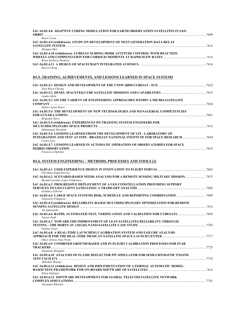| IAC-16.D1.4.8 ADAPTIVE CODING MODULATION FOR EARTH OBSERVATION SATELLITES IN LEO                      | .7609 |
|-------------------------------------------------------------------------------------------------------|-------|
| Mario Cossu                                                                                           |       |
| IAC-16.D1.4.9 (withdrawn) STUDY ON DEVELOPMENT OF NEXT GENERATION DATA RELAY                          |       |
| Zhengan Zhai                                                                                          |       |
| IAC-16.D1.4.10 (withdrawn) CUBESAT SLIDING-MODE ATTITUDE CONTROL WITH REACTION                        |       |
| Brian Gasberg Thomsen                                                                                 |       |
|                                                                                                       |       |
| <b>Bowen</b> Cheng                                                                                    |       |
| <b>D1.5. TRAINING, ACHIEVEMENTS, AND LESSONS LEARNED IN SPACE SYSTEMS</b>                             |       |
|                                                                                                       |       |
| Joon Wayn Cheong                                                                                      |       |
| Lumka Msibi                                                                                           |       |
| IAC-16.D1.5.3 ON THE VARIETY OF ENGINEERING APPROACHES WITHIN A MICRO-SATELLITE                       |       |
|                                                                                                       |       |
| <b>Hubert Anton Moser</b>                                                                             |       |
| IAC-16.D1.5.4 THE DEVELOPMENT OF NEW TECHNOLOGIES AND MANAGERIAL COMPETENCIES                         |       |
| <b>Benjamin Davis</b>                                                                                 | 7641  |
| IAC-16.D1.5.5 (withdrawn) EXPERIENCES ON TRAINING SYSTEM ENGINEERS FOR                                |       |
|                                                                                                       |       |
| Mohammad Ebrahimi                                                                                     |       |
| <b>IAC-16.D1.5.6 LESSONS LEARNED FROM THE DEVELOPMENT OF LIT - LABORATORY OF</b>                      |       |
| INTEGRATION AND TEST AT INPE - BRAZILIAN NATIONAL INSTITUTE FOR SPACE RESEARCH 7654                   |       |
| Carlos Lino                                                                                           |       |
| IAC-16.D1.5.7 LESSONS LEARNED IN AUTOMATIC OPERATION OF OBSERVATORIES FOR SPACE<br>DEBRIS OBSERVATION | 7655  |
| Francesco Diprima                                                                                     |       |
|                                                                                                       |       |

# **D1.6. SYSTEM ENGINEERING – METHODS, PROCESSES AND TOOLS (2)**

| Chrishma Singh-Derewa                                                                                                       |       |
|-----------------------------------------------------------------------------------------------------------------------------|-------|
| IAC-16.D1.6.2 SCENARIO-BASED NEEDS ANALYSIS FOR A REMOTE SENSING MILITARY MISSION<br>Brenda Carolina Lopez Villafranca      | .7675 |
| <b>IAC-16.D1.6.3 PROGRESSIVE DEPLOYMENT OF A LEO CONSTELLATION PROVIDING SUPPORT</b><br>Gianluca Palermo                    | 7682  |
| IAC-16.D1.6.4 LARGE SPACE SYSTEMS RISK, SCHEDULE AND REPORTING COORDINATION7689<br>Giancarlo Filippazzo                     |       |
| IAC-16.D1.6.5 (withdrawn) RELIABILITY-BASED MULTIDISCIPLINARY OPTIMIZATION FOR REMOTE                                       | N/A   |
| Ali Jafarsalehi<br>Yaseen Zaidi                                                                                             |       |
| <b>IAC-16.D1.6.7 TOWARD THE IMPROVEMENT OF LEAN SATELLITES RELIABILITY THROUGH</b><br>Pauline Faure                         |       |
| <b>IAC-16.D1.6.8 A REAL-TIME LAUNCHING CALIBRATION SYSTEM AND FAILURE ANALYSIS</b><br>Omar Ariosto Nino Prieto              | 7717  |
| IAC-16.D1.6.9 COMBINED GROUND-BASED AND IN-FLIGHT CALIBRATION PROCESSES FOR STAR<br>Emanuele Medaglia                       | 7725  |
| IAC-16.D1.6.10 ANALYSIS OF FLAME DEFLECTOR PIT SIMULATOR FOR SEMI-CRYOGENIC ENGINE<br>Abhishek Sharma                       | 7732  |
| IAC-16.D1.6.11 (withdrawn) DESIGN AND IMPLEMENTATION OF A FORMAL AUTOMATIC MODEL-<br>Kilian Hofinger                        |       |
| IAC-16.D1.6.12 SOFTWARE DEVELOPMENT FOR GLOBAL TELECOM SATELLITE NETWORK<br><b>COMPLEX SIMULATIONS</b><br>Alexander Kharlan | 7741  |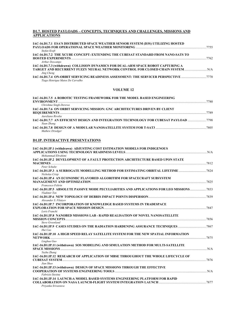### **D1.7. HOSTED PAYLOADS – CONCEPTS, TECHNIQUES AND CHALLENGES, MISSIONS AND APPLICATIONS**

| IAC-16.D1.7.1 ESA'S DISTRIBUTED SPACE WEATHER SENSOR SYSTEM (D3S) UTILIZING HOSTED |      |
|------------------------------------------------------------------------------------|------|
|                                                                                    | 7755 |
| Stefan Kraft                                                                       |      |
| IAC-16.D1.7.2 THE XCUBE CONCEPT: EXTENDING THE CUBESAT STANDARD FROM NANO-SATS TO  |      |
|                                                                                    | 7762 |
| <b>Arthur Descamps</b>                                                             |      |
| IAC-16.D1.7.3 (withdrawn) COLLISION DYNAMICS FOR DUAL-ARM SPACE ROBOT CAPTURING A  |      |
| TARGET AND RECURRENT FUZZY NEURAL NETWORK CONTROL FOR CLOSED CHAIN SYSTEM  N/A     |      |
| Jing Cheng                                                                         |      |
|                                                                                    |      |
| Tiago Henrique Matos De Carvalho                                                   |      |

#### **VOLUME 12**

| IAC-16.D1.7.5 A ROBOTIC TESTING FRAMEWORK FOR THE MODEL BASED ENGINEERING             |      |
|---------------------------------------------------------------------------------------|------|
|                                                                                       | 7780 |
| Chrishma Singh-Derewa                                                                 |      |
| IAC-16.D1.7.6 ON ORBIT SERVICING MISSION: GNC ARCHITECTURES DRIVEN BY CLIENT          |      |
|                                                                                       | 7789 |
| Aureliano Rivolta                                                                     |      |
| IAC-16.D1.7.7 AN EFFICIENT DESIGN AND INTEGRATION TECHNOLOGY FOR CUBESAT PAYLOAD 7798 |      |
| Xuan Zhang                                                                            |      |
|                                                                                       |      |
| Mathew Driedger                                                                       |      |

### **D1.IP. INTERACTIVE PRESENTATIONS**

| IAC-16.D1.IP.1 (withdrawn) ADJUSTING COST ESTIMATION MODELS FOR INDIGENOUS<br>Mohammad Ebrahimi                                                      |      |
|------------------------------------------------------------------------------------------------------------------------------------------------------|------|
| IAC-16.D1.IP.2 DEVELOPMENT OF A FAULT PROTECTION ARCHITECTURE BASED UPON STATE                                                                       |      |
| Peter Schulte                                                                                                                                        |      |
| Nicholas Crisp                                                                                                                                       |      |
| <b>IAC-16.D1.IP.4 AN ECONOMIC FLAVORED ALGORITHM FOR SPACECRAFT SUBSYSTEM</b><br>Francesco Feltrin                                                   |      |
| IAC-16.D1.IP.5 ABSOLUTE PASSIVE MODE PECULIARITIES AND APPLICATIONS FOR LEO MISSIONS7833<br>Vladimir Ten                                             |      |
| Alexander S. Filatvev                                                                                                                                |      |
| <b>IAC-16.D1.IP.7 INCORPORATION OF KNOWLEDGE BASED SYSTEMS IN TRADESPACE</b><br>Loris Franchi                                                        |      |
| <b>IAC-16.D1.IP.8 NANOBED MISSIONS LAB - RAPID REALISATION OF NOVEL NANOSATELLITE</b><br><b>Steve Greenland</b>                                      |      |
| Hui Cao                                                                                                                                              |      |
| IAC-16.D1.IP.10 A HIGH SPEED RELAY SATELLITE SYSTEM FOR THE NEW SPATIAL INFORMATION<br><b>NETWORK</b> 27875                                          |      |
| Linghua Guo                                                                                                                                          |      |
| IAC-16.D1.IP.11 (withdrawn) SOS MODELING AND SIMULATION METHOD FOR MULTI-SATELLITE<br>SPACE MISSIONS <b>Example 20</b> SPACE MISSIONS<br>Yuzhu Zhang |      |
| IAC-16.D1.IP.12 RESEARCH OF APPLICATION OF MBSE THROUGHOUT THE WHOLE LIFECYCLE OF<br>Jian Shao                                                       | 7876 |
| IAC-16.D1.IP.13 (withdrawn) DESIGN OF SPACE MISSIONS THROUGH THE EFFECTIVE<br>Fabrizio Stesina                                                       |      |
| IAC-16.D1.IP.14 LAUNCH:A MODEL BASED SYSTEMS ENGINEERING PLATFORM FOR RAPID<br>Priyanka Srivastava                                                   |      |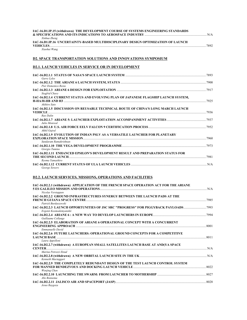| IAC-16.D1.IP.15 (withdrawn) THE DEVELOPMENT COURSE OF SYSTEMS ENGINEERING STANDARDS                                                                                         |  |
|-----------------------------------------------------------------------------------------------------------------------------------------------------------------------------|--|
| Xinhua Zheng<br>IAC-16.D1.IP.16 UNCERTAINTY-BASED MULTIDISCIPLINARY DESIGN OPTIMIZATION OF LAUNCH                                                                           |  |
| Xiaohui Wang                                                                                                                                                                |  |
| <b>D2. SPACE TRANSPORTATION SOLUTIONS AND INNOVATIONS SYMPOSIUM</b>                                                                                                         |  |
| <b>D2.1. LAUNCH VEHICLES IN SERVICE OR IN DEVELOPMENT</b>                                                                                                                   |  |
| Garry Lyles                                                                                                                                                                 |  |
| Pier Domenico Resta                                                                                                                                                         |  |
| Siegfrid Chavy                                                                                                                                                              |  |
| IAC-16.D2.1.4 CURRENT STATUS AND EVOLVING PLAN OF JAPANESE FLAGSHIP LAUNCH SYSTEM,<br>Akihiro Sato                                                                          |  |
| IAC-16.D2.1.5 DISCUSSION ON REUSABLE TECHNICAL ROUTE OF CHINA'S LONG MARCH LAUNCH                                                                                           |  |
| Rao Dalin<br>Julio Monreal                                                                                                                                                  |  |
| Akhil Gujral                                                                                                                                                                |  |
| IAC-16.D2.1.9 EVOLUTION OF INDIAN PSLV AS A VERSATILE LAUNCHER FOR PLANETARY<br>Sundaram Ramakrishnan                                                                       |  |
| Giorgio Tumino                                                                                                                                                              |  |
| IAC-16.D2.1.11 ENHANCED EPSILON'S DEVELOPMENT RESULT AND PREPARATION STATUS FOR<br>THE SECOND LAUNCH <b>External contract of the SECOND</b> LAUNCH 27981<br>Ryoma Yamashiro |  |
| George Sowers                                                                                                                                                               |  |
| <b>D2.2. LAUNCH SERVICES, MISSIONS, OPERATIONS AND FACILITIES</b>                                                                                                           |  |
| IAC-16.D2.2.1 (withdrawn) APPLICATION OF THE FRENCH SPACE OPERATION ACT FOR THE ARIANE<br>Nicolas Verstappen                                                                |  |
| IAC-16.D2.2.2 GROUND INFRASTRUCTURES SYNERGY BETWEEN THE LAUNCH PADS AT THE<br>Patrick Burdaszewski                                                                         |  |
| IAC-16.D2.2.3 LAUNCH OPPORTUNITIES OF JSC SRC "PROGRESS" FOR PIGGYBACK PAYLOADS7993<br>Evgenii Kosmodemyanskii                                                              |  |
| Guillaume Collange                                                                                                                                                          |  |
| IAC-16.D2.2.5 ELABORATION OF ARIANE 6 OPERATIONAL CONCEPT WITH A CONCURRENT<br>Emmanuelle David                                                                             |  |
| IAC-16.D2.2.6 FUTURE LAUNCHERS: OPERATIONAL GROUND CONCEPTS FOR A COMPETITIVE                                                                                               |  |
| Laura Appolloni<br>IAC-16.D2.2.7 (withdrawn) A EUROPEAN SMALL SATELLITES LAUNCH BASE AT AND(YA SPACE                                                                        |  |
| Marina Petrozzi Ilstad                                                                                                                                                      |  |
| Kenneth Mactaggart<br>IAC-16.D2.2.9 THE COMPLETELY REDUNDANT DESIGN OF THE TEST LAUNCH CONTROL SYSTEM                                                                       |  |
| Wenjing Chen                                                                                                                                                                |  |
| Abe Bonnema                                                                                                                                                                 |  |

*Abe Bonnema*  **IAC-16.D2.2.11 JALISCO AIR AND SPACEPORT (JASP)**.................................................................................................................8028 *Jesus Raygoza*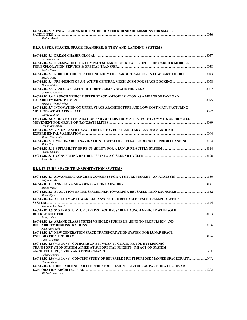|                   | IAC-16.D2.2.12  ESTABLISHING ROUTINE DEDICATED RIDESHARE MISSIONS FOR SMALL |      |
|-------------------|-----------------------------------------------------------------------------|------|
| <b>SATELLITES</b> |                                                                             | 8036 |

#### *Melissa Wuerl*

## **D2.3. UPPER STAGES, SPACE TRANSFER, ENTRY AND LANDING SYSTEMS**

| Luciano Saccani                                                                               |      |
|-----------------------------------------------------------------------------------------------|------|
| IAC-16.D2.3.2 NEO-SPACETUG: A COMPACT SOLAR ELECTRICAL PROPULSION CARRIER MODULE              |      |
|                                                                                               | 8038 |
| Xavier Roser                                                                                  |      |
| 14C-16.D2.3.3 ROBOTIC GRIPPER TECHNOLOGY FOR CARGO TRANSFER IN LOW EARTH ORBIT<br>Marco Dolci |      |
| <b>Tharek Mohtar</b>                                                                          |      |
| Gianluca Ascanio                                                                              |      |
| IAC-16.D2.3.6 LAUNCH VEHICLE UPPER STAGE AMPOULIZATION AS A MEANS OF PAYLOAD                  |      |
| Roman Mykhalchyshyn                                                                           | 8075 |
| IAC-16.D2.3.7 INNOVATION ON UPPER STAGE ARCHITECTURE AND LOW COST MANUFACTURING               |      |
| Carina Ludwig                                                                                 | 8082 |
| IAC-16.D2.3.8 CHOICE OF SEPARATION PARAMETERS FROM A PLATFORM COMMITS UNDIRECTED              |      |
| Igor V. Belokonov                                                                             | 8089 |
| IAC-16.D2.3.9 VISION BASED HAZARD DETECTION FOR PLANETARY LANDING: GROUND                     |      |
| Marco Ciarambino                                                                              | 8094 |
| 104-16.D2.3.10 VISION-AIDED NAVIGATION SYSTEM FOR REUSABLE ROCKET UPRIGHT LANDING             |      |
| Shibo Gao                                                                                     |      |
| <b>Etenne Dumont</b>                                                                          |      |
|                                                                                               |      |
| James Burke                                                                                   |      |

### **D2.4. FUTURE SPACE TRANSPORTATION SYSTEMS**

| Rolf Janovsky                                                                                            |  |
|----------------------------------------------------------------------------------------------------------|--|
| 141 MC-16.D2.4.2 ANGELA - A NEW GENERATION LAUNCHER<br>Menko Wisse                                       |  |
| Martn Sippel                                                                                             |  |
| <b>IAC-16.D2.4.4 A ROAD MAP TOWARD JAPAN'S FUTURE REUSABLE SPACE TRANSPORTATION</b>                      |  |
| Kazunori Mochizuki                                                                                       |  |
| <b>IAC-16.D2.4.5 SYSTEM STUDY OF UPPER-STAGE REUSABLE LAUNCH VEHICLE WITH SOLID</b>                      |  |
| Tetsuva Ono                                                                                              |  |
| <b>IAC-16.D2.4.6 ARIANE CLASS SYSTEM VEHICLE STUDIES LEADING TO PROPULSION AND</b>                       |  |
| Jean-Marc Bahu                                                                                           |  |
| <b>IAC-16.D2.4.7 NEW GENERATION SPACE TRANSPORTATION SYSTEM FOR LUNAR SPACE</b>                          |  |
| Rafail Murtazin                                                                                          |  |
| IAC-16.D2.4.8 (withdrawn) COMPARISON BETWEEN VTOL AND HOTOL HYPERSONIC                                   |  |
| <b>TRANSPORTATION SYSTEM AIMED AT SUBORBITAL FLIGHTS: IMPACT ON SYSTEM</b>                               |  |
| Roberta Fusaro                                                                                           |  |
| IAC-16.D2.4.9 (withdrawn) CONCEPT STUDY OF REUSABLE MULTI-PURPOSE MANNED SPACECRAFT  N/A<br>Zhiping Zhao |  |
| IAC-16.D2.4.10 REUSABLE SOLAR ELECTRIC PROPULSION (SEP) TUGS AS PART OF A CIS-LUNAR                      |  |
| Michael Elsperman                                                                                        |  |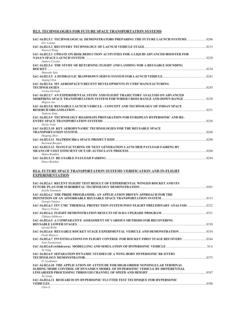## **D2.5. TECHNOLOGIES FOR FUTURE SPACE TRANSPORTATION SYSTEMS**

| IAC-16.D2.5.1 TECHNOLOGICAL DEMONSTRATORS PREPARING THE FUTURE LAUNCH SYSTEMS.                                                                                                                     |  |
|----------------------------------------------------------------------------------------------------------------------------------------------------------------------------------------------------|--|
| Eric Louaas<br>Xiaowei Wang                                                                                                                                                                        |  |
| IAC-16.D2.5.3 UPDATE ON RISK REDUCTION ACTIVITIES FOR A LIQUID ADVANCED BOOSTER FOR                                                                                                                |  |
| Andrew Crocker<br>IAC-16.D2.5.4 THE STUDY OF RETURNING FLIGHT AND LANDING FOR A REUSABLE SOUNDING                                                                                                  |  |
| Shunsuke Sato                                                                                                                                                                                      |  |
| Anping Chen<br>IAC-16.D2.5.6 MT AEROSPACE'S RECENT DEVELOPMENTS IN CFRP MANUFACTURING                                                                                                              |  |
| Carina Dorbath<br>IAC-16.D2.5.7 AN EXPERIMENTAL STUDY AND FLIGHT TRAJECTORY ANALYSIS ON ADVANCED<br>MORPHING SPACE TRANSPORTATION SYSTEM FOR WIDER CROSS RANGE AND DOWN RANGE  8250<br>Shigeru Aso |  |
| IAC-16.D2.5.8  REUSABLE LAUNCH VEHICLE - CONCEPT AND TECHNOLOGY OF INDIAN SPACE                                                                                                                    |  |
| Nadeem Alam<br>IAC-16.D2.5.9 TECHNOLOGY ROADMAPS PREPARATION FOR EUROPEAN HYPERSONIC AND RE-<br>Nicole Viola                                                                                       |  |
| IAC-16.D2.5.10 KEY AERODYNAMIC TECHNOLOGIES FOR THE REUSABLE SPACE                                                                                                                                 |  |
| Huaping Zhen                                                                                                                                                                                       |  |
| <b>Bertrand Bocquet</b><br>IAC-16.D2.5.12 MANUFACTURING OF NEXT GENERATION LAUNCHER PAYLOAD FAIRING BY                                                                                             |  |
| Mateo Rendina<br>Mateo Rendina                                                                                                                                                                     |  |
| <b>D2.6. FUTURE SPACE TRANSPORTATION SYSTEMS VERIFICATION AND IN-FLIGHT</b><br><b>EXPERIMENTATION</b><br>IAC-16.D2.6.1 RECENT FLIGHT TEST RESULT OF EXPERIMENTAL WINGED ROCKET AND ITS             |  |
| Koichi Yonemoto<br>IAC-16.D2.6.2 THE PRIDE PROGRAMME: AN APPLICATION DRIVEN APPROACH FOR THE                                                                                                       |  |
| Giorgio Tumino                                                                                                                                                                                     |  |
| Thierry Pichon                                                                                                                                                                                     |  |
| Chikara Ishikawa                                                                                                                                                                                   |  |
| IAC-16.D2.6.5 A COMPARATIVE ASSESSMENT OF VARIOUS METHODS FOR RECOVERING<br>Gerald Webb                                                                                                            |  |
| IAC-16.D2.6.6  REUSABLE ROCKET STAGE EXPERIMENTAL VEHICLE AND DEMONSTRATION<br>Paolo Baiocco                                                                                                       |  |
| IAC-16.D2.6.7 INVESTIGATIONS ON FLIGHT CONTROL FOR ROCKET FIRST STAGE RECOVERY ………………………………………………………<br>Jean Desmariaux                                                                            |  |
| Ya Yang                                                                                                                                                                                            |  |
| IAC-16.D2.6.9 SEPARATION DYNAMIC STUDIES OF A WING BODY HYPERSONIC RE-ENTRY<br>D. Jevakumar                                                                                                        |  |
| IAC-16.D2.6.10 THE APPLICATION OF ATTITUDE FOR HIGH-ORDER NONSINGULAR TERMINAL<br>SLIDING MODE CONTROL OF DYNAMICS MODEL OF HYPERSONIC VEHICLE BY DIFFERENTIAL                                     |  |
| Jie Liang<br>IAC-16.D2.6.11 RESEARCH ON HYPERSONIC FLUTTER TEST TECHNIQUE FOR HYPERSONIC<br>Chen Ji                                                                                                |  |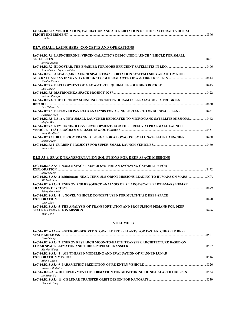|                     | IAC-16.D2.6.12  VERIFICATION. VALIDATION AND ACCREDITATION OF THE SPACECRAFT VIRTUAL |        |
|---------------------|--------------------------------------------------------------------------------------|--------|
| FLIGHT EXPERIMENT . |                                                                                      | - 8396 |
| <b>TTT</b> . TT     |                                                                                      |        |

*Wei Xu* 

## **D2.7. SMALL LAUNCHERS: CONCEPTS AND OPERATIONS**

| IAC-16.D2.7.1 LAUNCHERONE: VIRGIN GALACTIC'S DEDICATED LAUNCH VEHICLE FOR SMALL<br><b>SATELLITES</b>  | 8401 |
|-------------------------------------------------------------------------------------------------------|------|
| Sirisha Bandla                                                                                        |      |
| Jose Mariano Lopez Urdiales                                                                           |      |
| IAC-16.D2.7.3 ALTAIR (AIR LAUNCH SPACE TRANSPORTATION SYSTEM USING AN AUTOMATED<br>Nicolas Berend     | 8414 |
| Luis Zarate                                                                                           |      |
| Valentn Ramajo                                                                                        |      |
| IAC-16.D2.7.6 THE TOROGOZ SOUNDING ROCKET PROGRAM IN EL SALVADOR: A PROGRESS<br>Luis Salaverria       | 8430 |
| Federico Toso                                                                                         |      |
| IAC-16.D2.7.8 LS-1: A NEW SMALL LAUNCHER DEDICATED TO MICRO/NANO SATELLITE MISSIONS 8442<br>Shufan Wu |      |
| IAC-16.D2.7.9 KEY TECHNOLOGY DEVELOPMENTS FOR THE FIREFLY ALPHA SMALL LAUNCH<br>Andy Bradford         |      |
| IAC-16.D2.7.10 BLUE BOOMERANG: A DESIGN FOR A LOW-COST SMALL SATELLITE LAUNCHER  8458<br>Simon Feast  |      |
| Alan Webb                                                                                             | 8460 |

## **D2.8-A5.4. SPACE TRANSPORTATION SOLUTIONS FOR DEEP SPACE MISSIONS**

| <b>IAC-16.D2.8-A5.4.1 NASA'S SPACE LAUNCH SYSTEM: AN EVOLVING CAPABILITY FOR</b>                      | 8472 |
|-------------------------------------------------------------------------------------------------------|------|
| <b>Steve Creech</b><br>Michael Fuller                                                                 |      |
| IAC-16.D2.8-A5.4.3 ENERGY AND RESOURCE ANALYSIS OF A LARGE-SCALE EARTH-MARS HUMAN<br>Jejery Greenblat |      |
| <b>IAC-16.D2.8-A5.4.4 A NOVEL VEHICLE CONCEPT USED FOR MULTI-TASK DEEP-SPACE</b><br>Chen Zhao         | 8490 |
| <b>IAC-16.D2.8-A5.4.5 THE ANALYSIS OF TRANSPORTATION AND PROPULSION DEMAND FOR DEEP</b><br>Yuan Yong  | 8496 |

#### **VOLUME 13**

| IAC-16.D2.8-A5.4.6 ASTEROID-DERIVED STORABLE PROPELLANTS FOR FASTER, CHEAPER DEEP      |      |
|----------------------------------------------------------------------------------------|------|
|                                                                                        | 8501 |
| David Gump                                                                             |      |
| <b>IAC-16.D2.8-A5.4.7 ENERGY RESEARCH MOON-TO-EARTH TRANSFER ARCHITECTURE BASED ON</b> |      |
|                                                                                        |      |
| Xiaohui Wang                                                                           |      |
| IAC-16.D2.8-A5.4.8 AGENT-BASED MODELING AND EVALUATION OF MANNED LUNAR                 |      |
|                                                                                        | 8516 |
| Zilong Cheng                                                                           |      |
|                                                                                        | 8526 |
| Vinayak Malhotra                                                                       |      |
|                                                                                        |      |
| $An-Ming$ Wu                                                                           |      |
|                                                                                        | 8539 |
| Zhaokui Wang                                                                           |      |
|                                                                                        |      |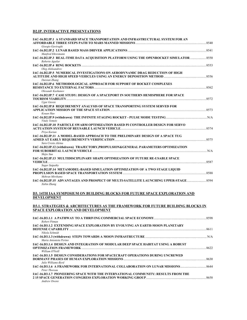# **D2.IP. INTERACTIVE PRESENTATIONS**

| IAC-16.D2.IP.1 A STANDARD SPACE TRANSPORTATION AND INFRASTRUCTURAL SYSTEM FOR AN                                |  |
|-----------------------------------------------------------------------------------------------------------------|--|
| Giorgio Gaviraghi                                                                                               |  |
|                                                                                                                 |  |
| Manfred Ehresmann                                                                                               |  |
| IAC-16.D2.IP.3 REAL-TIME DATA ACQUISITION PLATFORM USING THE OPENROCKET SIMULATOR  8550<br>Roberto Aguilar      |  |
|                                                                                                                 |  |
| Oleg Aleksandrov                                                                                                |  |
| IAC-16.D2.IP.5 NUMERICAL INVESTIGATIONS ON AERODYNAMIC DRAG REDUCTION OF HIGH                                   |  |
| Daixian Zhang                                                                                                   |  |
| IAC-16.D2.IP.6 METHODOLOGICAL APPROACH FOR SUPPORT OF ROCKET COMPLEXES                                          |  |
|                                                                                                                 |  |
| Olexandr Kashanov                                                                                               |  |
| IAC-16.D2.IP.7 CASE STUDY: DESIGN OF A SPACEPORT IN SOUTHERN HEMISPHERE FOR SPACE                               |  |
|                                                                                                                 |  |
| Ugur Guven                                                                                                      |  |
| IAC-16.D2.IP.8 REQUIREMENT ANALYSIS OF SPACE TRANSPORTING SYSTEM SERVED FOR                                     |  |
|                                                                                                                 |  |
| Kouan Hao                                                                                                       |  |
|                                                                                                                 |  |
| <b>Vitaly Yemets</b><br><b>IAC-16.D2.IP.10 PARTICLE SWARM OPTIMIZATION BASED PI CONTROLLER DESIGN FOR SERVO</b> |  |
|                                                                                                                 |  |
| Priya Kurian                                                                                                    |  |
| IAC-16.D2.IP.11 A MODEL-BASED APPROACH TO THE PRELIMINARY DESIGN OF A SPACE TUG                                 |  |
|                                                                                                                 |  |
| Sara Cresto Aleina                                                                                              |  |
| IAC-16.D2.IP.12 (withdrawn) TRAJECTORY,PROPULSION&GENERAL PARAMETERS OPTIMIZATION                               |  |
|                                                                                                                 |  |
| Shijie Sun                                                                                                      |  |
| IAC-16.D2.IP.13 MULTIDISCIPLINARY SHAPE OPTIMIZATION OF FUTURE RE-USABLE SPACE                                  |  |
| 8587                                                                                                            |  |
| Sagar Satpathy                                                                                                  |  |
| IAC-16.D2.IP.14 METAMODEL-BASED SIMULATION OPTIMIZATION OF A TWO STAGE LIQUID                                   |  |
|                                                                                                                 |  |
| Mehran Mirshams                                                                                                 |  |
| 1AC-16.D2.IP.15 ADVANTAGES AND PROSPECT OF MULTI-SATELLITE LAUNCHING UPPER-STAGE<br>Xubin Zhang                 |  |

### **D3. 14TH IAA SYMPOSIUM ON BUILDING BLOCKS FOR FUTURE SPACE EXPLORATION AND DEVELOPMENT**

#### **D3.1. STRATEGIES & ARCHITECTURES AS THE FRAMEWORK FOR FUTURE BUILDING BLOCKS IN SPACE EXPLORATION AND DEVELOPMENT**

| Robert Pitman                                                                        |      |
|--------------------------------------------------------------------------------------|------|
| <b>IAC-16.D3.1.2 EXTENDING SPACE EXPLORATION BY EVOLVING AN EARTH-MOON PLANETARY</b> |      |
|                                                                                      | 8611 |
| Nikola Schmidt                                                                       |      |
|                                                                                      | N/A  |
| Maria Antonieta Perino                                                               |      |
| IAC-16.D3.1.4 DESIGN AND INTEGRATION OF MODULAR DEEP SPACE HABITAT USING A ROBUST    |      |
|                                                                                      | 8622 |
| William O'Neill                                                                      |      |
| <b>IAC-16.D3.1.5 DESIGN CONSIDERATIONS FOR SPACECRAFT OPERATIONS DURING UNCREWED</b> |      |
|                                                                                      | 8630 |
| Julie Williams-Byrd                                                                  |      |
| Peter Thoreau                                                                        |      |
| IAC-16.D3.1.7 PIONEERING SPACE WITH THE INTERNATIONAL COMMUNITY: RESULTS FROM THE    |      |
|                                                                                      | 8658 |
| <b>Andrew Owens</b>                                                                  |      |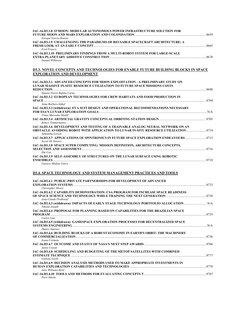| IAC-16.D3.1.8 O'MOON: MODULAR AUTONOMOUS POWER INFRASTRUCTURE SOLUTION FOR     |      |
|--------------------------------------------------------------------------------|------|
|                                                                                | 8659 |
| Enrique Garcia Bourne                                                          |      |
| IAC-16.D3.1.9 CHALLENGING THE PARADIGMS OF REUSABLE SPACECRAFT ARCHITECTURE: A |      |
|                                                                                | 8665 |
| <b>Fred Francis</b>                                                            |      |
| IAC-16.D3.1.10 PRELIMINARY FINDINGS FROM A MULTI-ROBOT SYSTEM FOR LARGE-SCALE  |      |
|                                                                                | 8678 |
| Samuel Wilkinson                                                               |      |

#### **D3.3. NOVEL CONCEPTS AND TECHNOLOGIES FOR ENABLE FUTURE BUILDING BLOCKS IN SPACE EXPLORATION AND DEVELOPMENT**

| IAC-16.D3.3.1 ADVANCED CONCEPTS FOR MOON EXPLOITATION - A PRELIMINARY STUDY ON<br>LUNAR MASSIVE IN-SITU RESOURCE UTILIZATION TO FUTURE SPACE MISSIONS COSTS |      |
|-------------------------------------------------------------------------------------------------------------------------------------------------------------|------|
| <b>REDUCTION</b>                                                                                                                                            | 8690 |
| Simone Flavio Rafano Carna                                                                                                                                  |      |
| IAC-16.D3.3.2 EUROPEAN TECHNOLOGIES FOR CREW HABITATS AND FOOD PRODUCTION IN                                                                                |      |
| <b>SPACE</b>                                                                                                                                                | 8704 |
| Anna Barbara Imhof                                                                                                                                          |      |
| IAC-16.D3.3.3 (withdrawn) EVA SUIT DESIGN AND OPERATIONAL RECOMMENDATIONS NECESSARY                                                                         |      |
|                                                                                                                                                             | N/A  |
| Vinita Marwaha Madill                                                                                                                                       |      |
|                                                                                                                                                             |      |
| Remco Timmermansa                                                                                                                                           |      |
| IAC-16.D3.3.6 DEVELOPMENT AND TESTING OF A TRAINABLE ANALOG NEURAL NETWORK ON AN                                                                            |      |
|                                                                                                                                                             |      |
| Samantha Larson                                                                                                                                             |      |
| 14C-16.D3.3.7 APPLICATIONS OF SPINTRONICS IN FUTURE SPACE EXPLORATION ENDEAVOURS                                                                            |      |
| Seved Ali Nasseri                                                                                                                                           |      |
| IAC-16.D3.3.8 SPACE SUPER COMPUTING: MISSION DEFINITION, ARCHITECTURE CONCEPTS,                                                                             |      |
|                                                                                                                                                             | 8716 |
| Hui Cao                                                                                                                                                     |      |
| IAC-16.D3.3.9 SELF-ASSEMBLY OF STRUCTURES ON THE LUNAR SURFACE USING ROBOTIC                                                                                |      |
|                                                                                                                                                             | 8718 |
|                                                                                                                                                             |      |

#### *Gustavo Medina Tanco*

### **D3.4. SPACE TECHNOLOGY AND SYSTEM MANAGEMENT PRACTICES AND TOOLS**

| IAC-16.D3.4.1 PUBLIC-PRIVATE PARTNERSHIPS FOR DEVELOPMENT OF ADVANCED                   |  |
|-----------------------------------------------------------------------------------------|--|
| Christopher Moore                                                                       |  |
| <b>IAC-16.D3.4.2 CAPABILITY DEMONSTRATION: CSA PROGRAM FOR INCREASE SPACE READINESS</b> |  |
| Jean-Claude Piedboeuf                                                                   |  |
| Nikolai Joseph                                                                          |  |
| IAC-16.D3.4.4 PROPOSAL FOR PLANNING BASED ON CAPABILITIES FOR THE BRAZILIAN SPACE       |  |
| Carlos Lino                                                                             |  |
| IAC-16.D3.4.5 (withdrawn) GAMESPACE EXPLORATION PROCESSES FOR DECENTRALIZED SPACE       |  |
|                                                                                         |  |
| Dmitry Smirnov                                                                          |  |
| IAC-16.D3.4.6 BUILDING BLOCKS OF A ROBUST ECONOMY IN EARTH'S ORBIT: THE MACHINERY       |  |
|                                                                                         |  |
| Ioana Cozmuta                                                                           |  |
| Jason Crusan                                                                            |  |
| IAC-16.D3.4.8 SCHEDULING AND BUDGETING OF THE METOP SATELLITES WITH COMBINED            |  |
|                                                                                         |  |
| Giuliani Garbi                                                                          |  |
| IAC-16.D3.4.9 DECISION ANALYSIS METHODS USED TO MAKE APPROPRIATE INVESTMENTS IN         |  |
|                                                                                         |  |
| Julie Williams-Byrd                                                                     |  |
|                                                                                         |  |
| Paivi Jukola                                                                            |  |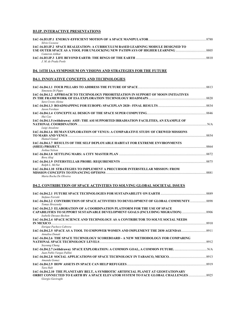### **D3.IP. INTERACTIVE PRESENTATIONS**

| Silvio Cocuzza                                                                   |      |
|----------------------------------------------------------------------------------|------|
| IAC-16.D3.IP.2 SPACE REALIZATION: A CURRICULUM BASED LEARNING MODULE DESIGNED TO |      |
|                                                                                  |      |
| Cameron Ashkar                                                                   |      |
|                                                                                  | 8810 |
| J M de Prada Poole                                                               |      |

# **D4. 14TH IAA SYMPOSIUM ON VISIONS AND STRATEGIES FOR THE FUTURE**

### **D4.1. INNOVATIVE CONCEPTS AND TECHNOLOGIES**

| Simoneta Di Pippo                                                                                         |       |
|-----------------------------------------------------------------------------------------------------------|-------|
| IAC-16.D4.1.2 APPROACH TO TECHNOLOGY PRIORITIZATION IN SUPPORT OF MOON INITIATIVES<br>Sara Cresto Aleina  |       |
| Jason Forshaw                                                                                             |       |
| Hui Cao                                                                                                   |       |
| IAC-16.D4.1.5 (withdrawn) ASIF: THE ASI SUPPORTED IRRADIATION FACILITIES, AN EXAMPLE OF<br>Luigi Ansalone |       |
| IAC-16.D4.1.6 HUMAN EXPLORATION OF VENUS: A COMPARATIVE STUDY OF CREWED MISSIONS<br><b>Hamed Gamal</b>    |       |
| IAC-16.D4.1.7 RESULTS OF THE SELF DEPLOYABLE HABITAT FOR EXTREME ENVIRONMENTS<br>Joshua Nelson            | 8864  |
| Bora Aliaj                                                                                                | .8872 |
| Ralph L. McNut                                                                                            |       |
| IAC-16.D4.1.10 STRATEGIES TO IMPLEMENT A PRECURSOR INTERSTELLAR MISSION: FROM<br>Marta Rocha De Oliveira  | 8881  |

### **D4.2. CONTRIBUTION OF SPACE ACTIVITIES TO SOLVING GLOBAL SOCIETAL ISSUES**

| Stefano Ferretti                                                                                                                                                                   |      |
|------------------------------------------------------------------------------------------------------------------------------------------------------------------------------------|------|
| IAC-16.D4.2.2 CONTRIBUTION OF SPACE ACTIVITIES TO DEVELOPMENT OF GLOBAL COMMUNITY 8898<br>Tomas Hrozensky                                                                          |      |
| IAC-16.D4.2.3 ELABORATION OF A COORDINATION PLATFORM FOR THE USE OF SPACE<br>CAPABILITIES TO SUPPORT SUSTAINABLE DEVELOPMENT GOALS (INCLUDING MIGRATION)<br>Isabelle Duyaux-Bechon |      |
| IAC-16.D4.2.4 SPACE SCIENCE AND TECHNOLOGY AS A CONTRIBUTOR TO SOLVE SOCIAL NEEDS<br>Enrique Pacheco Cabrera                                                                       |      |
| 14C-16.D4.2.5 SPACE AS A TOOL TO EMPOWER WOMEN AND IMPLEMENT THE 2030 AGENDAS<br>Annalisa Donati                                                                                   |      |
| IAC-16.D4.2.6 THE SPACE TECHNOLOGY SCOREBOARD - A NEW METHODOLOGY FOR COMPARING<br>Soyoung Chung                                                                                   | 8912 |
| Juan Pablo Vargas Pallini                                                                                                                                                          |      |
| Amanda Gomez                                                                                                                                                                       |      |
| Tara Halt                                                                                                                                                                          |      |
| IAC-16.D4.2.10 THE PLANETARY BELT, A SYMBIOTIC ARTIFICIAL PLANET AT GEOSTATIONARY<br>Giorgio Gaviraghi                                                                             |      |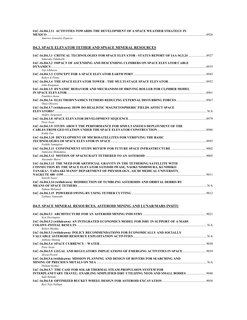|  |  |  |  | IAC-16.D4.2.11  ACTIVITIES TOWARDS THE DEVELOPMENT OF A SPACE WEATHER STRATEGY IN |  |
|--|--|--|--|-----------------------------------------------------------------------------------|--|
|--|--|--|--|-----------------------------------------------------------------------------------|--|

**MEXICO** .......................................................................................................................................................................................................8926

| Americo Gonzalez-Esparza |  |
|--------------------------|--|
|--------------------------|--|

### **D4.3. SPACE ELEVATOR TETHER AND SPSACE MINERAL RESOURCES**

| Sakurako Takahashi                                                                      |  |
|-----------------------------------------------------------------------------------------|--|
| IAC-16.D4.3.2 IMPACT OF ASCENDING AND DESCENDING CLIMBERS ON SPACE ELEVATOR CABLE       |  |
|                                                                                         |  |
| Yoji Ishikawa                                                                           |  |
|                                                                                         |  |
| Robert E Penny                                                                          |  |
| John Knapman                                                                            |  |
| <b>IAC-16.D4.3.5 DYNAMIC BEHAVIOR AND MECHANISM OF DRIVING ROLLER FOR CLIMBER MODEL</b> |  |
| <b>IN SPACE ELEVATOR</b> 2001 2001 2001 2001 2003                                       |  |
| <b>Fumihiro Inoue</b>                                                                   |  |
| Thais Oliveira                                                                          |  |
| IAC-16.D4.3.7 (withdrawn) HOW DO REALISTIC MAGNETOSPHERIC FIELDS AFFECT SPACE           |  |
|                                                                                         |  |
| Anders Jorgensen                                                                        |  |
| Peter Swan                                                                              |  |
| IAC-16.D4.3.9 STUDY ABOUT THE PERFORMANCE FOR SIMULTANEOUS DEPLOYMENT OF THE            |  |
| Kohki Tao                                                                               |  |
| <b>IAC-16.D4.3.10 DEVELOPMENT OF MICROSATELLITES FOR VERIFYING THE BASIC</b>            |  |
| Yoshiki Yamagiwa                                                                        |  |
| Tamiyasu Shimamiya                                                                      |  |
|                                                                                         |  |
| Alexander Burov                                                                         |  |
| IAC-16.D4.3.13 THE NEED FOR ARTIFICIAL GRAVITY IN THE TETHERING SATELLITE WITH          |  |
| <b>CONNECTION BY THE SPACE ELEVATOR SATOSHI IWASE, NAOKI NISHIMURA, KUNIHIKO</b>        |  |
| TANAKA*, TADAAKI MANO* DEPARTMENT OF PHYSIOLOGY, AICHI MEDICAL UNIVERSITY,              |  |
| Satoshi Iwase                                                                           |  |
| IAC-16.D4.3.14 (withdrawn) REDIRECTION OF TUMBLING ASTEROIDS AND ORBITAL DEBRIS BY      |  |
|                                                                                         |  |
| Nahum Melamed                                                                           |  |
|                                                                                         |  |
| Tsubasa Yamasaki                                                                        |  |

### **D4.5. SPACE MINERAL RESOURCES, ASTEROID MINING AND LUNAR/MARS INSITU**

| <b>Scot Dorrington</b>                                                                                                                                                              |     |
|-------------------------------------------------------------------------------------------------------------------------------------------------------------------------------------|-----|
| IAC-16.D4.5.2 (withdrawn) AN INTEGRATED ECONOMICS MODEL FOR ISRU IN SUPPORT OF A MARS<br>Robert Shishko                                                                             |     |
| IAC-16.D4.5.3 (withdrawn) POLICY RECOMMENDATIONS FOR ECONOMICALLY AND SOCIALLY<br><b>Anthony Hennig</b>                                                                             |     |
| Peter Swan                                                                                                                                                                          |     |
| IAC-16.D4.5.5 LEGAL AND REGULATORY IMPLICATIONS OF EMERGING ACTIVITIES IN SPACE  9039<br>Alyssa Picard                                                                              |     |
| IAC-16.D4.5.6 (withdrawn) MISSION PLANNING AND DESIGN OF ROVERS FOR SEARCHING AND<br>Dishant Kothia                                                                                 | N/A |
| <b>IAC-16.D4.5.7 THE CASE FOR SOLAR THERMAL STEAM PROPULSION SYSTEM FOR</b><br>INTERPLANETARY TRAVEL: ENABLING SIMPLIFIED ISRU UTILIZING NEOS AND SMALL BODIES 9048<br>Salil Rabade |     |
| Ravi Teja Nallapu                                                                                                                                                                   |     |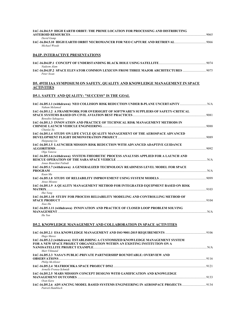| IAC-16.D4.5.9 HIGH EARTH ORBIT: THE PRIME LOCATION FOR PROCESSING AND DISTRIBUTING                              |  |
|-----------------------------------------------------------------------------------------------------------------|--|
| David Gump<br>Michael Woods                                                                                     |  |
| <b>D4.IP. INTERACTIVE PRESENTATIONS</b>                                                                         |  |
| Nadeem Alam                                                                                                     |  |
| 14C-16.D4.IP.2 SPACE ELEVATOR COMMON LEXICON FROM THREE MAJOR ARCHITECTURES<br>Peter Swan                       |  |
| D5. 49TH IAA SYMPOSIUM ON SAFETY, QUALITY AND KNOWLEDGE MANAGEMENT IN SPACE<br><b>ACTIVITIES</b>                |  |
| D5.1. SAFETY AND QUALITY: "SUCCESS" IS THE GOAL                                                                 |  |
| Nahum Melamed                                                                                                   |  |
| IAC-16.D5.1.2 A FRAMEWORK FOR OVERSIGHT OF SOFTWARE'S SUPPLIERS OF SAFETY-CRITICAL<br>Benedito Sakugawa         |  |
| IAC-16.D5.1.3 INNOVATION AND PRACTICE OF TECHNICAL RISK MANAGEMENT METHODS IN<br>Chunlai Xu                     |  |
| IAC-16.D5.1.4 STUDY ON LIFE CYCLE QUALITY MANAGEMENT OF THE AEROSPACE ADVANCED<br>Haiguang Liu                  |  |
| IAC-16.D5.1.5 LAUNCHER MISSION RISK REDUCTION WITH ADVANCED ADAPTIVE GUIDANCE<br>Olga Yanova                    |  |
| IAC-16.D5.1.6 (withdrawn) SYSTEM-THEORETIC PROCESS ANALYSIS APPLIED FOR A LAUNCH AND<br>Jonas Bianchini Fulindi |  |
| IAC-16.D5.1.7 (withdrawn) A GENERALIZED TECHNOLOGY READINESS LEVEL MODEL FOR SPACE<br>Kuan Ma                   |  |
| Atsuo Mizuno                                                                                                    |  |
| IAC-16.D5.1.9 A QUALITY MANAGEMENT METHOD FOR INTEGRATED EQUIPMENT BASED ON RISK<br>Hui Yang                    |  |
| IAC-16.D5.1.10 STUDY FOR PROCESS RELIABILITY MODELING AND CONTROLLING METHOD OF<br>Xiao Hu                      |  |
| IAC-16.D5.1.11 (withdrawn) INNOVATION AND PRACTICE OF CLOSED LOOP PROBLEM SOLVING<br>Hu Yun                     |  |
| <b>D5.2. KNOWLEDGE MANAGEMENT AND COLLABORATION IN SPACE ACTIVITIES</b>                                         |  |
|                                                                                                                 |  |

| N/A                                                                               |
|-----------------------------------------------------------------------------------|
|                                                                                   |
|                                                                                   |
| 9116                                                                              |
|                                                                                   |
|                                                                                   |
|                                                                                   |
|                                                                                   |
| 9133                                                                              |
|                                                                                   |
| 134 HAC-16.D5.2.6 ADVANCING MODEL BASED SYSTEMS ENGINEERING IN AEROSPACE PROJECTS |
|                                                                                   |
|                                                                                   |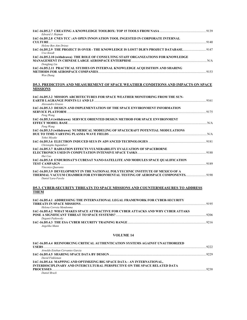| Edward J. Hojman                                                                                            |      |
|-------------------------------------------------------------------------------------------------------------|------|
| IAC-16.D5.2.8 CNES TCC : AN OPEN INNOVATION TOOL INGESTED IN CORPORATE INTERNAL                             |      |
| Helene Ben Aim Drieux                                                                                       |      |
| 147 IAC-16.D5.2.9 THE PROJECT IS OVER - THE KNOWLEDGE IS LOST? DLR'S PROJECT DATABASE<br>Uwe Knodt          |      |
| IAC-16.D5.2.10 (withdrawn) THE ROLE OF CONSULTING STAFF ORGANIZATIONS FOR KNOWLEDGE<br>Dongfang Liu         |      |
| IAC-16.D5.2.11 PRACTICAL STUDIES ON INTERNAL KNOWLEDGE ACQUISITION AND SHARING<br>Wen Zhang                 |      |
| <b>D5.3. PREDICITON AND MEASUREMENT OF SPACE WEATHER CONDITIONS AND IMPACTS ON SPACE</b><br><b>MISSIONS</b> |      |
|                                                                                                             |      |
| IAC-16.D5.3.2 MISSION ARCHITECTURES FOR SPACE WEATHER MONITORING FROM THE SUN-<br>Alessandro Grasso         |      |
| IAC-16.D5.3.3 DESIGN AND IMPLEMENTATION OF THE SPACE ENVIRONMENT INFORMATION                                |      |
| Peng Wang                                                                                                   |      |
| IAC-16.D5.3.4 (withdrawn) SERVICE ORIENTED DESIGN METHOD FOR SPACE ENVIRONMENT<br>Peng Wang                 |      |
| IAC-16.D5.3.5 (withdrawn) NUMERICAL MODELING OF SPACECRAFT POTENTIAL MODULATIONS                            |      |
| Yohei Miyake                                                                                                |      |
| Christophe Inguimbert                                                                                       |      |
| IAC-16.D5.3.7 RADIATION EFFECTS VULNERABILITY EVALUATION OF SPACEBORNE<br>Hui Cao                           |      |
| IAC-16.D5.3.8 ENDUROSAT'S CUBESAT NANO-SATELLITE AND MODULES SPACE QUALIFICATION<br>Vincenzo Ouaranta       |      |
| IAC-16.D5.3.9 DEVELOPMENT IN THE NATIONAL POLYTECHNIC INSTITUTE OF MEXICO OF A<br>Daniel Lara-Favela        |      |
| <b>D5.3. CYBER-SECURITY THREATS TO SPACE MISSIONS AND COUNTERMEASURES TO ADDRESS</b><br><b>THEM</b>         |      |
| IAC-16.D5.4.1 ADDRESSING THE INTERNATIONAL LEGAL FRAMEWORK FOR CYBER-SECURITY                               | 9195 |

| Helena Correia Mendonma                                                                 |      |
|-----------------------------------------------------------------------------------------|------|
| <b>IAC-16.D5.4.2 WHAT MAKES SPACE ATTRACTIVE FOR CYBER ATTACKS AND WHY CYBER ATTAKS</b> |      |
|                                                                                         | 9206 |
| Deganit Paikowsky                                                                       |      |
| <b>IAC-16.D5.4.3 THE ESA CYBER SECURITY TRAINING RANGE COMMUNICATION</b>                | 9216 |
| Angelika Mann                                                                           |      |

# **VOLUME 14**

| IAC-16.D5.4.4 REINFORCING CRITICAL AUTHENTICATION SYSTEMS AGAINST UNAUTHORIZED |      |
|--------------------------------------------------------------------------------|------|
|                                                                                | 9222 |
| Arnoldo Esteban Cervantes Garcia                                               |      |
|                                                                                | 9229 |
| David Finkleman                                                                |      |
| IAC-16.D5.4.6 MAPPING AND OPTIMIZING BIG SPACE DATA - AN INTERNATIONAL,        |      |
| INTERDISCIPLINARY AND INTERCULTURAL PERSPECTIVE ON THE SPACE RELATED DATA      |      |
|                                                                                | 9238 |
| Daniel Brack                                                                   |      |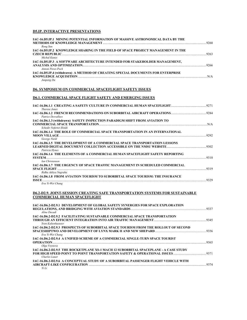### **D5.IP. INTERACTIVE PRESENTATIONS**

| IAC-16.D5.IP.1 MINING POTENTIAL INFORMATION OF MASSIVE ASTRONOMICAL DATA BY THE  |      |
|----------------------------------------------------------------------------------|------|
|                                                                                  |      |
| Rong Sun                                                                         |      |
| IAC-16.D5.IP.2 KNOWLEDGE SHARING IN THE FIELD OF SPACE PROJECT MANAGEMENT IN THE |      |
|                                                                                  | 9263 |
| Michal Kunes                                                                     |      |
| IAC-16.D5.IP.3 A SOFTWARE ARCHITECTURE INTENDED FOR STAKEHOLDER MANAGEMENT,      |      |
|                                                                                  |      |
| Antoni Perez-Poch                                                                |      |
| IAC-16.D5.IP.4 (withdrawn) A METHOD OF CREATING SPECIAL DOCUMENTS FOR ENTERPRISE |      |
|                                                                                  | N/A  |
| Junpeng Du                                                                       |      |

### **D6. SYMPOSIUM ON COMMERCIAL SPACEFLIGHT SAFETY ISSUES**

### **D6.1. COMMERCIAL SPACE FLIGHT SAFETY AND EMERGING ISSUES**

| <i>Therese Jones</i>                                                                                                     | 9271 |
|--------------------------------------------------------------------------------------------------------------------------|------|
| <b>Patrice Desvallees</b>                                                                                                |      |
| IAC-16.D6.1.3 (withdrawn) SAFETY INSPECTION PARADIGM SHIFT FROM AVIATION TO<br>Schedir Nefertet Illoldi                  |      |
| IAC-16.D6.1.4 THE ROLE OF COMMERCIAL SPACE TRANSPORTATION IN AN INTERNATIONAL<br><b>MOON VILLAGE.</b>                    | 9292 |
| George Nield<br>IAC-16.D6.1.5 THE DEVELOPMENT OF A COMMERCIAL SPACE TRANSPORTATION LESSONS                               |      |
| Patricia Hynes<br>IAC-16.D6.1.6 THE ELEMENTS OF A COMMERCIAL HUMAN SPACEFLIGHT SAFETY REPORTING<br>SYSTEM <b>Example</b> | 9310 |
| Ian Christensen<br>IAC-16.D6.1.7 THE URGENCY OF SPACE TRAFFIC MANAGEMENT IN SCHEDULED COMMERCIAL                         |      |
| Ridha Aditya Nugraha<br>IAC-16.D6.1.8 FROM AVIATION TOURISM TO SUBORBITAL SPACE TOURISM: THE INSURANCE                   | 9319 |
| <b>ISSUE</b><br>Eva Yi-Wei Chang                                                                                         | 9329 |

#### **D6.2-D2.9. JOINT-SESSION CREATING SAFE TRANSPORTATION SYSTEMS FOR SUSTAINABLE COMMERCIAL HUMAN SPACEFLIGHT**

| IAC-16.D6.2-D2.9.1 DEVELOPMENT OF GLOBAL SAFETY SYNERGIES FOR SPACE EXPLORATION      |      |
|--------------------------------------------------------------------------------------|------|
|                                                                                      |      |
| Aline Decadi                                                                         |      |
| <b>IAC-16.D6.2-D2.9.2 FACILITATING SUSTAINABLE COMMERCIAL SPACE TRANSPORTATION</b>   |      |
|                                                                                      | 9345 |
| Sven Kaltenhaeuser                                                                   |      |
| IAC-16.D6.2-D2.9.3 PROSPECTS OF SUBORBITAL SPACE TOURISM FROM THE ROLLOUT OF SECOND  |      |
|                                                                                      |      |
| Eva Yi-Wei Chang                                                                     |      |
| IAC-16.D6.2-D2.9.4 A UNIFIED SCHEME OF A COMMERCIAL SINGLE-TURN SPACE TOURIST        |      |
| <b>OPERATION</b>                                                                     | 9365 |
| Olga Voynova                                                                         |      |
| IAC-16.D6.2-D2.9.5 THE ROCKETPLANE XS-1 MACH 12 SUBORBITAL SPACEPLANE - A CASE STUDY |      |
|                                                                                      |      |
| Charles Lauer                                                                        |      |
| IAC-16.D6.2-D2.9.6 A CONCEPTUAL STUDY OF A SUBORBITAL PASSENGER FLIGHT VEHICLE WITH  |      |
|                                                                                      | 9374 |
| Yi Li                                                                                |      |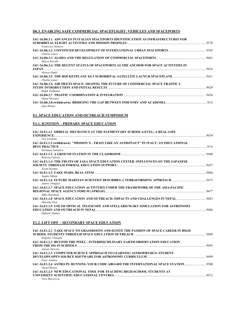# **D6.3. ENABLING SAFE COMMERCIAL SPACEFLIGHT: VEHICLES AND SPACEPORTS**

| IAC-16.D6.3.1 ADVANCES IN ITALIAN SPACEPORTS IDENTIFICATION AS INFRASTRUCTURES FOR  |      |
|-------------------------------------------------------------------------------------|------|
| Francesco Santoro                                                                   |      |
| Charles Lauer                                                                       |      |
| McLee Kerolle                                                                       |      |
| IAC-16.D6.3.4 THE RECENT STATUS OF SPACEPORTS AS THE ANCHOR FOR SPACE ACTIVITIES IN |      |
| JAPAN<br>Misuzu Onuki                                                               | 9416 |
| Charles Lauer                                                                       |      |
| IAC-16.D6.3.6 AIR MEETS SPACE: SHAPING THE FUTURE OF COMMERCIAL SPACE TRAFFIC I.    | 9429 |
| Ralph Tullmann                                                                      |      |
| Diane Howard                                                                        | 9436 |
| Jane Kinney                                                                         |      |

### **E1. SPACE EDUCATION AND OUTREACH SYMPOSIUM**

## **E1.1. IGNITION – PRIMARY SPACE EDUCATION**

| IAC-16.E1.1.1 ORBITAL MECHANICS AT THE ELEMENTARY SCHOOL-LEVEL; A REAL-LIFE                |      |
|--------------------------------------------------------------------------------------------|------|
| Ted Avraham                                                                                |      |
| IAC-16.E1.1.2 (withdrawn) "MISSION X - TRAIN LIKE AN ASTRONAUT" IN ITALY: AN EDUCATIONAL   |      |
|                                                                                            | N/A  |
| Germana Galoforo                                                                           |      |
| Roberto Falconi                                                                            |      |
| <b>IAC-16.E1.1.4 THE FRUITS OF JAXA SPACE EDUCATION CENTER -INFLUENCES ON THE JAPANESE</b> |      |
| Avami Kojima                                                                               |      |
| Sophie Milam                                                                               | 9464 |
| <b>Audrey Douglas</b>                                                                      | 9473 |
| <b>IAC-16.E1.1.7 SPACE EDUCATION ACTIVITIES UNDER THE FRAMEWORK OF THE ASIA-PACIFIC</b>    |      |
| Mika Hosobata                                                                              |      |
| Manisha Dwa                                                                                |      |
| <b>IAC-16.E1.1.9 USE OF OPTICAL TELESCOPE AND STELLARIUM SKY SIMULATION FOR ASTRONOMY</b>  | 9486 |
| Mahesh Thakuri                                                                             |      |

### **E1.2. LIFT-OFF – SECONDARY SPACE EDUCATION**

| IAC-16.E1.2.1 TAKE SPACE TO GRASSROOTS AND IGNITE THE PASSION OF SPACE CAREER IN HIGH |      |
|---------------------------------------------------------------------------------------|------|
|                                                                                       | 9489 |
| Kingslev Ukaegbu                                                                      |      |
| IAC-16.E1.2.2 BEYOND THE PIXEL - INTERDISCIPLINARY EARTH OBSERVATION EDUCATION        |      |
|                                                                                       | 9493 |
| Annete Ortwein                                                                        |      |
| IAC-16.E1.2.3 COMPUTER SCIENCE APPROACH TO LEARNING ASTROPHYSICS: STUDENT             |      |
|                                                                                       |      |
| Peter Amidon                                                                          |      |
|                                                                                       |      |
| David Honess                                                                          |      |
| IAC-16.E1.2.5 NEW EDUCATIONAL TOOL FOR TEACHING HIGH-SCHOOL STUDENTS AT               |      |
|                                                                                       |      |
| Vera Mavorova                                                                         |      |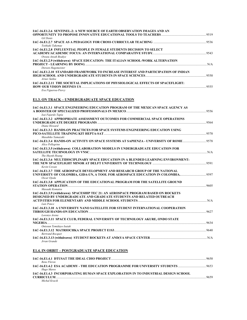| IAC-16.E1.2.6 SENTINEL-2: A NEW SOURCE OF EARTH OBSERVATION IMAGES AND AN<br><b>Gil Denis</b>                                   |      |
|---------------------------------------------------------------------------------------------------------------------------------|------|
| Toshiaki Takemae                                                                                                                |      |
| IAC-16.E1.2.8 INFLUENTIAL PEOPLE IN FEMALE STUDENTS DECISION TO SELECT                                                          |      |
| Owusu Ansah Boakye                                                                                                              |      |
| IAC-16.E1.2.9 (withdrawn) SPACE EDUCATION: THE ITALIAN SCHOOL-WORK ALTERNATION                                                  |      |
| Doreen Hagemeister<br><b>IAC-16.E1.2.10 STANDARD FRAMEWORK TO INCREASE INTEREST AND PARTICIPATION OF INDIAN</b><br>Arnav Saikia | 9550 |
| IAC-16.E1.2.11 THE SOCIETAL IMPLICATIONS OF PHYSIOLOGICAL EFFECTS OF SPACEFLIGHT:<br>Eva Figueroa-Piercy                        |      |

# **E1.3. ON TRACK – UNDERGRADUATE SPACE EDUCATION**

| IAC-16.E1.3.1 SPACE ENGINEERING EDUCATION PROGRAM OF THE MEXICAN SPACE AGENCY AS                           |  |
|------------------------------------------------------------------------------------------------------------|--|
|                                                                                                            |  |
| Isai Fajardo Tapia<br><b>IAC-16.E1.3.2 APPROPRIATE ASSESSMENT OUTCOMES FOR COMMERCIAL SPACE OPERATIONS</b> |  |
|                                                                                                            |  |
| Diane Howard                                                                                               |  |
| IAC-16.E1.3.3 HANDS-ON PRACTICES FOR SPACE SYSTEMS ENGINEERING EDUCATION USING                             |  |
|                                                                                                            |  |
| Masahiko Yamazaki                                                                                          |  |
| IAC-16.E1.3.4 HANDS-ON ACTIVITY ON SPACE SYSTEMS AT SAPIENZA - UNIVERSITY OF ROME 9578<br>Alice Pellegrino |  |
| IAC-16.E1.3.5 (withdrawn) COLLABORATION MODELS IN UNDERGRADUATE EDUCATION FOR                              |  |
|                                                                                                            |  |
| The Huynh Hoang                                                                                            |  |
| IAC-16.E1.3.6 MULTIDISCIPLINARY SPACE EDUCATION IN A BLENDED LEARNING ENVIRONMENT:                         |  |
| Kevin Cowan                                                                                                |  |
| IAC-16.E1.3.7 THE AEROSPACE DEVELOPMENT AND RESEARCH GROUP OF THE NATIONAL                                 |  |
| UNIVERSITY OF COLOMBIA, GIDA-UN, A TOOL FOR AEROSPACE EDUCATION IN COLOMBIA9597                            |  |
| Oscar Ojeda                                                                                                |  |
| IAC-16.E1.3.8 APPLICATION OF THE EDUCATIONAL PROGRAM FOR THE SATELLITE GROUND                              |  |
|                                                                                                            |  |
| Masaaki Komatsu                                                                                            |  |
| IAC-16.E1.3.9 (withdrawn) SPACESHIP TEC 21: AN AEROSPACE PROGRAM BASED ON ROCKETS                          |  |
| <b>DESIGNED BY UNDERGRADUATE AND GRADUATE STUDENTS AND RELATED OUTREACH</b>                                |  |
|                                                                                                            |  |
| Luis Ponce                                                                                                 |  |
| IAC-16.E1.3.10 A UNIVERSITY NANO SATELLITE FOR STUDENT INTERNATIONAL COOPERATION                           |  |
|                                                                                                            |  |
| Lorenzo Arena                                                                                              |  |
| IAC-16.E1.3.11 SPACE CLUB, FEDERAL UNIVERSITY OF TECHNOLOGY AKURE, ONDO STATE                              |  |
|                                                                                                            |  |
| Oniosun Temidayo Isaiah                                                                                    |  |
| <b>Bertrand Bocquet</b>                                                                                    |  |
|                                                                                                            |  |
| Jrran Grande                                                                                               |  |
|                                                                                                            |  |

# **E1.4. IN ORBIT – POSTGRADUATE SPACE EDUCATION**

|                                                                                    | 9650 |
|------------------------------------------------------------------------------------|------|
| Rene Fleron                                                                        |      |
| IAC-16.E1.4.2 ESA ACADEMY - THE EDUCATION PROGRAMME FOR UNIVERSITY STUDENTS        | 9653 |
| Hugo Maree                                                                         |      |
| IAC-16.E1.4.3 INCORPORATING HUMAN SPACE EXPLORATION IN TO INDUSTRIAL DESIGN SCHOOL |      |
| <b>CURRICULUM</b>                                                                  | 9659 |
| Michal Kracik                                                                      |      |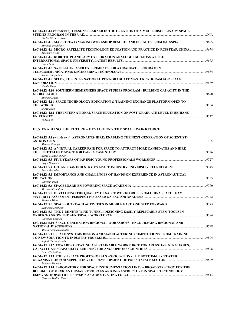| IAC-16.E1.4.4 (withdrawn) LESSONS LEARNED IN THE CREATION OF A MULTI-DISCIPLINARY SPACE                             |      |
|---------------------------------------------------------------------------------------------------------------------|------|
| Carlos Niederstrasser                                                                                               | N/A  |
| Miranda Bradshaw                                                                                                    |      |
| 14C-16.E1.4.6 MICRO-SATELLITE TECHNOLOGY EDUCATION AND PRACTICE IN RCSSTEAP, CHINA 9674<br>Xinsheng Wang            |      |
| IAC-16.E1.4.7 ROBOTIC PLANETARY EXPLORATION ANALOGUE MISSIONS AT THE                                                |      |
| Ewan Reid                                                                                                           | 9675 |
| IAC-16.E1.4.8 SATELLITE-BASED EXPERIMENTS FOR A GRADUATE PROGRAM IN<br>Sneha Velayudhan                             | 9684 |
| IAC-16.E1.4.9 SEEDS, THE INTERNATIONAL POST-GRADUATE MASTER PROGRAM FOR SPACE<br><b>EXPLORATION</b><br>Nicole Viola | 9689 |
| IAC-16.E1.4.10 SOUTHERN HEMISPHERE SPACE STUDIES PROGRAM - BUILDING CAPACITY IN THE<br><b>GLOBAL SOUTH</b>          | 9698 |
| Michael Davis<br>IAC-16.E1.4.11 SPACE TECHNOLOGY EDUCATION & TRAINING EXCHANGE PLATFORM OPEN TO                     | 9704 |
| Sheng Zhao<br>IAC-16.E1.4.12 THE INTERNATIONAL SPACE EDUCATION ON POST-GRADUATE LEVEL IN BEIHANG                    |      |
| <b>UNIVERSITY</b><br>Yi Xiao Su                                                                                     | 9712 |

# **E1.5. ENABLING THE FUTURE – DEVELOPING THE SPACE WORKFORCE**

| IAC-16.E1.5.1 (withdrawn) ASTRONAUTS4HIRE: ENABLING THE NEXT GENERATION OF SCIENTIST-<br>N/A           |      |
|--------------------------------------------------------------------------------------------------------|------|
| Shawna Pandva                                                                                          |      |
| IAC-16.E1.5.2 A VIRTUAL CAREER FAIR FOR SPACE TO ATTRACT MORE CANDIDATES AND HIRE                      |      |
| <b>Bernd Michael Weiss</b>                                                                             |      |
| <b>Birgit Hartman</b>                                                                                  |      |
| <b>Becca Browder</b>                                                                                   |      |
| IAC-16.E1.5.5 IMPORTANCE AND CHALLENGES OF HANDS-ON-EXPERIENCE IN ASTRONAUTICAL                        |      |
| Christan Bach                                                                                          |      |
| Maxime Sixdeniers                                                                                      |      |
| IAC-16.E1.5.7 DEVELOPING THE QUALITY OF SAPCE WORKFORCE FROM CHINA SPACE TEAM                          |      |
| Xiaovan Miao                                                                                           |      |
| Behnoosh Meskoob                                                                                       |      |
| IAC-16.E1.5.9 THE 2 -MINUTE WIND TUNNEL: DESIGNING EASILY REPLICABLE STEM TOOLS IN                     |      |
|                                                                                                        | 9784 |
| Christina Carmen<br>IAC-16.E1.5.10 SPACE GENERATION REGIONAL WORKSHOPS - ENCOURAGING REGIONAL AND      |      |
|                                                                                                        | 9798 |
| Minoo Rathnasabapathy                                                                                  |      |
| IAC-16.E1.5.11 SPACE SYSTEMS DESIGN AND MANUFACTURING COMPETITIONS, FROM TRAINING                      | 9804 |
| Sajjad Ghazanfarinia                                                                                   |      |
| IAC-16.E1.5.12 TOWARDS CREATING A SUSTAINABLE WORKFORCE FOR ARCSSTE-E: STRATEGIES,<br>Lami Ali-Fadiora |      |
| IAC-16.E1.5.13 POLISH SPACE PROFESSIONALS ASSOCIATION - THE BOTTOM-UP CREATED                          |      |
| Tadeusz Kocman                                                                                         |      |
| IAC-16.E1.5.14 LABORATORY FOR SPACE INSTRUMENTATION LINX: A BROAD STRATEGY FOR THE                     |      |
| <b>BUILD-UP OF MEXICAN HUMAN RESOURCES AND INFRASTRUCTURE IN SPACE TECHNOLOGY</b>                      |      |
| Gustavo Medina Tanco                                                                                   |      |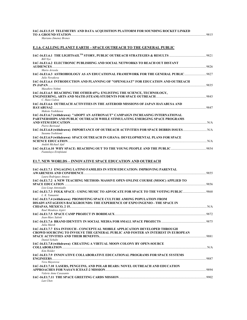| IAC-16.E1.5.15 TELEMETRY AND DATA ACQUISITION PLATFORM FOR SOUNDING ROCKET LINKED |      |
|-----------------------------------------------------------------------------------|------|
| <b>TO A GROUND STATION.</b>                                                       | 9815 |
|                                                                                   |      |

*Mariano Jimenez Brenes* 

### **E.1.6. CALLING PLANET EARTH – SPACE OUTREACH TO THE GENERAL PUBLIC**

| <b>Bill Nve</b>                                                                                 |      |
|-------------------------------------------------------------------------------------------------|------|
| <b>IAC-16.E1.6.2 ELECTRONIC PUBLISHING AND SOCIAL NETWORKS TO REACH OUT DISTANT</b>             |      |
| <b>AUDIENCES</b>                                                                                | 9826 |
| Mario Arreola                                                                                   |      |
| IAC-16.E1.6.3 ASTROBIOLOGY AS AN EDUCATIONAL FRAMEWORK FOR THE GENERAL PUBLIC<br>Julie Novakova | 9827 |
| IAC-16.E1.6.4 INTRODUCTION AND PLANNING OF "OPENSLSAT" FOR EDUCATION AND OUTREACH               |      |
| $IN$ $JAPAN$                                                                                    | 9835 |
| Masahiro Nohmi                                                                                  |      |
| IAC-16.E1.6.5 REACHING THE OTHER 65%: ENLISTING THE SCIENCE, TECHNOLOGY,                        |      |
| C. Hans Culton                                                                                  | 9843 |
| IAC-16.E1.6.6 OUTREACH ACTIVITIES IN THE ASTEROID MISSIONS OF JAPAN HAYABUSA AND                |      |
| <b>HAYABUSA2</b>                                                                                | 9847 |
| Makoto Yoshikawa                                                                                |      |
| IAC-16.E1.6.7 (withdrawn) "ADOPT AN ASTRONAUT" CAMPAIGN INCREASING INTERNATIONAL                |      |
| PARTNERSHIPS AND PUBLIC OUTREACH WHILE STIMULATING EMERGING SPACE PROGRAMS                      |      |
|                                                                                                 | N/A  |
| Pierre Bertrand                                                                                 |      |
| Susumu Yoshitomi                                                                                |      |
| IAC-16.E1.6.9 (withdrawn) SPACE OUTREACH IN GHANA: DEVELOPMENTAL PLANS FOR SPACE                |      |
|                                                                                                 | N/A  |
| Andoh Michael Ajul                                                                              |      |
|                                                                                                 | 9854 |
| Funmilayo Erinfolami                                                                            |      |

# **E1.7. NEW WORLDS – INNOVATIVE SPACE EDUCATION AND OUTREACH**

| IAC-16.E1.7.1 ENGAGING LATINO FAMILIES IN STEM EDUCATION: IMPROVING PARENTAL         |      |
|--------------------------------------------------------------------------------------|------|
|                                                                                      |      |
| Laura Rodriguez Amaya                                                                |      |
| IAC-16.E1.7.2 A NEW TEACHING METHOD: MASSIVE OPEN ONLINE COURSE (MOOC) APPLIED TO    |      |
| <b>SPACE EDUCATION</b>                                                               | 9856 |
| Lise-Loup Antoniadis                                                                 |      |
| L. K. Tamanini                                                                       |      |
| IAC-16.E1.7.4 (withdrawn) PROMOTING SPACE CULTURE AMONG POPULATION FROM              |      |
| <b>DISADVANTAGEOUS BACKGROUNDS: THE EXPERIENCE OF EXPO INGENIO - THE SPACE IN</b>    |      |
|                                                                                      |      |
| Raul Mendoza Azpiri                                                                  |      |
|                                                                                      |      |
| Jean-Marc Salotti                                                                    |      |
|                                                                                      |      |
| Julia Marek                                                                          |      |
| <b>IAC-16.E1.7.7 ESA INTOUCH - CONCEPTUAL MOBILE APPLICATION DEVELOPED THROUGH</b>   |      |
| CROWD SOURCING TO INVOLVE THE GENERAL PUBLIC AND FOSTER AN INTEREST IN EUROPEAN      |      |
|                                                                                      | 9881 |
| Daniel Schultz                                                                       |      |
| IAC-16.E1.7.8 (withdrawn) CREATING A VIRTUAL MOON COLONY BY OPEN-SOURCE              |      |
|                                                                                      | N/A  |
| Kim Holder                                                                           |      |
| <b>IAC-16.E1.7.9 INNOVATIVE COLLABORATIVE EDUCATIONAL PROGRAMS FOR SPACE SYSTEMS</b> |      |
|                                                                                      | 9887 |
| Vera Mayorova                                                                        |      |
| IAC-16.E1.7.10 LASERS. PENGUINS, AND POLAR BEARS: NOVEL OUTREACH AND EDUCATION       |      |
| APPROACHES FOR NASA'S ICESAT-2 MISSION <b>CONTRACT AND INCORPORATIVE ACCOUNT</b>     | 9894 |
| Valerie Anne Casasanto                                                               |      |
|                                                                                      | 9902 |
| Lan Chen                                                                             |      |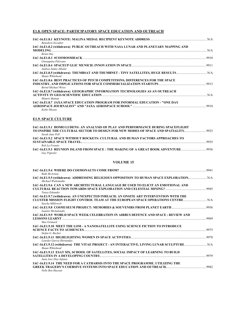# **E1.8. OPEN SPACE: PARTICIPATORY SPACE EDUCATION AND OUTREACH**

| <b>Benedicte Escudier</b>                                                                                   |      |
|-------------------------------------------------------------------------------------------------------------|------|
| IAC-16.E1.8.2 (withdrawn) PUBLIC OUTREACH WITH NASA LUNAR AND PLANETARY MAPPING AND                         |      |
| Brian Day<br>Giuseppina Pulcrano                                                                            |      |
| Andrea Jaime-Albalat                                                                                        |      |
| Shaun Whitehead                                                                                             |      |
| IAC-16.E1.8.6 BEST PRACTICES OF PITCH COMPETITIONS, DIFFERENCES FOR THE SPACE<br><b>Bernd Michael Weiss</b> |      |
| IAC-16.E1.8.7 (withdrawn) GEOGRAPHIC INFORMATION TECHNOLOGIES AS AN OUTREACH<br>Shimrit Maman               | N/A  |
| <b>IAC-16.E1.8.7 JAXA SPACE EDUCATION PROGRAM FOR INFORMAL EDUCATION - "ONE DAY</b><br>Keiko Mivata         | 9918 |

# **E1.9. SPACE CULTURE**

| <b>IAC-16.E1.9.1 HOMO LUDENS: AN ANALYSIS OF PLAY AND PERFORMANCE DURING SPACEFLIGHT</b><br>70 INSPIRE THE CULTURAL SECTOR TO DESIGN FOR NEW MODES OF SPACE AND SPATIALITY |      |
|----------------------------------------------------------------------------------------------------------------------------------------------------------------------------|------|
| Sarah Jane Pell                                                                                                                                                            |      |
| <b>IAC-16.E1.9.2 SPACE WITHOUT ROCKETS: CULTURAL AND HUMAN FACTORS APPROACHES TO</b>                                                                                       |      |
|                                                                                                                                                                            | 9935 |
| Rob La Frenais                                                                                                                                                             |      |
| IAC-16.E1.9.3 REUNION ISLAND FROM SPACE: THE MAKING OF A GREAT BOOK ADVENTURE<br><b>Guy Pignolet</b>                                                                       | 9936 |

### **VOLUME 15**

| Ruth McAvinia                                                                                                            | 9941  |
|--------------------------------------------------------------------------------------------------------------------------|-------|
| IAC-16.E1.9.5 (withdrawn) ADDRESSING RELIGIOUS OPPOSITION TO HUMAN SPACE EXPLORATION<br>Michael Waltemathe               |       |
| IAC-16.E1.9.6  CAN A NEW ARCHITECTURAL LANGUAGE BE USED TO ELICIT AN EMOTIONAL AND                                       |       |
| Tanya Eskander                                                                                                           |       |
| IAC-16.E1.9.7 (withdrawn) AN UNEXPECTED INREACH: AN ONSITE ART INTERVENTION WITH THE                                     |       |
| CLUSTER MISSION FLIGHT CONTROL TEAM AT THE EUROPEAN SPACE OPERATIONS CENTRE ………………………………………………………………<br>Sascha Mikloweit |       |
| Ioannis Michaloudis                                                                                                      | .9956 |
| IAC-16.E1.9.9  WORLD SPACE WEEK CELEBRATION IN AIRBUS DEFENCE AND SPACE : REVIEW AND                                     |       |
| Max Grimard                                                                                                              | 9969  |
| IAC-16.E1.9.10  MEET THE LOM - A NANOSATELLITE USING SCIENCE FICTION TO INTRODUCE                                        | 9975  |
| Stefan G. Bucher                                                                                                         |       |
| IAC-16.E1.9.11  HIGHLIGHTING WOMEN IN SPACE ACTIVITIES………………………………………………………………………<br>Lourdes Garcia Hernandez            | 9978  |
| Shaun Whitehead                                                                                                          |       |
| IAC-16.E1.9.13  ESAT MX, SCHOOL OF SATELLITES, SOCIAL IMPACT OF LEARNING TO BUILD                                        | 9979  |
| Juan Jose Diaz Infante                                                                                                   |       |
| IAC-16.E1.9.14  THE NEED FOR A CATHARSIS INTO THE SPACE PROGRAMME. UTILIZING THE<br>Nelly Ben Hayoun                     | 9982  |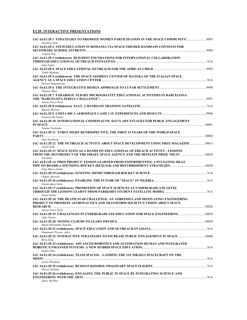# **E1.IP. INTERACTIVE PRESENTATIONS**

| Anushree Soni                                                                                                                                                                          |  |
|----------------------------------------------------------------------------------------------------------------------------------------------------------------------------------------|--|
| IAC-16.E1.IP.2 STEM EDUCATION IN ROMANIA VIA SPACE-THEMED HANDS-ON CONTESTS FOR                                                                                                        |  |
| Virgiliu Pop                                                                                                                                                                           |  |
| IAC-16.E1.IP.3 (withdrawn) BUILDING FOUNDATIONS FOR INTERNATIONAL COLLABORATION<br>Juan Lopez                                                                                          |  |
| Tenda Madima                                                                                                                                                                           |  |
| IAC-16.E1.IP.5 (withdrawn) THE SPACE GEODESY CENTER OF MATERA OF THE ITALIAN SPACE                                                                                                     |  |
| Doreen Hagemeister<br>Tomoya Mori                                                                                                                                                      |  |
| IAC-16.E1.IP.7 PARABOLIC FLIGHT MICROGRAVITY EDUCATIONAL ACTIVITIES IN BARCELONA:<br>Antoni Perez-Poch                                                                                 |  |
|                                                                                                                                                                                        |  |
| Ignacio Barrios<br>Leonora De Lemos                                                                                                                                                    |  |
| IAC-16.E1.IP.10 INTERNATIONAL COSMONAUTIC DAY'S ADVANTAGES FOR PUBLIC ENGAGEMENT                                                                                                       |  |
| Tatana Tischenko<br>IAC-16.E1.IP.11 YURI'S NIGHT RETROSPECTIVE, THE FIRST 15 YEARS OF THE WORLD SPACE                                                                                  |  |
| Alan Steinberg<br>IAC-16.E1.IP.12 THE OUTREACH ACTIVITY ABOUT SPACE DEVELOPMENT USING FREE MAGAZINE  10013                                                                             |  |
| Ayano Kido                                                                                                                                                                             |  |
| IAC-16.E1.IP.13  SPACE SUITS AS A HANDS ON EDUCATIONAL OUTREACH ACTIVITY - LESSONS<br>10014 FROM THE 2015 PROJECT OF THE ISRAEL SPACE AGENCY AND THE HEINLEIN PRIZE TRUST<br>Tal Inbar |  |
| IAC-16.E1.IP.14 PHOS PROJECT: LESSON LEARNED FROM EXPERIMENTING A PULSATING HEAT<br>Gian Marco Guidi                                                                                   |  |
|                                                                                                                                                                                        |  |
| Gagan Agrawal<br>Omonzokpia Ejale                                                                                                                                                      |  |
| IAC-16.E1.IP.17 (withdrawn) PROMOTION OF SPACE SCIENCES AT UNDERGRADUATE LEVEL<br>Arnav Saikia                                                                                         |  |
| IAC-16.E1.IP.18 THE DEATH STAR CHALLENGE: AN AMBITIOUS AND MOTIVATING ENGINEERING<br>PROJECT TO PROMOTE ASTRONAUTICS AND TRANSFORM SOCIETY'S VISION ABOUT SPACE                        |  |
| Antoni Perez-Poch                                                                                                                                                                      |  |
| Ugur Guven                                                                                                                                                                             |  |
| Martn Hernandez Sustaita                                                                                                                                                               |  |
| Emmanuel Proven- Adzri                                                                                                                                                                 |  |
| Bora Aliaj                                                                                                                                                                             |  |
| IAC-16.E1.IP.23 (withdrawn) ADVANCED ROBOTICS AND AUTOMATION-HUMAN AND INTEGRATED<br>Sandva Rao                                                                                        |  |
| IAC-16.E1.IP.24 (withdrawn) TEAM SPACEIL - LANDING THE 1ST ISRAELI SPACECRAFT ON THE                                                                                                   |  |
| Avelet Weizman                                                                                                                                                                         |  |
| Olesya Turkina                                                                                                                                                                         |  |
| IAC-16.E1.IP.26 (withdrawn) ENGAGING THE PUBLIC IN SPACE BY INTEGRATING SCIENCE AND<br>Jancy McPhee                                                                                    |  |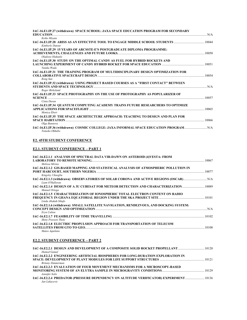| IAC-16.E1.IP.27 (withdrawn) SPACE SCHOOL: JAXA SPACE EDUCATION PROGRAM FOR SECONDARY<br><b>EDUCATION</b> N/A |  |
|--------------------------------------------------------------------------------------------------------------|--|
| Keiko Mivata                                                                                                 |  |
| IAC-16.E1.IP.28 ARISS AS AN EFFECTIVE TOOL TO ENGAGE MIDDLE SCHOOL STUDENTS  10044<br>Kimberly Dutour        |  |
| <b>IAC-16.E1.IP.29 15 YEARS OF ARCSSTE-E'S POSTGRADUATE DIPLOMA PROGRAMME:</b><br>Oladosu Olakunle           |  |
| IAC-16.E1.IP.30 STUDY ON THE OPTIMAL CANDY AS FUEL FOR HYBRID ROCKETS AND                                    |  |
| Yutaka Wada                                                                                                  |  |
| IAC-16.E1.IP.31 THE TRAINING PROGRAM OF MULTIDISCIPLINARY DESIGN OPTIMIZATION FOR                            |  |
| Rong Sun                                                                                                     |  |
| IAC-16.E1.IP.32 (withdrawn) USING PROJECT BASED COURSES AS A "FIRST CONTACT" BETWEEN                         |  |
| Roger Birkeland<br>IAC-16.E1.IP.33 SPACE PHOTOGRAPHY ON THE USE OF PHOTOGRAPHY AS POPULARIZER OF             |  |
| 10057 = 10057.                                                                                               |  |
| Cinta Duran                                                                                                  |  |
| IAC-16.E1.IP.34 QUANTUM COMPUTING ACADEMY TRAINS FUTURE RESEARCHERS TO OPTIMIZE                              |  |
| Monica Ebert                                                                                                 |  |
| IAC-16.E1.IP.35 THE SPACE ARCHITECTURE APPROACH: TEACHING TO DESIGN AND PLAN FOR                             |  |
| 10066 RACE HABITATION 20066                                                                                  |  |
| Olga Bannova                                                                                                 |  |
| IAC-16.E1.IP.36 (withdrawn) COSMIC COLLEGE: JAXA INFORMAL SPACE EDUCATION PROGRAM N/A<br>Tomoko Ohkubo       |  |

# **E2. 45TH STUDENT CONFERENCE**

# **E2.1. STUDENT CONFERENCE – PART 1**

| IAC-16.E2.1.1 ANALYSIS OF SPECTRAL DATA VIR-DAWN ON ASTEROID (4) VESTA: FROM          |     |
|---------------------------------------------------------------------------------------|-----|
| Melissa Mirino                                                                        |     |
| IAC-16.E2.1.2 GIS-BASED MAPPING AND STATISTICAL ANALYSIS OF ATMOSPHERIC POLLUTION IN  |     |
| Kingsley Ukaegbu                                                                      |     |
| Liam O'Halloran                                                                       |     |
| Manuel Ortega                                                                         |     |
| IAC-16.E2.1.5 CHARACTERIZATION OF IONOSPHERIC TOTAL ELECTRON CONTENT ON RADIO         |     |
| Linda Abakah Sikafo                                                                   |     |
| IAC-16.E2.1.6 (withdrawn) SMALL SATELLITE NAVIGATION, RENDEZVOUS, AND DOCKING SYSTEM: |     |
| Ervn Culton                                                                           | N/A |
| <b>Shiny Prayeen Thote</b>                                                            |     |
| <b>IAC-16.E2.1.8 ELECTRIC PROPULSION APPROACH FOR TRANSPORTATION OF TELECOM</b>       |     |
|                                                                                       |     |
| Mateo Aquilano                                                                        |     |

# **E2.2. STUDENT CONFERENCE – PART 2**

| Hamed Gamal                                                                      |       |
|----------------------------------------------------------------------------------|-------|
| IAC-16.E2.2.2 ENGINEERING ARTIFICIAL BIOSPHERES FOR LONG-DURATION EXPLORATION IN |       |
| Britany Zimmerman                                                                |       |
| IAC-16.E2.2.3 EVALUATION OF FOUR MOVEMENT MECHANISMS FOR A MICROSCOPY-BASED      | 10129 |
| Jennifer Solis                                                                   |       |
| Jan Lukacevic                                                                    |       |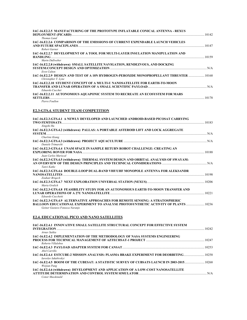| IAC-16.E2.2.5 MANUFACTURING OF THE PROTOTYPE INFLATABLE CONICAL ANTENNA - REXUS<br>Thomas Lund                                |       |
|-------------------------------------------------------------------------------------------------------------------------------|-------|
| IAC-16.E2.2.6 COMPARISON OF THE EMISSIONS OF CURRENT EXPENDABLE LAUNCH VEHICLES                                               |       |
| Robert Garner<br>IAC-16.E2.2.7 DEVELOPMENT OF A TOOL FOR MULTI-LAYER INSULATION MANIPULATION AND                              |       |
| Martn Dullweber<br>IAC-16.E2.2.8 (withdrawn) SMALL SATELLITE NAVIGATION, RENDEZVOUS, AND DOCKING                              | N/A   |
| Ervn Culton<br>10168. LAC-16.E2.2.9 DESIGN AND TEST OF A 10N HYDROGEN-PEROXIDE MONOPROPELLANT THRUSTER<br>Christopher T. Lyne |       |
| <b>IAC-16.E2.2.10 STUDENT CONCEPT OF A MULTI-U NANOSATELLITE FOR EARTH-TO-MOON</b><br>Eduardo Cucchet                         |       |
| IAC-16.E2.2.11 AUTONOMOUS AQUAPONIC SYSTEM TO RECREATE AN ECOSYSTEM FOR MARS<br><b>SETTLERS</b><br>Pierre Foullon             | 10178 |

# **E2.3-GTS.4. STUDENT TEAM COMPETITION**

| IAC-16.E2.3-GTS.4.1 A NEWLY DEVELOPED AND LAUNCHED ANDROID-BASED PICOSAT CARRYING                                           |       |
|-----------------------------------------------------------------------------------------------------------------------------|-------|
|                                                                                                                             |       |
| Xingzhi Hu                                                                                                                  |       |
| IAC-16.E2.3-GTS.4.2 (withdrawn) PALLAS: A PORTABLE ASTEROID LIFT AND LOCK AGGREGATE                                         |       |
| Charlote Kiang                                                                                                              |       |
| Daniele Trimarchi                                                                                                           |       |
| IAC-16.E2.3-GTS.4.4 UNAM SPACE IN SAMPLE RETURN ROBOT CHALLENGE: CREATING AN                                                |       |
| Juan Carlos Mariscal                                                                                                        |       |
| IAC-16.E2.3-GTS.4.5 (withdrawn) THERMAL SYSTEM DESIGN AND ORBITAL ANALYSIS OF SWAYAM:                                       |       |
| Tanvi Katke                                                                                                                 |       |
| IAC-16.E2.3-GTS.4.6 DOUBLE-LOOP DUAL-BAND VHF/UHF MONOPOLE ANTENNA FOR ALEKSANDR                                            |       |
|                                                                                                                             | 10198 |
| Zouhair Brigech                                                                                                             |       |
| Maria Grulich                                                                                                               |       |
| IAC-16.E2.3-GTS.4.8 FEASIBILITY STUDY FOR AN AUTONOMOUS EARTH-TO-MOON TRANSFER AND                                          |       |
| Edoardo Cucchetti                                                                                                           |       |
| IAC-16.E2.3-GTS.4.9 ALTERNATIVE APPROACHES FOR REMOTE SENSING: A STRATOSPHERIC                                              |       |
| <b>BALLOON EDUCATIONAL EXPERIMENT TO ANALYSE PHOTOSYNTHETIC ACTIVITY OF PLANTS  10236</b><br>Geiner Gustavo Fonseca Naranio |       |

# **E2.4. EDUCATIONAL PICO AND NANO SATELLITES**

| IAC-16.E2.4.1 INNOVATIVE SMALL SATELLITE STRUCTURAL CONCEPT FOR EFFECTIVE SYSTEM                                        |       |
|-------------------------------------------------------------------------------------------------------------------------|-------|
| <b>INTEGRATION</b>                                                                                                      | 10242 |
| Arnay Saikia                                                                                                            |       |
| IAC-16.E2.4.2 IMPLEMENTATION OF THE METHODOLOGY OF NASA SYSTEMS ENGINEERING                                             |       |
|                                                                                                                         | 10247 |
| Roberto Villalobos                                                                                                      |       |
|                                                                                                                         |       |
| Abel Carrillo                                                                                                           |       |
| 10258. [10258] LAC-16.E2.4.4 ESTCUBE-2 MISSION ANALYSIS: PLASMA BRAKE EXPERIMENT FOR DEORBITING<br>Iaroslav Iakubivskvi |       |
|                                                                                                                         |       |
| Weijian Pang                                                                                                            |       |
| IAC-16.E2.4.6 (withdrawn) DEVELOPMENT AND APPLICATION OF A LOW-COST NANOSATELLITE                                       |       |
|                                                                                                                         |       |
| Conor Macdonald                                                                                                         |       |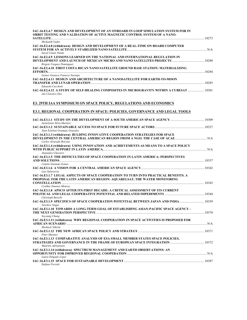| IAC-16.E2.4.7 DESIGN AND DEVELOPMENT OF AN ONBOARD IN LOOP SIMULATION SYSTEM FOR IN<br>ORBIT TESTING AND VALIDATION OF ACTIVE MAGNETIC CONTROL SYSTEM OF A NANO- |  |
|------------------------------------------------------------------------------------------------------------------------------------------------------------------|--|
| Shrikanth Yadav                                                                                                                                                  |  |
| IAC-16.E2.4.8 (withdrawn) DESIGN AND DEVELOPMENT OF A REAL-TIME ON BOARD COMPUTER<br>Sayed Umair Daimi                                                           |  |
| IAC-16.E2.4.9 LESSONS LEARNED ON THE NATIONAL AND INTERNATIONAL REGULATION IN<br>Brigete Vazquez Dominguez                                                       |  |
| IAC-16.E2.4.10 FIRST COSTA RICAN NANO SATELLITE GROUND BASE STATION: MATERIALIZING                                                                               |  |
| Geiner Gustavo Fonseca Naranio                                                                                                                                   |  |
| IAC-16.E2.4.11 DESIGN AND ARCHITECTURE OF A NANOSATELLITE FOR EARTH-TO-MOON<br>Edoardo Cucchetti                                                                 |  |
| Jan Clarence Dee                                                                                                                                                 |  |
| <b>E3. 29TH IAA SYMPOSIUM ON SPACE POLICY, REGULATIONS AND ECONOMICS</b>                                                                                         |  |
| <b>E3.1. REGIONAL COOPERATION IN SPACE: POLICIES, GOVERNANCE AND LEGAL TOOLS</b>                                                                                 |  |
| 10309 IAC-16.E3.1.1 STUDY ON THE DEVELOPMENT OF A SOUTH AMERICAN SPACE AGENCY<br>Jackelynne Silva-Martnez                                                        |  |
| Juan Esteban Gramajo Gonzalez                                                                                                                                    |  |
| IAC-16.E3.1.3 (withdrawn) BULDING INNOVATIVE COOPERATION STRATEGIES FOR SPACE<br>Carlos Alvarado Briceno                                                         |  |
| IAC-16.E3.1.4 (withdrawn) USING INNOVATION AND ACHIEVEMENTS AS MEANS TO A SPACE POLICY<br>Alejandro Chavarri                                                     |  |
| IAC-16.E3.1.5 THE DIFFICULTIES OF SPACE COOPERATION IN LATIN AMERICA: PERSPECTIVES                                                                               |  |
| Camilo Guzman Gomez<br>Luis Salaverria                                                                                                                           |  |
| IAC-16.E3.1.7 LEGAL ASPECTS OF SPACE COOPERATION TO TURN INTO PRACTICAL BENEFITS. A<br>PROPOSAL FOR THE LATIN AMERICAN REGION: AQUARELSAT, THE WATER MONITORING  |  |
| Cynthia Jimenez-Monroy                                                                                                                                           |  |
| IAC-16.E3.1.8 APSCO AFTER ITS FIRST DECADE: A CRITICAL ASSESSMENT OF ITS CURRENT                                                                                 |  |
| Christoph Beischl<br>Yuichiro Nagai                                                                                                                              |  |
| IAC-16.E3.1.10 TOWARDS A LONG-TERM GOAL OF ESTABLISHING ASIAN-PACIFIC SPACE AGENCY -<br>Soyoung Chung                                                            |  |
| IAC-16.E3.1.11 (withdrawn) WHY REGIONAL COOPERATION IN SPACE ACTIVITIES IS PROPOSED FOR                                                                          |  |
| Meshack Ndiritu<br>Peter Martnez                                                                                                                                 |  |
| IAC-16.E3.1.13 COMPARATIVE ANALYSIS OF ESA SMALL MEMBER STATES SPACE POLICIES,                                                                                   |  |
| Maarten Adriaensen<br>IAC-16.E3.1.14 (withdrawn) SPECTRUM MANAGEMENT AND EARTH OBSERVATIONS: AN                                                                  |  |
| Laura Delgado Lopez                                                                                                                                              |  |
| Stefano Ferretti                                                                                                                                                 |  |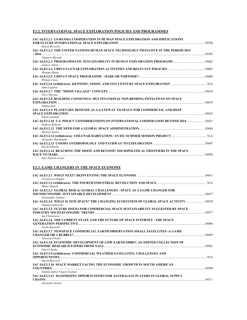# **E3.2. INTERNATIONAL SPACE EXPLORATION POLICIES AND PROGRAMMES**

| IAC-16.E3.2.1 US-RUSSIA COOPERATION IN HUMAN SPACE EXPLORATION AND IMPLICATIONS                                       | 10394 |
|-----------------------------------------------------------------------------------------------------------------------|-------|
| Mariel Borowitz<br>IAC-16.E3.2.2 THE UNITED NATIONS HUMAN SPACE TECHNOLOGY INITIATIVE IN THE PERIOD 2015<br>10395     |       |
| Takanori Miyoshi                                                                                                      |       |
| 10402 IAC-16.E3.2.3 PROGRAMMATIC SUSTAINABILITY IN HUMAN EXPLORATION PROGRAMS<br>Andrew Aldrin                        |       |
| Zhenjun Zhang                                                                                                         |       |
| William Carev                                                                                                         |       |
| John Logsdon                                                                                                          |       |
| Piero Messina                                                                                                         |       |
| IAC-16.E3.2.8 BUILDING CONSENSUS: MULTINATIONAL NON-BINDING INITIATIVES ON SPACE<br><b>EXPLORATION</b><br>Nathan Boll | 10419 |
| <b>IAC-16.E3.2.9 PLANETARY DEFENSE AS A GATEWAY TO SPACE FOR COMMERCIAL AND DEEP</b><br>Nikola Schmidt                |       |
| Kathryn Robison                                                                                                       |       |
| Michael Saxton                                                                                                        |       |
| Alexander Macdonald                                                                                                   |       |
| 10447 LAC-16.E3.2.13 COSMO ANTHROPOLOGY AND PATHWAY TO EXPLORATION<br>Koichi Kikuchi                                  |       |
| IAC-16.E3.2.14 REACHING THE MOON AND BEYOND? SOCIOPOLITICAL FRONTIERS IN THE SPACE<br><b>RACE TO MARS</b>             | 10450 |
| Julie Patarin-Jossec                                                                                                  |       |

# **E3.3. GAME CHANGERS IN THE SPACE ECONOMY**

| Veronica La Regina                                                                                                                                                                                                                                                                                                                                                                                                                                                                                                                                                                                                           |       |
|------------------------------------------------------------------------------------------------------------------------------------------------------------------------------------------------------------------------------------------------------------------------------------------------------------------------------------------------------------------------------------------------------------------------------------------------------------------------------------------------------------------------------------------------------------------------------------------------------------------------------|-------|
| Mateo Tugnoli                                                                                                                                                                                                                                                                                                                                                                                                                                                                                                                                                                                                                |       |
| <b>IAC-16.E3.3.3 GLOBAL RISK &amp; GLOBAL CHALLENGES - SPACE AS A GAME CHANGER FOR</b>                                                                                                                                                                                                                                                                                                                                                                                                                                                                                                                                       |       |
| Christopher Lehnert<br>10470 IAC-16.E3.3.4 WHAT IS NEW SPACE? THE CHANGING ECOSYSTEM OF GLOBAL SPACE ACTIVITY<br>Deganit Paikowsky                                                                                                                                                                                                                                                                                                                                                                                                                                                                                           |       |
| IAC-16.E3.3.5 FUTURE ISSUES FOR COMMERCIAL SPACE SUSTAINABILITY SUGGESTED BY SPACE<br>10477 [10477] INDUSTRY SOCIO-ECONOMIC TRENDS<br><b><i>Ian Christensen</i></b>                                                                                                                                                                                                                                                                                                                                                                                                                                                          |       |
| IAC-16.E3.3.6 THE CURRENT STATE AND THE FUTURE OF SPACE INTERNET - THE SPACE<br>Laszlo Bacsardi                                                                                                                                                                                                                                                                                                                                                                                                                                                                                                                              |       |
| IAC-16.E3.3.7 NEWSPACE COMMERCIAL EARTH OBSERVATION SMALL SATELLITES -A GAME                                                                                                                                                                                                                                                                                                                                                                                                                                                                                                                                                 |       |
| Narayan Prasad<br>IAC-16.E3.3.8 ECONOMIC DEVELOPMENT OF LOW EARTH ORBIT: AN EDITED COLLECTION OF<br>10501 - 10501 - 10501 LECONOMIC RESEARCH PAPERS FROM NASA                                                                                                                                                                                                                                                                                                                                                                                                                                                                |       |
| Patrick Besha<br>IAC-16.E3.3.9 (withdrawn) COMMERCIAL WEATHER SATELLITES: CHALLENGES AND<br><b>OPPORTUNITIES</b> N/A                                                                                                                                                                                                                                                                                                                                                                                                                                                                                                         |       |
| Mariel Borowitz<br>IAC-16.E3.3.10 SPACE MARKET FACING THE ECONOMIC GROWTH IN SOUTH AMERICAN<br>$\begin{minipage}{.4\linewidth} \textbf{COUNTRIES} \end{minipage} \begin{minipage}{.4\linewidth} \textbf{1} \end{minipage} \begin{minipage}{.4\linewidth} \textbf{1} \end{minipage} \begin{minipage}{.4\linewidth} \textbf{2} \end{minipage} \begin{minipage}{.4\linewidth} \textbf{2} \end{minipage} \begin{minipage}{.4\linewidth} \textbf{2} \end{minipage} \begin{minipage}{.4\linewidth} \textbf{3} \end{minipage} \begin{minipage}{.4\linewidth} \textbf{4} \end{minipage} \begin{minipage}{.4\linewidth} \textbf{5} \$ | 10504 |
| Natalia Indira Vargas-Cuentas<br>IAC-16.E3.3.11 MAXIMIZING OPPORTUNITIES FOR AUSTRALIAN PLAYERS IN GLOBAL SUPPLY<br><b>CHAINS</b>                                                                                                                                                                                                                                                                                                                                                                                                                                                                                            | 10511 |
| Alexandra Seneta                                                                                                                                                                                                                                                                                                                                                                                                                                                                                                                                                                                                             |       |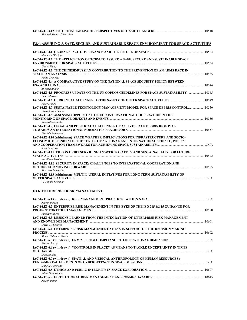| Mukund Kadursriniyas Rao                                                                                                                                             |  |
|----------------------------------------------------------------------------------------------------------------------------------------------------------------------|--|
| <b>E3.4. ASSURING A SAFE, SECURE AND SUSTAINABLE SPACE ENVIRONMENT FOR SPACE ACTIVITIES</b>                                                                          |  |
| Simoneta Di Pippo                                                                                                                                                    |  |
| IAC-16.E3.4.2 THE APPLICATION OF TCBM TO ASSURE A SAFE, SECURE AND SUSTAINABLE SPACE<br>Guoyu Wang                                                                   |  |
| IAC-16.E3.4.3 THE CHINESE/RUSSIAN CONTRIBUTION TO THE PREVENTION OF AN ARMS RACE IN                                                                                  |  |
| Fabio Tronchet<br>IAC-16.E3.4.4 A COMPARATIVE STUDY ON THE NATIONAL SPACE SECURITY POLICY BETWEEN                                                                    |  |
| Zhenjun Zhang<br>IAC-16.E3.4.5 PROGRESS UPDATE ON THE UN COPUOS GUIDELINES FOR SPACE SUSTAINABILITY  10545<br>Peter Martnez                                          |  |
| Peter Stubbe                                                                                                                                                         |  |
| IAC-16.E3.4.7 SUSTAINABLE TECHNOLOGY MANAGEMENT MODEL FOR SPACE DEBRIS CONTROL 10550<br>Lisete Farah Simon                                                           |  |
| IAC-16.E3.4.8 ASSESSING OPPORTUNITIES FOR INTERNATIONAL COOPERATION IN THE<br>Richard Buenneke                                                                       |  |
| IAC-16.E3.4.9 LEGAL AND POLITICAL CHALLENGES OF ACTIVE SPACE DEBRIS REMOVAL:<br>Cordula Steinkogler                                                                  |  |
| IAC-16.E3.4.10 (withdrawn) SPACE WEATHER IMPLICATIONS FOR INFRASTRUCTURE AND SOCIO-<br>ECONOMIC DEPENDENCE: THE STATUS OF NATIONAL AND INTERNATIONAL SCIENCE, POLICY |  |
| Sara Langston<br>IAC-16.E3.4.11 THE ON ORBIT SERVICING ANSWER TO SAFETY AND SUSTAINABILITY FOR FUTURE<br>Aureliano Rivolta                                           |  |
| IAC-16.E3.4.12 SECURITY IN SPACE: CHALLENGES TO INTERNATIONAL COOPERATION AND<br>Massimo Pellegrino                                                                  |  |
| IAC-16.E3.4.13 (withdrawn) MULTI LATERAL INITIATIVES FOR LONG TERM SUSTAINABILITY OF<br>V. Gopala Krishnan                                                           |  |

# **E3.6. ENTERPRISE RISK MANAGEMENT**

| Jeevan Perera                                                                                                           |       |
|-------------------------------------------------------------------------------------------------------------------------|-------|
| IAC-16.E3.6.2 ENTERPRISE RISK MANAGEMENT IN THE EYES OF THE ISO 215 4:2 15 GUIDANCE FOR                                 | 10598 |
| Ruediger Suess<br>IAC-16.E3.6.3 LESSONS LEARNED FROM THE INTEGRATION OF ENTERPRISE RISK MANAGEMENT                      |       |
| David M. Lengyel                                                                                                        | 10601 |
| IAC-16.E3.6.4 ENTERPRISE RISK MANAGEMENT AT ESA IN SUPPORT OF THE DECISION MAKING                                       | 10602 |
| Maria-Gabriella Sarah<br>Vincent Leroy                                                                                  |       |
| IAC-16.E3.6.6 (withdrawn) "CONTROLS IN PLACE" AS MEANS TO TACKLE UNCERTAINTY IN TIMES<br>OF CHANGE <b><i>CHANGE</i></b> | N/A   |
| Dirk Schulze<br>IAC-16.E3.6.7 (withdrawn) SPATIAL AND MEDICAL ANTHROPOLOGY OF HUMAN RESOURCES :                         |       |
| Isabelle Tisserand<br>Adam Greenstone                                                                                   |       |
| Joseph Pelton                                                                                                           |       |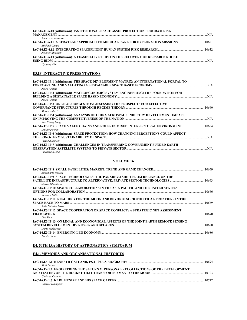| IAC-16.E3.6.10 (withdrawn) INSTITUTIONAL SPACE ASSET PROTECTION PROGRAM RISK      |     |
|-----------------------------------------------------------------------------------|-----|
|                                                                                   | N/A |
| James Leatherwood                                                                 |     |
| Michael Canga                                                                     |     |
| Jennifer Mindock                                                                  |     |
| IAC-16.E3.6.13 (withdrawn) A FEASIBILITY STUDY ON THE RECOVERY OF REUSABLE ROCKET | N/A |

*Hyojung Ahn* 

### **E3.IP. INTERACTIVE PRESENTATIONS**

| IAC-16.E3.IP.1 (withdrawn) THE SPACE DEVELOPMENT MATRIX; AN INTERNATIONAL PORTAL TO |  |
|-------------------------------------------------------------------------------------|--|
|                                                                                     |  |
| Jason Aspiots                                                                       |  |
| IAC-16.E3.IP.2 (withdrawn) MACROECONOMIC SYSTEM ENGINEERING: THE FOUNDATION FOR     |  |
| Jason Aspiots                                                                       |  |
| <b>IAC-16.E3.IP.3 ORBITAL CONGESTION: ASSESSING THE PROSPECTS FOR EFFECTIVE</b>     |  |
|                                                                                     |  |
| Marco Aliberti                                                                      |  |
| IAC-16.E3.IP.4 (withdrawn) ANALYSIS OF CHINA AEROSPACE INDUSTRY DEVELOPMENT IMPACT  |  |
|                                                                                     |  |
| Rao Cheng Long                                                                      |  |
| Dmitry Payson                                                                       |  |
| IAC-16.E3.IP.6 (withdrawn) SPACE PROTECTION: HOW CHANGING PERCEPTIONS COULD AFFECT  |  |
|                                                                                     |  |
| Victoria Samson                                                                     |  |
| IAC-16.E3.IP.7 (withdrawn) CHALLENGES IN TRANSFERRING GOVERNMENT FUNDED EARTH       |  |
|                                                                                     |  |
| Virendra K. Jha                                                                     |  |

### **VOLUME 16**

| Annamaria Nassisi                                                                 |       |
|-----------------------------------------------------------------------------------|-------|
| IAC-16.E3.IP.9 SPACE TECHNOLOGIES: THE PARADIGM SHIFT FROM RELIANCE ON THE        |       |
| Sinead O'Sullivan                                                                 |       |
| IAC-16.E3.IP.10 SPACE COLLABORATIONS IN THE ASIA PACIFIC AND THE UNITED STATES'   |       |
| Rebecca Miller                                                                    | 10666 |
| IAC-16.E3.IP.11 REACHING FOR THE MOON AND BEYOND? SOCIOPOLITICAL FRONTIERS IN THE |       |
| Julie Patarin-Jossec                                                              | 10669 |
| IAC-16.E3.IP.12 SPACE COOPERATION OR SPACE CONFLICT: A STRATEGIC NET ASSESSMENT   |       |
| Lini Zhou                                                                         | 10670 |
| IAC-16.E3.IP.13 ON LEGAL AND ECONOMICAL ASPECTS OF THE JOINT EARTH REMOTE SENSING |       |
| Daria Makarova                                                                    | 10680 |
| Travis Doom                                                                       | 10686 |

### **E4. 50TH IAA HISTORY OF ASTRONAUTICS SYMPOSIUM**

### **E4.1. MEMOIRS AND ORGANISATIONAL HISTORIES**

|                                                                                   | 10694 |
|-----------------------------------------------------------------------------------|-------|
| Mali Perera                                                                       |       |
| IAC-16.E4.1.2 ENGINEERING THE SATURN V: PERSONAL RECOLLECTIONS OF THE DEVELOPMENT |       |
|                                                                                   | 10703 |
| Christna Carmen                                                                   |       |
|                                                                                   | 10717 |
| Charles Lundquist                                                                 |       |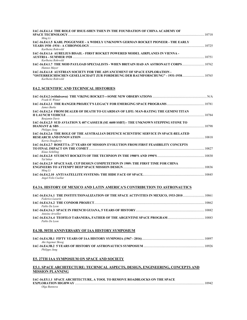| IAC-16.E4.1.4 THE ROLE OF HSUE-SHEN TSIEN IN THE FOUNDATION OF CHINA ACADEMY OF                               | 10718 |
|---------------------------------------------------------------------------------------------------------------|-------|
| Ming Li<br>IAC-16.E4.1.5 KARL POGGENSEE - A WIDELY UNKNOWN GERMAN ROCKET PIONEER - THE EARLY                  |       |
| Karlheinz Rohrwild                                                                                            | 10725 |
| <b>IAC-16.E4.1.6 AURELIUS BISAIL - FIRST ROCKET POWERED MODEL AIRPLANES IN VIENNA -</b><br>Karlheinz Rohrwild | 10751 |
| Hannes Mayer                                                                                                  |       |
| <b>IAC-16.E4.1.8 AUSTRIAN SOCIETY FOR THE ADVANCEMENT OF SPACE EXPLORATION -</b><br>Karlheinz Rohrwild        |       |

### **E4.2. SCIENTIFIC AND TECHNICAL HISTORIES**

| Frank H. Winter                                                                         |  |
|-----------------------------------------------------------------------------------------|--|
| James Burke                                                                             |  |
| IAC-16.E4.2.4 FROM DEALER OF DEATH TO GUARDIAN OF LIFE: MAN-RATING THE GEMINI TITAN     |  |
| <b>Benjamin Davis</b>                                                                   |  |
| IAC-16.E4.2.5 SUD AVIATION X 407 CASSEUR (SE 4600 SSBT) - THE UNKNOWN STEPPING STONE TO |  |
| Philippe Jung                                                                           |  |
| IAC-16.E4.2.6 THE ROLE OF THE AUSTRALIAN DEFENCE SCIENTIFIC SERVICE IN SPACE-RELATED    |  |
| Kerrie Dougherty                                                                        |  |
| IAC-16.E4.2.7 ROSETTA: 27 YEARS OF MISSION EVOLUTION FROM FIRST FEASIBILITY CONCEPTS    |  |
| TO FINAL IMPACT ON THE COMET <b>Example 27</b> 10827<br>Klaus Schilling                 |  |
| Tal Inbar                                                                               |  |
| IAC-16.E4.2.9 SPACE SAIL CUP DESIGN COMPETETION IN 1989: THE FIRST TIME FOR CHINA       |  |
| Ming Li                                                                                 |  |
|                                                                                         |  |
| Angel Felix Cuellar                                                                     |  |

### **E4.3A. HISTORY OF MEXICO AND LATIN AMERICA'S CONTRIBUTION TO ASTRONAUTICS**

| Federico Lazarin  |       |
|-------------------|-------|
|                   | 10862 |
| Pablo De Leon     |       |
| Antoine Arveiller | 10882 |
| Pablo De Leon     |       |

### **E4.3B. 50TH ANNIVERSARY OF IAA HISTORY SYMPOSIUM**

| Ake Ingemar Skoog |       |
|-------------------|-------|
|                   | 10926 |
| Philippe Jung     |       |

# **E5. 27TH IAA SYMPOSIUM ON SPACE AND SOCIETY**

### **E5.1. SPACE ARCHITECTURE: TECHNICAL ASPECTS, DESIGN, ENGINEERING, CONCEPTS AND MISSION PLANNING**

**IAC-16.E5.1.1 SPACE ARCHITECTURE, A TOOL TO REMOVE ROADBLOCKS ON THE SPACE EXPLORATION HIGHWAY** ..................................................................................................................................................................10942 *Olga Bannova*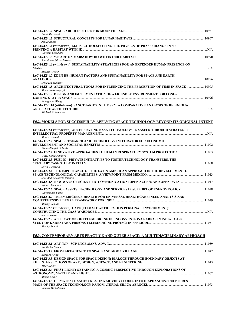| <b>Brent Sherwood</b>                                                                                                                 |  |
|---------------------------------------------------------------------------------------------------------------------------------------|--|
| James Burke                                                                                                                           |  |
| IAC-16.E5.1.4 (withdrawn) MARS ICE HOUSE: USING THE PHYSICS OF PHASE CHANGE IN 3D<br>Christna Ciardullo                               |  |
| Jackelynne Silva-Martnez                                                                                                              |  |
| IAC-16.E5.1.6 (withdrawn) SUSTAINABILITY-STRATEGIES FOR AN EXTENDED HUMAN PRESENCE ON                                                 |  |
| Marlies Arnhof<br>IAC-16.E5.1.7 EDEN ISS: HUMAN FACTORS AND SUSTAINABILITY FOR SPACE AND EARTH                                        |  |
| Irene Lia Schlacht<br>10995. IAC-16.E5.1.8 ARCHITECTURAL TOOLS FOR INFLUENCING THE PERCEPTION OF TIME IN SPACE<br>Maria Kolodziejczyk |  |
| IAC-16.E5.1.9 DESIGN AND IMPLEMENTATION OF A FRIENDLY ENVIRONMENT FOR LONG-                                                           |  |
| Yuanguang Wang<br>IAC-16.E5.1.10 (withdrawn) SANCTUARIES IN THE SKY. A COMPARATIVE ANALYSIS OF RELIGIOUS-<br>Michael Waltemathe       |  |
| E5.2. MODELS FOR SUCCESSFULLY APPLYING SPACE TECHNOLOGY BEYOND ITS ORIGINAL INTENT                                                    |  |
| IAC-16.E5.2.1 (withdrawn) ACCELERATING NASA TECHNOLOGY TRANSFER THROUGH STRATEGIC<br>Mark Dvorscak                                    |  |
| IAC-16.E5.2.2 SPACE RESEARCH AND TECHNOLOGY INTEGRATOR FOR ECONOMIC<br>Nona Minnifeld Cheeks                                          |  |
| 11003. IAC-16.E5.2.2 INNOVATIVE APPROACHES TO HUMAN RESPIRATORY SYSTEM PROTECTION<br>Guzel Kamaletdinova                              |  |
| IAC-16.E5.2.3 PUBLIC - PRIVATE INITIATIVES TO FOSTER TECHNOLOGY TRANSFERS, THE<br>Silvia Ciccarelli                                   |  |
| IAC-16.E5.2.4  THE IMPORTANCE OF THE LATIN AMERICAN APPROACH IN THE DEVELOPMENT OF<br>Soja Andrea Huerta Ramirez                      |  |
| 11017 IAC-16.E5.2.5 NEW WAYS OF SCIENTIFIC COMMUNICATION: OPEN ACCESS AND OPEN DATA<br>Alfonso Lamanna                                |  |
| IAC-16.E5.2.6 SPACE ASSETS, TECHNOLOGY AND SERVICES IN SUPPORT OF ENERGY POLICY 11028<br>Christopher Vasko                            |  |
| IAC-16.E5.2.7 TELEMEDICINE/E-HEALTH FOR UNIVERSAL HEALTHCARE: NEED ANALYSIS AND<br>Murthy Remilla                                     |  |
| IAC-16.E5.2.8 (withdrawn) CAPE (CLIMATE ANTICIPATION PERSONAL ENVIRONMENT):<br>Sue Fairburn                                           |  |
| IAC-16.E5.2.9 APPLICATION OF TELEMEDICINE IN UNCONVENTIONAL AREAS IN INDIA : CASE<br>Murthy Remilla                                   |  |
| <b>E5.3. CONTEMPORARY ARTS PRACTICE AND OUTER SPACE: A MULTIDISCIPLINARY APPROACH</b>                                                 |  |
| Ale De La Puente                                                                                                                      |  |
| <b>Bernard Foing</b>                                                                                                                  |  |
| IAC-16.E5.3.3 DESIGN SPACE FOR SPACE DESIGN: DIALOGS THROUGH BOUNDARY OBJECTS AT<br><b>Tibor Balint</b>                               |  |
| IAC-16.E5.3.4 FIRST LIGHT: OBTAINING A COSMIC PERSPECTIVE THROUGH EXPLORATIONS OF<br>Melanie King                                     |  |
| IAC-16.E5.3.5 CLIMATEXCHANGE: CREATING MOVING CLOUDS INTO DIAPHANOUS SCULPTURES<br>Ioannis Michaloudis                                |  |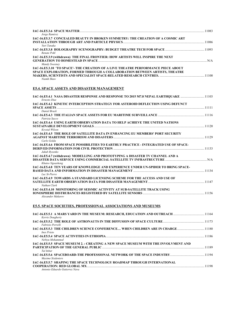| Jorge Ramirez                                                                                                                                                                    | 1083 |
|----------------------------------------------------------------------------------------------------------------------------------------------------------------------------------|------|
| IAC-16.E5.3.7 CONCEALED BEAUTY IN BROKEN SYMMETRY: THE CREATION OF A COSMIC ART                                                                                                  |      |
| Yuri Tanaka<br>Renate Pohl                                                                                                                                                       |      |
| IAC-16.E5.3.9 (withdrawn) THE FINAL FRONTIER: HOW ARTISTS WILL INSPIRE THE NEXT                                                                                                  | N/A  |
| Mandy Sweeney<br>IAC-16.E5.3.10 'TO SPACE'- THE CREATION OF A LIVE THEATRE PERFORMANCE PIECE ABOUT<br>SPACE EXPLORATION, FORMED THROUGH A COLLABORATION BETWEEN ARTISTS, THEATRE |      |
| Niamh Shaw                                                                                                                                                                       |      |

# **E5.4. SPACE ASSETS AND DISASTER MANAGEMENT**

| IAC-16.E5.4.1 NASA DISASTER RESPONSE AND RESPONSE TO 2015 M7.8 NEPAL EARTHQUAKE 11103<br>Ernesto Diaz |  |
|-------------------------------------------------------------------------------------------------------|--|
| IAC-16.E5.4.2 KINETIC INTERCEPTION STRATEGY FOR ASTEROID DEFLECTION USING DEFUNCT                     |  |
|                                                                                                       |  |
| Daniel Brack                                                                                          |  |
| Patrizia Sacco                                                                                        |  |
| IAC-16.E5.4.4 USING EARTH OBSERVATION DATA TO HELP ACHIEVE THE UNITED NATIONS                         |  |
|                                                                                                       |  |
| Krystal Wilson                                                                                        |  |
| IAC-16.E5.4.5 THE ROLE OF SATELLITE DATA IN ENHANCING EU MEMBERS' PORT SECURITY                       |  |
|                                                                                                       |  |
| Carlo Golda                                                                                           |  |
| IAC-16.E5.4.6 FROM SPACE POSSIBILITIES TO EARTHLY PRACTICE - INTEGRATED USE OF SPACE-                 |  |
| Jakub Ryzenko                                                                                         |  |
| IAC-16.E5.4.7 (withdrawn) MODELLING AND PROTOTYPING A DISASTER TV CHANNEL AND A                       |  |
| Khutso Ngoasheng                                                                                      |  |
| IAC-16.E5.4.8 TEN YEARS OF KNOWLEDGE AND EXPERIENCE UNDER UN-SPIDER TO BRING SPACE-                   |  |
| Luc St-Pierre                                                                                         |  |
| IAC-16.E5.4.9 TOWARDS A STANDARD LICENSING SCHEME FOR THE ACCESS AND USE OF                           |  |
| Nathan Clark                                                                                          |  |
| IAC-16.E5.4.10 MONITORING OF SEISMIC ACTIVITY AT SUB-SATELLITE TRACK USING                            |  |
|                                                                                                       |  |
| Alexander Makarov                                                                                     |  |

# **E5.5. SPACE SOCIETIES, PROFESSIONAL ASSOCIATIONS AND MUSEUMS**

| IAC-16.E5.5.1 A MARS YARD IN THE MUSEUM: RESEARCH, EDUCATION AND OUTREACH 11164<br>Kerrie Dougherty        |       |
|------------------------------------------------------------------------------------------------------------|-------|
| Fabrizio Perrelli                                                                                          |       |
| 1180 IAC-16.E5.5.3 THE CHILDREN SCIENCE CONFERENCE WHEN CHILDREN ARE IN CHARGE<br>Ines Prieto              |       |
| Nebiyu Mohammed                                                                                            |       |
| IAC-16.E5.5.5 SPACE MUSEUM 2. : CREATING A NEW SPACE MUSEUM WITH THE INVOLVMENT AND<br>Tal Inbar           |       |
| 1194. IAC-16.E5.5.6 SPACEBOARD-THE PROFESSIONAL NETWORK OF THE SPACE INDUSTRY<br><i>Maxime Sixdeniers</i>  |       |
| IAC-16.E5.5.7 SHAPING THE SPACE TECHNOLOGY ROADMAP THROUGH INTERNATIONAL<br>Antonio Eduardo Gutierrez Nava | 11198 |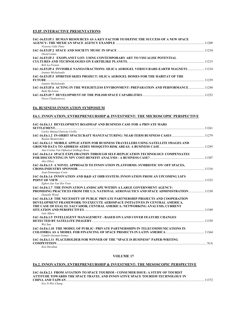### **E5.IP. INTERACTIVE PRESENTATIONS**

| <b>IAC-16.E5.IP.1 HUMAN RESOURCES AS A KEY FACTOR TO DEFINE THE SUCCESS OF A NEW SPACE</b>                     |  |
|----------------------------------------------------------------------------------------------------------------|--|
| Victoria Valle Pinto                                                                                           |  |
| David Lemus                                                                                                    |  |
| IAC-16.E5.IP.3 EXOPLANET LOT: USING CONTEMPORARY ART TO VISUALISE POTENTIAL                                    |  |
| Rob La Frenais                                                                                                 |  |
| Ioannis Michaloudis                                                                                            |  |
| IAC-16.E5.IP.5 SPIRITED SKIES PROJECT: SILICA AEROGEL DOMES FOR THE HABITAT OF THE                             |  |
|                                                                                                                |  |
| Ioannis Michaloudis                                                                                            |  |
| 1248. [1248] IAC-16.E5.IP.6 ACTING IN THE WEIGHTLESS ENVIRONMENT: PREPARATION AND PERFORMANCE<br>Ruth McAvinia |  |
| Pawei Chodosiewicz                                                                                             |  |

#### **E6. BUSINESS INNOVATION SYMPOSIUM**

#### **E6.1. INNOVATION, ENTREPRENEURSHIP & INVESTMENT: THE MICROSCOPIC PERSPECTIVE**

| IAC-16.E6.1.1 DEVELOPMENT ROADMAP AND BUSINESS CASE FOR A PRIVATE MARS                                         |  |
|----------------------------------------------------------------------------------------------------------------|--|
| <b>SETTLEMENT.</b>                                                                                             |  |
| Carlos Manuel Entrena Utrilla                                                                                  |  |
| 11279 IAC-16.E6.1.2 IN-ORBIT SPACECRAFT MANUFACTURING: NEAR-TERM BUSINESS CASES<br>Ruslan Skomorohov           |  |
| IAC-16.E6.1.3 MOBILE APPLICATION FOR BUSINESS TRAVELLERS USING SATELLITE IMAGES AND                            |  |
| Ana Cristna Van Oijhuizen Galhego Rosa                                                                         |  |
| <b>IAC-16.E6.1.4 SPACE EXPLORATION THROUGH SELF-REPLICATION TECHNOLOGY COMPENSATES</b>                         |  |
|                                                                                                                |  |
| Alex Ellery                                                                                                    |  |
| IAC-16.E6.1.5 A NOVEL APPROACH TO INNOVATION PLATFORMS: SYMBIOTIC ON/OFF SPACES,                               |  |
| <b>CROSS-INDUSTRY SPONSOR</b> 21316                                                                            |  |
| Jean-Dominique Coste                                                                                           |  |
| IAC-16.E6.1.6 INNOVATION AND R&D AT OHB SYSTEM: INNOVATION FROM AN UPCOMING LSI'S                              |  |
| <b>POINT OF VIEW</b> 21323                                                                                     |  |
| Egbert Jan Van Der Veen                                                                                        |  |
| IAC-16.E6.1.7 THE INNOVATION LANDSCAPE WITHIN A LARGE GOVERNMENT AGENCY:                                       |  |
| <b>PROMISING PRACTICES FROM THE U.S. NATIONAL AERONAUTICS AND SPACE ADMINISTRATION  11330</b><br>Danielle Wood |  |
| IAC-16.E6.1.8 THE NECESSITY OF PUBLIC PRIVATE PARTNERSHIP PROJECTS AND COOPERATION                             |  |
| DEVELOPMENT FRAMEWORK TO EXECUTE AEROSPACE INITIATIVES IN CENTRAL AMERICA.                                     |  |
| THE CASE OF ESAI, EL SALVADOR, CENTRAL AMERICA: NETWORKING ANALYSIS, CURRENT                                   |  |
| SITUATION AND PERSPECTIVES <b>Example 2006</b> 1349<br>Luis Alfaro                                             |  |
| <b>IAC-16.E6.1.9 INTELLIGENT MANAGEMENT - BASED ON LAND COVER FEATURE CHANGES</b>                              |  |
| <b>DETECTED BY SATELLITE IMAGERY</b> 21359<br>Wei Sun                                                          |  |
| IAC-16.E6.1.10 THE MODEL OF PUBLIC- PRIVATE PARTNERSHIPS IN TELECOMMUNICATIONS IN                              |  |
|                                                                                                                |  |
| Camilo Guzman Gomez                                                                                            |  |
| <b>IAC-16.E6.1.11 PLACEHOLDER FOR WINNER OF THE "SPACE IS BUSINESS" PAPER-WRITING</b>                          |  |
|                                                                                                                |  |
| Ken Davidian                                                                                                   |  |

### **VOLUME 17**

### **E6.2. INNOVATION, ENTREPRENEURSHIP & INVESTMENT: THE MESOSCOPIC PERSPECTIVE**

**IAC-16.E6.2.1 FROM AVIATION TO SPACE TOURISM - CONSUMER ISSUE: A STUDY OF TOURIST ATTITUDE TOWARDS THE SPACE TRAVEL AND INNOVATIVE SPACE TOURISM TECHNOLOGY IN CHINA AND TAIWAN** .............................................................................................................................................................................11372

*Eva Yi-Wei Chang*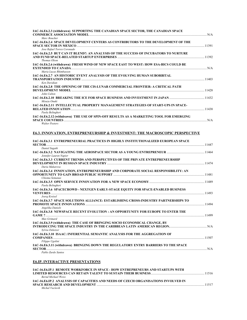| IAC-16.E6.2.3 (withdrawn) SUPPORTING THE CANADIAN SPACE SECTOR, THE CANADIAN SPACE              |     |
|-------------------------------------------------------------------------------------------------|-----|
| Marc Boucher                                                                                    |     |
| IAC-16.E6.2.4 SPACE DEVELOPMENT CENTERS AS CONTRIBUTORS TO THE DEVELOPMENT OF THE               |     |
| Jose Rafael Torres Coronado                                                                     |     |
| IAC-16.E6.2.5 BUT CAN IT BLEND?: AN ANALYSIS OF THE SUCCESS OF INCUBATORS TO NURTURE            |     |
| Thomas Olson                                                                                    |     |
| IAC-16.E6.2.6 (withdrawn) FRESH WIND OF NEW SPACE EAST TO WEST: HOW ESA-BICS COULD BE           | N/A |
| Maria Lucas Rhimbassen                                                                          |     |
| IAC-16.E6.2.7 AN HISTORIC EVENT ANALYSIS OF THE EVOLVING HUMAN SUBORBITAL                       |     |
| Ken Davidian                                                                                    |     |
| IAC-16.E6.2.8 THE OPENING OF THE CIS-LUNAR COMMERCIAL FRONTIER: A CRITICAL PATH                 |     |
|                                                                                                 |     |
| John Culton                                                                                     |     |
| 1432 IAC-16.E6.2.10 BREAKING THE ICE FOR SPACE BUSINESS AND INVESTMENT IN JAPAN<br>Misuzu Onuki |     |
| IAC-16.E6.2.11 INTELLECTUAL PROPERTY MANAGEMENT STRATEGIES OF START-UPS IN SPACE-               |     |
|                                                                                                 |     |
| Paola Belingheri                                                                                |     |
| IAC-16.E6.2.12 (withdrawn) THE USE OF SPIN-OFF RESULTS AS A MARKETING TOOL FOR EMERGING         |     |
|                                                                                                 |     |

*Walter Peeters* 

# **E6.3. INNOVATION, ENTREPRENEURSHIP & INVESTMENT: THE MACROSCOPIC PERSPECTIVE**

| IAC-16.E6.3.1 ENTREPRENEURIAL PRACTICES IN HIGHLY INSTITUTIONALIZED EUROPEAN SPACE<br>11447 - 11447 - 11447 - 11447 - 1150 - 1250 - 1350 - 1350 - 1350 - 1350 - 1350 - 1350 - 1350 - 1350 - 1350 - 1                                                                                                                                      |       |
|-------------------------------------------------------------------------------------------------------------------------------------------------------------------------------------------------------------------------------------------------------------------------------------------------------------------------------------------|-------|
| Daniel Sagath                                                                                                                                                                                                                                                                                                                             |       |
| Jennifer Lauren Napier                                                                                                                                                                                                                                                                                                                    |       |
| IAC-16.E6.3.3 CURRENT TRENDS AND PERSPECTIVES OF THE PRIVATE ENTREPRENEURSHIP<br>Daria Makarova                                                                                                                                                                                                                                           |       |
| IAC-16.E6.3.4 INNOVATION, ENTREPRENEURSHIP AND CORPORATE SOCIAL RESPONSIBILITY: AN<br>Chioma Semanas                                                                                                                                                                                                                                      |       |
| Paola Belingheri                                                                                                                                                                                                                                                                                                                          |       |
| IAC-16.E6.3.6 SPACECROWD - NEXTGEN EARLY-STAGE EQUITY FOR SPACE-ENABLED BUSINESS<br>VENTURES <b>And The Contract of the Contract of the Contract of the Contract of the Contract of the Contract of the Contract of the Contract of the Contract of the Contract of the Contract of the Contract of the Contract of </b><br>Joerg Kreisel | 11493 |
| IAC-16.E6.3.7 SPACE SOLUTIONS ALLIANCE: ESTABLISHING CROSS-INDUSTRY PARTNERSHIPS TO<br>Angelika Daniels                                                                                                                                                                                                                                   |       |
| IAC-16.E6.3.8 NEWSPACE RECENT EVOLUTION : AN OPPORTUNITY FOR EUROPE TO ENTER THE<br>11499                                                                                                                                                                                                                                                 |       |
| Max Grimard<br>IAC-16.E6.3.9 (withdrawn) THE CASE OF BRINGING SOCIO ECONOMICAL CHANGE, BY                                                                                                                                                                                                                                                 |       |
| Svlvia Dekeizer<br>IAC-16.E6.3.10 ISAAC: INFERENTIAL SEMANTIC ANALYSIS FOR THE AGGREGATION OF                                                                                                                                                                                                                                             |       |
| <b>COMPANIES</b> 11507<br>Filippo Ugolini<br>IAC-16.E6.3.11 (withdrawn) BRINGING DOWN THE REGULATORY ENTRY BARRIERS TO THE SPACE                                                                                                                                                                                                          |       |
| <b>SECTOR</b> N/A                                                                                                                                                                                                                                                                                                                         |       |
| Pablo Zurdo Santos                                                                                                                                                                                                                                                                                                                        |       |

### **E6.IP. INTERACTIVE PRESENTATIONS**

| IAC-16.E6.IP.1_REMOTE WORKFORCE IN SPACE - HOW ENTREPRENEURS AND STARTUPS WITH     |       |
|------------------------------------------------------------------------------------|-------|
|                                                                                    | 11516 |
| Bernd Michael Weiss                                                                |       |
| IAC-16.E6.IP.2_ANALYSIS OF CAPACITIES AND NEEDS OF CZECH ORGANISATIONS INVOLVED IN |       |
|                                                                                    | 11517 |
| Michal Vaclavik                                                                    |       |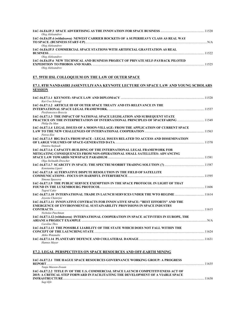| Oleg Aleksandrov                                                                    |       |
|-------------------------------------------------------------------------------------|-------|
| IAC-16.E6.IP.4 (withdrawn) NEWEST CARRIER ROCKETS OF A SUPERHEAVY CLASS AS REAL WAY |       |
| Oleg Aleksandrov                                                                    | N/A   |
| IAC-16.E6.IP.5 COMMERCIAL SPACE STATIONS WITH ARTIFICIAL GRAVITATION AS REAL        |       |
| <b>BUSINESS</b><br>Oleg Aleksandrov                                                 | 11522 |
| IAC-16.E6.IP.6 NEW TECHNICAL AND BUSINESS PROJECT OF PRIVATE SELF-PAYBACK PILOTED   |       |
|                                                                                     |       |
| Oleg Aleksandrov                                                                    |       |

# **E7. 59TH IISL COLLOQUIUM ON THE LAW OF OUTER SPACE**

### **E7.1. 8TH NANDASIRI JASENTULIYANA KEYNOTE LECTURE ON SPACE LAW AND YOUNG SCHOLARS SESSION**

| Kai-Uwe Schrogl                                                                                                                                                                                           |  |
|-----------------------------------------------------------------------------------------------------------------------------------------------------------------------------------------------------------|--|
| IAC-16.E7.1.2 ARTICLE III OF OUTER SPACE TREATY AND ITS RELEVANCE IN THE                                                                                                                                  |  |
| Pierfrancesco Breccia                                                                                                                                                                                     |  |
| IAC-16.E7.1.3 THE IMPACT OF NATIONAL SPACE LEGISLATION AND SUBSEQUENT STATE<br><b>PRACTICE ON THE INTERPRETATION OF INTERNATIONAL PRINCIPLES OF SPACEFARING 11549</b><br>Philip De Man                    |  |
| IAC-16.E7.1.4 LEGAL ISSUES OF A MOON-VILLAGE: FROM THE APPLICATION OF CURRENT SPACE<br>Petros Eloi                                                                                                        |  |
| IAC-16.E7.1.5 BIG DATA FROM SPACE - LEGAL ISSUES RELATED TO ACCESS AND DISSEMINATION<br>Dimitra Stefoudi                                                                                                  |  |
| IAC-16.E7.1.6 CAPACITY-BUILDING OF THE INTERNATIONAL LEGAL FRAMEWORK FOR<br>MITIGATING CONSEQUENCES FROM NON-OPERATIONAL SMALL SATELLITES: ADVANCING                                                      |  |
| Olga Stelmakh-Drescher                                                                                                                                                                                    |  |
| Konstantna Liperi                                                                                                                                                                                         |  |
| IAC-16.E7.1.8 ALTERNATIVE DISPUTE RESOLUTION IN THE FIELD OF SATELLITE<br>Simona Spassova                                                                                                                 |  |
| IAC-16.E7.1.9 THE PUBLIC SERVICE EXEMPTION IN THE SPACE PROTOCOL IN LIGHT OF THAT<br>Tugrul Cakir                                                                                                         |  |
| Joveeta Chaterjee                                                                                                                                                                                         |  |
| IAC-16.E7.1.11 INNOVATIVE CONTRACTS FOR INNOVATIVE SPACE: "BEST EFFORTS" AND THE<br><b>EMERGENCE OF ENVIRONMENTAL SUSTAINABILITY PROVISIONS IN SPACE INDUSTRY</b>                                         |  |
| Nicholas Puschman                                                                                                                                                                                         |  |
| IAC-16.E7.1.12 (withdrawn) INTERNATIONAL COOPERATION IN SPACE ACTIVITIES IN EUROPE, THE<br>ARIANE 6 PROJECT EXAMPLE NARA ARIAN NARA NA NARA NA NARA NA NARA NA NARA NA NARA NA NARA NA NARA NA NARA NA NA |  |
| Caroline Thro<br>IAC-16.E7.1.13 THE POSSIBLE LIABILITY OF THE STATE WHICH DOES NOT FALL WITHIN THE                                                                                                        |  |
| Akiko Watanabe                                                                                                                                                                                            |  |
| Hannes Mayer                                                                                                                                                                                              |  |

### **E7.2. LEGAL PERSPECTIVES ON SPACE RESOURCES AND OFF-EARTH MINING**

| <b>IAC-16.E7.2.1 THE HAGUE SPACE RESOURCES GOVERNANCE WORKING GROUP: A PROGRESS</b> |      |
|-------------------------------------------------------------------------------------|------|
| <b>REPORT</b>                                                                       | 1635 |
| Tanja Masson-Zwaan                                                                  |      |
| IAC-16.E7.2.2 TITLE IV OF THE U.S. COMMERCIAL SPACE LAUNCH COMPETITIVENESS ACT OF   |      |
| 2015: A CRITICAL STEP FORWARD IN FACILITATING THE DEVELOPMENT OF A VIABLE SPACE     |      |
| <b>INFRASTRUCTURE</b>                                                               | 1638 |
| Sagi Kfir                                                                           |      |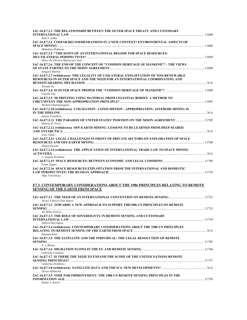| IAC-16.E7.2.3 THE RELATIONSHIP BETWEEN THE OUTER SPACE TREATY AND CUSTOMARY                                                                                                         |  |
|-------------------------------------------------------------------------------------------------------------------------------------------------------------------------------------|--|
| Ram S. Jakhu                                                                                                                                                                        |  |
| IAC-16.E7.2.4 COSPAR RECOMMENDATIONS IN A NEW CONTEXT? ENVIRONMENTAL ASPECTS OF                                                                                                     |  |
| Mahulena Hofmann                                                                                                                                                                    |  |
| IAC-16.E7.2.5 "THE DAWN OF AN INTERNATIONAL REGIME FOR SPACE RESOURCES:<br>Olavo De Oliveira Bittencourt Neto                                                                       |  |
| IAC-16.E7.2.6 THE END OF THE CONCEPT OF "COMMON HERITAGE OF MANKIND"? - THE VIEWS                                                                                                   |  |
| Irmgard Marboe<br>IAC-16.E7.2.7 (withdrawn) THE LEGALITY OF UNILATERAL EXPLOITATION OF NON-RENEWABLE<br>RESOURCES IN OUTER SPACE AND THE NEED FOR AN INTERNATIONAL COORDINATING AND |  |
| Jinvuan Su<br>Virgiliu Pop                                                                                                                                                          |  |
| IAC-16.E7.2.9 3D PRINTING USING MATERIAL FROM CELESTIAL BODIES: A METHOD TO<br>Michail Chatzipanagiots                                                                              |  |
| IAC-16.E7.2.10 (withdrawn) UTILIZATION - CONSUMPTION - APPROPRIATION: ASTEROID MINING IS                                                                                            |  |
| Annete Froehlich<br>IAC-16.E7.2.11 THE PARADOX OF UNITED STATES' POSITION ON THE MOON AGREEMENT 11702<br>Melissa K. Force                                                           |  |
| IAC-16.E7.2.12 (withdrawn) OFF-EARTH MINING: LESSONS TO BE LEARNED FROM DEEP SEABED                                                                                                 |  |
| Lota Viikari                                                                                                                                                                        |  |
| IAC-16.E7.2.13 LEGAL CHALLENGES IN FRONT OF PRIVATE SECTORS ON EXPLORATION OF SPACE<br>Hamid Kazemi                                                                                 |  |
| IAC-16.E7.2.14 (withdrawn) THE APPLICATION OF INTERNATIONAL TRADE LAW TO SPACE MINING<br>V. Gopala Krishnan                                                                         |  |
| Eytan Tepper                                                                                                                                                                        |  |
| IAC-16.E7.2.16 SPACE RESOURCES EXPLOITATION FROM THE INTERNATIONAL AND DOMESTIC<br>Olga Volynskaya                                                                                  |  |
| <b>E7.3. CONTEMPORARY CONSIDERATIONS ABOUT THE 1986 PRINCIPLES RELATING TO REMOTE</b>                                                                                               |  |
| <b>SENSING OF THE EARTH FROM SPACE</b>                                                                                                                                              |  |
| Alvaro Fabricio Dos Santos                                                                                                                                                          |  |
| IAC-16.E7.3.2 TOWARDS A NEW APPROACH TO SUPPORT THE1986 UN PRINCIPLES ON REMOTE                                                                                                     |  |
| Ali Akbar Golroo<br>IAC-16.E7.3.3 THE ROLE OF SOVEREIGNTY IN REMOTE SENSING AND CUSTOMARY                                                                                           |  |
| Andrea Harrington                                                                                                                                                                   |  |
| IAC-16.E7.3.4 (withdrawn) CONTEMPORARY CONSIDERATIONS ABOUT THE 1986 UN PRINCIPLES<br>Ranjana Kaul                                                                                  |  |
| IAC-16.E7.3.5 THE SATELLITE AND THE INDIVIDUAL: THE LEGAL RESOLUTION OF REMOTE<br>P. J. Blount                                                                                      |  |
| Gabriella Catalano                                                                                                                                                                  |  |
| IAC-16.E7.3.7 IS THERE THE NEED TO EXPAND THE SCOPE OF THE UNITED NATIONS REMOTE                                                                                                    |  |
| Catherine Doldirina                                                                                                                                                                 |  |
| Olivier Ribbelink                                                                                                                                                                   |  |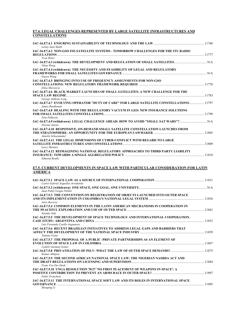#### **E7.4. LEGAL CHALLENGES REPRESENTED BY LARGE SATELLITE INFRASTRUCTURES AND CONSTELLATIONS**

| Lesley Jane Smith                                                                                                                                                                                              |  |
|----------------------------------------------------------------------------------------------------------------------------------------------------------------------------------------------------------------|--|
| IAC-16.E7.4.2 NON-GSO FSS SATELLITE SYSTEMS - TOMORROW CHALLENGES FOR THE ITU RADIO                                                                                                                            |  |
| Yvon Henri                                                                                                                                                                                                     |  |
| Jilian Wang                                                                                                                                                                                                    |  |
| IAC-16.E7.4.4 (withdrawn) THE NECESSITY AND FEASIBILITY OF LEGAL AND REGULATORY<br>Guoyu Wang                                                                                                                  |  |
| IAC-16.E7.4.5 BRINGING INTO USE OF FREQUENCY ASSIGNMENTS FOR NON-GSO<br>Elina Morozova                                                                                                                         |  |
| IAC-16.E7.4.6  BLACK MARKET LAUNCHES OF SMALL SATELLITES: A NEW CHALLENGE FOR THE<br>George Anthony Long                                                                                                       |  |
| 11797 IAC-16.E7.4.7 EVOLVING OPERATOR "DUTY OF CARE" FOR LARGE SATELLITE CONSTELLATIONS 1<br>James Rendleman                                                                                                   |  |
| IAC-16.E7.4.8 DEALING WITH THE REGULATORY VACUUM IN LEO: NEW INSURANCE SOLUTIONS<br>Neta Palkovitz                                                                                                             |  |
| Ntorina Antoni                                                                                                                                                                                                 |  |
| IAC-16.E7.4.10  RESPONSIVE, ON-DEMAND SMALL SATELLITE CONSTELLATION LAUNCHES FROM<br>11803. [1803] THE STRATOSPHERE: AN OPPORTUNITY FOR THE EUROPEAN LAWMAKER …………………………………………………………………<br>Annelie Schoenmaker |  |
| IAC-16.E7.4.11   THE LEGAL DIMENSIONS OF CYBER-CONFLICT WITH REGARD TO LARGE<br>Larry Martnez                                                                                                                  |  |
| IAC-16.E7.4.12   REIMAGINING NATIONAL REGULATORY APPROACHES TO THIRD PARTY LIABILITY<br><b>Edmond Boulle</b>                                                                                                   |  |
|                                                                                                                                                                                                                |  |
| <u>E7.5. CURRENT DEVELOPMENTS IN SPACE LAW WITH PARTICULAR CONSIDERATION FOR LATIN</u>                                                                                                                         |  |
| <b>AMERICA</b>                                                                                                                                                                                                 |  |
| Carlos Gabriel Arguelles Arredondo                                                                                                                                                                             |  |
|                                                                                                                                                                                                                |  |
| Juan Pablo Vargas Pallini<br>IAC-16.E7.5.3 THE CONVENTION ON REGISTRATION OF OBJECTS LAUNCHED INTO OUTER SPACE                                                                                                 |  |
| Jairo Becerra<br>IAC-16.E7.5.4 COMMON ELEMENTS IN THE LATIN AMERICAN MECHANISMS IN COOPERATION IN                                                                                                              |  |
| Setsuko Aoki<br>IAC-16.E7.5.5  THE DEVELOPMENT OF SPACE TECHNOLOGY AND INTERNATIONAL COOPERATION.                                                                                                              |  |
| Luis Fernando Castllo Arganaras                                                                                                                                                                                |  |
| IAC-16.E7.5.6  RECENT BRAZILIAN INITIATIVES TO ADDRESS LEGAL GAPS AND BARRIERS THAT<br>AFFECT THE DEVELOPMENT OF THE NATIONAL SPACE INDUSTRY ……………………………………………………………………………11859<br>Tatiana Viana               |  |
| IAC-16.E7.5.7 THE PROPOSAL OF A PUBLIC -PRIVATE PARTNERSHIPS AS AN ELEMENT OF                                                                                                                                  |  |
| Camilo Guzman Gomez                                                                                                                                                                                            |  |
| Kumar Abhijeet<br>IAC-16.E7.5.9  THE SECOND AFRICAN NATIONAL SPACE LAW: THE NIGERIAN NASRDA ACT AND                                                                                                            |  |
| Frans Von Der Dunk<br>IAC-16.E7.5.10  UNGA RESOLUTION 70/27 'NO FIRST PLACEMENT OF WEAPONS IN SPACE': A                                                                                                        |  |
| Fabio Tronchetti<br>IAC-16.E7.5.11  THE INTERNATIONAL SPACE SOFT LAW AND ITS ROLES IN INTERNATIONAL SPACE<br>Shouping Li                                                                                       |  |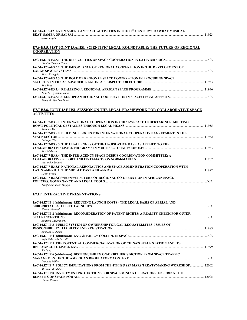|                                    | IAC-16.E7.5.12 LATIN AMERICAN SPACE ACTIVITIES IN THE 21 <sup>st</sup> CENTURY: TO WHAT MUSICAL |       |
|------------------------------------|-------------------------------------------------------------------------------------------------|-------|
|                                    | <b>BEAT, SAMBA OR SALSA?</b>                                                                    | 11923 |
| $\alpha$ $\alpha$ $\alpha$ $\beta$ |                                                                                                 |       |

#### *Sylvia Ospina*

### **E7.6-E3.5. 31ST JOINT IAA/IISL SCIENTIFIC LEGAL ROUNDTABLE: THE FUTURE OF REGIONAL COOPERATION**

| Camilo Guzman Gomez                                                                    |     |
|----------------------------------------------------------------------------------------|-----|
| <b>IAC-16.E7.6-E3.5.2 THE IMPORTANCE OF REGIONAL COOPERATION IN THE DEVELOPMENT OF</b> |     |
| Mark Sirangelo                                                                         | N/A |
| IAC-16.E7.6-E3.5.3 THE ROLE OF REGIONAL SPACE COOPERATION IN PROCURING SPACE           |     |
| Yun Zhao                                                                               |     |
| Timiebi Aganaba-Jeanty                                                                 |     |
| Frans G. Von Der Dunk                                                                  |     |

### **E7.7-B3.8. JOINT IAF-IISL SESSION ON THE LEGAL FRAMEWORK FOR COLLABORATIVE SPACE ACTIVITIES**

| IAC-16.E7.7-B3.8.1 INTERNATIONAL COOPERATION IN CHINA'S SPACE UNDERTAKINGS: MELTING |  |
|-------------------------------------------------------------------------------------|--|
|                                                                                     |  |
| Xiaodan Wu                                                                          |  |
| IAC-16.E7.7-B3.8.2 BUILDING BLOCKS FOR INTERNATIONAL COOPERATIVE AGREEMENT IN THE   |  |
|                                                                                     |  |
| Philippe Clerc                                                                      |  |
| IAC-16.E7.7-B3.8.3 THE CHALLENGES OF THE LEGISLATIVE BASE AS APPLIED TO THE         |  |
|                                                                                     |  |
| Yuri Makarov                                                                        |  |
| IAC-16.E7.7-B3.8.4 THE INTER-AGENCY SPACE DEBRIS COORDINATION COMMITTEE: A          |  |
|                                                                                     |  |
| Alexander Soucek                                                                    |  |
| IAC-16.E7.7-B3.8.5 NATIONAL AERONAUTICS AND SPACE ADMINISTRATION COOPERATION WITH   |  |
|                                                                                     |  |
| Robin Frank                                                                         |  |
| IAC-16.E7.7-B3.8.6 (withdrawn) FUTURE OF REGIONAL CO-OPERATION IN AFRICAN SPACE     |  |
|                                                                                     |  |
| Nomfungko Irang Majaja                                                              |  |

### *Nomfuneko Irene Majaja*

### **E7.IP. INTERACTIVE PRESENTATIONS**

| IAC-16.E7.IP.1 (withdrawn) REDUCING LAUNCH COSTS - THE LEGAL BASIS OF AERIAL AND       |       |
|----------------------------------------------------------------------------------------|-------|
|                                                                                        |       |
| Hamza Hameed                                                                           |       |
| IAC-16.E7.IP.2 (withdrawn) RECONSIDERATION OF PATENT RIGHTS: A REALITY CHECK FOR OUTER |       |
|                                                                                        |       |
| Amitava Chakraborty                                                                    |       |
| <b>IAC-16.E7.IP.3 PUBLIC SYSTEM OF OWNERSHIP FOR GALILEO SATELLITES: ISSUES OF</b>     |       |
|                                                                                        |       |
| Andreas Loukakis                                                                       |       |
| Anja Nakarada Pecuilic                                                                 |       |
|                                                                                        |       |
| IAC-16.E7.IP.5 THE POTENTIAL COMMERCIALIZATION OF CHINA'S SPACE STATION AND ITS        |       |
|                                                                                        |       |
| Jie Long                                                                               |       |
| IAC-16.E7.IP.6 (withdrawn) DISTINGUISHING ON-ORBIT JURISDICTION FROM SPACE TRAFFIC     |       |
|                                                                                        |       |
| Danielle Miller                                                                        |       |
| Miranda Bradshaw                                                                       |       |
| <b>IAC-16.E7.IP.8 INVESTMENT PROTECTIONS FOR SPACE MINING OPERATIONS: ENSURING THE</b> |       |
|                                                                                        | 12005 |
| Daniel Porras                                                                          |       |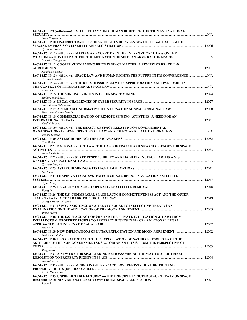| IAC-16.E7.IP.9 (withdrawn) SATELLITE JAMMING, HUMAN RIGHTS PROTECTION AND NATIONAL                            |  |
|---------------------------------------------------------------------------------------------------------------|--|
| Elena Carpanelli                                                                                              |  |
| IAC-16.E7.IP.10 ON-ORBIT TRANSFER OF SATELLITES BETWEEN STATES: LEGAL ISSUES-WITH                             |  |
| Upasana Dasgupta                                                                                              |  |
| IAC-16.E7.IP.11 (withdrawn) MAKING AN EXCEPTION IN THE INTERNATIONAL LAW ON THE<br>Dimitrios Stratgentas      |  |
| IAC-16.E7.IP.12 COOPERATION AMONG BRICS IN SPACE MATTER: A REVIEW OF BRAZILIAN                                |  |
| Jonathan Andrade                                                                                              |  |
| IAC-16.E7.IP.13 (withdrawn) SPACE LAW AND HUMAN RIGHTS: THE FUTURE IN ITS CONVERGENCE N/A<br>Deepika Jeyakodi |  |
| IAC-16.E7.IP.14 (withdrawn) THE RELATIONSHIP BETWEEN APPROPRIATION AND OWNERSHIP IN<br>Yangzi Tao             |  |
|                                                                                                               |  |
| Barbara Skardzirska                                                                                           |  |
| Kinga Kolasa-Sokolowska                                                                                       |  |
| Victor Ivan Coello Marcelin                                                                                   |  |
| IAC-16.E7.IP.18 COMMERCIALISATION OF REMOTE SENSING ACTIVITIES: A NEED FOR AN                                 |  |
| Nandini Paliwal<br>IAC-16.E7.IP.19 (withdrawn) THE IMPACT OF SPACE RELATED NON GOVERNMENTAL                   |  |
|                                                                                                               |  |
| Sidhant Sharma                                                                                                |  |
| Grey Dodge                                                                                                    |  |
| IAC-16.E7.IP.21 NATIONAL SPACE LAW; THE CASE OF FRANCE AND NEW CHALLENGES FOR SPACE                           |  |
| Anne-Sophie Martn<br>IAC-16.E7.IP.22 (withdrawn) STATE RESPONSIBILITY AND LIABILITY IN SPACE LAW VIS A VIS    |  |
| Upasana Dasgupta                                                                                              |  |
| Neil Modi                                                                                                     |  |
| IAC-16.E7.IP.24 SHAPING A LEGAL SYSTEM FOR CHINA'S BEIDOU NAVIGATION SATELLITE                                |  |
| Dejian Kong                                                                                                   |  |
| Siging Li                                                                                                     |  |
| IAC-16.E7.IP.26 THE U.S. COMMERCIAL SPACE LAUNCH COMPETITIVENESS ACT AND THE OUTER                            |  |
| Georgia Maria Kalogirou<br>IAC-16.E7.IP.27 IS NON-EXISTENCE OF A TREATY EQUAL TO INEFFECTIVE TREATY? AN       |  |
| <b>EXAMINATION ON THE APPLICATION OF THE MOON AGREEMENT </b><br>Merve Erdem                                   |  |
| IAC-16.E7.IP.28 THE U.S. SPACE ACT OF 2015 AND THE PRIVATE INTERNATIONAL LAW: FROM                            |  |
| INTELLECTUAL PROPERTY RIGHTS TO PROPERTY RIGHTS IN SPACE - A NATIONAL LEGAL                                   |  |
|                                                                                                               |  |
| Elie Aoun<br>Amit Kumar Padhy                                                                                 |  |
| IAC-16.E7.IP.30 LEGAL APPROACH TO THE EXPLOITATION OF NATURAL RESOURCES OF THE                                |  |
| ASTEROID BY THE NON-GOVERNMENTAL SECTOR: AN ANALYSIS FROM THE PERSPECTIVE OF                                  |  |
| Mingyan Nie                                                                                                   |  |
| IAC-16.E7.IP.31 A NEW ERA FOR SPACEFARING NATIONS: MINING THE WAY TO A DOCTRINAL<br><b>Richard Burks</b>      |  |
| IAC-16.E7.IP.32 (withdrawn) MINING IN OUTER SPACE: SOVEREIGNTY, JURISDICTION AND                              |  |
| Ksenia Shestakova                                                                                             |  |
| IAC-16.E7.IP.33 UNPREDICTABLE FUTURE? ----THE PRINCIPLE IN OUTER SPACE TREATY ON SPACE                        |  |
| Jugian Li                                                                                                     |  |